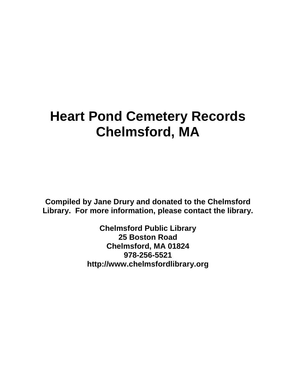## **Heart Pond Cemetery Records Chelmsford, MA**

**Compiled by Jane Drury and donated to the Chelmsford Library. For more information, please contact the library.** 

> **Chelmsford Public Library 25 Boston Road Chelmsford, MA 01824 978-256-5521 http://www.chelmsfordlibrary.org**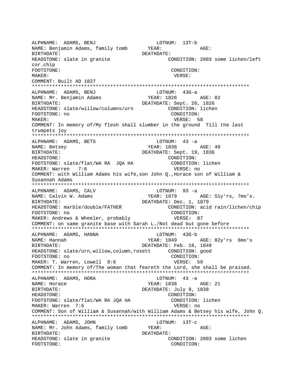ALPHNAME: ADAMS, BENJ LOTNUM: 13T-b NAME: Benjamin Adams, family tomb YEAR: AGE: BIRTHDATE: DEATHDATE: HEADSTONE: slate in granite CONDITION: 2003 some lichen/left cor.chip FOOTSTONE: CONDITION: MAKER: VERSE: COMMENT: Built AD 1827 \*\*\*\*\*\*\*\*\*\*\*\*\*\*\*\*\*\*\*\*\*\*\*\*\*\*\*\*\*\*\*\*\*\*\*\*\*\*\*\*\*\*\*\*\*\*\*\*\*\*\*\*\*\*\*\*\*\*\*\*\*\*\*\*\*\*\*\*\*\*\*\*\*\*\* ALPHNAME: ADAMS, BENJ (DTNUM: 43G-a NAME: Mr. Benjamin Adams YEAR: 1826 AGE: 82 BIRTHDATE: DEATHDATE: Sept. 26, 1826 HEADSTONE: slate/willow/columns/urn CONDITION: lichen FOOTSTONE: no CONDITION: MAKER: 58 COMMENT: In memory of/My flesh shall slumber in the ground Till the last trumpets joy \*\*\*\*\*\*\*\*\*\*\*\*\*\*\*\*\*\*\*\*\*\*\*\*\*\*\*\*\*\*\*\*\*\*\*\*\*\*\*\*\*\*\*\*\*\*\*\*\*\*\*\*\*\*\*\*\*\*\*\*\*\*\*\*\*\*\*\*\*\*\*\*\*\*\* ALPHNAME: ADAMS, BETS NAME: Betsey The Magnus of the MEAR: 1836 AGE: 40 BIRTHDATE: DEATHDATE: Sept. 19, 1836 HEADSTONE: CONDITION: FOOTSTONE: slate/flat/WA RA JQA HA CONDITION: lichen MAKER: Warren 7:6 VERSE: no COMMENT: with William Adams his wife,son John Q.,Horace son of William & Susannah Adams \*\*\*\*\*\*\*\*\*\*\*\*\*\*\*\*\*\*\*\*\*\*\*\*\*\*\*\*\*\*\*\*\*\*\*\*\*\*\*\*\*\*\*\*\*\*\*\*\*\*\*\*\*\*\*\*\*\*\*\*\*\*\*\*\*\*\*\*\*\*\*\*\*\*\* ALPHNAME: ADAMS, CALV LOTNUM: 93 -a NAME: Calvin W. Adams YEAR: 1879 AGE: 51y'rs, 7mo's. BIRTHDATE: DEATHDATE: Dec. 1, 1879 HEADSTONE: marble/double/FATHER CONDITION: acid rain/lichen/chip FOOTSTONE: no CONDITION: MAKER: Andrews & Wheeler, probably  $VERSE: 87$ COMMENT: on same granite base with Sarah L./Not dead but gone before \*\*\*\*\*\*\*\*\*\*\*\*\*\*\*\*\*\*\*\*\*\*\*\*\*\*\*\*\*\*\*\*\*\*\*\*\*\*\*\*\*\*\*\*\*\*\*\*\*\*\*\*\*\*\*\*\*\*\*\*\*\*\*\*\*\*\*\*\*\*\*\*\*\*\* ALPHNAME: ADAMS, HANNA NAME: Hannah YEAR: 1849 AGE: 82y'rs 6mo's BIRTHDATE: DEATHDATE: Feb. 18, 1849 HEADSTONE: slate/urn,willow,column,rosett CONDITION: good FOOTSTONE: no CONDITION: MAKER: T. Warren, Lowell 8:6 VERSE: 59 COMMENT: In memory of/The woman that feareth the Lord, she shall be praised. \*\*\*\*\*\*\*\*\*\*\*\*\*\*\*\*\*\*\*\*\*\*\*\*\*\*\*\*\*\*\*\*\*\*\*\*\*\*\*\*\*\*\*\*\*\*\*\*\*\*\*\*\*\*\*\*\*\*\*\*\*\*\*\*\*\*\*\*\*\*\*\*\*\*\* ALPHNAME: ADAMS, HORA LOTNUM: 43 -a NAME: Horace The Magnus of the YEAR: 1838 AGE: 21 BIRTHDATE: DEATHDATE: July 9, 1838 HEADSTONE: CONDITION: FOOTSTONE: slate/flat/WA RA JQA HA CONDITION: lichen MAKER: Warren 7:6 VERSE: no COMMENT: Son of William & Susannah/with William Adams & Betsey his wife, John Q. \*\*\*\*\*\*\*\*\*\*\*\*\*\*\*\*\*\*\*\*\*\*\*\*\*\*\*\*\*\*\*\*\*\*\*\*\*\*\*\*\*\*\*\*\*\*\*\*\*\*\*\*\*\*\*\*\*\*\*\*\*\*\*\*\*\*\*\*\*\*\*\*\*\*\* ALPHNAME: ADAMS, JOHN LOTNUM: 13T-C NAME: Mr. John Adams, family tomb YEAR: AGE: BIRTHDATE: DEATHDATE: HEADSTONE: slate in granite CONDITION: 2003 some lichen FOOTSTONE: CONDITION: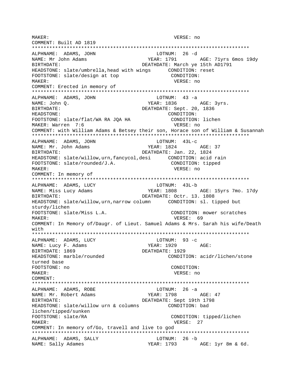MAKER: VERSE: no COMMENT: Built AD 1819 ALPHNAME: ADAMS, JOHN LOTNUM: 26 -d NAME: Mr John Adams YEAR: 1791 AGE: 71yrs 6mos 19dy BIRTHDATE: DEATHDATE: March ye 15th AD1791 HEADSTONE: slate/umbrella, head with wings CONDITION: reset CONDITION: FOOTSTONE: slate/design at top MAKER: VERSE: no COMMENT: Erected in memory of ALPHNAME: ADAMS, JOHN LOTNUM:  $43 - a$ NAME: John Q. YEAR: 1836 AGE: 3yrs. **BIRTHDATE:** DEATHDATE: Sept. 20, 1836 CONDITION: HEADSTONE: FOOTSTONE: slate/flat/WA RA JQA HA CONDITION: lichen MAKER: Warren 7:6 VERSE: no COMMENT: with William Adams & Betsey their son, Horace son of William & Susannah ALPHNAME: ADAMS, JOHN  $LOTNUM: 43L-c$ NAME: Mr. John Adams YEAR: 1824 AGE: 37 BIRTHDATE: DEATHDATE: Jan. 22, 1824 FOOTSTONE: slate/rounded/J.A. CONDITION: tipped VERSE: no MAKER: COMMENT: In memory of ALPHNAME: ADAMS, LUCY LOTNUM: 43L-b YEAR: 1808 AGE: 15yrs 7mo. 17dy NAME: Miss Lucy Adams DEATHDATE: Octr. 13. 1808 RIRTHDATE: HEADSTONE: slate/willow, urn, narrow column CONDITION: sl. tipped but sturdy/lichen FOOTSTONE: slate/Miss L.A. CONDITION: mower scratches VERSE: 69 MAKER: COMMENT: In Memory of/Daugr. of Lieut. Samuel Adams & Mrs. Sarah his wife/Death with ALPHNAME: ADAMS, LUCY LOTNUM:  $93 - c$ NAME: Lucy F. Adams YEAR: 1929 AGE: BIRTHDATE: 1869 DEATHDATE: 1929 CONDITION: acidr/lichen/stone HEADSTONE: marble/rounded turned base FOOTSTONE: no CONDITION: MAKER: VERSE: no COMMENT: LOTNUM: 26 -a ALPHNAME: ADAMS, ROBE NAME: Mr. Robert Adams YEAR: 1798 AGE: 47 BIRTHDATE: DEATHDATE: Sept 19th 1798 HEADSTONE: slate/willow urn & columns CONDITION: bad lichen/tipped/sunken FOOTSTONE: slate/RA CONDITION: tipped/lichen MAKER: VERSE: 27 COMMENT: In memory of/Go, travell and live to god ALPHNAME: ADAMS, SALLY LOTNUM: 26 -b NAME: Sally Adames YEAR: 1793 AGE: 1yr 8m & 6d.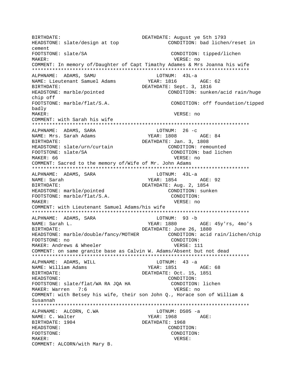BIRTHDATE: DEATHDATE: August ye 5th 1793 CONDITION: bad lichen/reset in HEADSTONE: slate/design at top cement FOOTSTONE: slate/SA CONDITION: tipped/lichen VERSE: no MAKER: COMMENT: In memory of/Daughter of Capt Timathy Adames & Mrs Joanna his wife ALPHNAME: ADAMS, SAMU LOTNUM: 43L-a YEAR: 1816 NAME: Lieutenant Samuel Adams AGE: 62 DEATHDATE: Sept. 3, 1816 BIRTHDATE: HEADSTONE: marble/pointed CONDITION: sunken/acid rain/huge chip off FOOTSTONE: marble/flat/S.A. CONDITION: off foundation/tipped badly MAKER: VERSE: no COMMENT: with Sarah his wife LOTNUM:  $26 - c$ ALPHNAME: ADAMS, SARA NAME: Mrs. Sarah Adams YEAR: 1808 AGE: 84 DEATHDATE: Jan. 3, 1808 BIRTHDATE: HEADSTONE: slate/urn/curtain CONDITION: remounted FOOTSTONE: slate/SA CONDITION: bad lichen MAKER: 66 VERSE: no COMMENT: Sacred to the memory of/Wife of Mr. John Adams ALPHNAME: ADAMS, SARA LOTNUM: 43L-a NAME: Sarah YEAR: 1854 AGE: 92 BIRTHDATE: DEATHDATE: Aug. 2, 1854 HEADSTONE: marble/pointed CONDITION: sunken FOOTSTONE: marble/flat/S.A. CONDITION: VERSE: no MAKER: COMMENT: with Lieutenant Samuel Adams/his wife ALPHNAME: ADAMS, SARA LOTNUM: 93 -b NAME: Sarah L. YEAR: 1880 AGE: 45y'rs, 4mo's DEATHDATE: June 26, 1880 BIRTHDATE: HEADSTONE: marble/double/fancy/MOTHER CONDITION: acid rain/lichen/chip FOOTSTONE: no CONDITION: VERSE: 111 MAKER: Andrews & Wheeler COMMENT: on same granite base as Calvin W. Adams/Absent but not dead ALPHNAME: ADAMS, WILL LOTNUM: 43 -a YEAR: 1851 AGE: 68 NAME: William Adams DEATHDATE: Oct. 15, 1851 BIRTHDATE: HEADSTONE: CONDITION: FOOTSTONE: slate/flat/WA RA JQA HA CONDITION: lichen MAKER: Warren 7:6 VERSE: no COMMENT: with Betsey his wife, their son John O., Horace son of William & Susannah ALPHNAME: ALCORN, C.WA LOTNUM: DS05 -a NAME: C. Walter YEAR: 1968 AGE: BIRTHDATE: 1904 DEATHDATE: 1968 HEADSTONE: CONDITION: FOOTSTONE: CONDITION: MAKER: VERSE: COMMENT: ALCORN/with Mary B.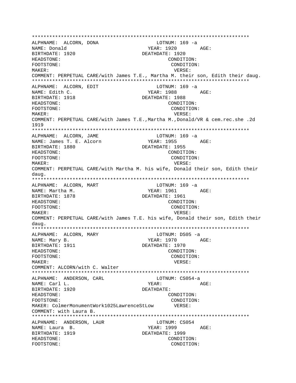ALPHNAME: ALCORN, DONA LOTNUM: 169 -a YEAR: 1920 AGE: NAME: Donald BIRTHDATE: 1920 DEATHDATE: 1920 HEADSTONE: CONDITION: FOOTSTONE: CONDITION: MAKER: VERSE: COMMENT: PERPETUAL CARE/with James T.E., Martha M. their son, Edith their daug. ALPHNAME: ALCORN, EDIT LOTNUM: 169 -a NAME: Edith C. YEAR: 1988  $\Delta C$ F: BIRTHDATE: 1918 DEATHDATE: 1988 HEADSTONE: CONDITION: FOOTSTONE: CONDITION: VERSE:  $M\Delta KFR$ : COMMENT: PERPETUAL CARE/with James T.E., Martha M., Donald/VR & cem.rec.she .2d 1919 ALPHNAME: ALCORN, JAME LOTNUM: 169 -a NAME: James T. E. Alcorn YEAR: 1955 AGE: BIRTHDATE: 1880 DEATHDATE: 1955 HEADSTONE: CONDITION: FOOTSTONE: CONDITION: MAKER: VERSE: COMMENT: PERPETUAL CARE/with Martha M. his wife, Donald their son, Edith their daug. ALPHNAME: ALCORN, MART LOTNUM: 169 -a YEAR: 1961 AGE: NAME: Martha M. BIRTHDATE: 1878 DEATHDATE: 1961 HEADSTONE: CONDITION: FOOTSTONE: CONDITION: MAKER: VERSE: COMMENT: PERPETUAL CARE/with James T.E. his wife, Donald their son, Edith their daug. ALPHNAME: ALCORN, MARY LOTNUM: DS05 -a NAME: Mary B. YEAR: 1970 AGE: BIRTHDATE: 1911 DEATHDATE: 1970 HEADSTONE: CONDITION: FOOTSTONE: CONDITION: MAKER: VERSE: COMMENT: ALCORN/with C. Walter LOTNUM: CS054-a ALPHNAME: ANDERSON, CARL YEAR: NAME: Carl L. AGE: BIRTHDATE: 1920 DEATHDATE: HEADSTONE: CONDITION: FOOTSTONE: CONDITION: MAKER: ColmerMonumentWork1025LawrenceStLow VERSE: COMMENT: with Laura B. ALPHNAME: ANDERSON, LAUR LOTNUM: CS054 NAME: Laura B.  $YEAR: 1999$   $AGE:$ BIRTHDATE: 1919 DEATHDATE: 1999 HEADSTONE: CONDITION: FOOTSTONE: CONDITION: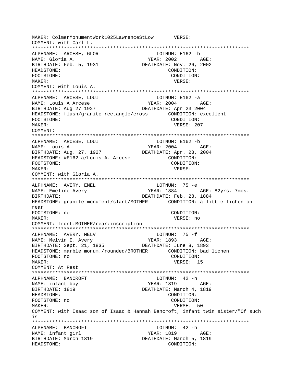MAKER: ColmerMonumentWork1025LawrenceStLow VERSE: COMMENT: with Carl L. \*\*\*\*\*\*\*\*\*\*\*\*\*\*\*\*\*\*\*\*\*\*\*\*\*\*\*\*\*\*\*\*\*\*\*\*\*\*\*\*\*\*\*\*\*\*\*\*\*\*\*\*\*\*\*\*\*\*\*\*\*\*\*\*\*\*\*\*\*\*\*\*\*\*\* ALPHNAME: ARCESE, GLOR LOTNUM: E162 -b NAME: Gloria A. YEAR: 2002 AGE: BIRTHDATE: Feb. 5, 1931 DEATHDATE: Nov. 26, 2002 HEADSTONE: CONDITION: FOOTSTONE: CONDITION: MAKER: VERSE: COMMENT: with Louis A. \*\*\*\*\*\*\*\*\*\*\*\*\*\*\*\*\*\*\*\*\*\*\*\*\*\*\*\*\*\*\*\*\*\*\*\*\*\*\*\*\*\*\*\*\*\*\*\*\*\*\*\*\*\*\*\*\*\*\*\*\*\*\*\*\*\*\*\*\*\*\*\*\*\*\* ALPHNAME: ARCESE, LOUI LOTNUM: E162 -a NAME: Louis A Arcese  $YEAR: 2004$  AGE: BIRTHDATE: Aug 27 1927 DEATHDATE: Apr 23 2004 HEADSTONE: flush/granite rectangle/cross CONDITION: excellent FOOTSTONE: CONDITION: MAKER: VERSE: 207 COMMENT: \*\*\*\*\*\*\*\*\*\*\*\*\*\*\*\*\*\*\*\*\*\*\*\*\*\*\*\*\*\*\*\*\*\*\*\*\*\*\*\*\*\*\*\*\*\*\*\*\*\*\*\*\*\*\*\*\*\*\*\*\*\*\*\*\*\*\*\*\*\*\*\*\*\*\* ALPHNAME: ARCESE, LOUI LOTNUM: E162 -b NAME: Louis A.  $YEAR: 2004$  AGE: BIRTHDATE: Aug. 27, 1927 DEATHDATE: Apr. 23, 2004 HEADSTONE: #E162-a/Louis A. Arcese CONDITION: FOOTSTONE: CONDITION: MAKER: VERSE: COMMENT: with Gloria A. \*\*\*\*\*\*\*\*\*\*\*\*\*\*\*\*\*\*\*\*\*\*\*\*\*\*\*\*\*\*\*\*\*\*\*\*\*\*\*\*\*\*\*\*\*\*\*\*\*\*\*\*\*\*\*\*\*\*\*\*\*\*\*\*\*\*\*\*\*\*\*\*\*\*\* ALPHNAME: AVERY, EMEL CONNECTED MANAGEMENT CONTROLLER TO LOTINUM: 75 - e NAME: Emeline Avery TEAR: 1884 AGE: 82yrs. 7mos. BIRTHDATE: DEATHDATE: Feb. 28, 1884 HEADSTONE: granite monument/slant/MOTHER CONDITION: a little lichen on rear FOOTSTONE: no CONDITION: MAKER: VERSE: no COMMENT: front:MOTHER/rear:inscription \*\*\*\*\*\*\*\*\*\*\*\*\*\*\*\*\*\*\*\*\*\*\*\*\*\*\*\*\*\*\*\*\*\*\*\*\*\*\*\*\*\*\*\*\*\*\*\*\*\*\*\*\*\*\*\*\*\*\*\*\*\*\*\*\*\*\*\*\*\*\*\*\*\*\* ALPHNAME: AVERY, MELV NAME: Melvin E. Avery YEAR: 1893 AGE: BIRTHDATE: Sept. 21, 1835 DEATHDATE: June 8, 1893 HEADSTONE: marble monum./rounded/BROTHER CONDITION: bad lichen FOOTSTONE: no CONDITION: MAKER: VERSE: 15 COMMENT: At Rest \*\*\*\*\*\*\*\*\*\*\*\*\*\*\*\*\*\*\*\*\*\*\*\*\*\*\*\*\*\*\*\*\*\*\*\*\*\*\*\*\*\*\*\*\*\*\*\*\*\*\*\*\*\*\*\*\*\*\*\*\*\*\*\*\*\*\*\*\*\*\*\*\*\*\* ALPHNAME: BANCROFT **LOTNUM:** 42 -h NAME: infant boy  $YEAR: 1819$  AGE: BIRTHDATE: 1819 **DEATHDATE: March 4, 1819** HEADSTONE: CONDITION: FOOTSTONE: no CONDITION: MAKER: 50 COMMENT: with Isaac son of Isaac & Hannah Bancroft, infant twin sister/"Of such is \*\*\*\*\*\*\*\*\*\*\*\*\*\*\*\*\*\*\*\*\*\*\*\*\*\*\*\*\*\*\*\*\*\*\*\*\*\*\*\*\*\*\*\*\*\*\*\*\*\*\*\*\*\*\*\*\*\*\*\*\*\*\*\*\*\*\*\*\*\*\*\*\*\*\* ALPHNAME: BANCROFT LOTNUM: 42 -h NAME: infant girl YEAR: 1819 AGE:<br>BIRTHDATE: March 1819 DEATHDATE: March 5, 1819 BIRTHDATE: March 1819 HEADSTONE: CONDITION: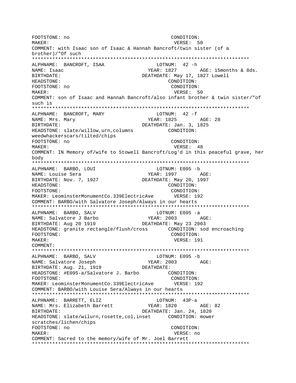FOOTSTONE: no CONDITION: VERSE: 50 MAKER: COMMENT: with Isaac son of Isaac & Hannah Bancroft/twin sister (of a brother)/"Of such ALPHNAME: BANCROFT, ISAA LOTNUM: 42 -h YEAR: 1827 NAME: Isaac AGE: 15months & 8ds. DEATHDATE: May 17, 1827 Lowell **RIRTHDATE:** HEADSTONE: CONDITION: FOOTSTONE: no CONDITION: MAKER: VERSE: 50 COMMENT: son of Isaac and Hannah Bancroft/also infant brother & twin sister/"of such is LOTNUM:  $42 - f$ ALPHNAME: BANCROFT, MARY **YEAR: 1825** NAME: Mrs. Mary AGE: 28 DEATHDATE: Jan. 3, 1825 BIRTHDATE: HEADSTONE: slate/willow, urn, columns CONDITION: weedwhackerscars/tilted/chips FOOTSTONE: no CONDITION: MAKER: VERSE: 48 COMMENT: IN Memory of/wife to Stowell Bancroft/Log'd in this peaceful grave, her body ALPHNAME: BARBO, LOUI LOTNUM: E095 -b NAME: Louise Sera YEAR: 1997 AGE: BIRTHDATE: Nov. 7, 1927 DEATHDATE: May 20, 1997 HEADSTONE: CONDITION: FOOTSTONE: CONDITION: MAKER: LeominsterMonumentCo.339ElectricAve VERSE: 192 COMMENT: BARBO/with Salvatore Joseph/Always in our hearts ALPHNAME: BARBO, SALV LOTNUM: E095 -a NAME: Salvatore J Barbo YEAR: 2003 AGE: BIRTHDATE: Aug 20 1919 DEATHDATE: May 23 2003 HEADSTONE: granite rectangle/flush/cross CONDITION: sod encroaching FOOTSTONE: CONDITION: MAKER: VERSE: 191 COMMENT: ALPHNAME: BARBO, SALV LOTNUM: E095 -b YEAR: 2003 AGE: NAME: Salvatore Joseph DEATHDATE: BIRTHDATE: Aug. 21, 1919 HEADSTONE: #E095-a/Salvatore J. Barbo CONDITION: FOOTSTONE: CONDITION: MAKER: LeominsterMonumentCo.339ElectricAve VERSE: 192 COMMENT: BARBO/with Louise Sera/Always in our hearts  $LOTNUM: 43P-a$ ALPHNAME: BARRETT, ELIZ NAME: Mrs. Elizabeth Barrett **YEAR: 1820** AGE: 82 DEATHDATE: Jan. 24, 1820 BIRTHDATE: HEADSTONE: slate/wilurn, rosette, col, inset CONDITION: mower scratches/lichen/chips FOOTSTONE: no CONDITION: MAKER: VERSE: no COMMENT: Sacred to the memory/wife of Mr. Joel Barrett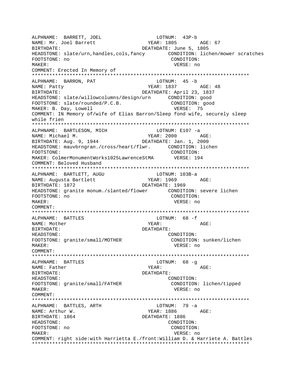ALPHNAME: BARRETT, JOEL LOTNUM: 43P-b YEAR: 1805 AGE: 67 BIRTHDATE: DEATHDATE: June 5, 1805 HEADSTONE: slate/urn,handles,cols,fancy CONDITION: lichen/mower scratches FOOTSTONE: no CONDITION: MAKER: VERSE: no COMMENT: Erected In Memory of \*\*\*\*\*\*\*\*\*\*\*\*\*\*\*\*\*\*\*\*\*\*\*\*\*\*\*\*\*\*\*\*\*\*\*\*\*\*\*\*\*\*\*\*\*\*\*\*\*\*\*\*\*\*\*\*\*\*\*\*\*\*\*\*\*\*\*\*\*\*\*\*\*\*\* ALPHNAME: BARRON, PAT NAME: Patty NAME: Patty 2012 1999 MEAR: 1837 BIRTHDATE: DEATHDATE: April 23, 1837 HEADSTONE: slate/willowcolumns/design/urn CONDITION: good FOOTSTONE: slate/rounded/P.C.B. CONDITION: good MAKER: B. Day, Lowell **VERSE: 75** COMMENT: IN Memory of/wife of Elias Barron/Sleep fond wife, securely sleep while frien \*\*\*\*\*\*\*\*\*\*\*\*\*\*\*\*\*\*\*\*\*\*\*\*\*\*\*\*\*\*\*\*\*\*\*\*\*\*\*\*\*\*\*\*\*\*\*\*\*\*\*\*\*\*\*\*\*\*\*\*\*\*\*\*\*\*\*\*\*\*\*\*\*\*\* ALPHNAME: BARTLESON, MICH LOTNUM: E107 -a NAME: Michael M. YEAR: 2000 AGE: BIRTHDATE: Aug. 9, 1944 DEATHDATE: Jan. 1, 2000<br>HEADSTONE: mauvbrngran./cross/heart/flwr. CONDITION: lichen HEADSTONE: mauvbrngran./cross/heart/flwr. FOOTSTONE: CONDITION: MAKER: ColmerMonumentWorks1025LawrenceStMA VERSE: 194 COMMENT: Beloved Husband \*\*\*\*\*\*\*\*\*\*\*\*\*\*\*\*\*\*\*\*\*\*\*\*\*\*\*\*\*\*\*\*\*\*\*\*\*\*\*\*\*\*\*\*\*\*\*\*\*\*\*\*\*\*\*\*\*\*\*\*\*\*\*\*\*\*\*\*\*\*\*\*\*\*\* ALPHNAME: BARTLETT, AUGU LOTNUM: 103B-a NAME: Augusta Bartlett YEAR: 1969 AGE: BIRTHDATE: 1872 DEATHDATE: 1969 HEADSTONE: granite monum./slanted/flower CONDITION: severe lichen FOOTSTONE: no CONDITION: MAKER: VERSE: no COMMENT: \*\*\*\*\*\*\*\*\*\*\*\*\*\*\*\*\*\*\*\*\*\*\*\*\*\*\*\*\*\*\*\*\*\*\*\*\*\*\*\*\*\*\*\*\*\*\*\*\*\*\*\*\*\*\*\*\*\*\*\*\*\*\*\*\*\*\*\*\*\*\*\*\*\*\* ALPHNAME: BATTLES LOTNUM: 68 -f NAME: Mother The Magnus of the Magnus of the Magnus of the Magnus of the Magnus of the Magnus of the Magnus of the Magnus of the Magnus of the Magnus of the Magnus of the Magnus of the Magnus of the Magnus of the Magnus of BIRTHDATE: DEATHDATE: HEADSTONE: CONDITION: FOOTSTONE: granite/small/MOTHER CONDITION: sunken/lichen MAKER: VERSE: no COMMENT: \*\*\*\*\*\*\*\*\*\*\*\*\*\*\*\*\*\*\*\*\*\*\*\*\*\*\*\*\*\*\*\*\*\*\*\*\*\*\*\*\*\*\*\*\*\*\*\*\*\*\*\*\*\*\*\*\*\*\*\*\*\*\*\*\*\*\*\*\*\*\*\*\*\*\* ALPHNAME: BATTLES LOTNUM: 68 -g NAME: Father  $YEAR:$  AGE: BIRTHDATE: DEATHDATE: HEADSTONE: CONDITION: FOOTSTONE: granite/small/FATHER CONDITION: lichen/tipped MAKER: VERSE: no COMMENT: \*\*\*\*\*\*\*\*\*\*\*\*\*\*\*\*\*\*\*\*\*\*\*\*\*\*\*\*\*\*\*\*\*\*\*\*\*\*\*\*\*\*\*\*\*\*\*\*\*\*\*\*\*\*\*\*\*\*\*\*\*\*\*\*\*\*\*\*\*\*\*\*\*\*\* ALPHNAME: BATTLES, ARTH NAME: Arthur W. Same Communications of the MEAR: 1886 AGE: BIRTHDATE: 1864 DEATHDATE: 1886 HEADSTONE: CONDITION: FOOTSTONE: no CONDITION: MAKER: VERSE: no COMMENT: right side:with Harrietta E./front:William D. & Harriete A. Battles \*\*\*\*\*\*\*\*\*\*\*\*\*\*\*\*\*\*\*\*\*\*\*\*\*\*\*\*\*\*\*\*\*\*\*\*\*\*\*\*\*\*\*\*\*\*\*\*\*\*\*\*\*\*\*\*\*\*\*\*\*\*\*\*\*\*\*\*\*\*\*\*\*\*\*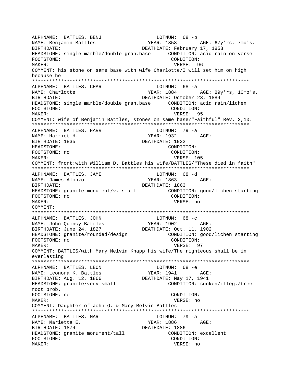ALPHNAME: BATTLES, BENJ LOTNUM: 68 -b YEAR: 1858 AGE: 67y'rs, 7mo's. BIRTHDATE: DEATHDATE: February 17, 1858 HEADSTONE: single marble/double gran.base CONDITION: acid rain on verse FOOTSTONE: CONDITION: MAKER: VERSE: 96 COMMENT: his stone on same base with wife Charlotte/I will set him on high because he \*\*\*\*\*\*\*\*\*\*\*\*\*\*\*\*\*\*\*\*\*\*\*\*\*\*\*\*\*\*\*\*\*\*\*\*\*\*\*\*\*\*\*\*\*\*\*\*\*\*\*\*\*\*\*\*\*\*\*\*\*\*\*\*\*\*\*\*\*\*\*\*\*\*\* ALPHNAME: BATTLES, CHAR NAME: Charlotte  $YERR: 1884$   $AGE: 89y'rs, 10mo's.$ BIRTHDATE: DEATHDATE: October 23, 1884 HEADSTONE: single marble/double gran.base CONDITION: acid rain/lichen FOOTSTONE: CONDITION: MAKER: VERSE: 95 COMMENT: wife of Benjamin Battles, stones on same base/"Faithful" Rev. 2,10. \*\*\*\*\*\*\*\*\*\*\*\*\*\*\*\*\*\*\*\*\*\*\*\*\*\*\*\*\*\*\*\*\*\*\*\*\*\*\*\*\*\*\*\*\*\*\*\*\*\*\*\*\*\*\*\*\*\*\*\*\*\*\*\*\*\*\*\*\*\*\*\*\*\*\* ALPHNAME: BATTLES, HARR NAME: Harriet H. YEAR: 1932 AGE: BIRTHDATE: 1835 DEATHDATE: 1932 HEADSTONE: CONDITION: FOOTSTONE: no CONDITION: MAKER: VERSE: 105 COMMENT: front:with William D. Battles his wife/BATTLES/"These died in faith" \*\*\*\*\*\*\*\*\*\*\*\*\*\*\*\*\*\*\*\*\*\*\*\*\*\*\*\*\*\*\*\*\*\*\*\*\*\*\*\*\*\*\*\*\*\*\*\*\*\*\*\*\*\*\*\*\*\*\*\*\*\*\*\*\*\*\*\*\*\*\*\*\*\*\* ALPHNAME: BATTLES, JAME LOTNUM: 68 -d NAME: James Alonzo YEAR: 1863 AGE: BIRTHDATE: 1963<br>HEADSTONE: granite monument/v. small CONDITION: good/lichen starting HEADSTONE: granite monument/v. small FOOTSTONE: no CONDITION: MAKER: VERSE: no COMMENT: \*\*\*\*\*\*\*\*\*\*\*\*\*\*\*\*\*\*\*\*\*\*\*\*\*\*\*\*\*\*\*\*\*\*\*\*\*\*\*\*\*\*\*\*\*\*\*\*\*\*\*\*\*\*\*\*\*\*\*\*\*\*\*\*\*\*\*\*\*\*\*\*\*\*\* ALPHNAME: BATTLES, JOHN LOTNUM: 68 -C<br>
NAME: John Ouincy Battles (Rear: 1902) NAME: John Quincy Battles YEAR: 1902 AGE: BIRTHDATE: June 24, 1827 DEATHDATE: Oct. 11, 1902 HEADSTONE: granite/rounded/design CONDITION: good/lichen starting FOOTSTONE: no CONDITION: MAKER: VERSE: 97 COMMENT: BATTLES/with Mary Melvin Knapp his wife/The righteous shall be in everlasting \*\*\*\*\*\*\*\*\*\*\*\*\*\*\*\*\*\*\*\*\*\*\*\*\*\*\*\*\*\*\*\*\*\*\*\*\*\*\*\*\*\*\*\*\*\*\*\*\*\*\*\*\*\*\*\*\*\*\*\*\*\*\*\*\*\*\*\*\*\*\*\*\*\*\* ALPHNAME: BATTLES, LEON LOTNUM: 68 -e NAME: Leonora K. Battles YEAR: 1941 AGE: BIRTHDATE: Aug. 12, 1866 DEATHDATE: May 17, 1941 HEADSTONE: granite/very small CONDITION: sunken/illeg./tree root prob. FOOTSTONE: no CONDITION: MAKER: VERSE: no COMMENT: Daughter of John Q. & Mary Melvin Battles \*\*\*\*\*\*\*\*\*\*\*\*\*\*\*\*\*\*\*\*\*\*\*\*\*\*\*\*\*\*\*\*\*\*\*\*\*\*\*\*\*\*\*\*\*\*\*\*\*\*\*\*\*\*\*\*\*\*\*\*\*\*\*\*\*\*\*\*\*\*\*\*\*\*\* ALPHNAME: BATTLES, MARI LOTNUM: 79 -a NAME: Marietta E. The South of the YEAR: 1886 AGE: BIRTHDATE: 1874 DEATHDATE: 1886 HEADSTONE: granite monument/tall CONDITION: excellent FOOTSTONE: CONDITION: MAKER: VERSE: no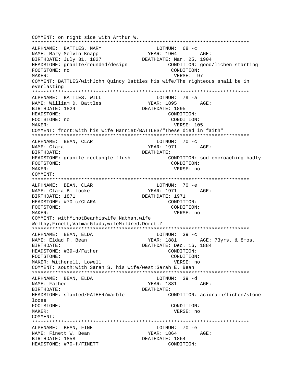COMMENT: on right side with Arthur W. ALPHNAME: BATTLES, MARY LOTNUM: 68 -c NAME: Mary Melvin Knapp YEAR: 1904 AGE: BIRTHDATE: July 31, 1827 DEATHDATE: Mar. 25, 1904 HEADSTONE: granite/rounded/design CONDITION: good/lichen starting FOOTSTONE: no CONDITION: MAKER: VERSE: 97 COMMENT: BATTLES/withJohn Quincy Battles his wife/The righteous shall be in everlasting ALPHNAME: BATTLES, WILL  $LOTNUM: 79 -a$ NAME: William D. Battles YEAR: 1895 AGE: BIRTHDATE: 1824 DEATHDATE: 1895 HEADSTONE: CONDITION: FOOTSTONE: no CONDITION: MAKER: VERSE: 105 COMMENT: front: with his wife Harriet/BATTLES/"These died in faith" LOTNUM:  $70 - c$ ALPHNAME: BEAN, CLAR NAME: Clara YEAR: 1971 AGE: BIRTHDATE: DEATHDATE: HEADSTONE: granite rectangle flush CONDITION: sod encroaching badly FOOTSTONE: CONDITION: MAKER: VERSE: no COMMENT: LOTNUM: 70 -e ALPHNAME: BEAN, CLAR YEAR: 1971 NAME: Clara B. Locke  $\triangle G$ F: BIRTHDATE: 1871 DEATHDATE: 1971 HEADSTONE: #70-c/CLARA CONDITION: FOOTSTONE: CONDITION: MAKER: VERSE: no COMMENT: withMinotBeanhiswife, Nathan, wife Welthy, Finett, ValmarGladu, wifeMildred, Dorot.Z LOTNUM:  $39 - c$ ALPHNAME: BEAN, ELDA AGE: 73yrs. & 8mos. NAME: Eldad P. Bean YEAR: 1881 DEATHDATE: Dec. 16, 1884 BIRTHDATE: CONDITION: HEADSTONE: #39-d/Father FOOTSTONE: CONDITION: MAKER: Witherell, Lowell VERSE: no COMMENT: south:with Sarah S. his wife/west:Sarah E. Bean ALPHNAME: BEAN, ELDA LOTNUM: 39 -d YEAR: 1881 AGE: NAME: Father DEATHDATE: BIRTHDATE: HEADSTONE: slanted/FATHER/marble CONDITION: acidrain/lichen/stone loose FOOTSTONE: CONDITION: MAKER: VERSE: no COMMENT: LOTNUM: 70 -e ALPHNAME: BEAN, FINE NAME: Finett W. Bean YEAR: 1864 AGE: BIRTHDATE: 1858 DEATHDATE: 1864 HEADSTONE: #70-f/FINETT CONDITION: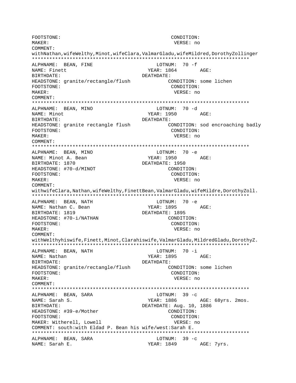FOOTSTONE: CONDITION:  $M\Delta K$ FP: VERSE: no **COMMENT:** withNathan, wifeWelthy, Minot, wifeClara, ValmarGladu, wifeMildred, DorothyZollinger ALPHNAME: BEAN, FINE LOTNUM:  $70 - f$ NAME: Finett YEAR: 1864 AGE: **RIRTHDATE:** DEATHDATE: CONDITION: some lichen HEADSTONE: granite/rectangle/flush FOOTSTONE: CONDITION: MAKER: VERSE: no COMMENT: ALPHNAME: BEAN, MINO LOTNUM: 70 -d NAME: Minot YEAR: 1950  $\triangle$   $G$   $\mathbb{F}$ : BIRTHDATE: DEATHDATE: HEADSTONE: granite rectangle flush CONDITION: sod encroaching badly FOOTSTONE: CONDITION: MAKER: VERSE: no COMMENT: ALPHNAME: BEAN, MINO  $LOTNIM: 70 -e$ YEAR: 1950 NAME: Minot A. Bean AGE: BIRTHDATE: 1870 DEATHDATE: 1950 CONDITION: HEADSTONE: #70-d/MINOT FOOTSTONE: CONDITION: MAKER: VERSE: no COMMENT: withwifeClara, Nathan, wifeWelthy, FinettBean, ValmarGladu, wifeMildre, DorothyZoll. ALPHNAME: BEAN, NATH LOTNUM: 70 -e YEAR: 1895 NAME: Nathan C. Bean AGE: DEATHDATE: 1895 BIRTHDATE: 1819 HEADSTONE: #70-i/NATHAN CONDITION: FOOTSTONE: CONDITION: MAKER: VERSE: no COMMENT: withWelthyhiswife, Finett, Minot, Clarahiswife, ValmarGladu, MildredGladu, DorothyZ. ALPHNAME: BEAN, NATH LOTNUM: 70 -i NAME: Nathan YEAR: 1895 AGE: **BIRTHDATE:** DEATHDATE: CONDITION: some lichen HEADSTONE: granite/rectangle/flush FOOTSTONE: CONDITION: MAKER: VERSE: no COMMENT: ALPHNAME: BEAN, SARA LOTNUM:  $39 - c$ NAME: Sarah S. YEAR: 1886 AGE: 68yrs. 2mos. DEATHDATE: Aug. 10, 1886 BIRTHDATE: HEADSTONE: #39-e/Mother CONDITION: FOOTSTONE: CONDITION: MAKER: Witherell, Lowell VERSE: no COMMENT: south:with Eldad P. Bean his wife/west: Sarah E. ALPHNAME: BEAN, SARA LOTNUM:  $39 - c$ YEAR: 1849 AGE: 7yrs. NAME: Sarah E.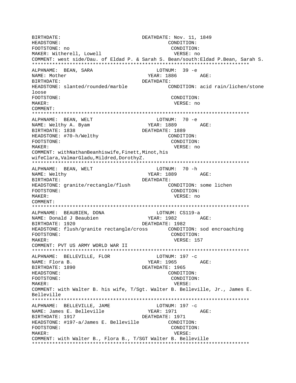BIRTHDATE: DEATHDATE: Nov. 11, 1849 HEADSTONE: CONDITION: FOOTSTONE: no CONDITION: MAKER: Witherell, Lowell VERSE: no COMMENT: west side/Dau. of Eldad P. & Sarah S. Bean/south: Eldad P. Bean, Sarah S. ALPHNAME: BEAN, SARA LOTNUM: 39 -e YEAR: 1886 NAME: Mother AGE: BIRTHDATE: DEATHDATE: HEADSTONE: slanted/rounded/marble CONDITION: acid rain/lichen/stone loose FOOTSTONE: CONDITION: MAKER: VERSE: no COMMENT: ALPHNAME: BEAN, WELT LOTNUM: 70 -e  $YEAR: 1889$   $AGE:$ NAME: Welthy A. Byam BIRTHDATE: 1838 DEATHDATE: 1889 HEADSTONE: #70-h/Welthy CONDITION: FOOTSTONE: CONDITION: MAKER: VERSE: no COMMENT: withNathanBeanhiswife, Finett, Minot, his wifeClara, ValmarGladu, Mildred, DorothyZ. ALPHNAME: BEAN, WELT LOTNUM: 70 -h NAME: Welthy YEAR: 1889 AGE: **BIRTHDATE:** DEATHDATE: HEADSTONE: granite/rectangle/flush CONDITION: some lichen FOOTSTONE: CONDITION: VERSE: no MAKER: COMMENT: ALPHNAME: BEAUBIEN, DONA LOTNUM: CS119-a NAME: Donald J Beaubien BIRTHDATE: 1920 DEATHDATE: 1982 FOOTSTONE: CONDITION: MAKER: VERSE: 157 COMMENT: PVT US ARMY WORLD WAR II ALPHNAME: BELLEVILLE, FLOR LOTNUM: 197 -c YEAR: 1965 NAME: Flora B. AGE: DEATHDATE: 1965 BIRTHDATE: 1890 HEADSTONE: CONDITION: FOOTSTONE: CONDITION: MAKER: VERSE: COMMENT: with Walter B. his wife, T/Sgt. Walter B. Belleville, Jr., James E. Belleville ALPHNAME: BELLEVILLE, JAME LOTNUM: 197 -c NAME: James E. Belleville YEAR: 1971 AGE: DEATHDATE: 1971 BIRTHDATE: 1917 HEADSTONE: #197-a/James E. Belleville CONDITION: FOOTSTONE: CONDITION: MAKER: VERSE: COMMENT: with Walter B., Flora B., T/SGT Walter B. Belleville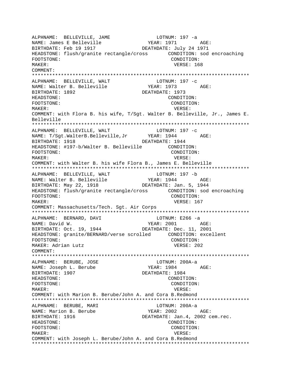ALPHNAME: BELLEVILLE, JAME LOTNUM: 197 -a ALPHNAME: DELLEVILLE, J.E.<br>NAME: James E Belleville YEAR: 1971 AGE: BIRTHDATE: Feb 19 1917 DEATHDATE: July 24 1971 HEADSTONE: flush/granite rectangle/cross CONDITION: sod encroaching FOOTSTONE: CONDITION: MAKER: VERSE: 168 COMMENT: \*\*\*\*\*\*\*\*\*\*\*\*\*\*\*\*\*\*\*\*\*\*\*\*\*\*\*\*\*\*\*\*\*\*\*\*\*\*\*\*\*\*\*\*\*\*\*\*\*\*\*\*\*\*\*\*\*\*\*\*\*\*\*\*\*\*\*\*\*\*\*\*\*\*\* ALPHNAME: BELLEVILLE, WALT NAME: Walter B. Belleville YEAR: 1973 AGE: BIRTHDATE: 1892 DEATHDATE: 1973 HEADSTONE: CONDITION: FOOTSTONE: CONDITION: MAKER: VERSE: COMMENT: with Flora B. his wife, T/Sgt. Walter B. Belleville, Jr., James E. Belleville \*\*\*\*\*\*\*\*\*\*\*\*\*\*\*\*\*\*\*\*\*\*\*\*\*\*\*\*\*\*\*\*\*\*\*\*\*\*\*\*\*\*\*\*\*\*\*\*\*\*\*\*\*\*\*\*\*\*\*\*\*\*\*\*\*\*\*\*\*\*\*\*\*\*\* ALPHNAME: BELLEVILLE, WALT LOTNUM: 197 -c NAME: T/Sgt.WalterB.Belleville, Jr BIRTHDATE: 1918 **DEATHDATE:** 1944 HEADSTONE: #197-b/Walter B. Belleville CONDITION: FOOTSTONE: CONDITION: MAKER: VERSE: COMMENT: with Walter B. his wife Flora B., James E. Belleville \*\*\*\*\*\*\*\*\*\*\*\*\*\*\*\*\*\*\*\*\*\*\*\*\*\*\*\*\*\*\*\*\*\*\*\*\*\*\*\*\*\*\*\*\*\*\*\*\*\*\*\*\*\*\*\*\*\*\*\*\*\*\*\*\*\*\*\*\*\*\*\*\*\*\* ALPHNAME: BELLEVILLE, WALT LOTNUM: 197 -b NAME: Walter B. Belleville YEAR: 1944 AGE: BIRTHDATE: May 22, 1918 DEATHDATE: Jan. 5, 1944 HEADSTONE: flush/granite rectangle/cross CONDITION: sod encroaching FOOTSTONE: CONDITION: MAKER: VERSE: 167 COMMENT: Massachusetts/Tech. Sgt. Air Corps \*\*\*\*\*\*\*\*\*\*\*\*\*\*\*\*\*\*\*\*\*\*\*\*\*\*\*\*\*\*\*\*\*\*\*\*\*\*\*\*\*\*\*\*\*\*\*\*\*\*\*\*\*\*\*\*\*\*\*\*\*\*\*\*\*\*\*\*\*\*\*\*\*\*\* ALPHNAME: BERNARD, DAVI LOTNUM: E266 -a NAME: David W. Same Communication of the MEAR: 2001 AGE: BIRTHDATE: Oct. 19, 1944 DEATHDATE: Dec. 11, 2001 HEADSTONE: granite/BERNARD/verse scrolled CONDITION: excellent FOOTSTONE: CONDITION: MAKER: Adrian Lutz **VERSE: 202** COMMENT: \*\*\*\*\*\*\*\*\*\*\*\*\*\*\*\*\*\*\*\*\*\*\*\*\*\*\*\*\*\*\*\*\*\*\*\*\*\*\*\*\*\*\*\*\*\*\*\*\*\*\*\*\*\*\*\*\*\*\*\*\*\*\*\*\*\*\*\*\*\*\*\*\*\*\* ALPHNAME: BERUBE, JOSE LOTNUM: 200A-a NAME: Joseph L. Berube YEAR: 1984 AGE: BIRTHDATE: 1907 DEATHDATE: 1984 HEADSTONE: CONDITION: FOOTSTONE: CONDITION: MAKER: VERSE: COMMENT: with Marion B. Berube/John A. and Cora B.Redmond \*\*\*\*\*\*\*\*\*\*\*\*\*\*\*\*\*\*\*\*\*\*\*\*\*\*\*\*\*\*\*\*\*\*\*\*\*\*\*\*\*\*\*\*\*\*\*\*\*\*\*\*\*\*\*\*\*\*\*\*\*\*\*\*\*\*\*\*\*\*\*\*\*\*\* ALPHNAME: BERUBE, MARI LOTNUM: 200A-a NAME: Marion B. Berube YEAR: 2002 AGE: BIRTHDATE: 1916 DEATHDATE: Jan.4, 2002 cem.rec. HEADSTONE: CONDITION: FOOTSTONE: CONDITION: MAKER: VERSE: COMMENT: with Joseph L. Berube/John A. and Cora B.Redmond \*\*\*\*\*\*\*\*\*\*\*\*\*\*\*\*\*\*\*\*\*\*\*\*\*\*\*\*\*\*\*\*\*\*\*\*\*\*\*\*\*\*\*\*\*\*\*\*\*\*\*\*\*\*\*\*\*\*\*\*\*\*\*\*\*\*\*\*\*\*\*\*\*\*\*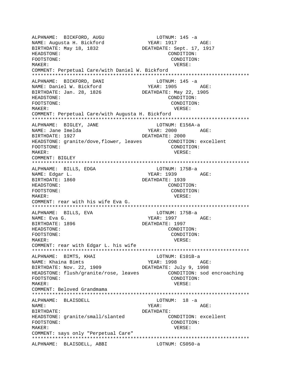ALPHNAME: BICKFORD, AUGU LOTNUM: 145 -a NAME: Augusta H. Bickford YEAR: 1917 AGE: BIRTHDATE: May 18, 1832 DEATHDATE: Sept. 17, 1917 HEADSTONE: CONDITION: FOOTSTONE: CONDITION: MAKER: VERSE: COMMENT: Perpetual Care/with Daniel W. Bickford \*\*\*\*\*\*\*\*\*\*\*\*\*\*\*\*\*\*\*\*\*\*\*\*\*\*\*\*\*\*\*\*\*\*\*\*\*\*\*\*\*\*\*\*\*\*\*\*\*\*\*\*\*\*\*\*\*\*\*\*\*\*\*\*\*\*\*\*\*\*\*\*\*\*\* ALPHNAME: BICKFORD, DANI LOTNUM: 145 -a NAME: Daniel W. Bickford YEAR: 1905 AGE: BIRTHDATE: Jan. 28, 1826 DEATHDATE: May 22, 1905 HEADSTONE: CONDITION: FOOTSTONE: CONDITION: MAKER: VERSE: COMMENT: Perpetual Care/with Augusta H. Bickford \*\*\*\*\*\*\*\*\*\*\*\*\*\*\*\*\*\*\*\*\*\*\*\*\*\*\*\*\*\*\*\*\*\*\*\*\*\*\*\*\*\*\*\*\*\*\*\*\*\*\*\*\*\*\*\*\*\*\*\*\*\*\*\*\*\*\*\*\*\*\*\*\*\*\* ALPHNAME: BIGLEY, JANE<br>NAME: Jane Imelda YEAR: 2000 AGE: BIRTHDATE: 1927 DEATHDATE: 2000 HEADSTONE: granite/dove,flower, leaves CONDITION: excellent FOOTSTONE: CONDITION: MAKER: VERSE: COMMENT: BIGLEY \*\*\*\*\*\*\*\*\*\*\*\*\*\*\*\*\*\*\*\*\*\*\*\*\*\*\*\*\*\*\*\*\*\*\*\*\*\*\*\*\*\*\*\*\*\*\*\*\*\*\*\*\*\*\*\*\*\*\*\*\*\*\*\*\*\*\*\*\*\*\*\*\*\*\* ALPHNAME: BILLS, EDGA LOTNUM: 175B-a NAME: Edgar L. Same Communications of the MEAR: 1939 AGE: BIRTHDATE: 1860 DEATHDATE: 1939 HEADSTONE: CONDITION: FOOTSTONE: CONDITION: MAKER: VERSE: COMMENT: rear with his wife Eva G. \*\*\*\*\*\*\*\*\*\*\*\*\*\*\*\*\*\*\*\*\*\*\*\*\*\*\*\*\*\*\*\*\*\*\*\*\*\*\*\*\*\*\*\*\*\*\*\*\*\*\*\*\*\*\*\*\*\*\*\*\*\*\*\*\*\*\*\*\*\*\*\*\*\*\* ALPHNAME: BILLS, EVA LOTNUM: 175B-a NAME: Eva G. YEAR: 1997 AGE: BIRTHDATE: 1896 DEATHDATE: 1997 HEADSTONE: CONDITION: FOOTSTONE: CONDITION: MAKER: VERSE: COMMENT: rear with Edgar L. his wife \*\*\*\*\*\*\*\*\*\*\*\*\*\*\*\*\*\*\*\*\*\*\*\*\*\*\*\*\*\*\*\*\*\*\*\*\*\*\*\*\*\*\*\*\*\*\*\*\*\*\*\*\*\*\*\*\*\*\*\*\*\*\*\*\*\*\*\*\*\*\*\*\*\*\* ALPHNAME: BIMTS, KHAI LOTNUM: E101B-a NAME: Khaina Bimts YEAR: 1998 AGE: BIRTHDATE: Nov. 22, 1909 DEATHDATE: July 9, 1998 HEADSTONE: flush/granite/rose, leaves CONDITION: sod encroaching FOOTSTONE: CONDITION: MAKER: VERSE: COMMENT: Beloved Grandmama \*\*\*\*\*\*\*\*\*\*\*\*\*\*\*\*\*\*\*\*\*\*\*\*\*\*\*\*\*\*\*\*\*\*\*\*\*\*\*\*\*\*\*\*\*\*\*\*\*\*\*\*\*\*\*\*\*\*\*\*\*\*\*\*\*\*\*\*\*\*\*\*\*\*\* ALPHNAME: BLAISDELL NAME: YEAR: AGE: BIRTHDATE: DEATHDATE: HEADSTONE: granite/small/slanted CONDITION: excellent FOOTSTONE: CONDITION: MAKER: VERSE: COMMENT: says only "Perpetual Care" \*\*\*\*\*\*\*\*\*\*\*\*\*\*\*\*\*\*\*\*\*\*\*\*\*\*\*\*\*\*\*\*\*\*\*\*\*\*\*\*\*\*\*\*\*\*\*\*\*\*\*\*\*\*\*\*\*\*\*\*\*\*\*\*\*\*\*\*\*\*\*\*\*\*\* ALPHNAME: BLAISDELL, ABBI LOTNUM: CS050-a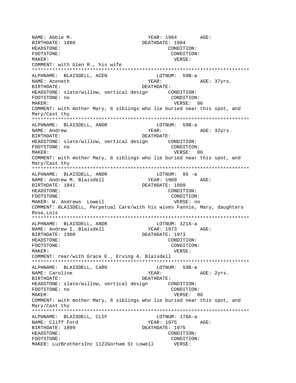YEAR: 1984 AGE: NAME: Abbie M. BIRTHDATE: 1890 DEATHDATE: 1984 HEADSTONE: CONDITION: FOOTSTONE: CONDITION: MAKER: VERSE: COMMENT: with Glen R., his wife ALPHNAME: BLAISDELL, ACEN LOTNUM: 59B-a NAME: Aceneth YEAR: AGE: 37yrs. BIRTHDATE: DEATHDATE: HEADSTONE: slate/willow, vertical design CONDITION: FOOTSTONE: no CONDITION: VERSE: 86 MAKER: COMMENT: with mother Mary, 6 siblings who lie buried near this spot, and Mary/Cast thy ALPHNAME: BLAISDELL, ANDR LOTNUM: 59B-a NAME: Andrew YEAR: AGE: 32yrs. BIRTHDATE: DEATHDATE: FOOTSTONE: no CONDITION: MAKER: VERSE: 86 COMMENT: with mother Mary, 6 siblings who lie buried near this spot, and Mary/Cast thy LOTNUM: 95 -a ALPHNAME: BLAISDELL, ANDR NAME: Andrew M. Blaisdell YEAR: 1909 AGE: BIRTHDATE: 1841 DEATHDATE: 1909 HEADSTONE: CONDITION: FOOTSTONE: CONDITION: MAKER: W. Andrews Lowell VERSE: no COMMENT: BLAISDELL, Perpetual Care/with his wives Fannie, Mary, daughters Rose, Lois ALPHNAME: BLAISDELL, ANDR LOTNUM: 121A-a NAME: Andrew I. Blaisdell YEAR: 1973 AGE: DEATHDATE: 1973 BIRTHDATE: 1900 HEADSTONE: CONDITION: FOOTSTONE: CONDITION: MAKER: VERSE: COMMENT: rear/with Grace E., Erving A. Blaisdell ALPHNAME: BLAISDELL, CARO LOTNUM: 59B-a AGE: 2yrs. NAME: Caroline YEAR: **BIRTHDATE:** DEATHDATE: FOOTSTONE: no CONDITION: MAKER: VERSE: 86 COMMENT: with mother Mary, 6 siblings who lie buried near this spot, and Mary/Cast thy ALPHNAME: BLAISDELL, CLIF LOTNUM: 176A-a NAME: Cliff Ford YEAR: 1975 AGE: BIRTHDATE: 1899 DEATHDATE: 1975 HEADSTONE: CONDITION: FOOTSTONE: CONDITION: MAKER: LuzBrothersInc 1122Gorham St Lowell VERSE: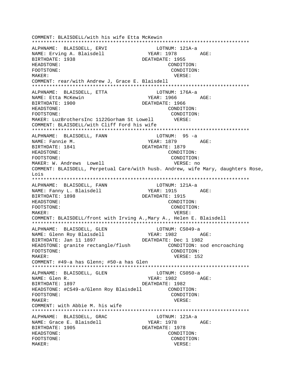COMMENT: BLAISDELL/with his wife Etta McKewin ALPHNAME: BLAISDELL, ERVI LOTNUM: 121A-a YEAR: 1978 AGE: NAME: Erving A. Blaisdell BIRTHDATE: 1938 DEATHDATE: 1955 HEADSTONE: CONDITION: FOOTSTONE: CONDITION: MAKER: VERSE: COMMENT: rear/with Andrew J, Grace E. Blaisdell ALPHNAME: BLAISDELL, ETTA LOTNUM: 176A-a NAME: Etta McKewin YEAR: 1966 AGE: BIRTHDATE: 1900 DEATHDATE: 1966 HEADSTONE: CONDITION: FOOTSTONE: CONDITION: MAKER: LuzBrothersInc 1122Gorham St Lowell VERSE: COMMENT: BLAISDELL/with Cliff Ford his wife ALPHNAME: BLAISDELL, FANN LOTNUM: 95 -a YEAR: 1879 AGE: NAME: Fannie M. DEATHDATE: 1879 BIRTHDATE: 1841 HEADSTONE: CONDITION: FOOTSTONE: CONDITION: MAKER: W. Andrews Lowell VERSE: no COMMENT: BLAISDELL, Perpetual Care/with husb. Andrew, wife Mary, daughters Rose, Lois ALPHNAME: BLAISDELL, FANN LOTNUM: 121A-a NAME: Fanny L. Blaisdell YEAR: 1915 AGE: BIRTHDATE: 1898 DEATHDATE: 1915 HEADSTONE: CONDITION: FOOTSTONE: CONDITION: MAKER: VERSE: COMMENT: BLAISDELL/front with Irving A., Mary A., Helen E. Blaisdell ALPHNAME: BLAISDELL, GLEN LOTNUM: CS049-a YEAR: 1982 AGE: NAME: Glenn Roy Blaisdell BIRTHDATE: Jan 11 1897 DEATHDATE: Dec 1 1982 HEADSTONE: granite rectangle/flush CONDITION: sod encroaching FOOTSTONE: CONDITION: MAKER: VERSE: 152 COMMENT: #49-a has Glenn; #50-a has Glen ALPHNAME: BLAISDELL, GLEN LOTNUM: CS050-a YEAR: 1982 AGE: NAME: Glen R. BIRTHDATE: 1897 DEATHDATE: 1982 HEADSTONE: #CS49-a/Glenn Roy Blaisdell CONDITION: FOOTSTONE: CONDITION: MAKER: VERSE: COMMENT: with Abbie M. his wife ALPHNAME: BLAISDELL, GRAC LOTNUM: 121A-a NAME: Grace E. Blaisdell YEAR: 1978 AGE: BIRTHDATE: 1905 DEATHDATE: 1978 HEADSTONE: CONDITION: FOOTSTONE: CONDITION: MAKER: VERSE: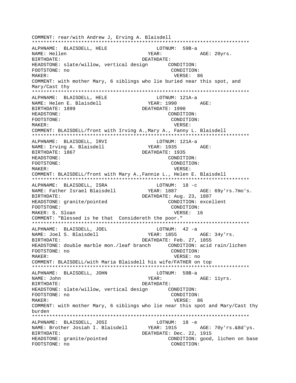COMMENT: rear/with Andrew J, Erving A. Blaisdell \*\*\*\*\*\*\*\*\*\*\*\*\*\*\*\*\*\*\*\*\*\*\*\*\*\*\*\*\*\*\*\*\*\*\*\*\*\*\*\*\*\*\*\*\*\*\*\*\*\*\*\*\*\*\*\*\*\*\*\*\*\*\*\*\*\*\*\*\*\*\*\*\*\*\* ALPHNAME: BLAISDELL, HELE LOTNUM: 59B-a NAME: Hellen  $YEAR:$  AGE: 20yrs. BIRTHDATE: DEATHDATE: HEADSTONE: slate/willow, vertical design CONDITION: FOOTSTONE: no CONDITION: MAKER: VERSE: 86 COMMENT: with mother Mary, 6 siblings who lie buried near this spot, and Mary/Cast thy \*\*\*\*\*\*\*\*\*\*\*\*\*\*\*\*\*\*\*\*\*\*\*\*\*\*\*\*\*\*\*\*\*\*\*\*\*\*\*\*\*\*\*\*\*\*\*\*\*\*\*\*\*\*\*\*\*\*\*\*\*\*\*\*\*\*\*\*\*\*\*\*\*\*\* ALPHNAME: BLAISDELL, HELE LOTNUM: 121A-a NAME: Helen E. Blaisdell YEAR: 1990 AGE: BIRTHDATE: 1899 DEATHDATE: 1990 HEADSTONE: CONDITION: FOOTSTONE: CONDITION: MAKER: VERSE: COMMENT: BLAISDELL/front with Irving A.,Mary A., Fanny L. Blaisdell \*\*\*\*\*\*\*\*\*\*\*\*\*\*\*\*\*\*\*\*\*\*\*\*\*\*\*\*\*\*\*\*\*\*\*\*\*\*\*\*\*\*\*\*\*\*\*\*\*\*\*\*\*\*\*\*\*\*\*\*\*\*\*\*\*\*\*\*\*\*\*\*\*\*\* ALPHNAME: BLAISDELL, IRVI LOTNUM: 121A-a NAME: Irving A. Blaisdell YEAR: 1935 AGE: BIRTHDATE: 1867 **DEATHDATE: 1935** HEADSTONE: CONDITION: FOOTSTONE: CONDITION: MAKER: VERSE: COMMENT: BLAISDELL/front with Mary A.,Fannie L., Helen E. Blaisdell \*\*\*\*\*\*\*\*\*\*\*\*\*\*\*\*\*\*\*\*\*\*\*\*\*\*\*\*\*\*\*\*\*\*\*\*\*\*\*\*\*\*\*\*\*\*\*\*\*\*\*\*\*\*\*\*\*\*\*\*\*\*\*\*\*\*\*\*\*\*\*\*\*\*\* ALPHNAME: BLAISDELL, ISRA LOTNUM: 18 -c YEAR: 1887 AGE: 69y'rs.7mo's. BIRTHDATE: DEATHDATE: Aug. 23, 1887 HEADSTONE: granite/pointed CONDITION: excellent FOOTSTONE: CONDITION: MAKER: S. Sloan VERSE: 16 COMMENT: "Blessed is he that Considereth the poor." \*\*\*\*\*\*\*\*\*\*\*\*\*\*\*\*\*\*\*\*\*\*\*\*\*\*\*\*\*\*\*\*\*\*\*\*\*\*\*\*\*\*\*\*\*\*\*\*\*\*\*\*\*\*\*\*\*\*\*\*\*\*\*\*\*\*\*\*\*\*\*\*\*\*\* ALPHNAME: BLAISDELL, JOEL NAME: Joel S. Blaisdell YEAR: 1855 AGE: 34y'rs. BIRTHDATE: DEATHDATE: Feb. 27, 1855 HEADSTONE: double marble mon./leaf branch CONDITION: acid rain/lichen FOOTSTONE: no CONDITION: MAKER: VERSE: no COMMENT: BLAISDELL/with Maria Blaisdell his wife/FATHER on top \*\*\*\*\*\*\*\*\*\*\*\*\*\*\*\*\*\*\*\*\*\*\*\*\*\*\*\*\*\*\*\*\*\*\*\*\*\*\*\*\*\*\*\*\*\*\*\*\*\*\*\*\*\*\*\*\*\*\*\*\*\*\*\*\*\*\*\*\*\*\*\*\*\*\* ALPHNAME: BLAISDELL, JOHN LOTNUM: 59B-a NAME: John YEAR: AGE: 11yrs. BIRTHDATE: DEATHDATE: HEADSTONE: slate/willow, vertical design CONDITION: FOOTSTONE: no CONDITION: MAKER: VERSE: 86 COMMENT: with mother Mary, 6 siblings who lie near this spot and Mary/Cast thy burden \*\*\*\*\*\*\*\*\*\*\*\*\*\*\*\*\*\*\*\*\*\*\*\*\*\*\*\*\*\*\*\*\*\*\*\*\*\*\*\*\*\*\*\*\*\*\*\*\*\*\*\*\*\*\*\*\*\*\*\*\*\*\*\*\*\*\*\*\*\*\*\*\*\*\* ALPHNAME: BLAISDELL, JOSI LOTNUM: 18 -e NAME: Brother Josiah I. Blaisdell YEAR: 1915 AGE: 70y'rs.&8d'ys. BIRTHDATE: Dec. 22, 1915 HEADSTONE: granite/pointed CONDITION: good, lichen on base FOOTSTONE: no CONDITION: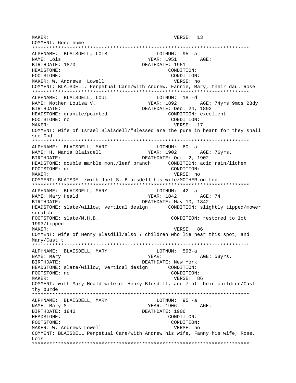MAKER: VERSE: 13 COMMENT: Gone home ALPHNAME: BLAISDELL, LOIS LOTNUM: 95 -a LOTNON: ...<br>
YEAR: 1951 AGE: NAME: Lois BIRTHDATE: 1870 DEATHDATE: 1951 HEADSTONE: CONDITION: FOOTSTONE: CONDITION: MAKER: W. Andrews Lowell VERSE: no COMMENT: BLAISDELL, Perpetual Care/with Andrew, Fannie, Mary, their dau. Rose ALPHNAME: BLAISDELL, LOUI LOTNUM: 18 -d NAME: Mother Louisa V. YEAR: 1892 AGE: 74yrs 9mos 28dy BIRTHDATE: DEATHDATE: Dec. 24, 1892 HEADSTONE: granite/pointed CONDITION: excellent FOOTSTONE: no CONDITION: VERSE: 17 MAKER: COMMENT: Wife of Israel Blaisdell/"Blessed are the pure in heart for they shall see God ALPHNAME: BLAISDELL, MARI LOTNUM: 60 -a NAME: H. Maria Blaisdell YEAR: 1902 AGE: 76yrs. DEATHDATE: Oct. 2, 1902 BIRTHDATE: CONDITION: FOOTSTONE: no MAKER: VERSE: no COMMENT: BLAISDELL/with Joel S. Blaisdell his wife/MOTHER on top ALPHNAME: BLAISDELL, MARY LOTNUM: 42 -a YEAR: 1842 NAME: Mary Heald AGE: 74 DEATHDATE: May 10, 1842 RIRTHDATE: HEADSTONE: slate/willow, vertical design CONDITION: slightly tipped/mower scratch FOOTSTONE: slate/M.H.B. CONDITION: restored to lot 1993/tipped VERSE: 86 MAKER: COMMENT: wife of Henry Blesdill/also 7 children who lie near this spot, and Mary/Cast t ALPHNAME: BLAISDELL, MARY LOTNUM: 59B-a YEAR: AGE: 58yrs. NAME: Mary BIRTHDATE: DEATHDATE: New York HEADSTONE: slate/willow, vertical design CONDITION: FOOTSTONE: no CONDITION: MAKER: VERSE: 86 COMMENT: with Mary Heald wife of Henry Blesdill, and 7 of their children/Cast thy burde LOTNUM:  $95 - a$ ALPHNAME: BLAISDELL, MARY YEAR: 1906 NAME: Mary M. AGE: BIRTHDATE: 1840 DEATHDATE: 1906 CONDITION: HEADSTONE: FOOTSTONE: CONDITION: MAKER: W. Andrews Lowell VERSE: no COMMENT: BLAISDELL Perpetual Care/with Andrew his wife, Fanny his wife, Rose, Lois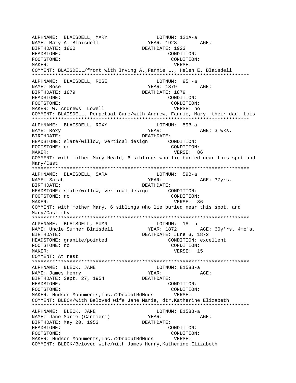ALPHNAME: BLAISDELL, MARY LOTNUM: 121A-a NAME: Mary A. Blaisdell YEAR: 1923 AGE: ALPHNAME: BLAISDELL, MARY AND HUTHON CONTROLLER MARY NAME: MATHER: 1923<br>BIRTHDATE: 1860 DEATHDATE: 1923 HEADSTONE: CONDITION: FOOTSTONE: CONDITION: MAKER: VERSE: COMMENT: BLAISDELL/front with Irving A.,Fannie L., Helen E. Blaisdell \*\*\*\*\*\*\*\*\*\*\*\*\*\*\*\*\*\*\*\*\*\*\*\*\*\*\*\*\*\*\*\*\*\*\*\*\*\*\*\*\*\*\*\*\*\*\*\*\*\*\*\*\*\*\*\*\*\*\*\*\*\*\*\*\*\*\*\*\*\*\*\*\*\*\* ALPHNAME: BLAISDELL, ROSE NAME: Rose AGE: BIRTHDATE: 1879 DEATHDATE: 1879 HEADSTONE: CONDITION: FOOTSTONE: CONDITION: MAKER: W. Andrews Lowell **VERSE: NOWERSE: NOWERSE:** no COMMENT: BLAISDELL, Perpetual Care/with Andrew, Fannie, Mary, their dau. Lois \*\*\*\*\*\*\*\*\*\*\*\*\*\*\*\*\*\*\*\*\*\*\*\*\*\*\*\*\*\*\*\*\*\*\*\*\*\*\*\*\*\*\*\*\*\*\*\*\*\*\*\*\*\*\*\*\*\*\*\*\*\*\*\*\*\*\*\*\*\*\*\*\*\*\* ALPHNAME: BLAISDELL, ROXY NAME: Roxy YEAR: AGE: 3 wks. BIRTHDATE: DEATHDATE: HEADSTONE: slate/willow, vertical design CONDITION: FOOTSTONE: no CONDITION: MAKER: VERSE: 86 COMMENT: with mother Mary Heald, 6 siblings who lie buried near this spot and Mary/Cast \*\*\*\*\*\*\*\*\*\*\*\*\*\*\*\*\*\*\*\*\*\*\*\*\*\*\*\*\*\*\*\*\*\*\*\*\*\*\*\*\*\*\*\*\*\*\*\*\*\*\*\*\*\*\*\*\*\*\*\*\*\*\*\*\*\*\*\*\*\*\*\*\*\*\* ALPHNAME: BLAISDELL, SARA NAME: Sarah  $YEAR:$  AGE: 37yrs. BIRTHDATE: DEATHDATE: HEADSTONE: slate/willow, vertical design CONDITION: FOOTSTONE: no CONDITION: MAKER: VERSE: 86 COMMENT: with mother Mary, 6 siblings who lie buried near this spot, and Mary/Cast thy \*\*\*\*\*\*\*\*\*\*\*\*\*\*\*\*\*\*\*\*\*\*\*\*\*\*\*\*\*\*\*\*\*\*\*\*\*\*\*\*\*\*\*\*\*\*\*\*\*\*\*\*\*\*\*\*\*\*\*\*\*\*\*\*\*\*\*\*\*\*\*\*\*\*\* ALPHNAME: BLAISDELL, SUMN<br>
NAME: Uncle Sumner Blaisdell<br>
YEAR: 1872 NAME: Uncle Sumner Blaisdell YEAR: 1872 AGE: 60y'rs. 4mo's. BIRTHDATE: DEATHDATE: June 3, 1872 HEADSTONE: granite/pointed CONDITION: excellent FOOTSTONE: no CONDITION: MAKER: 15 COMMENT: At rest \*\*\*\*\*\*\*\*\*\*\*\*\*\*\*\*\*\*\*\*\*\*\*\*\*\*\*\*\*\*\*\*\*\*\*\*\*\*\*\*\*\*\*\*\*\*\*\*\*\*\*\*\*\*\*\*\*\*\*\*\*\*\*\*\*\*\*\*\*\*\*\*\*\*\* ALPHNAME: BLECK, JAME LOTNUM: E158B-a NAME: James Henry YEAR: AGE: BIRTHDATE: Sept. 27, 1954 DEATHDATE: HEADSTONE: CONDITION: FOOTSTONE: CONDITION: MAKER: Hudson Monuments,Inc.72DracutRdHuds VERSE: COMMENT: BLECK/with Beloved wife Jane Marie, dtr.Katherine Elizabeth \*\*\*\*\*\*\*\*\*\*\*\*\*\*\*\*\*\*\*\*\*\*\*\*\*\*\*\*\*\*\*\*\*\*\*\*\*\*\*\*\*\*\*\*\*\*\*\*\*\*\*\*\*\*\*\*\*\*\*\*\*\*\*\*\*\*\*\*\*\*\*\*\*\*\* ALPHNAME: BLECK, JANE LOTNUM: E158B-a NAME: Jane Marie (Cantieri) YEAR: YEAR: AGE: BIRTHDATE: May 20, 1953 DEATHDATE: HEADSTONE: CONDITION: FOOTSTONE: CONDITION: MAKER: Hudson Monuments,Inc.72DracutRdHuds VERSE: COMMENT: BLECK/Beloved wife/with James Henry,Katherine Elizabeth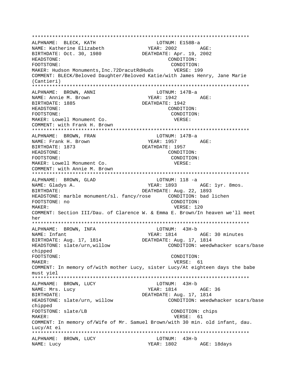\*\*\*\*\*\*\*\*\*\*\*\*\*\*\*\*\*\*\*\*\*\*\*\*\*\*\*\*\*\*\*\*\*\*\*\*\*\*\*\*\*\*\*\*\*\*\*\*\*\*\*\*\*\*\*\*\*\*\*\*\*\*\*\*\*\*\*\*\*\*\*\*\*\*\* ALPHNAME: BLECK, KATH LOTNUM: E158B-a NAME: Katherine Elizabeth YEAR: 2002 AGE: BIRTHDATE: Oct. 30, 1980 DEATHDATE: Apr. 19, 2002 HEADSTONE: CONDITION: FOOTSTONE: CONDITION: MAKER: Hudson Monuments,Inc.72DracutRdHuds VERSE: 199 COMMENT: BLECK/Beloved Daughter/Beloved Katie/with James Henry, Jane Marie (Cantieri) \*\*\*\*\*\*\*\*\*\*\*\*\*\*\*\*\*\*\*\*\*\*\*\*\*\*\*\*\*\*\*\*\*\*\*\*\*\*\*\*\*\*\*\*\*\*\*\*\*\*\*\*\*\*\*\*\*\*\*\*\*\*\*\*\*\*\*\*\*\*\*\*\*\*\* ALPHNAME: BROWN, ANNI LOTNUM: 147B-a NAME: Annie M. Brown YEAR: 1942 AGE: BIRTHDATE: 1885 DEATHDATE: 1942 HEADSTONE: CONDITION: FOOTSTONE: CONDITION: MAKER: Lowell Monument Co. VERSE: COMMENT: with Frank H. Brown \*\*\*\*\*\*\*\*\*\*\*\*\*\*\*\*\*\*\*\*\*\*\*\*\*\*\*\*\*\*\*\*\*\*\*\*\*\*\*\*\*\*\*\*\*\*\*\*\*\*\*\*\*\*\*\*\*\*\*\*\*\*\*\*\*\*\*\*\*\*\*\*\*\*\* ALPHNAME: BROWN, FRAN NAME: Frank H. Brown YEAR: 1957 AGE: BIRTHDATE: 1873 DEATHDATE: 1957 HEADSTONE: CONDITION: FOOTSTONE: CONDITION: MAKER: Lowell Monument Co. **Example 20 and STATE VERSE:** COMMENT: with Annie M. Brown \*\*\*\*\*\*\*\*\*\*\*\*\*\*\*\*\*\*\*\*\*\*\*\*\*\*\*\*\*\*\*\*\*\*\*\*\*\*\*\*\*\*\*\*\*\*\*\*\*\*\*\*\*\*\*\*\*\*\*\*\*\*\*\*\*\*\*\*\*\*\*\*\*\*\* ALPHNAME: BROWN, GLAD CONNECTRITION: 118 -a NAME: Gladys A. The Matter of the MEAR: 1893 AGE: 1yr. 8mos. BIRTHDATE:  $DEATHDATE: Aug. 22, 1893$ HEADSTONE: marble monument/sl. fancy/rose CONDITION: bad lichen FOOTSTONE: no CONDITION: MAKER: U20 COMMENT: Section III/Dau. of Clarence W. & Emma E. Brown/In heaven we'll meet her \*\*\*\*\*\*\*\*\*\*\*\*\*\*\*\*\*\*\*\*\*\*\*\*\*\*\*\*\*\*\*\*\*\*\*\*\*\*\*\*\*\*\*\*\*\*\*\*\*\*\*\*\*\*\*\*\*\*\*\*\*\*\*\*\*\*\*\*\*\*\*\*\*\*\* ALPHNAME: BROWN, INFA NAME: Infant YEAR: 1814 AGE: 30 minutes BIRTHDATE: Aug. 17, 1814 DEATHDATE: Aug. 17, 1814 HEADSTONE: slate/urn,willow CONDITION: weedwhacker scars/base chipped FOOTSTONE: CONDITION: MAKER: 61 COMMENT: In memory of/with mother Lucy, sister Lucy/At eighteen days the babe must yiel \*\*\*\*\*\*\*\*\*\*\*\*\*\*\*\*\*\*\*\*\*\*\*\*\*\*\*\*\*\*\*\*\*\*\*\*\*\*\*\*\*\*\*\*\*\*\*\*\*\*\*\*\*\*\*\*\*\*\*\*\*\*\*\*\*\*\*\*\*\*\*\*\*\*\* ALPHNAME: BROWN, LUCY NAME: Mrs. Lucy Carrier Mars (2001) NEAR: 1814 AGE: 36 BIRTHDATE: DEATHDATE: Aug. 17, 1814 HEADSTONE: slate/urn, willow CONDITION: weedwhacker scars/base chipped FOOTSTONE: slate/LB CONDITION: chips MAKER: 61 COMMENT: In memory of/Wife of Mr. Samuel Brown/with 30 min. old infant, dau. Lucy/At ei \*\*\*\*\*\*\*\*\*\*\*\*\*\*\*\*\*\*\*\*\*\*\*\*\*\*\*\*\*\*\*\*\*\*\*\*\*\*\*\*\*\*\*\*\*\*\*\*\*\*\*\*\*\*\*\*\*\*\*\*\*\*\*\*\*\*\*\*\*\*\*\*\*\*\* ALPHNAME: BROWN, LUCY NAME: Lucy YEAR: 1802 AGE: 18days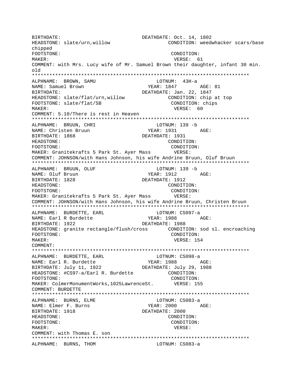BIRTHDATE: DEATHDATE: Oct. 14, 1802 HEADSTONE: slate/urn,willow CONDITION: weedwhacker scars/base chipped FOOTSTONE: CONDITION: MAKER: VERSE: 61 COMMENT: with Mrs. Lucy wife of Mr. Samuel Brown their daughter, infant 30 min. old \*\*\*\*\*\*\*\*\*\*\*\*\*\*\*\*\*\*\*\*\*\*\*\*\*\*\*\*\*\*\*\*\*\*\*\*\*\*\*\*\*\*\*\*\*\*\*\*\*\*\*\*\*\*\*\*\*\*\*\*\*\*\*\*\*\*\*\*\*\*\*\*\*\*\* ALPHNAME: BROWN, SAMU NAME: Samuel Brown YEAR: 1847 AGE: 81 BIRTHDATE: DEATHDATE: Jan. 22, 1847 HEADSTONE: slate/flat/urn,willow CONDITION: chip at top FOOTSTONE: slate/flat/SB CONDITION: chips MAKER: 60 COMMENT: 5.10/There is rest in Heaven \*\*\*\*\*\*\*\*\*\*\*\*\*\*\*\*\*\*\*\*\*\*\*\*\*\*\*\*\*\*\*\*\*\*\*\*\*\*\*\*\*\*\*\*\*\*\*\*\*\*\*\*\*\*\*\*\*\*\*\*\*\*\*\*\*\*\*\*\*\*\*\*\*\*\* ALPHNAME: BRUUN, CHRI LOTNUM: 139 -b YEAR: 1931 AGE: BIRTHDATE: 1868 DEATHDATE: 1931 HEADSTONE: CONDITION: FOOTSTONE: CONDITION: MAKER: Granitekrafts 5 Park St. Ayer Mass VERSE: COMMENT: JOHNSON/with Hans Johnson, his wife Andrine Bruun, Oluf Bruun \*\*\*\*\*\*\*\*\*\*\*\*\*\*\*\*\*\*\*\*\*\*\*\*\*\*\*\*\*\*\*\*\*\*\*\*\*\*\*\*\*\*\*\*\*\*\*\*\*\*\*\*\*\*\*\*\*\*\*\*\*\*\*\*\*\*\*\*\*\*\*\*\*\*\* ALPHNAME: BRUUN, OLUF CHARAGE LOTNUM: 139 - b NAME: Oluf Bruun YEAR: 1912 AGE: BIRTHDATE: 1828 DEATHDATE: 1912 HEADSTONE: CONDITION: FOOTSTONE: CONDITION: MAKER: Granitekrafts 5 Park St. Ayer Mass VERSE: COMMENT: JOHNSON/with Hans Johnson, his wife Andrine Bruun, Christen Bruun \*\*\*\*\*\*\*\*\*\*\*\*\*\*\*\*\*\*\*\*\*\*\*\*\*\*\*\*\*\*\*\*\*\*\*\*\*\*\*\*\*\*\*\*\*\*\*\*\*\*\*\*\*\*\*\*\*\*\*\*\*\*\*\*\*\*\*\*\*\*\*\*\*\*\* ALPHNAME: BURDETTE, EARL **LOTNUM:** CS097-a NAME: Earl R Burdette YEAR: 1988 AGE: BIRTHDATE: 1922 DEATHDATE: 1988 HEADSTONE: granite rectangle/flush/cross CONDITION: sod sl. encroaching FOOTSTONE: CONDITION: MAKER: USA CONTROLLER WERE MAKER: 154 COMMENT: \*\*\*\*\*\*\*\*\*\*\*\*\*\*\*\*\*\*\*\*\*\*\*\*\*\*\*\*\*\*\*\*\*\*\*\*\*\*\*\*\*\*\*\*\*\*\*\*\*\*\*\*\*\*\*\*\*\*\*\*\*\*\*\*\*\*\*\*\*\*\*\*\*\*\* ALPHNAME: BURDETTE, EARL LOTNUM: CS098-a NAME: Earl R. Burdette YEAR: 1988 AGE: BIRTHDATE: July 11, 1922 DEATHDATE: July 29, 1988 HEADSTONE: #CS97-a/Earl R. Burdette CONDITION: FOOTSTONE: CONDITION: MAKER: ColmerMonumentWorks,1025LawrenceSt. VERSE: 155 COMMENT: BURDETTE \*\*\*\*\*\*\*\*\*\*\*\*\*\*\*\*\*\*\*\*\*\*\*\*\*\*\*\*\*\*\*\*\*\*\*\*\*\*\*\*\*\*\*\*\*\*\*\*\*\*\*\*\*\*\*\*\*\*\*\*\*\*\*\*\*\*\*\*\*\*\*\*\*\*\* ALPHNAME: BURNS, ELME CONNERT LOTNUM: CS083-a NAME: Elmer F. Burns T. The YEAR: 2000 AGE: BIRTHDATE: 1918 DEATHDATE: 2000 HEADSTONE: CONDITION: FOOTSTONE: CONDITION: MAKER: VERSE: COMMENT: with Thomas E. son \*\*\*\*\*\*\*\*\*\*\*\*\*\*\*\*\*\*\*\*\*\*\*\*\*\*\*\*\*\*\*\*\*\*\*\*\*\*\*\*\*\*\*\*\*\*\*\*\*\*\*\*\*\*\*\*\*\*\*\*\*\*\*\*\*\*\*\*\*\*\*\*\*\*\* ALPHNAME: BURNS, THOM CS083-a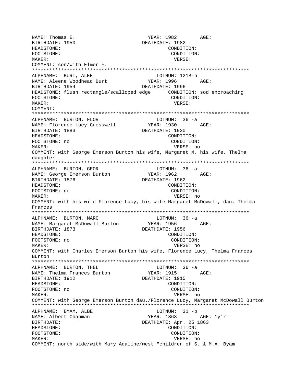YEAR: 1982 AGE: NAME: Thomas E. DEATHDATE: 1982 BIRTHDATE: 1950 HEADSTONE: CONDITION: FOOTSTONE: CONDITION: VERSE: MAKER: COMMENT: son/with Elmer F. LOTNUM: 121B-b ALPHNAME: BURT, ALEE NAME: Aleene Woodhead Burt YEAR: 1996 AGE: BIRTHDATE: 1954 DEATHDATE: 1996 FOOTSTONE: CONDITION: MAKER: VERSE: COMMENT: ALPHNAME: BURTON, FLOR  $LOTNUM: 36 -a$ YEAR: 1930 AGE: NAME: Florence Lucy Cresswell BIRTHDATE: 1883 DEATHDATE: 1930 HEADSTONE: CONDITION: FOOTSTONE: no CONDITION: VERSE: no MAKER: COMMENT: with George Emerson Burton his wife, Margaret M. his wife, Thelma daughter ALPHNAME: BURTON, GEOR LOTNUM: 36 -a NAME: George Emerson Burton YEAR: 1962 AGE: BIRTHDATE: 1876 DEATHDATE: 1962 CONDITION: HEADSTONE: FOOTSTONE: no CONDITION: MAKER: VERSE: no COMMENT: with his wife Florence Lucy, his wife Margaret McDowall, dau. Thelma Frances ALPHNAME: BURTON, MARG  $LOTNUM: 36 -a$ **YEAR: 1956** NAME: Margaret McDowall Burton AGE: DEATHDATE: 1956 BIRTHDATE: 1873 HEADSTONE: CONDITION: FOOTSTONE: no CONDITION: MAKER: VERSE: no COMMENT: with Charles Emerson Burton his wife, Florence Lucy, Thelma Frances Burton ALPHNAME: BURTON, THEL  $LOTNUM: 36 -a$ YEAR: 1915 AGE: NAME: Thelma Frances Burton BIRTHDATE: 1912 DEATHDATE: 1915 HEADSTONE: CONDITION: FOOTSTONE: no CONDITION: MAKER: VERSE: no COMMENT: with George Emerson Burton dau./Florence Lucy, Margaret McDowall Burton ALPHNAME: BYAM, ALBE LOTNUM: 31 -b NAME: Albert Chapman YEAR: 1863 AGE: 1y'r BIRTHDATE: DEATHDATE: Apr. 25 1863 HEADSTONE: CONDITION: FOOTSTONE: CONDITION: MAKER: VERSE: no COMMENT: north side/with Mary Adaline/west "children of S. & M.A. Byam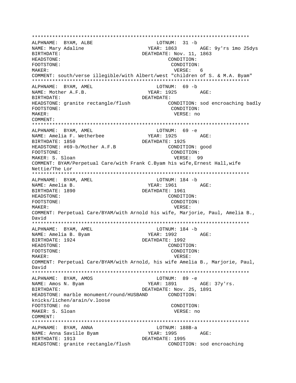ALPHNAME: BYAM, ALBE LOTNUM: 31 -b YEAR: 1863 AGE: 9y'rs 1mo 25dys NAME: Mary Adaline DEATHDATE: Nov. 11, 1863 BIRTHDATE: HEADSTONE: CONDITION: FOOTSTONE: CONDITION: MAKER: VERSE: 6 COMMENT: south/verse illegible/with Albert/west "children of S. & M.A. Byam" LOTNUM: 69 -b ALPHNAME: BYAM, AMEL NAME: Mother A.F.B. YEAR: 1925  $\Delta$  $\subset$ F: BIRTHDATE: DEATHDATE: HEADSTONE: granite rectangle/flush CONDITION: sod encroaching badly FOOTSTONE: CONDITION: MAKER: VERSE: no COMMENT: ALPHNAME: BYAM, AMEL LOTNUM: 69 -e YEAR: 1925 AGE: NAME: Amelia F. Wetherbee DEATHDATE: 1925 BIRTHDATE: 1850 HEADSTONE: #69-b/Mother A.F.B CONDITION: good FOOTSTONE: CONDITION: MAKER: S. Sloan VERSE: 99 COMMENT: BYAM/Perpetual Care/with Frank C.Byam his wife, Ernest Hall, wife Nettie/The Lor ALPHNAME: BYAM, AMEL LOTNUM: 184 -b NAME: Amelia B. YEAR: 1961  $\triangle$   $G$ F: BIRTHDATE: 1890 DEATHDATE: 1961 HEADSTONE: CONDITION: FOOTSTONE: CONDITION: VERSE: MAKER: COMMENT: Perpetual Care/BYAM/with Arnold his wife, Marjorie, Paul, Amelia B., David ALPHNAME: BYAM, AMEL LOTNUM: 184 -b YEAR: 1992 NAME: Amelia B. Byam AGE: DEATHDATE: 1992 BIRTHDATE: 1924 CONDITION: HEADSTONE: FOOTSTONE: CONDITION: MAKER: VERSE: COMMENT: Perpetual Care/BYAM/with Arnold, his wife Amelia B., Marjorie, Paul, David ALPHNAME: BYAM, AMOS LOTNUM: 89 -e NAME: Amos N. Byam YEAR: 1891 AGE: 37y'rs. DEATHDATE: Nov. 25, 1891 BIRTHDATE: HEADSTONE: marble monument/round/HUSBAND CONDITION: knicks/lichen/arain/v.loose FOOTSTONE: no CONDITION: MAKER: S. Sloan VERSE: no COMMENT: ALPHNAME: BYAM, ANNA LOTNUM: 188B-a ALPHNAME. DIAM, ....<br>NAME: Anna Saville Byam YEAR: 1995 AGE: BIRTHDATE: 1913 DEATHDATE: 1995 HEADSTONE: granite rectangle/flush CONDITION: sod encroaching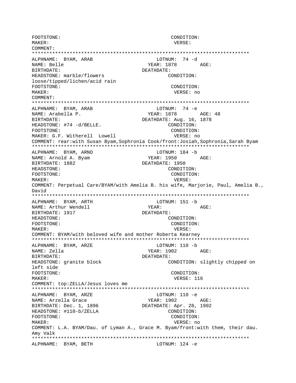FOOTSTONE: CONDITION: MAKER: VERSE: COMMENT: \*\*\*\*\*\*\*\*\*\*\*\*\*\*\*\*\*\*\*\*\*\*\*\*\*\*\*\*\*\*\*\*\*\*\*\*\*\*\*\*\*\*\*\*\*\*\*\*\*\*\*\*\*\*\*\*\*\*\*\*\*\*\*\*\*\*\*\*\*\*\*\*\*\*\* ALPHNAME: BYAM, ARAB LOTNUM: 74 -d NAME: Belle YEAR: 1878 AGE: BIRTHDATE: DEATHDATE: HEADSTONE: marble/flowers example: CONDITION: loose/tipped/lichen/acid rain FOOTSTONE: CONDITION: MAKER: VERSE: no COMMENT: \*\*\*\*\*\*\*\*\*\*\*\*\*\*\*\*\*\*\*\*\*\*\*\*\*\*\*\*\*\*\*\*\*\*\*\*\*\*\*\*\*\*\*\*\*\*\*\*\*\*\*\*\*\*\*\*\*\*\*\*\*\*\*\*\*\*\*\*\*\*\*\*\*\*\* ALPHNAME: BYAM, ARAB LOTNUM: 74 -e NAME: Arabella P. (2008) NAME: Arabella P. (2008) VEAR: 1878 (2018) AGE: 48 BIRTHDATE:  $DEATHDATE: Aug. 16, 1878$ HEADSTONE: #74 -d/BELLE. CONDITION: FOOTSTONE: CONDITION: MAKER: G.F. Witherell Lowell vERSE: no COMMENT: rear:with Susan Byam,Sophronia Cook/front:Josiah,Sophronia,Sarah Byam \*\*\*\*\*\*\*\*\*\*\*\*\*\*\*\*\*\*\*\*\*\*\*\*\*\*\*\*\*\*\*\*\*\*\*\*\*\*\*\*\*\*\*\*\*\*\*\*\*\*\*\*\*\*\*\*\*\*\*\*\*\*\*\*\*\*\*\*\*\*\*\*\*\*\* ALPHNAME: BYAM, ARNO LOTNUM: 184 -b NAME: Arnold A. Byam YEAR: 1950 AGE: BIRTHDATE: 1882 DEATHDATE: 1950 HEADSTONE: CONDITION: FOOTSTONE: CONDITION: MAKER: VERSE: COMMENT: Perpetual Care/BYAM/with Amelia B. his wife, Marjorie, Paul, Amelia B., David \*\*\*\*\*\*\*\*\*\*\*\*\*\*\*\*\*\*\*\*\*\*\*\*\*\*\*\*\*\*\*\*\*\*\*\*\*\*\*\*\*\*\*\*\*\*\*\*\*\*\*\*\*\*\*\*\*\*\*\*\*\*\*\*\*\*\*\*\*\*\*\*\*\*\* ALPHNAME: BYAM, ARTH LOTNUM: 151 -b NAME: Arthur Wendell **Ages** YEAR: AGE: BIRTHDATE: 1917 DEATHDATE: HEADSTONE: CONDITION: FOOTSTONE: CONDITION: MAKER: VERSE: COMMENT: BYAM/with beloved wife and mother Roberta Kearney \*\*\*\*\*\*\*\*\*\*\*\*\*\*\*\*\*\*\*\*\*\*\*\*\*\*\*\*\*\*\*\*\*\*\*\*\*\*\*\*\*\*\*\*\*\*\*\*\*\*\*\*\*\*\*\*\*\*\*\*\*\*\*\*\*\*\*\*\*\*\*\*\*\*\* ALPHNAME: BYAM, ARZE LOTNUM: 110 -b NAME: Zella YEAR: 1902 AGE: BIRTHDATE: DEATHDATE: HEADSTONE: granite block CONDITION: slightly chipped on left side FOOTSTONE: CONDITION: MAKER: USA CONTROLLER WERE MAKER: 116 COMMENT: top:ZELLA/Jesus loves me \*\*\*\*\*\*\*\*\*\*\*\*\*\*\*\*\*\*\*\*\*\*\*\*\*\*\*\*\*\*\*\*\*\*\*\*\*\*\*\*\*\*\*\*\*\*\*\*\*\*\*\*\*\*\*\*\*\*\*\*\*\*\*\*\*\*\*\*\*\*\*\*\*\*\* ALPHNAME: BYAM, ARZE NAME: Arzella Grace  $YER: 1902$  AGE: BIRTHDATE: Dec. 1, 1896 DEATHDATE: Apr. 28, 1902 HEADSTONE: #110-b/ZELLA CONDITION: FOOTSTONE: CONDITION: MAKER: VERSE: no COMMENT: L.A. BYAM/Dau. of Lyman A., Grace M. Byam/front:with them, their dau. Amy Valk \*\*\*\*\*\*\*\*\*\*\*\*\*\*\*\*\*\*\*\*\*\*\*\*\*\*\*\*\*\*\*\*\*\*\*\*\*\*\*\*\*\*\*\*\*\*\*\*\*\*\*\*\*\*\*\*\*\*\*\*\*\*\*\*\*\*\*\*\*\*\*\*\*\*\* ALPHNAME: BYAM, BETH LOTNUM: 124 -e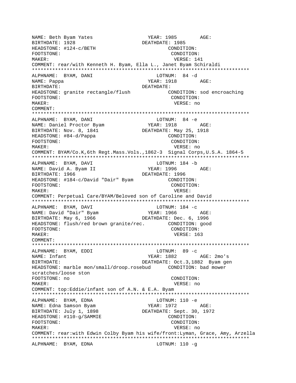YEAR: 1985 AGE: NAME: Beth Byam Yates BIRTHDATE: 1928 DEATHDATE: 1985 HEADSTONE: #124-c/BETH CONDITION: FOOTSTONE: CONDITION: MAKER: VERSE: 141 COMMENT: rear/with Kenneth H. Byam, Ella L., Janet Byam Schiraldi ALPHNAME: BYAM, DANI LOTNUM: 84 -d YEAR: 1918 NAME: Pappa AGE: **BIRTHDATE:** DEATHDATE: CONDITION: sod encroaching HEADSTONE: granite rectangle/flush FOOTSTONE: CONDITION: VERSE: no MAKER: COMMENT: ALPHNAME: BYAM, DANI LOTNUM: 84 -e YEAR: 1918 AGE: NAME: Daniel Proctor Byam BIRTHDATE: Nov. 8, 1841 DEATHDATE: May 25, 1918 HEADSTONE: #84-d/Pappa CONDITION: CONDITION: FOOTSTONE: MAKER: VERSE: no COMMENT: BYAM/Co.K, 6th Regt.Mass.Vols., 1862-3 Signal Corps, U.S.A. 1864-5 LOTNUM: 184 -b ALPHNAME: BYAM, DAVI NAME: David A. Byam II YEAR: 1996 AGE: BIRTHDATE: 1966 DEATHDATE: 1996 HEADSTONE: #184-c/David "Dair" Byam CONDITION: FOOTSTONE: CONDITION: MAKER: VERSE: COMMENT: Perpetual Care/BYAM/Beloved son of Caroline and David ALPHNAME: BYAM, DAVI LOTNUM: 184 -c YEAR: 1966 AGE: NAME: David "Dair" Byam<br>BIRTHDATE: May 6, 1966 DEATHDATE: Dec. 6, 1996 HEADSTONE: flush/red brown granite/rec. CONDITION: good CONDITION: FOOTSTONE: VERSE: 163 MAKER: COMMENT: ALPHNAME: BYAM, EDDI LOTNUM: 89 -c NAME: Infant YEAR: 1882 AGE: 2mo's DEATHDATE: Oct.3,1882 Byam gen BIRTHDATE: HEADSTONE: marble mon/small/droop.rosebud CONDITION: bad mower scratches/loose ston FOOTSTONE: no CONDITION: MAKER: VERSE: no COMMENT: top:Eddie/infant son of A.N. & E.A. Byam ALPHNAME: BYAM, EDNA LOTNUM: 110 -e YEAR: 1972 NAME: Edna Samson Byam AGE: DEATHDATE: Sept. 30, 1972 BIRTHDATE: July 1, 1898 CONDITION: HEADSTONE: #110-g/SAMMIE FOOTSTONE: CONDITION: MAKER: VERSE: no COMMENT: rear:with Edwin Colby Byam his wife/front:Lyman, Grace, Amy, Arzella ALPHNAME: BYAM, EDNA LOTNUM:  $110 - q$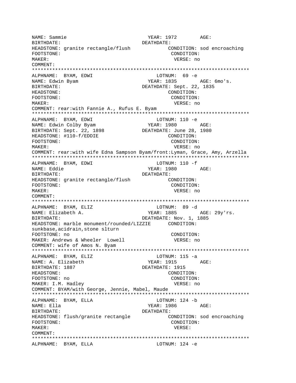NAME: Sammie AGE: BIRTHDATE: DEATHDATE: HEADSTONE: granite rectangle/flush CONDITION: sod encroaching FOOTSTONE: CONDITION: MAKER: VERSE: no COMMENT: \*\*\*\*\*\*\*\*\*\*\*\*\*\*\*\*\*\*\*\*\*\*\*\*\*\*\*\*\*\*\*\*\*\*\*\*\*\*\*\*\*\*\*\*\*\*\*\*\*\*\*\*\*\*\*\*\*\*\*\*\*\*\*\*\*\*\*\*\*\*\*\*\*\*\* ALPHNAME: BYAM, EDWI LOTNUM: 69 -e NAME: Edwin Byam NAME: Edwin Byam NAME:  $YEAR: 1835$  AGE: 6mo's. BIRTHDATE: DEATHDATE: Sept. 22, 1835 HEADSTONE: CONDITION: FOOTSTONE: CONDITION: MAKER: VERSE: no COMMENT: rear:with Fannie A., Rufus E. Byam \*\*\*\*\*\*\*\*\*\*\*\*\*\*\*\*\*\*\*\*\*\*\*\*\*\*\*\*\*\*\*\*\*\*\*\*\*\*\*\*\*\*\*\*\*\*\*\*\*\*\*\*\*\*\*\*\*\*\*\*\*\*\*\*\*\*\*\*\*\*\*\*\*\*\* ALPHNAME: BYAM, EDWI ALPHNAME: DIAM, DINI<br>NAME: Edwin Colby Byam YEAR: 1980 AGE: BIRTHDATE: Sept. 22, 1898 DEATHDATE: June 28, 1980<br>HEADSTONE: #110-f/EDDIE CONDITION: HEADSTONE: #110-f/EDDIE FOOTSTONE: CONDITION: MAKER: VERSE: no COMMENT: rear:with wife Edna Sampson Byam/front:Lyman, Grace, Amy, Arzella \*\*\*\*\*\*\*\*\*\*\*\*\*\*\*\*\*\*\*\*\*\*\*\*\*\*\*\*\*\*\*\*\*\*\*\*\*\*\*\*\*\*\*\*\*\*\*\*\*\*\*\*\*\*\*\*\*\*\*\*\*\*\*\*\*\*\*\*\*\*\*\*\*\*\* ALPHNAME: BYAM, EDWI LOTNUM: 110 -f NAME: Eddie YEAR: 1980 AGE: BIRTHDATE: DEATHDATE: HEADSTONE: granite rectangle/flush CONDITION: FOOTSTONE: CONDITION: MAKER: VERSE: no COMMENT: \*\*\*\*\*\*\*\*\*\*\*\*\*\*\*\*\*\*\*\*\*\*\*\*\*\*\*\*\*\*\*\*\*\*\*\*\*\*\*\*\*\*\*\*\*\*\*\*\*\*\*\*\*\*\*\*\*\*\*\*\*\*\*\*\*\*\*\*\*\*\*\*\*\*\* ALPHNAME: BYAM, ELIZ CHARA HOTNUM: 89 -d NAME: Elizabeth A. (29) YEAR: 1885 AGE: 29y'rs. BIRTHDATE: DEATHDATE: Nov. 1, 1885 HEADSTONE: marble monument/rounded/LIZZIE CONDITION: sunkbase,acidrain,stone slturn FOOTSTONE: no CONDITION: MAKER: Andrews & Wheeler Lowell COMMENT: wife of Amos N. Byam \*\*\*\*\*\*\*\*\*\*\*\*\*\*\*\*\*\*\*\*\*\*\*\*\*\*\*\*\*\*\*\*\*\*\*\*\*\*\*\*\*\*\*\*\*\*\*\*\*\*\*\*\*\*\*\*\*\*\*\*\*\*\*\*\*\*\*\*\*\*\*\*\*\*\* ALPHNAME: BYAM, ELIZ LOTNUM: 115 -a NAME: A. Elizabeth YEAR: 1915 AGE: BIRTHDATE: 1887 DEATHDATE: 1915 HEADSTONE: CONDITION: FOOTSTONE: no CONDITION: MAKER: I.M. Hadley **VERSE:** no COMMENT: BYAM/with George, Jennie, Mabel, Maude \*\*\*\*\*\*\*\*\*\*\*\*\*\*\*\*\*\*\*\*\*\*\*\*\*\*\*\*\*\*\*\*\*\*\*\*\*\*\*\*\*\*\*\*\*\*\*\*\*\*\*\*\*\*\*\*\*\*\*\*\*\*\*\*\*\*\*\*\*\*\*\*\*\*\* ALPHNAME: BYAM, ELLA LOTNUM: 124 -b NAME: Ella YEAR: 1986 AGE: BIRTHDATE: DEATHDATE: HEADSTONE: flush/granite rectangle CONDITION: sod encroaching FOOTSTONE: CONDITION: MAKER: VERSE: COMMENT: \*\*\*\*\*\*\*\*\*\*\*\*\*\*\*\*\*\*\*\*\*\*\*\*\*\*\*\*\*\*\*\*\*\*\*\*\*\*\*\*\*\*\*\*\*\*\*\*\*\*\*\*\*\*\*\*\*\*\*\*\*\*\*\*\*\*\*\*\*\*\*\*\*\*\* ALPHNAME: BYAM, ELLA LOTNUM: 124 -e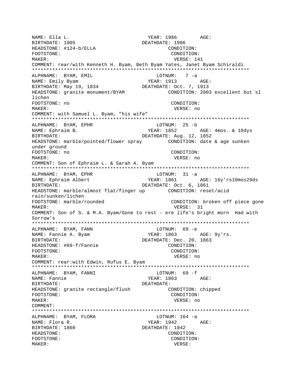NAME: Ella L. YEAR: 1986 AGE: BIRTHDATE: 1905 DEATHDATE: 1986 HEADSTONE: #124-b/ELLA CONDITION: FOOTSTONE: CONDITION: MAKER: USER: 141 COMMENT: rear/with Kenneth H. Byam, Beth Byam Yates, Janet Byam Schiraldi \*\*\*\*\*\*\*\*\*\*\*\*\*\*\*\*\*\*\*\*\*\*\*\*\*\*\*\*\*\*\*\*\*\*\*\*\*\*\*\*\*\*\*\*\*\*\*\*\*\*\*\*\*\*\*\*\*\*\*\*\*\*\*\*\*\*\*\*\*\*\*\*\*\*\* ALPHNAME: BYAM, EMIL CONNECTED BOTHUM: 7 -a NAME: Emily Byam YEAR: 1913 AGE: BIRTHDATE: May 19, 1834 DEATHDATE: Oct. 7, 1913 HEADSTONE: granite monument/BYAM CONDITION: 2003 excellent but sl lichen FOOTSTONE: no CONDITION: MAKER: VERSE: no COMMENT: with Samuel L. Byam, "his wife" \*\*\*\*\*\*\*\*\*\*\*\*\*\*\*\*\*\*\*\*\*\*\*\*\*\*\*\*\*\*\*\*\*\*\*\*\*\*\*\*\*\*\*\*\*\*\*\*\*\*\*\*\*\*\*\*\*\*\*\*\*\*\*\*\*\*\*\*\*\*\*\*\*\*\* ALPHNAME: BYAM, EPHR<br>NAME: Ephraim B. YEAR: 1852 AGE: 4mos. & 10dys BIRTHDATE: DEATHDATE: Aug. 12, 1852 HEADSTONE: marble/pointed/flower spray CONDITION: date & age sunken under ground FOOTSTONE: no CONDITION: MAKER: VERSE: no COMMENT: Son of Ephraim L. & Sarah A. Byam \*\*\*\*\*\*\*\*\*\*\*\*\*\*\*\*\*\*\*\*\*\*\*\*\*\*\*\*\*\*\*\*\*\*\*\*\*\*\*\*\*\*\*\*\*\*\*\*\*\*\*\*\*\*\*\*\*\*\*\*\*\*\*\*\*\*\*\*\*\*\*\*\*\*\* ALPHNAME: BYAM, EPHR NAME: Ephraim Albert YEAR: 1861 AGE: 16y'rs10mos29ds BIRTHDATE: DEATHDATE: Oct. 6, 1861 HEADSTONE: marble/almost flat/finger up CONDITION: reset/acid rain/sunken/lichen FOOTSTONE: marble/rounded CONDITION: broken off piece gone MAKER: 31 NORTH WERSE: 31 COMMENT: Son of S. & M.A. Byam/Gone to rest - ere life's bright morn Had with Sorrow's \*\*\*\*\*\*\*\*\*\*\*\*\*\*\*\*\*\*\*\*\*\*\*\*\*\*\*\*\*\*\*\*\*\*\*\*\*\*\*\*\*\*\*\*\*\*\*\*\*\*\*\*\*\*\*\*\*\*\*\*\*\*\*\*\*\*\*\*\*\*\*\*\*\*\* ALPHNAME: BYAM, FANN<br>
NAME: Fannie A. Byam<br>
YEAR: 1863 NAME: Fannie A. Byam YEAR: 1863 AGE: 9y'rs. BIRTHDATE: DEATHDATE: Dec. 20. 1863 HEADSTONE: #69-f/Fannie FOOTSTONE: CONDITION: MAKER: VERSE: no COMMENT: rear:with Edwin, Rufus E. Byam \*\*\*\*\*\*\*\*\*\*\*\*\*\*\*\*\*\*\*\*\*\*\*\*\*\*\*\*\*\*\*\*\*\*\*\*\*\*\*\*\*\*\*\*\*\*\*\*\*\*\*\*\*\*\*\*\*\*\*\*\*\*\*\*\*\*\*\*\*\*\*\*\*\*\* ALPHNAME: BYAM, FANNI NAME: Fannie 7EAR: 1863 AGE: BIRTHDATE: DEATHDATE: HEADSTONE: granite rectangle/flush CONDITION: chipped FOOTSTONE: CONDITION: MAKER: VERSE: no COMMENT: \*\*\*\*\*\*\*\*\*\*\*\*\*\*\*\*\*\*\*\*\*\*\*\*\*\*\*\*\*\*\*\*\*\*\*\*\*\*\*\*\*\*\*\*\*\*\*\*\*\*\*\*\*\*\*\*\*\*\*\*\*\*\*\*\*\*\*\*\*\*\*\*\*\*\* ALPHNAME: BYAM, FLORA LOTNUM: 164 -a NAME: Flora R. Sand Communication of the MEAR: 1942 AGE: BIRTHDATE: 1860 DEATHDATE: 1942 HEADSTONE: CONDITION: FOOTSTONE: CONDITION: MAKER: VERSE: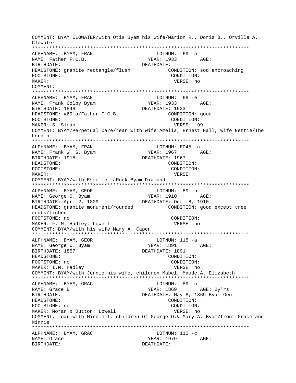COMMENT: BYAM CLOWATER/with Otis Byam his wife/Marion R., Doris B., Orville A. Clowater ALPHNAME: BYAM, FRAN LOTNUM: 69 -a NAME: Father F.C.B. YEAR: 1933 AGE: BIRTHDATE: DEATHDATE: HEADSTONE: granite rectangle/flush CONDITION: sod encroaching CONDITION: FOOTSTONE: MAKER: VERSE: no COMMENT: ALPHNAME: BYAM, FRAN LOTNUM: 69 -e NAME: Frank Colby Byam YEAR: 1933 AGE: BIRTHDATE: 1848 DEATHDATE: 1933 HEADSTONE: #69-a/Father F.C.B. CONDITION: good FOOTSTONE: CONDITION: MAKER: S. Sloan VERSE: 99 COMMENT: BYAM/Perpetual Care/rear:with wife Amelia, Ernest Hall, wife Nettie/The Lord h ALPHNAME: BYAM, FRAN LOTNUM: E045 -a NAME: Frank W. S. Byam YEAR: 1967 AGE: DEATHDATE: 1967 BIRTHDATE: 1915 HEADSTONE: CONDITION: FOOTSTONE: CONDITION: MAKER: VERSE: COMMENT: BYAM/with Estelle LaRock Byam Diamond ALPHNAME: BYAM, GEOR LOTNUM: 89 -b NAME: George O. Byam BIRTHDATE: Apr. 2, 1829 DEATHDATE: Oct. 8, 1910 HEADSTONE: granite monument/rounded CONDITION: good except tree roots/lichen FOOTSTONE: no CONDITION: MAKER: F. M. Hadley, Lowell VERSE: no COMMENT: BYAM/with his wife Mary A. Capen ALPHNAME: BYAM, GEOR  $LOTNUM: 115 -a$ NAME: George C. Byam YEAR: 1891 AGE: DEATHDATE: 1891 BIRTHDATE: 1857 HEADSTONE: CONDITION: FOOTSTONE: no CONDITION: MAKER: I.M. Hadley VERSE: no COMMENT: BYAM/with Jennie his wife, children Mabel, Maude, A. Elizabeth ALPHNAME: BYAM, GRAC LOTNUM: 89 -a YEAR: 1869 NAME: Grace B. AGE: 2y'rs DEATHDATE: May 8, 1869 Byam Gen BIRTHDATE: HEADSTONE: CONDITION: FOOTSTONE: no CONDITION: MAKER: Moran & Dutton Lowell VERSE: no COMMENT: rear with Minnie T. children Of George O.& Mary A. Byam/front Grace and Minnie ALPHNAME: BYAM, GRAC  $LOTNUM: 110 -c$ YEAR: 1979 AGE: NAME: Grace BIRTHDATE: DEATHDATE: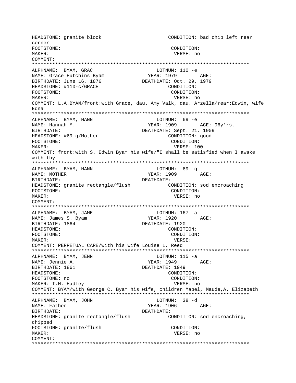HEADSTONE: granite block CONDITION: bad chip left rear COLDER FOOTSTONE: CONDITION: MAKER: VERSE: no COMMENT: ALPHNAME: BYAM, GRAC LOTNUM: 110 -e ALPHNAME: Dinn, J.J.<br>NAME: Grace Hutchins Byam YEAR: 1979 AGE: DEATHDATE: Oct. 29, 1979 BIRTHDATE: June 16, 1876 HEADSTONE: #110-c/GRACE CONDITION: FOOTSTONE: CONDITION: MAKER: VERSE: no COMMENT: L.A.BYAM/front:with Grace, dau. Amy Valk, dau. Arzella/rear:Edwin, wife Edna ALPHNAME: BYAM, HANN LOTNUM: 69 -e YEAR:  $1909$  AGE:  $96y'rs$ . NAME: Hannah M. BIRTHDATE: DEATHDATE: Sept. 21, 1909 HEADSTONE: #69-g/Mother CONDITION: good FOOTSTONE: CONDITION: VERSE: 100 MAKER: COMMENT: front:with S. Edwin Byam his wife/"I shall be satisfied when I awake with thy ALPHNAME: BYAM, HANN LOTNUM: 69 -q NAME: MOTHER YEAR: 1909 AGE: BIRTHDATE: DEATHDATE: HEADSTONE: granite rectangle/flush CONDITION: sod encroaching CONDITION: FOOTSTONE: VERSE: no MAKER: COMMENT: ALPHNAME: BYAM, JAME LOTNUM: 167 -a NAME: James S. Byam YEAR: 1920 AGE: BIRTHDATE: 1864 DEATHDATE: 1920 HEADSTONE: CONDITION: FOOTSTONE: CONDITION: MAKER: VERSE: COMMENT: PERPETUAL CARE/with his wife Louise L. Reed ALPHNAME: BYAM, JENN LOTNUM: 115 -a YEAR: 1949 AGE:<br>DEATHDATE: 1949 NAME: Jennie A. BIRTHDATE: 1861 **HEADSTONE:** CONDITION: FOOTSTONE: no CONDITION: MAKER: I.M. Hadley VERSE: no COMMENT: BYAM/with George C. Byam his wife, children Mabel, Maude, A. Elizabeth LOTNUM: 38 -d ALPHNAME: BYAM, JOHN NAME: Father YEAR: 1906 AGE: BIRTHDATE: DEATHDATE: HEADSTONE: granite rectangle/flush CONDITION: sod encroaching, chipped FOOTSTONE: granite/flush CONDITION: MAKER: VERSE: no COMMENT: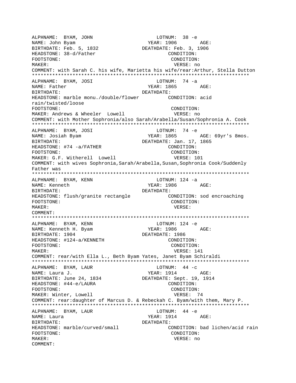ALPHNAME: BYAM, JOHN LOTNUM: 38 -e YEAR: 1906 AGE: NAME: John Byam DEATHDATE: Feb. 3, 1906 BIRTHDATE: Feb. 5, 1832 HEADSTONE: 38-d/Father CONDITION: CONDITION: FOOTSTONE: MAKER: VERSE: no COMMENT: with Sarah C. his wife, Marietta his wife/rear: Arthur, Stella Dutton LOTNUM:  $74 -a$ ALPHNAME: BYAM, JOSI NAME: Father YEAR: 1865 AGE: BIRTHDATE: DEATHDATE: HEADSTONE: marble monu./double/flower CONDITION: acid rain/twisted/loose FOOTSTONE: CONDITION: MAKER: Andrews & Wheeler Lowell VERSE: no COMMENT: with Mother Sophronia/also Sarah/Arabella/Susan/Sophronia A. Cook ALPHNAME: BYAM, JOSI LOTNUM: 74 -e YEAR: 1865 AGE: 69yr's 8mos. NAME: Josiah Byam DEATHDATE: Jan. 17, 1865 BIRTHDATE: HEADSTONE: #74 -a/FATHER CONDITION: CONDITION: FOOTSTONE: MAKER: G.F. Witherell Lowell VERSE: 101 COMMENT: with wives Sophronia, Sarah/Arabella, Susan, Sophronia Cook/Suddenly Father was ALPHNAME: BYAM, KENN LOTNUM: 124 -a YEAR: 1986 NAME: Kenneth AGE: BIRTHDATE: DEATHDATE: HEADSTONE: flush/granite rectangle CONDITION: sod encroaching CONDITION: FOOTSTONE: MAKER: VERSE: COMMENT: ALPHNAME: BYAM, KENN LOTNUM: 124 -e YEAR: 1986 AGE: NAME: Kenneth H. Byam DEATHDATE: 1986 BIRTHDATE: 1904 HEADSTONE: #124-a/KENNETH CONDITION: FOOTSTONE: CONDITION: MAKER: VERSE: 141 COMMENT: rear/with Ella L., Beth Byam Yates, Janet Byam Schiraldi LOTNUM:  $44 - c$ ALPHNAME: BYAM, LAUR YEAR: 1914 AGE: NAME: Laura J. BIRTHDATE: June 24, 1834 DEATHDATE: Sept. 19, 1914 HEADSTONE: #44-e/LAURA CONDITION: CONDITION: FOOTSTONE: VERSE: 74 MAKER: Winter, Lowell COMMENT: rear:daughter of Marcus D. & Rebeckah C. Byam/with them, Mary P. ALPHNAME: BYAM, LAUR LOTNUM:  $44 - e$ YEAR: 1914 AGE: NAME: Laura BIRTHDATE: DEATHDATE: HEADSTONE: marble/curved/small CONDITION: bad lichen/acid rain FOOTSTONE: CONDITION: MAKER: VERSE: no COMMENT: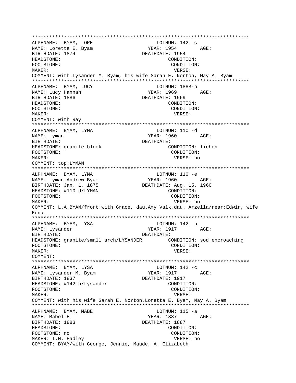ALPHNAME: BYAM, LORE LOTNUM:  $142 -c$ YEAR: 1954 AGE: NAME: Loretta E. Byam BIRTHDATE: 1874 DEATHDATE: 1954 HEADSTONE: CONDITION: FOOTSTONE: CONDITION: MAKER: VERSE: COMMENT: with Lysander M. Byam, his wife Sarah E. Norton, May A. Byam ALPHNAME: BYAM, LUCY LOTNUM: 188B-b NAME: Lucy Hannah YEAR: 1969  $AGE$ : BIRTHDATE: 1886 DEATHDATE: 1969 HEADSTONE: CONDITION: FOOTSTONE: CONDITION: MAKER: VERSE: COMMENT: with Ray ALPHNAME: BYAM, LYMA LOTNUM: 110 -d YEAR: 1960 AGE: NAME: Lyman BIRTHDATE: DEATHDATE: HEADSTONE: granite block CONDITION: lichen FOOTSTONE: CONDITION: MAKER: VERSE: no COMMENT: top:LYMAN ALPHNAME: BYAM, LYMA LOTNUM: 110 -e NAME: Lyman Andrew Byam  $YEAR: 1960 AGE:$ BIRTHDATE: Jan. 1, 1875 DEATHDATE: Aug. 15, 1960 HEADSTONE: #110-d/LYMAN CONDITION: FOOTSTONE: CONDITION: MAKER: VERSE: no COMMENT: L.A.BYAM/front:with Grace, dau.Amy Valk,dau. Arzella/rear:Edwin, wife Edna LOTNUM: 142 -b ALPHNAME: BYAM, LYSA NAME: Lysander YEAR: 1917 AGE: BIRTHDATE: DEATHDATE: CONDITION: sod encroaching HEADSTONE: granite/small arch/LYSANDER CONDITION: FOOTSTONE: MAKER: VERSE: COMMENT: ALPHNAME: BYAM, LYSA LOTNUM:  $142 -c$ YEAR: 1917 AGE: NAME: Lysander M. Byam BIRTHDATE: 1837 DEATHDATE: 1917 HEADSTONE: #142-b/Lysander CONDITION: CONDITION: FOOTSTONE: MAKER: VERSE: COMMENT: with his wife Sarah E. Norton, Loretta E. Byam, May A. Byam ALPHNAME: BYAM, MABE  $LOTNUM: 115 -a$ NAME: Mabel E. YEAR: 1887 AGE: BIRTHDATE: 1883 DEATHDATE: 1887 HEADSTONE: CONDITION: FOOTSTONE: no CONDITION: MAKER: I.M. Hadley VERSE: no COMMENT: BYAM/with George, Jennie, Maude, A. Elizabeth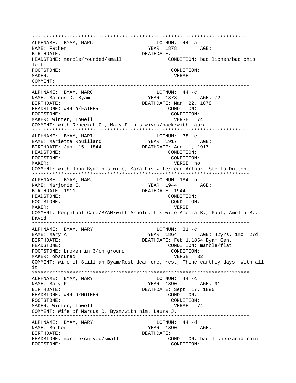\*\*\*\*\*\*\*\*\*\*\*\*\*\*\*\*\*\*\*\*\*\*\*\*\*\*\*\*\*\*\*\*\*\*\*\*\*\*\*\*\*\*\*\*\*\*\*\*\*\*\*\*\*\*\*\*\*\*\*\*\*\*\*\*\*\*\*\*\*\*\*\*\*\*\* ALPHNAME: BYAM, MARC NAME: Father The South Communication of the SN MEAR: 1878 AGE: BIRTHDATE: DEATHDATE: HEADSTONE: marble/rounded/small CONDITION: bad lichen/bad chip left FOOTSTONE: CONDITION: MAKER: VERSE: COMMENT: \*\*\*\*\*\*\*\*\*\*\*\*\*\*\*\*\*\*\*\*\*\*\*\*\*\*\*\*\*\*\*\*\*\*\*\*\*\*\*\*\*\*\*\*\*\*\*\*\*\*\*\*\*\*\*\*\*\*\*\*\*\*\*\*\*\*\*\*\*\*\*\*\*\*\* ALPHNAME: BYAM, MARC LOTNUM: 44 -c YEAR: 1878 AGE: 72 BIRTHDATE:  $DEATHDATE:$   $DEATHDATE:$   $M = 22, 1878$ HEADSTONE: #44-a/FATHER CONDITION: FOOTSTONE: CONDITION: MAKER: Winter, Lowell **VERSE: 74** COMMENT: with Rebeckah C., Mary P. his wives/back:with Laura \*\*\*\*\*\*\*\*\*\*\*\*\*\*\*\*\*\*\*\*\*\*\*\*\*\*\*\*\*\*\*\*\*\*\*\*\*\*\*\*\*\*\*\*\*\*\*\*\*\*\*\*\*\*\*\*\*\*\*\*\*\*\*\*\*\*\*\*\*\*\*\*\*\*\* ALPHNAME: BYAM, MARI NAME: Marietta Rouillard YEAR: 1917 AGE: BIRTHDATE: Jan. 15, 1844 DEATHDATE: Aug. 1, 1917 HEADSTONE: CONDITION: FOOTSTONE: CONDITION: MAKER: VERSE: no COMMENT: with John Byam his wife, Sara his wife/rear:Arthur, Stella Dutton \*\*\*\*\*\*\*\*\*\*\*\*\*\*\*\*\*\*\*\*\*\*\*\*\*\*\*\*\*\*\*\*\*\*\*\*\*\*\*\*\*\*\*\*\*\*\*\*\*\*\*\*\*\*\*\*\*\*\*\*\*\*\*\*\*\*\*\*\*\*\*\*\*\*\* ALPHNAME: BYAM, MARJ LOTNUM: 184 -b NAME: Marjorie E. The Communication of the Magnus of the Magnus and AGE: BIRTHDATE: 1911 **DEATHDATE: 1944** HEADSTONE: CONDITION: FOOTSTONE: CONDITION: MAKER: VERSE: COMMENT: Perpetual Care/BYAM/with Arnold, his wife Amelia B., Paul, Amelia B., David \*\*\*\*\*\*\*\*\*\*\*\*\*\*\*\*\*\*\*\*\*\*\*\*\*\*\*\*\*\*\*\*\*\*\*\*\*\*\*\*\*\*\*\*\*\*\*\*\*\*\*\*\*\*\*\*\*\*\*\*\*\*\*\*\*\*\*\*\*\*\*\*\*\*\* ALPHNAME: BYAM, MARY NAME: Mary A. (27d) SEAR: 1864 AGE: 42yrs. 1mo. 27d BIRTHDATE: DEATHDATE: Feb.1,1864 Byam Gen. HEADSTONE:<br>
FOOTSTONE: broken in 3/on ground<br>
CONDITION: FOOTSTONE: broken in 3/on ground MAKER: obscured VERSE: 32 COMMENT: wife of Stillman Byam/Rest dear one, rest, Thine earthly days With all it \*\*\*\*\*\*\*\*\*\*\*\*\*\*\*\*\*\*\*\*\*\*\*\*\*\*\*\*\*\*\*\*\*\*\*\*\*\*\*\*\*\*\*\*\*\*\*\*\*\*\*\*\*\*\*\*\*\*\*\*\*\*\*\*\*\*\*\*\*\*\*\*\*\*\* ALPHNAME: BYAM, MARY LOTNUM: 44 -c YEAR: 1890 AGE: 91 BIRTHDATE: DEATHDATE: Sept. 17, 1890 HEADSTONE: #44-d/MOTHER CONDITION: FOOTSTONE: CONDITION: MAKER: Winter, Lowell **VERSE: 74** COMMENT: Wife of Marcus D. Byam/with him, Laura J. \*\*\*\*\*\*\*\*\*\*\*\*\*\*\*\*\*\*\*\*\*\*\*\*\*\*\*\*\*\*\*\*\*\*\*\*\*\*\*\*\*\*\*\*\*\*\*\*\*\*\*\*\*\*\*\*\*\*\*\*\*\*\*\*\*\*\*\*\*\*\*\*\*\*\* ALPHNAME: BYAM, MARY CHARGE BYAM, MARY LOTNUM: 44 -d NAME: Mother The Magnus of the MEAR: 1890 AGE: BIRTHDATE: DEATHDATE: HEADSTONE: marble/curved/small CONDITION: bad lichen/acid rain FOOTSTONE: CONDITION: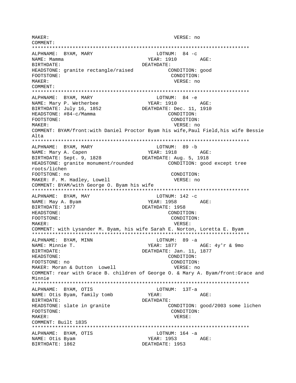MAKER: VERSE: no COMMENT: \*\*\*\*\*\*\*\*\*\*\*\*\*\*\*\*\*\*\*\*\*\*\*\*\*\*\*\*\*\*\*\*\*\*\*\*\*\*\*\*\*\*\*\*\*\*\*\*\*\*\*\*\*\*\*\*\*\*\*\*\*\*\*\*\*\*\*\*\*\*\*\*\*\*\* ALPHNAME: BYAM, MARY LOTNUM: 84 -c ALPHNAME: BYAM, MARI<br>NAME: Mamma YEAR: 1910 AGE: BIRTHDATE: DEATHDATE: HEADSTONE: granite rectangle/raised CONDITION: good FOOTSTONE: CONDITION: MAKER: VERSE: no COMMENT: \*\*\*\*\*\*\*\*\*\*\*\*\*\*\*\*\*\*\*\*\*\*\*\*\*\*\*\*\*\*\*\*\*\*\*\*\*\*\*\*\*\*\*\*\*\*\*\*\*\*\*\*\*\*\*\*\*\*\*\*\*\*\*\*\*\*\*\*\*\*\*\*\*\*\* ALPHNAME: BYAM, MARY LOTNUM: 84 -e NAME: Mary P. Wetherbee  $YEAR: 1910$  AGE: BIRTHDATE: July 16, 1852 DEATHDATE: Dec. 11, 1910 HEADSTONE:  $\#84-c/Mamma$  CONDITION: FOOTSTONE: CONDITION: MAKER: VERSE: no COMMENT: BYAM/front:with Daniel Proctor Byam his wife,Paul Field,his wife Bessie Alta \*\*\*\*\*\*\*\*\*\*\*\*\*\*\*\*\*\*\*\*\*\*\*\*\*\*\*\*\*\*\*\*\*\*\*\*\*\*\*\*\*\*\*\*\*\*\*\*\*\*\*\*\*\*\*\*\*\*\*\*\*\*\*\*\*\*\*\*\*\*\*\*\*\*\* ALPHNAME: BYAM, MARY LOTNUM: 89 -b NAME: Mary A. Capen  $YEAR: 1918$  AGE: BIRTHDATE: Sept. 9, 1828 DEATHDATE: Aug. 5, 1918 HEADSTONE: granite monument/rounded CONDITION: good except tree roots/lichen FOOTSTONE: no CONDITION: MAKER: F. M. Hadley, Lowell VERSE: no COMMENT: BYAM/with George O. Byam his wife \*\*\*\*\*\*\*\*\*\*\*\*\*\*\*\*\*\*\*\*\*\*\*\*\*\*\*\*\*\*\*\*\*\*\*\*\*\*\*\*\*\*\*\*\*\*\*\*\*\*\*\*\*\*\*\*\*\*\*\*\*\*\*\*\*\*\*\*\*\*\*\*\*\*\* ALPHNAME: BYAM, MAY LOTNUM: 142 -C NAME: May A. Byam YEAR: 1958 AGE: BIRTHDATE: 1877 DEATHDATE: 1958 HEADSTONE: CONDITION: FOOTSTONE: CONDITION: MAKER: VERSE: COMMENT: with Lysander M. Byam, his wife Sarah E. Norton, Loretta E. Byam \*\*\*\*\*\*\*\*\*\*\*\*\*\*\*\*\*\*\*\*\*\*\*\*\*\*\*\*\*\*\*\*\*\*\*\*\*\*\*\*\*\*\*\*\*\*\*\*\*\*\*\*\*\*\*\*\*\*\*\*\*\*\*\*\*\*\*\*\*\*\*\*\*\*\* ALPHNAME: BYAM, MINN<br>NAME: Minnie T. YEAR: 1877 AGE: 4y'r & 9mo BIRTHDATE: DEATHDATE: Jan. 11, 1877 HEADSTONE: CONDITION: FOOTSTONE: no CONDITION: MAKER: Moran & Dutton Lowell VERSE: no COMMENT: rear with Grace B. children of George O. & Mary A. Byam/front:Grace and Minnie \*\*\*\*\*\*\*\*\*\*\*\*\*\*\*\*\*\*\*\*\*\*\*\*\*\*\*\*\*\*\*\*\*\*\*\*\*\*\*\*\*\*\*\*\*\*\*\*\*\*\*\*\*\*\*\*\*\*\*\*\*\*\*\*\*\*\*\*\*\*\*\*\*\*\* ALPHNAME: BYAM, OTIS<br>
NAME: Otis Byam, family tomb<br>
YEAR: NAME: Otis Byam, family tomb YEAR: AGE: BIRTHDATE: DEATHDATE: HEADSTONE: slate in granite CONDITION: good/2003 some lichen FOOTSTONE: CONDITION: MAKER: VERSE: COMMENT: Built 1835 \*\*\*\*\*\*\*\*\*\*\*\*\*\*\*\*\*\*\*\*\*\*\*\*\*\*\*\*\*\*\*\*\*\*\*\*\*\*\*\*\*\*\*\*\*\*\*\*\*\*\*\*\*\*\*\*\*\*\*\*\*\*\*\*\*\*\*\*\*\*\*\*\*\*\* ALPHNAME: BYAM, OTIS LOTNUM: 164 -a NAME: Otis Byam YEAR: 1953 AGE: BIRTHDATE: 1862 DEATHDATE: 1953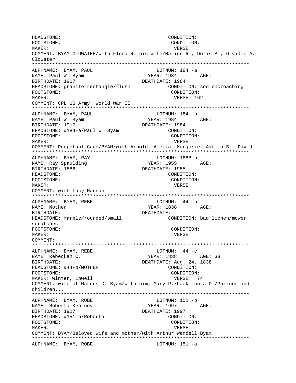HEADSTONE: CONDITION: CONDITION: FOOTSTONE: MAKER: VERSE: COMMENT: BYAM CLOWATER/with Flora R. his wife/Marion R., Doris B., Orville A. Clowater ALPHNAME: BYAM, PAUL LOTNUM: 184 -a NAME: Paul W. Byam YEAR: 1984 AGE: BIRTHDATE: 1917 DEATHDATE: 1984 HEADSTONE: granite rectangle/flush CONDITION: sod encroaching FOOTSTONE: CONDITION:  $M\Delta KFR$ : VERSE: 162 COMMENT: CPL US Army World War II LOTNUM: 184 -b ALPHNAME: BYAM, PAUL YEAR: 1984 AGE: NAME: Paul W. Byam BIRTHDATE: 1917 DEATHDATE: 1984 HEADSTONE: #184-a/Paul W. Byam CONDITION: CONDITION: FOOTSTONE: MAKER: VERSE: COMMENT: Perpetual Care/BYAM/with Arnold, Amelia, Marjorie, Amelia B., David ALPHNAME: BYAM, RAY LOTNUM: 188B-b NAME: Ray Spaulding YEAR: 1955 AGE: BIRTHDATE: 1886 DEATHDATE: 1955 CONDITION: HEADSTONE: FOOTSTONE: CONDITION: MAKER: VERSE: COMMENT: with Lucy Hannah ALPHNAME: BYAM, REBE LOTNUM:  $44 - b$ YEAR: 1838 AGE: NAME: Mother DEATHDATE: BIRTHDATE: HEADSTONE: marble/rounded/small CONDITION: bad lichen/mower scratches CONDITION: FOOTSTONE: MAKER: VERSE: COMMENT: LOTNUM:  $44 - c$ ALPHNAME: BYAM, REBE NAME: Rebeckah C. YEAR: 1838 AGE: 33 DEATHDATE: Aug. 24, 1838 BIRTHDATE: HEADSTONE: #44-b/MOTHER CONDITION: FOOTSTONE: CONDITION: MAKER: Winter, Lowell VERSE: 74 COMMENT: wife of Marcus D. Byam/with him, Mary P./back:Laura D./Partner and children... ALPHNAME: BYAM, ROBE LOTNUM: 151 -b NAME: Roberta Kearney YEAR: 1997 AGE: BIRTHDATE: 1927 DEATHDATE: 1997 CONDITION: HEADSTONE: #151-a/Roberta FOOTSTONE: CONDITION: MAKER: VERSE: COMMENT: BYAM/Beloved wife and mother/with Arthur Wendell Byam ALPHNAME: BYAM, ROBE LOTNUM: 151 -a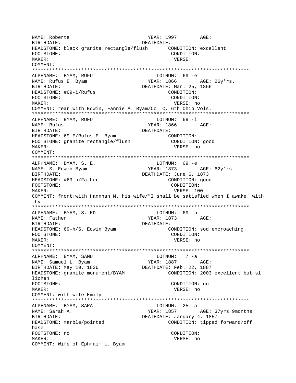NAME: Roberta YEAR: 1997 AGE: DEATHDATE: BIRTHDATE: HEADSTONE: black granite rectangle/flush CONDITION: excellent CONDITION: FOOTSTONE: MAKER: VERSE: COMMENT: ALPHNAME: BYAM, RUFU LOTNUM: 69 -e NAME: Rufus E. Byam YEAR: 1866 AGE: 26v'rs. DEATHDATE: Mar. 25, 1866 BIRTHDATE: HEADSTONE: #69-i/Rufus CONDITION: FOOTSTONE: CONDITION: VERSE: no MAKER: COMMENT: rear:with Edwin, Fannie A. Byam/Co. C. 6th Ohio Vols. LOTNUM: 69 -i ALPHNAME: BYAM, RUFU NAME: Rufus YEAR: 1866  $AGE$ : BIRTHDATE: DEATHDATE: HEADSTONE: 69-E/Rufus E. Byam CONDITION: FOOTSTONE: granite rectangle/flush CONDITION: good VERSE: no MAKER: COMMENT: LOTNUM: 69 -e ALPHNAME: BYAM, S. E. YEAR: 1873 NAME: S. Edwin Byam AGE: 62y'rs BIRTHDATE: DEATHDATE: June 6, 1873 HEADSTONE: #69-h/Father CONDITION: good FOOTSTONE: CONDITION: MAKER: VERSE: 100 COMMENT: front:with Hannnah M. his wife/"I shall be satisfied when I awake with  $thv$ ALPHNAME: BYAM, S. ED LOTNUM: 69 -h NAME: Father YEAR: 1873 AGE: BIRTHDATE: DEATHDATE: HEADSTONE: 69-h/S. Edwin Byam CONDITION: sod encroaching FOOTSTONE: CONDITION: MAKER: VERSE: no COMMENT: ALPHNAME: BYAM, SAMU LOTNUM: 7 -a YEAR: 1887 AGE: NAME: Samuel L. Byam BIRTHDATE: May 10, 1836 DEATHDATE: Feb. 22, 1887 CONDITION: 2003 excellent but sl HEADSTONE: granite monument/BYAM lichen FOOTSTONE: CONDITION: no VERSE: no MAKER: COMMENT: with wife Emily LOTNUM:  $25 - a$ ALPHNAME: BYAM, SARA NAME: Sarah A. YEAR: 1857 AGE: 37yrs 9months BIRTHDATE: DEATHDATE: January 4, 1857 HEADSTONE: marble/pointed CONDITION: tipped forward/off base FOOTSTONE: no CONDITION: MAKER: VERSE: no COMMENT: Wife of Ephraim L. Byam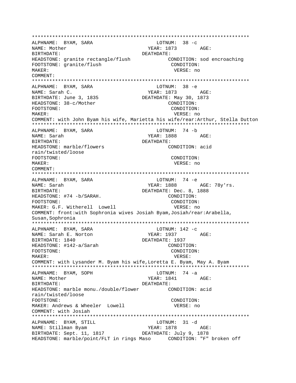\*\*\*\*\*\*\*\*\*\*\*\*\*\*\*\*\*\*\*\*\*\*\*\*\*\*\*\*\*\*\*\*\*\*\*\*\*\*\*\*\*\*\*\*\*\*\*\*\*\*\*\*\*\*\*\*\*\*\*\*\*\*\*\*\*\*\*\*\*\*\*\*\*\*\* ALPHNAME: BYAM, SARA NAME: Mother YEAR: 1873 AGE: BIRTHDATE: DEATHDATE: HEADSTONE: granite rectangle/flush CONDITION: sod encroaching FOOTSTONE: qranite/flush CONDITION: MAKER: VERSE: no COMMENT: \*\*\*\*\*\*\*\*\*\*\*\*\*\*\*\*\*\*\*\*\*\*\*\*\*\*\*\*\*\*\*\*\*\*\*\*\*\*\*\*\*\*\*\*\*\*\*\*\*\*\*\*\*\*\*\*\*\*\*\*\*\*\*\*\*\*\*\*\*\*\*\*\*\*\* ALPHNAME: BYAM, SARA NAME: Sarah C. YEAR: 1873 AGE: BIRTHDATE: June 3, 1835 DEATHDATE: May 30, 1873 HEADSTONE:  $38-c/Mother$  CONDITION: FOOTSTONE: CONDITION: MAKER: VERSE: no COMMENT: with John Byam his wife, Marietta his wife/rear:Arthur, Stella Dutton \*\*\*\*\*\*\*\*\*\*\*\*\*\*\*\*\*\*\*\*\*\*\*\*\*\*\*\*\*\*\*\*\*\*\*\*\*\*\*\*\*\*\*\*\*\*\*\*\*\*\*\*\*\*\*\*\*\*\*\*\*\*\*\*\*\*\*\*\*\*\*\*\*\*\* ALPHNAME: BYAM, SARA NAME: Sarah YEAR: 1888 AGE: BIRTHDATE: DEATHDATE: HEADSTONE: marble/flowers CONDITION: acid rain/twisted/loose FOOTSTONE: CONDITION: MAKER: VERSE: no COMMENT: \*\*\*\*\*\*\*\*\*\*\*\*\*\*\*\*\*\*\*\*\*\*\*\*\*\*\*\*\*\*\*\*\*\*\*\*\*\*\*\*\*\*\*\*\*\*\*\*\*\*\*\*\*\*\*\*\*\*\*\*\*\*\*\*\*\*\*\*\*\*\*\*\*\*\* ALPHNAME: BYAM, SARA and LOTNUM: 74 -e NAME: Sarah YEAR: 1888 AGE: 78y'rs. BIRTHDATE: DEATHDATE: Dec. 8, 1888 HEADSTONE: #74 -b/SARAH. CONDITION: FOOTSTONE: CONDITION: MAKER: G.F. Witherell Lowell vERSE: no COMMENT: front:with Sophronia wives Josiah Byam,Josiah/rear:Arabella, Susan,Sophronia \*\*\*\*\*\*\*\*\*\*\*\*\*\*\*\*\*\*\*\*\*\*\*\*\*\*\*\*\*\*\*\*\*\*\*\*\*\*\*\*\*\*\*\*\*\*\*\*\*\*\*\*\*\*\*\*\*\*\*\*\*\*\*\*\*\*\*\*\*\*\*\*\*\*\* ALPHNAME: BYAM, SARA NAME: Sarah E. Norton YEAR: 1937 AGE: BIRTHDATE: 1840 DEATHDATE: 1937 HEADSTONE: #142-a/Sarah FOOTSTONE: CONDITION: MAKER: VERSE: COMMENT: with Lysander M. Byam his wife,Loretta E. Byam, May A. Byam \*\*\*\*\*\*\*\*\*\*\*\*\*\*\*\*\*\*\*\*\*\*\*\*\*\*\*\*\*\*\*\*\*\*\*\*\*\*\*\*\*\*\*\*\*\*\*\*\*\*\*\*\*\*\*\*\*\*\*\*\*\*\*\*\*\*\*\*\*\*\*\*\*\*\* ALPHNAME: BYAM, SOPH NAME: Mother YEAR: 1841 AGE: BIRTHDATE: DEATHDATE: HEADSTONE: marble monu./double/flower CONDITION: acid rain/twisted/loose FOOTSTONE: CONDITION: MAKER: Andrews & Wheeler Lowell VERSE: no COMMENT: with Josiah \*\*\*\*\*\*\*\*\*\*\*\*\*\*\*\*\*\*\*\*\*\*\*\*\*\*\*\*\*\*\*\*\*\*\*\*\*\*\*\*\*\*\*\*\*\*\*\*\*\*\*\*\*\*\*\*\*\*\*\*\*\*\*\*\*\*\*\*\*\*\*\*\*\*\* ALPHNAME: BYAM, STILL LOTNUM: 31 -d NAME: Stillman Byam NAME: 1878 AGE: BIRTHDATE: Sept. 11, 1817 DEATHDATE: July 9, 1878 HEADSTONE: marble/point/FLT in rings Maso CONDITION: "F" broken off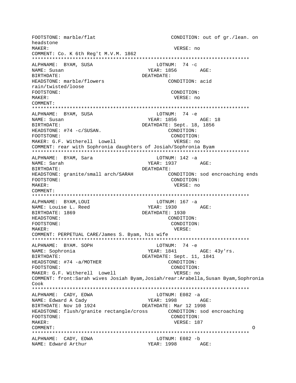FOOTSTONE: marble/flat CONDITION: out of gr./lean. on headstone MAKER: VERSE: no COMMENT: Co. K 6th Reg't M.V.M. 1862 ALPHNAME: BYAM, SUSA LOTNUM:  $74 -c$ NAME: Susan YEAR: 1856 AGE: DEATHDATE: **BIRTHDATE:** HEADSTONE: marble/flowers CONDITION: acid rain/twisted/loose FOOTSTONE: CONDITION:  $M\Delta K$ <sub>F</sub>P: VERSE: no COMMENT: ALPHNAME: BYAM, SUSA LOTNUM: 74 -e NAME: Susan BIRTHDATE: DEATHDATE: Sept. 18, 1856 HEADSTONE: #74 -c/SUSAN. CONDITION: CONDITION: FOOTSTONE: MAKER: G.F. Witherell Lowell VERSE: no COMMENT: rear with Sophronia daughters of Josiah/Sophronia Byam ALPHNAME: BYAM, Sara LOTNUM: 142 -a NAME: Sarah YEAR: 1937 AGE: BIRTHDATE: DEATHDATE: HEADSTONE: granite/small arch/SARAH CONDITION: sod encroaching ends FOOTSTONE: CONDITION: MAKER: VERSE: no  $COMMENT:$ ALPHNAME: BYAM, LOUI LOTNUM:  $167 - a$ YEAR: 1930 AGE: NAME: Louise L. Reed DEATHDATE: 1930 BIRTHDATE: 1869 HEADSTONE: CONDITION: FOOTSTONE: CONDITION: MAKER: VERSE: COMMENT: PERPETUAL CARE/James S. Byam, his wife LOTNUM: 74 -e ALPHNAME: BYAM. SOPH YEAR: 1841 NAME: Sophronia AGE: 43y'rs. DEATHDATE: Sept. 11, 1841 BIRTHDATE: HEADSTONE: #74 -a/MOTHER CONDITION: FOOTSTONE: CONDITION: MAKER: G.F. Witherell Lowell VERSE: no COMMENT: front:Sarah wives Josiah Byam, Josiah/rear:Arabella, Susan Byam, Sophronia  $Cov<sub>k</sub>$ LOTNUM:  $E082 - a$ ALPHNAME: CADY, EDWA NAME: Edward A Cady YEAR: 1998 AGE: DEATHDATE: Mar 12 1998 BIRTHDATE: Nov 10 1924 HEADSTONE: flush/granite rectangle/cross CONDITION: sod encroaching FOOTSTONE: CONDITION: MAKER: VERSE: 187 COMMENT: LOTNUM: E082 -b ALPHNAME: CADY, EDWA YEAR: 1998 AGE: NAME: Edward Arthur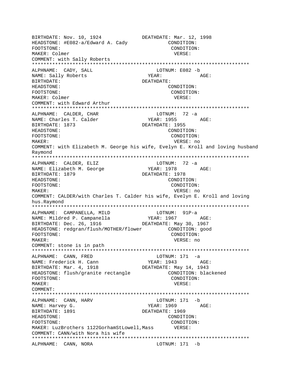BIRTHDATE: Nov. 10, 1924 DEATHDATE: Mar. 12, 1998 HEADSTONE: #E082-a/Edward A. Cady CONDITION: FOOTSTONE: CONDITION: MAKER: Colmer VERSE: COMMENT: with Sally Roberts \*\*\*\*\*\*\*\*\*\*\*\*\*\*\*\*\*\*\*\*\*\*\*\*\*\*\*\*\*\*\*\*\*\*\*\*\*\*\*\*\*\*\*\*\*\*\*\*\*\*\*\*\*\*\*\*\*\*\*\*\*\*\*\*\*\*\*\*\*\*\*\*\*\*\* ALPHNAME: CADY, SALL CARE LOTNUM: E082 -b NAME: Sally Roberts TEAR: THE YEAR: AGE: BIRTHDATE: DEATHDATE: HEADSTONE: CONDITION: FOOTSTONE: CONDITION: MAKER: Colmer VERSE: COMMENT: with Edward Arthur \*\*\*\*\*\*\*\*\*\*\*\*\*\*\*\*\*\*\*\*\*\*\*\*\*\*\*\*\*\*\*\*\*\*\*\*\*\*\*\*\*\*\*\*\*\*\*\*\*\*\*\*\*\*\*\*\*\*\*\*\*\*\*\*\*\*\*\*\*\*\*\*\*\*\* ALPHNAME: CALDER, CHAR LOTNUM: 72 -a NAME: Charles T. Calder YEAR: 1955 AGE: BIRTHDATE: 1873 DEATHDATE: 1955 HEADSTONE: CONDITION: FOOTSTONE: CONDITION: MAKER: VERSE: no COMMENT: with Elizabeth M. George his wife, Evelyn E. Kroll and loving husband Raymond \*\*\*\*\*\*\*\*\*\*\*\*\*\*\*\*\*\*\*\*\*\*\*\*\*\*\*\*\*\*\*\*\*\*\*\*\*\*\*\*\*\*\*\*\*\*\*\*\*\*\*\*\*\*\*\*\*\*\*\*\*\*\*\*\*\*\*\*\*\*\*\*\*\*\* ALPHNAME: CALDER, ELIZ LOTNUM: 72 -a NAME: Elizabeth M. George YEAR: 1978 AGE: BIRTHDATE: 1879 DEATHDATE: 1978 HEADSTONE: CONDITION: FOOTSTONE: CONDITION: MAKER: VERSE: no COMMENT: CALDER/with Charles T. Calder his wife, Evelyn E. Kroll and loving hus.Raymond \*\*\*\*\*\*\*\*\*\*\*\*\*\*\*\*\*\*\*\*\*\*\*\*\*\*\*\*\*\*\*\*\*\*\*\*\*\*\*\*\*\*\*\*\*\*\*\*\*\*\*\*\*\*\*\*\*\*\*\*\*\*\*\*\*\*\*\*\*\*\*\*\*\*\* ALPHNAME: CAMPANELLA, MILD LOTNUM: 91P-a NAME: Mildred P. Campanella YEAR: 1967 AGE: BIRTHDATE: Dec. 26, 1916 DEATHDATE: May 30, 1967 HEADSTONE: redgran/flush/MOTHER/flower CONDITION: good FOOTSTONE: CONDITION: MAKER: VERSE: no COMMENT: stone is in path \*\*\*\*\*\*\*\*\*\*\*\*\*\*\*\*\*\*\*\*\*\*\*\*\*\*\*\*\*\*\*\*\*\*\*\*\*\*\*\*\*\*\*\*\*\*\*\*\*\*\*\*\*\*\*\*\*\*\*\*\*\*\*\*\*\*\*\*\*\*\*\*\*\*\* ALPHNAME: CANN, FRED LOTNUM: 171 -a<br>
NAME: Frederick H. Cann Mess YEAR: 1943 NAME: Frederick H. Cann (Particle of Particle of Particle of Particle of Age:  $\overline{A}$ BIRTHDATE: Mar. 4, 1918 DEATHDATE: May 14, 1943 HEADSTONE: flush/granite rectangle CONDITION: blackened FOOTSTONE: CONDITION: MAKER: VERSE: COMMENT: \*\*\*\*\*\*\*\*\*\*\*\*\*\*\*\*\*\*\*\*\*\*\*\*\*\*\*\*\*\*\*\*\*\*\*\*\*\*\*\*\*\*\*\*\*\*\*\*\*\*\*\*\*\*\*\*\*\*\*\*\*\*\*\*\*\*\*\*\*\*\*\*\*\*\* ALPHNAME: CANN, HARV LOTNUM: 171 -b NAME: Harvey G. The Contract of the Magnus of the YEAR: 1969 AGE: BIRTHDATE: 1891 DEATHDATE: 1969 HEADSTONE: CONDITION: FOOTSTONE: CONDITION: MAKER: LuzBrothers 1122GorhamStLowell, Mass VERSE: COMMENT: CANN/with Nora his wife \*\*\*\*\*\*\*\*\*\*\*\*\*\*\*\*\*\*\*\*\*\*\*\*\*\*\*\*\*\*\*\*\*\*\*\*\*\*\*\*\*\*\*\*\*\*\*\*\*\*\*\*\*\*\*\*\*\*\*\*\*\*\*\*\*\*\*\*\*\*\*\*\*\*\* ALPHNAME: CANN, NORA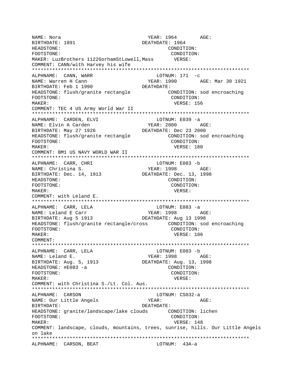YEAR: 1964 AGE: NAME: Nora DEATHDATE: 1964 BIRTHDATE: 1891 HEADSTONE: CONDITION: CONDITION: FOOTSTONE: MAKER: LuzBrothers 1122GorhamStLowell, Mass VERSE: COMMENT: CANN/with Harvey his wife LOTNUM:  $171 - c$ ALPHNAME: CANN, WARR YEAR: 1990 AGE: Mar 30 1921 NAME: Warren H Cann BIRTHDATE: Feb 1 1990 DEATHDATE: CONDITION: sod encroaching HEADSTONE: flush/granite rectangle FOOTSTONE: CONDITION: VERSE: 156 MAKER: COMMENT: TEC 4 US Army World War II ALPHNAME: CARDEN, ELVI LOTNUM: E039 -a YEAR: 2000 AGE: NAME: Elvin A Carden DEATHDATE: Dec 23 2000 BIRTHDATE: May 27 1926 HEADSTONE: flush/granite rectangle CONDITION: sod encroaching FOOTSTONE: CONDITION: MAKER: VERSE: 180 COMMENT: BM1 US NAVY WORLD WAR II LOTNUM: E083 -b ALPHNAME: CARR, CHRI YEAR: 1998 NAME: Christina S. AGE: BIRTHDATE: Dec. 14, 1913 DEATHDATE: Dec. 13, 1998 HEADSTONE: CONDITION: FOOTSTONE: CONDITION: MAKER: VERSE: COMMENT: with Leland E. LOTNUM: E083 -a ALPHNAME: CARR, LELA  $YEAR: 1998 \qquad AGE:$ NAME: Leland E Carr BIRTHDATE: Aug 5 1913 DEATHDATE: Aug 13 1998 HEADSTONE: flush/granite rectangle/cross CONDITION: sod encroaching CONDITION: FOOTSTONE: MAKER: VERSE: 186 COMMENT: LOTNUM: E083 -b ALPHNAME: CARR, LELA YEAR: 1998 AGE: NAME: Leland E. BIRTHDATE: Aug. 5, 1913 DEATHDATE: Aug. 13, 1998 HEADSTONE: #E083 -a CONDITION: FOOTSTONE: CONDITION: MAKER: VERSE: COMMENT: with Christina S./Lt. Col. Aus. ALPHNAME: CARSON LOTNUM: CS032-a NAME: Our Little Angels YEAR: AGE: BIRTHDATE: DEATHDATE: HEADSTONE: granite/landscape/lake clouds CONDITION: lichen CONDITION: FOOTSTONE: MAKER: VERSE: 148 COMMENT: landscape, clouds, mountains, trees, sunrise, hills. Our Little Angels on lake ALPHNAME: CARSON, BEAT LOTNUM: 43A-a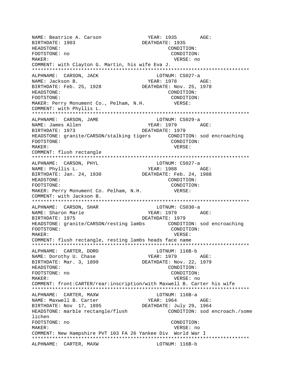NAME: Beatrice A. Carson YEAR: 1935 AGE: BIRTHDATE: 1903 DEATHDATE: 1935 HEADSTONE: CONDITION: FOOTSTONE: no CONDITION: VERSE: no MAKER: COMMENT: with Clayton G. Martin, his wife Eva J. ALPHNAME: CARSON, JACK LOTNUM: CS027-a YEAR: 1978 NAME: Jackson B. AGE: BIRTHDATE: Feb. 25, 1928 DEATHDATE: Nov. 25, 1978 HEADSTONE: CONDITION: FOOTSTONE: CONDITION: MAKER: Perry Monument Co., Pelham, N.H. VERSE: COMMENT: with Phyllis L. ALPHNAME: CARSON, JAME LOTNUM: CS029-a NAME: James Allen YEAR: 1979 AGE: BIRTHDATE: 1973 DEATHDATE: 1979 FOOTSTONE: CONDITION: MAKER: VERSE: COMMENT: flush rectangle ALPHNAME: CARSON, PHYL LOTNUM: CS027-a YEAR: 1988 AGE: NAME: Phyllis L. BIRTHDATE: Jan. 24, 1930 DEATHDATE: Feb. 24, 1988 HEADSTONE: CONDITION: FOOTSTONE: CONDITION: MAKER: Perry Monument Co. Pelham, N.H. VERSE: COMMENT: with Jackson B. ALPHNAME: CARSON, SHAR LOTNUM: CS030-a YEAR: 1979 AGE: NAME: Sharon Marie BIRTHDATE: 1975 DEATHDATE: 1979 HEADSTONE: granite/CARSON/resting lambs CONDITION: sod encroaching FOOTSTONE: CONDITION: MAKER: VERSE: COMMENT: flush rectangle, resting lambs heads face name LOTNUM: 116B-b ALPHNAME: CARTER, DORO YEAR: 1979 AGE: NAME: Dorothy U. Chase BIRTHDATE: Mar. 3, 1899 DEATHDATE: Nov. 22, 1979 HEADSTONE: CONDITION: FOOTSTONE: no CONDITION: MAKER: VERSE: no COMMENT: front:CARTER/rear:inscription/with Maxwell B. Carter his wife ALPHNAME: CARTER, MAXW LOTNUM: 116B-a NAME: Maxwell B. Carter YEAR: 1964 AGE:  $BIRTHDATE: Nov 17, 1895$ DEATHDATE: July 29, 1964 HEADSTONE: marble rectangle/flush CONDITION: sod encroach./some lichen FOOTSTONE: no CONDITION: MAKER: VERSE: no COMMENT: New Hampshire PVT 103 FA 26 Yankee Div World War I ALPHNAME: CARTER, MAXW LOTNUM: 116B-b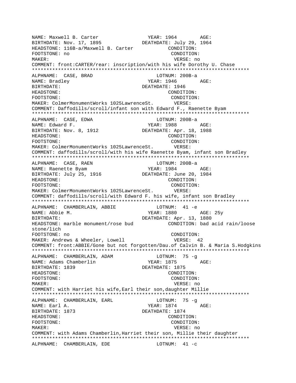NAME: Maxwell B. Carter The Mass of YEAR: 1964 AGE: BIRTHDATE: Nov. 17, 1895 DEATHDATE: July 29, 1964 HEADSTONE: 116B-a/Maxwell B. Carter CONDITION: FOOTSTONE: no CONDITION: MAKER: VERSE: no COMMENT: front:CARTER/rear: inscription/with his wife Dorothy U. Chase \*\*\*\*\*\*\*\*\*\*\*\*\*\*\*\*\*\*\*\*\*\*\*\*\*\*\*\*\*\*\*\*\*\*\*\*\*\*\*\*\*\*\*\*\*\*\*\*\*\*\*\*\*\*\*\*\*\*\*\*\*\*\*\*\*\*\*\*\*\*\*\*\*\*\* ALPHNAME: CASE, BRAD LOTNUM: 200B-a NAME: Bradley TEAR: 1946 AGE: BIRTHDATE: DEATHDATE: 1946 HEADSTONE: CONDITION: FOOTSTONE: CONDITION: MAKER: ColmerMonumentWorks 1025LawrenceSt. VERSE: COMMENT: Daffodills/scroll/infant son with Edward F., Raenette Byam \*\*\*\*\*\*\*\*\*\*\*\*\*\*\*\*\*\*\*\*\*\*\*\*\*\*\*\*\*\*\*\*\*\*\*\*\*\*\*\*\*\*\*\*\*\*\*\*\*\*\*\*\*\*\*\*\*\*\*\*\*\*\*\*\*\*\*\*\*\*\*\*\*\*\* ALPHNAME: CASE, EDWA NAME: Edward F. The Communication of the Magnus of the YEAR: 1988 AGE: BIRTHDATE: Nov. 8, 1912 DEATHDATE: Apr. 18, 1988 HEADSTONE: CONDITION: FOOTSTONE: CONDITION: MAKER: ColmerMonumentWorks 1025LawrenceSt. VERSE: COMMENT: daffodills/scroll/with his wife Raenette Byam, infant son Bradley \*\*\*\*\*\*\*\*\*\*\*\*\*\*\*\*\*\*\*\*\*\*\*\*\*\*\*\*\*\*\*\*\*\*\*\*\*\*\*\*\*\*\*\*\*\*\*\*\*\*\*\*\*\*\*\*\*\*\*\*\*\*\*\*\*\*\*\*\*\*\*\*\*\*\* ALPHNAME: CASE, RAEN LOTNUM: 200B-a NAME: Raenette Byam YEAR: 1984 AGE: BIRTHDATE: July 25, 1916 DEATHDATE: June 20, 1984 HEADSTONE: CONDITION: FOOTSTONE: CONDITION: MAKER: ColmerMonumentWorks 1025LawrenceSt. VERSE: COMMENT: daffodills/scroll/with Edward F. his wife, infant son Bradley \*\*\*\*\*\*\*\*\*\*\*\*\*\*\*\*\*\*\*\*\*\*\*\*\*\*\*\*\*\*\*\*\*\*\*\*\*\*\*\*\*\*\*\*\*\*\*\*\*\*\*\*\*\*\*\*\*\*\*\*\*\*\*\*\*\*\*\*\*\*\*\*\*\*\* ALPHNAME: CHAMBERLAIN, ABBIE LOTNUM: 41 -e NAME: Abbie M. Same Manuel (1880 AGE: 25y BIRTHDATE: DEATHDATE: Apr. 13, 1880 HEADSTONE: marble monument/rose bud CONDITION: bad acid rain/loose stone/lich FOOTSTONE: no CONDITION: MAKER: Andrews & Wheeler, Lowell VERSE: 42 COMMENT: front:ABBIE/Gone but not forgotten/Dau.of Calvin B. & Maria S.Hodgkins \*\*\*\*\*\*\*\*\*\*\*\*\*\*\*\*\*\*\*\*\*\*\*\*\*\*\*\*\*\*\*\*\*\*\*\*\*\*\*\*\*\*\*\*\*\*\*\*\*\*\*\*\*\*\*\*\*\*\*\*\*\*\*\*\*\*\*\*\*\*\*\*\*\*\* ALPHNAME: CHAMBERLAIN, ADAM LOTNUM: 75 -g NAME: Adams Chamberlin YEAR: 1875 AGE: BIRTHDATE: 1839 DEATHDATE: 1875 HEADSTONE: CONDITION: FOOTSTONE: CONDITION: MAKER: VERSE: no COMMENT: with Harriet his wife,Earl their son,daughter Millie \*\*\*\*\*\*\*\*\*\*\*\*\*\*\*\*\*\*\*\*\*\*\*\*\*\*\*\*\*\*\*\*\*\*\*\*\*\*\*\*\*\*\*\*\*\*\*\*\*\*\*\*\*\*\*\*\*\*\*\*\*\*\*\*\*\*\*\*\*\*\*\*\*\*\* ALPHNAME: CHAMBERLAIN, EARL NAME: Earl A. Sand Age: The Magnus of the MEAR: 1874 AGE: BIRTHDATE: 1873 DEATHDATE: 1874 HEADSTONE: CONDITION: FOOTSTONE: CONDITION: MAKER: VERSE: no COMMENT: with Adams Chamberlin,Harriet their son, Millie their daughter \*\*\*\*\*\*\*\*\*\*\*\*\*\*\*\*\*\*\*\*\*\*\*\*\*\*\*\*\*\*\*\*\*\*\*\*\*\*\*\*\*\*\*\*\*\*\*\*\*\*\*\*\*\*\*\*\*\*\*\*\*\*\*\*\*\*\*\*\*\*\*\*\*\*\* ALPHNAME: CHAMBERLAIN, EDE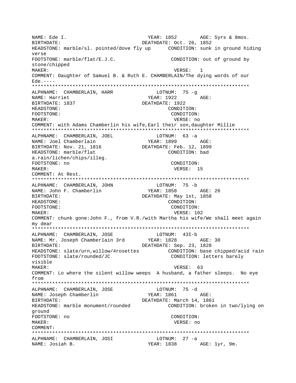NAME: Ede I. The South Communication of the YEAR: 1852 AGE: 5yrs & 8mos. BIRTHDATE: 0ct. 26, 1852 HEADSTONE: marble/sl. pointed/dove fly up CONDITION: sunk in ground hiding verse FOOTSTONE: marble/flat/E.J.C. CONDITION: out of ground by stone/chipped MAKER: 1 and 1 and 1 and 1 and 1 and 1 and 1 and 1 and 1 and 1 and 1 and 1 and 1 and 1 and 1 and 1 and 1 and 1 COMMENT: Daughter of Samuel B. & Ruth E. CHAMBERLAIN/The dying words of our  $Ede.---$ \*\*\*\*\*\*\*\*\*\*\*\*\*\*\*\*\*\*\*\*\*\*\*\*\*\*\*\*\*\*\*\*\*\*\*\*\*\*\*\*\*\*\*\*\*\*\*\*\*\*\*\*\*\*\*\*\*\*\*\*\*\*\*\*\*\*\*\*\*\*\*\*\*\*\* ALPHNAME: CHAMBERLAIN, HARR LOTNUM: 75 -g NAME: Harriet YEAR: 1922 AGE: BIRTHDATE: 1837 DEATHDATE: 1922 HEADSTONE: CONDITION: FOOTSTONE: CONDITION: MAKER: VERSE: no COMMENT: with Adams Chamberlin his wife,Earl their son,daughter Millie \*\*\*\*\*\*\*\*\*\*\*\*\*\*\*\*\*\*\*\*\*\*\*\*\*\*\*\*\*\*\*\*\*\*\*\*\*\*\*\*\*\*\*\*\*\*\*\*\*\*\*\*\*\*\*\*\*\*\*\*\*\*\*\*\*\*\*\*\*\*\*\*\*\*\* ALPHNAME: CHAMBERLAIN, JOEL LOTNUM: 63 -a NAME: Joel Chamberlain YEAR: 1899 AGE: BIRTHDATE: Nov. 21, 1816 DEATHDATE: Feb. 12, 1899 HEADSTONE: marble/flat a.rain/lichen/chips/illeg. FOOTSTONE: no CONDITION: MAKER: VERSE: 15 COMMENT: At Rest. \*\*\*\*\*\*\*\*\*\*\*\*\*\*\*\*\*\*\*\*\*\*\*\*\*\*\*\*\*\*\*\*\*\*\*\*\*\*\*\*\*\*\*\*\*\*\*\*\*\*\*\*\*\*\*\*\*\*\*\*\*\*\*\*\*\*\*\*\*\*\*\*\*\*\* ALPHNAME: CHAMBERLAIN, JOHN LOTNUM: 75 -b NAME: John F. Chamberlin BIRTHDATE: DEATHDATE: May 1st, 1858 HEADSTONE: CONDITION: FOOTSTONE: CONDITION: MAKER: USE CONTROLLER WERE VERSE : 102 COMMENT: chunk gone:John F., from V.R./with Martha his wife/We shall meet again my dear \*\*\*\*\*\*\*\*\*\*\*\*\*\*\*\*\*\*\*\*\*\*\*\*\*\*\*\*\*\*\*\*\*\*\*\*\*\*\*\*\*\*\*\*\*\*\*\*\*\*\*\*\*\*\*\*\*\*\*\*\*\*\*\*\*\*\*\*\*\*\*\*\*\*\* ALPHNAME: CHAMBERLAIN, JOSE LOTNUM: 43I-b NAME: Mr. Joseph Chamberlain 3rd YEAR: 1828 AGE: 30 BIRTHDATE: DEATHDATE: Sep. 23, 1828 HEADSTONE: slate/urn,willow/4rosettes CONDITION: base chipped/acid rain FOOTSTONE: slate/rounded/JC CONDITION: letters barely visible MAKER: VERSE: 63 COMMENT: Lo where the silent willow weeps A husband, a father sleeps. No eye from \*\*\*\*\*\*\*\*\*\*\*\*\*\*\*\*\*\*\*\*\*\*\*\*\*\*\*\*\*\*\*\*\*\*\*\*\*\*\*\*\*\*\*\*\*\*\*\*\*\*\*\*\*\*\*\*\*\*\*\*\*\*\*\*\*\*\*\*\*\*\*\*\*\*\* ALPHNAME: CHAMBERLAIN, JOSE NAME: Joseph Chamberlin YEAR: 1861 AGE: BIRTHDATE: DEATHDATE: March 14, 1861 HEADSTONE: marble monument/rounded CONDITION: broken in two/lying on ground FOOTSTONE: no CONDITION: MAKER: VERSE: no COMMENT: \*\*\*\*\*\*\*\*\*\*\*\*\*\*\*\*\*\*\*\*\*\*\*\*\*\*\*\*\*\*\*\*\*\*\*\*\*\*\*\*\*\*\*\*\*\*\*\*\*\*\*\*\*\*\*\*\*\*\*\*\*\*\*\*\*\*\*\*\*\*\*\*\*\*\* ALPHNAME: CHAMBERLAIN, JOSI NAME: Josiah B. YEAR: 1838 AGE: 1yr, 9m.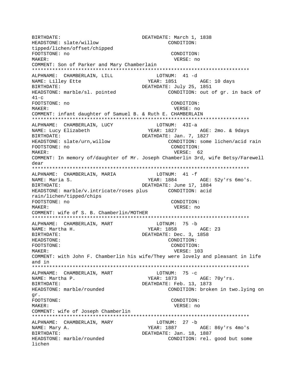BIRTHDATE: DEATHDATE: March 1, 1838 HEADSTONE: slate/willow CONDITION: tipped/lichen/offset/chipped FOOTSTONE: no CONDITION: MAKER: VERSE: no COMMENT: Son of Parker and Mary Chamberlain ALPHNAME: CHAMBERLAIN, LILL LOTNUM: 41 -d NAME: Lilley Ette YEAR: 1851 AGE: 10 days DEATHDATE: July 25, 1851 BIRTHDATE: HEADSTONE: marble/sl. pointed CONDITION: out of gr. in back of  $41-c$ FOOTSTONE: no CONDITION: MAKER: VERSE: no COMMENT: infant daughter of Samuel B. & Ruth E. CHAMBERLAIN ALPHNAME: CHAMBERLAIN, LUCY  $LOTNUM: 43I-a$ **YEAR: 1827** NAME: Lucy Elizabeth AGE: 2mo. & 9days BIRTHDATE: DEATHDATE: Jan. 7, 1827 CONDITION: some lichen/acid rain HEADSTONE: slate/urn, willow CONDITION: FOOTSTONE: no VERSE: 62 MAKER: COMMENT: In memory of/daughter of Mr. Joseph Chamberlin 3rd, wife Betsy/Farewell dear LOTNUM: 41 -f ALPHNAME: CHAMBERLAIN, MARIA NAME: Maria S.  $YEAR: 1884$ AGE: 52y'rs 6mo's. DEATHDATE: June 17, 1884 BIRTHDATE: rain/lichen/tipped/chips FOOTSTONE: no CONDITION: MAKER: VERSE: no COMMENT: wife of S. B. Chamberlin/MOTHER LOTNUM: 75 -b ALPHNAME: CHAMBERLAIN, MART **YEAR: 1858** AGE: 23 NAME: Martha H. DEATHDATE: Dec. 3, 1858 BIRTHDATE: HEADSTONE: CONDITION: FOOTSTONE: CONDITION: MAKER: VERSE: 103 COMMENT: with John F. Chamberlin his wife/They were lovely and pleasant in life and in ALPHNAME: CHAMBERLAIN, MART LOTNUM:  $75 - c$ YEAR: 1873 AGE: 70y'rs. NAME: Martha P. BIRTHDATE: DEATHDATE: Feb. 13, 1873 HEADSTONE: marble/rounded CONDITION: broken in two.lying on qr. FOOTSTONE: CONDITION: MAKER: VERSE: no COMMENT: wife of Joseph Chamberlin LOTNUM: 27 -b ALPHNAME: CHAMBERLAIN, MARY NAME: Mary A. YEAR: 1887 AGE: 86y'rs 4mo's BIRTHDATE: DEATHDATE: Jan. 18, 1887 HEADSTONE: marble/rounded CONDITION: rel. good but some lichen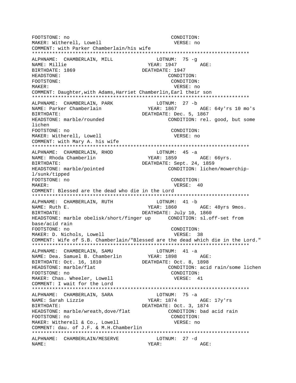FOOTSTONE: no CONDITION: MAKER: Witherell, Lowell VERSE: no COMMENT: with Parker Chamberlain/his wife ALPHNAME: CHAMBERLAIN, MILL  $LOTNUM: 75 -q$ NAME: Millie YEAR: 1947 AGE: BIRTHDATE: 1869 DEATHDATE: 1947 HEADSTONE: CONDITION: FOOTSTONE: CONDITION: MAKER: VERSE: no COMMENT: Daughter, with Adams, Harriet Chamberlin, Earl their son ALPHNAME: CHAMBERLAIN, PARK LOTNUM: 27 -b NAME: Parker Chamberlain YEAR: 1867 AGE: 64y'rs 10 mo's DEATHDATE: Dec. 5, 1867 BIRTHDATE: CONDITION: rel. good, but some HEADSTONE: marble/rounded lichen FOOTSTONE: no CONDITION: MAKER: Witherell, Lowell VERSE: no COMMENT: with Mary A. his wife ALPHNAME: CHAMBERLAIN, RHOD  $LOTNUM: 45 -a$ YEAR: 1859 NAME: Rhoda Chamberlin AGE: 66yrs. DEATHDATE: Sept. 24, 1859 BIRTHDATE: CONDITION: lichen/mowerchip-HEADSTONE: marble/pointed l/sunk/tipped FOOTSTONE: no CONDITION: MAKER: VERSE: 40 COMMENT: Blessed are the dead who die in the Lord ALPHNAME: CHAMBERLAIN, RUTH  $LOTNUM: 41 - b$ YEAR: 1860 AGE: 48yrs 9mos. NAME: Ruth E. DEATHDATE: July 10, 1860 BIRTHDATE: HEADSTONE: marble obelisk/short/finger up CONDITION: sl.off-set from base/acid rain FOOTSTONE: no CONDITION: MAKER: D. Nichols, Lowell VERSE: 38 COMMENT: Wife of S.B. Chamberlain/"Blessed are the dead which die in the Lord." ALPHNAME: CHAMBERLAIN, SAMU LOTNUM: 41 -a **YEAR: 1898** NAME: Dea. Samuel B. Chamberlin AGE: BIRTHDATE: Oct. 16, 1810 DEATHDATE: Oct. 8, 1898 HEADSTONE: marble/flat CONDITION: acid rain/some lichen FOOTSTONE: no CONDITION: MAKER: Chas. Wheeler, Lowell VERSE: 41 COMMENT: I wait for the Lord LOTNUM:  $75 - a$ ALPHNAME: CHAMBERLAIN, SARA NAME: Sarah Lizzie YEAR: 1874 AGE: 17y'rs DEATHDATE: Oct. 3, 1874 BIRTHDATE: HEADSTONE: marble/wreath, dove/flat CONDITION: bad acid rain FOOTSTONE: no CONDITION: MAKER: Witherell & Co., Lowell VERSE: no COMMENT: dau. of J.F. & M.H.Chamberlin ALPHNAME: CHAMBERLAIN/MESERVE LOTNUM: 27 -d NAME: YEAR: AGE: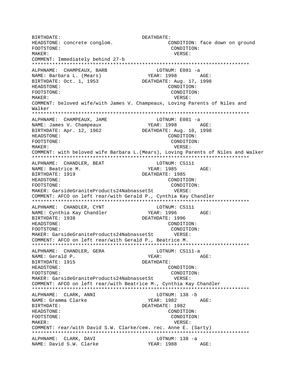BIRTHDATE: DEATHDATE: HEADSTONE: concrete conglom. CONDITION: face down on ground FOOTSTONE: CONDITION: MAKER: VERSE: COMMENT: Immediately behind 27-b \*\*\*\*\*\*\*\*\*\*\*\*\*\*\*\*\*\*\*\*\*\*\*\*\*\*\*\*\*\*\*\*\*\*\*\*\*\*\*\*\*\*\*\*\*\*\*\*\*\*\*\*\*\*\*\*\*\*\*\*\*\*\*\*\*\*\*\*\*\*\*\*\*\*\* ALPHNAME: CHAMPEAUX, BARB LOTNUM: E081 -a NAME: Barbara L. (Mears)  $YEAR: 1998$  AGE: BIRTHDATE: Oct. 1, 1953 DEATHDATE: Aug. 17, 1998 HEADSTONE: CONDITION: FOOTSTONE: CONDITION: MAKER: VERSE: COMMENT: beloved wife/with James V. Champeaux, Loving Parents of Niles and Walker \*\*\*\*\*\*\*\*\*\*\*\*\*\*\*\*\*\*\*\*\*\*\*\*\*\*\*\*\*\*\*\*\*\*\*\*\*\*\*\*\*\*\*\*\*\*\*\*\*\*\*\*\*\*\*\*\*\*\*\*\*\*\*\*\*\*\*\*\*\*\*\*\*\*\* ALPHNAME: CHAMPEAUX, JAME LOTNUM: E081 -a NAME: James V. Champeaux BIRTHDATE: Apr. 12, 1962 DEATHDATE: Aug. 10, 1998 HEADSTONE: CONDITION: FOOTSTONE: CONDITION: MAKER: VERSE: COMMENT: with beloved wife Barbara L.(Mears), Loving Parents of Niles and Walker \*\*\*\*\*\*\*\*\*\*\*\*\*\*\*\*\*\*\*\*\*\*\*\*\*\*\*\*\*\*\*\*\*\*\*\*\*\*\*\*\*\*\*\*\*\*\*\*\*\*\*\*\*\*\*\*\*\*\*\*\*\*\*\*\*\*\*\*\*\*\*\*\*\*\* ALPHNAME: CHANDLER, BEAT ALPHNAME: CS111 NAME: Beatrice M. NAME: 1985 AGE: BIRTHDATE: 1919 DEATHDATE: 1985 HEADSTONE: CONDITION: FOOTSTONE: CONDITION: MAKER: GarsideGraniteProducts24NabnassetSt VERSE: COMMENT: AFCO on left rear/with Gerald P., Cynthia Kay Chandler \*\*\*\*\*\*\*\*\*\*\*\*\*\*\*\*\*\*\*\*\*\*\*\*\*\*\*\*\*\*\*\*\*\*\*\*\*\*\*\*\*\*\*\*\*\*\*\*\*\*\*\*\*\*\*\*\*\*\*\*\*\*\*\*\*\*\*\*\*\*\*\*\*\*\* ALPHNAME: CHANDLER, CYNT LOTNUM: CS111 NAME: Cynthia Kay Chandler YEAR: 1996 AGE: BIRTHDATE: 1938 DEATHDATE: 1996 HEADSTONE: CONDITION: FOOTSTONE: CONDITION: MAKER: GarsideGraniteProducts24NabnassetSt VERSE: COMMENT: AFCO on left rear/with Gerald P., Beatrice M. \*\*\*\*\*\*\*\*\*\*\*\*\*\*\*\*\*\*\*\*\*\*\*\*\*\*\*\*\*\*\*\*\*\*\*\*\*\*\*\*\*\*\*\*\*\*\*\*\*\*\*\*\*\*\*\*\*\*\*\*\*\*\*\*\*\*\*\*\*\*\*\*\*\*\* ALPHNAME: CHANDLER, GERA LOTNUM: CS111-a NAME: Gerald P. Name: AGE: BIRTHDATE: 1915 DEATHDATE: HEADSTONE: CONDITION: FOOTSTONE:  $\overline{COMDITION}$ : CONDITION:<br>MAKER: GarsideGraniteProducts24NabnassetSt VERSE: MAKER: GarsideGraniteProducts24NabnassetSt COMMENT: AFCO on left rear/with Beatrice M., Cynthia Kay Chandler \*\*\*\*\*\*\*\*\*\*\*\*\*\*\*\*\*\*\*\*\*\*\*\*\*\*\*\*\*\*\*\*\*\*\*\*\*\*\*\*\*\*\*\*\*\*\*\*\*\*\*\*\*\*\*\*\*\*\*\*\*\*\*\*\*\*\*\*\*\*\*\*\*\*\* ALPHNAME: CLARK, ANNI LOTNUM: 138 -b NAME: Gramma Clarke The YEAR: 1982 AGE: BIRTHDATE: DEATHDATE: 1982 HEADSTONE: CONDITION: FOOTSTONE: CONDITION: MAKER: VERSE: COMMENT: rear/with David S.W. Clarke/cem. rec. Anne E. (Sarty) \*\*\*\*\*\*\*\*\*\*\*\*\*\*\*\*\*\*\*\*\*\*\*\*\*\*\*\*\*\*\*\*\*\*\*\*\*\*\*\*\*\*\*\*\*\*\*\*\*\*\*\*\*\*\*\*\*\*\*\*\*\*\*\*\*\*\*\*\*\*\*\*\*\*\* ALPHNAME: CLARK, DAVI LOTNUM: 138 -a NAME: David S.W. Clarke YEAR: 1988 AGE: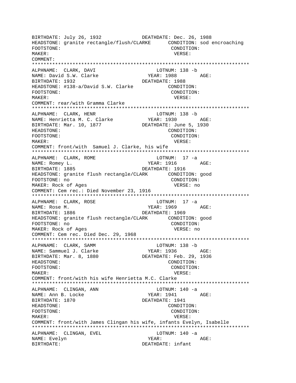BIRTHDATE: July 26, 1932 DEATHDATE: Dec. 26, 1988 HEADSTONE: granite rectangle/flush/CLARKE CONDITION: sod encroaching FOOTSTONE: CONDITION: MAKER: VERSE: COMMENT: \*\*\*\*\*\*\*\*\*\*\*\*\*\*\*\*\*\*\*\*\*\*\*\*\*\*\*\*\*\*\*\*\*\*\*\*\*\*\*\*\*\*\*\*\*\*\*\*\*\*\*\*\*\*\*\*\*\*\*\*\*\*\*\*\*\*\*\*\*\*\*\*\*\*\* ALPHNAME: CLARK, DAVI LOTNUM: 138 -b NAME: David S.W. Clarke YEAR: 1988 AGE: BIRTHDATE: 1932 DEATHDATE: 1988 HEADSTONE: #138-a/David S.W. Clarke CONDITION: FOOTSTONE: CONDITION: MAKER: VERSE: COMMENT: rear/with Gramma Clarke \*\*\*\*\*\*\*\*\*\*\*\*\*\*\*\*\*\*\*\*\*\*\*\*\*\*\*\*\*\*\*\*\*\*\*\*\*\*\*\*\*\*\*\*\*\*\*\*\*\*\*\*\*\*\*\*\*\*\*\*\*\*\*\*\*\*\*\*\*\*\*\*\*\*\* ALPHNAME: CLARK, HENR LOTNUM: 138 -b NAME: Henrietta M. C. Clarke YEAR: 1930 AGE: BIRTHDATE: Mar. 10, 1877 DEATHDATE: June 5, 1930 HEADSTONE: CONDITION: FOOTSTONE: CONDITION: MAKER: VERSE: COMMENT: front/with Samuel J. Clarke, his wife \*\*\*\*\*\*\*\*\*\*\*\*\*\*\*\*\*\*\*\*\*\*\*\*\*\*\*\*\*\*\*\*\*\*\*\*\*\*\*\*\*\*\*\*\*\*\*\*\*\*\*\*\*\*\*\*\*\*\*\*\*\*\*\*\*\*\*\*\*\*\*\*\*\*\* ALPHNAME: CLARK, ROME LOTNUM: 17 -a NAME: Romey L. Same and the set of the set of the set of the set of the set of the set of the set of the set of the set of the set of the set of the set of the set of the set of the set of the set of the set of the set of BIRTHDATE: 1885 DEATHDATE: 1916 HEADSTONE: granite flush rectangle/CLARK CONDITION: good FOOTSTONE: no CONDITION: MAKER: Rock of Ages VERSE: no COMMENT: Cem rec.: Died November 23, 1916 \*\*\*\*\*\*\*\*\*\*\*\*\*\*\*\*\*\*\*\*\*\*\*\*\*\*\*\*\*\*\*\*\*\*\*\*\*\*\*\*\*\*\*\*\*\*\*\*\*\*\*\*\*\*\*\*\*\*\*\*\*\*\*\*\*\*\*\*\*\*\*\*\*\*\* ALPHNAME: CLARK, ROSE NAME: Rose M. Same Communications of the MEAR: 1969 AGE: BIRTHDATE: 1886 DEATHDATE: 1969 HEADSTONE: granite flush rectangle/CLARK CONDITION: good FOOTSTONE: no CONDITION: MAKER: Rock of Ages COMMENT: Cem rec. Died Dec. 29, 1968 \*\*\*\*\*\*\*\*\*\*\*\*\*\*\*\*\*\*\*\*\*\*\*\*\*\*\*\*\*\*\*\*\*\*\*\*\*\*\*\*\*\*\*\*\*\*\*\*\*\*\*\*\*\*\*\*\*\*\*\*\*\*\*\*\*\*\*\*\*\*\*\*\*\*\* ALPHNAME: CLARK, SAMM LOTNUM: 138 -b NAME: Sammuel J. Clarke YEAR: 1936 AGE: BIRTHDATE: Mar. 8, 1880 DEATHDATE: Feb. 29, 1936 HEADSTONE: CONDITION: FOOTSTONE: CONDITION: MAKER: VERSE: COMMENT: front/with his wife Henrietta M.C. Clarke \*\*\*\*\*\*\*\*\*\*\*\*\*\*\*\*\*\*\*\*\*\*\*\*\*\*\*\*\*\*\*\*\*\*\*\*\*\*\*\*\*\*\*\*\*\*\*\*\*\*\*\*\*\*\*\*\*\*\*\*\*\*\*\*\*\*\*\*\*\*\*\*\*\*\* ALPHNAME: CLINGAN, ANN LOTNUM: 140 -a NAME: Ann B. Locke YEAR: 1941 AGE: BIRTHDATE: 1870 DEATHDATE: 1941 HEADSTONE: CONDITION: FOOTSTONE: CONDITION: MAKER: VERSE: COMMENT: front/with James Clingan his wife, infants Evelyn, Isabelle \*\*\*\*\*\*\*\*\*\*\*\*\*\*\*\*\*\*\*\*\*\*\*\*\*\*\*\*\*\*\*\*\*\*\*\*\*\*\*\*\*\*\*\*\*\*\*\*\*\*\*\*\*\*\*\*\*\*\*\*\*\*\*\*\*\*\*\*\*\*\*\*\*\*\* ALPHNAME: CLINGAN, EVEL LOTNUM: 140 -a NAME: Evelyn YEAR: AGE: DEATHDATE: infant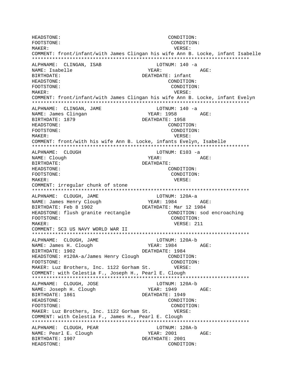HEADSTONE: CONDITION: FOOTSTONE: CONDITION: MAKER: VERSE: COMMENT: front/infant/with James Clingan his wife Ann B. Locke, infant Isabelle \*\*\*\*\*\*\*\*\*\*\*\*\*\*\*\*\*\*\*\*\*\*\*\*\*\*\*\*\*\*\*\*\*\*\*\*\*\*\*\*\*\*\*\*\*\*\*\*\*\*\*\*\*\*\*\*\*\*\*\*\*\*\*\*\*\*\*\*\*\*\*\*\*\*\* ALPHNAME: CLINGAN, ISAB LOTNUM: 140 -a NAME: Isabelle YEAR: AGE: BIRTHDATE: DEATHDATE: infant HEADSTONE: CONDITION: FOOTSTONE: CONDITION: MAKER: VERSE: COMMENT: front/infant/with James Clingan his wife Ann B. Locke, infant Evelyn \*\*\*\*\*\*\*\*\*\*\*\*\*\*\*\*\*\*\*\*\*\*\*\*\*\*\*\*\*\*\*\*\*\*\*\*\*\*\*\*\*\*\*\*\*\*\*\*\*\*\*\*\*\*\*\*\*\*\*\*\*\*\*\*\*\*\*\*\*\*\*\*\*\*\* ALPHNAME: CLINGAN, JAME LOTNUM: 140 -a NAME: James Clingan (1958 MAME: 1958 AGE: BIRTHDATE: 1879 DEATHDATE: 1958 HEADSTONE: CONDITION: FOOTSTONE: CONDITION: MAKER: VERSE: COMMENT: front/with his wife Ann B. Locke, infants Evelyn, Isabelle \*\*\*\*\*\*\*\*\*\*\*\*\*\*\*\*\*\*\*\*\*\*\*\*\*\*\*\*\*\*\*\*\*\*\*\*\*\*\*\*\*\*\*\*\*\*\*\*\*\*\*\*\*\*\*\*\*\*\*\*\*\*\*\*\*\*\*\*\*\*\*\*\*\*\* ALPHNAME: CLOUGH NAME: Clough  $YEAR:$  AGE: BIRTHDATE: DEATHDATE: HEADSTONE: CONDITION: FOOTSTONE: CONDITION: MAKER: VERSE: COMMENT: irregular chunk of stone \*\*\*\*\*\*\*\*\*\*\*\*\*\*\*\*\*\*\*\*\*\*\*\*\*\*\*\*\*\*\*\*\*\*\*\*\*\*\*\*\*\*\*\*\*\*\*\*\*\*\*\*\*\*\*\*\*\*\*\*\*\*\*\*\*\*\*\*\*\*\*\*\*\*\* ALPHNAME: CLOUGH, JAME LOTNUM: 120A-a NAME: James Henry Clough YEAR: 1984 AGE: BIRTHDATE: Feb 8 1902 DEATHDATE: Mar 12 1984 HEADSTONE: flush granite rectangle CONDITION: sod encroaching FOOTSTONE: CONDITION: MAKER: VERSE: 211 COMMENT: SC3 US NAVY WORLD WAR II \*\*\*\*\*\*\*\*\*\*\*\*\*\*\*\*\*\*\*\*\*\*\*\*\*\*\*\*\*\*\*\*\*\*\*\*\*\*\*\*\*\*\*\*\*\*\*\*\*\*\*\*\*\*\*\*\*\*\*\*\*\*\*\*\*\*\*\*\*\*\*\*\*\*\* ALPHNAME: CLOUGH, JAME LOTNUM: 120A-b NAME: James H. Clough YEAR: 1984 AGE: BIRTHDATE: 1902 DEATHDATE: 1984 HEADSTONE: #120A-a/James Henry Clough CONDITION: FOOTSTONE: CONDITION: MAKER: Luz Brothers, Inc. 1122 Gorham St. VERSE: COMMENT: with Celestia F., Joseph H., Pearl E. Clough \*\*\*\*\*\*\*\*\*\*\*\*\*\*\*\*\*\*\*\*\*\*\*\*\*\*\*\*\*\*\*\*\*\*\*\*\*\*\*\*\*\*\*\*\*\*\*\*\*\*\*\*\*\*\*\*\*\*\*\*\*\*\*\*\*\*\*\*\*\*\*\*\*\*\* ALPHNAME: CLOUGH, JOSE NAME: Joseph H. Clough YEAR: 1949 AGE: BIRTHDATE: 1861 DEATHDATE: 1949 HEADSTONE: CONDITION: FOOTSTONE: CONDITION: MAKER: Luz Brothers, Inc. 1122 Gorham St. VERSE: COMMENT: with Celestia F., James H., Pearl E. Clough \*\*\*\*\*\*\*\*\*\*\*\*\*\*\*\*\*\*\*\*\*\*\*\*\*\*\*\*\*\*\*\*\*\*\*\*\*\*\*\*\*\*\*\*\*\*\*\*\*\*\*\*\*\*\*\*\*\*\*\*\*\*\*\*\*\*\*\*\*\*\*\*\*\*\* ALPHNAME: CLOUGH, PEAR LOTNUM: 120A-b NAME: Pearl E. Clough YEAR: 2001 AGE: BIRTHDATE: 1907 DEATHDATE: 2001 HEADSTONE: CONDITION: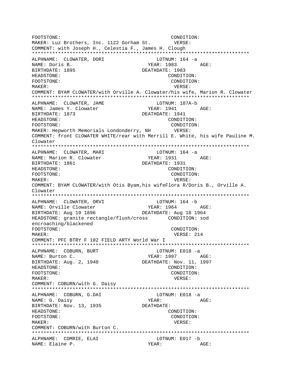FOOTSTONE: CONDITION: MAKER: Luz Brothers, Inc. 1122 Gorham St. VERSE: COMMENT: with Joseph H., Celestia F., James H. Clough \*\*\*\*\*\*\*\*\*\*\*\*\*\*\*\*\*\*\*\*\*\*\*\*\*\*\*\*\*\*\*\*\*\*\*\*\*\*\*\*\*\*\*\*\*\*\*\*\*\*\*\*\*\*\*\*\*\*\*\*\*\*\*\*\*\*\*\*\*\*\*\*\*\*\* ALPHNAME: CLOWATER, DORI LOTNUM: 164 -a NAME: Doris B. YEAR: 1983 AGE: BIRTHDATE: 1895 DEATHDATE: 1983 HEADSTONE: CONDITION: FOOTSTONE: CONDITION: MAKER: VERSE: COMMENT: BYAM CLOWATER/with Orville A. Clowater/his wife, Marion R. Clowater \*\*\*\*\*\*\*\*\*\*\*\*\*\*\*\*\*\*\*\*\*\*\*\*\*\*\*\*\*\*\*\*\*\*\*\*\*\*\*\*\*\*\*\*\*\*\*\*\*\*\*\*\*\*\*\*\*\*\*\*\*\*\*\*\*\*\*\*\*\*\*\*\*\*\* ALPHNAME: CLOWATER, JAME LOTNUM: 187A-b NAME: James Y. Clowater Year: 1941 AGE: BIRTHDATE: 1873 DEATHDATE: 1941 HEADSTONE: CONDITION: FOOTSTONE: CONDITION: MAKER: Hepworth Memorials Londonderry, NH VERSE: COMMENT: front CLOWATER WHITE/rear with Merrill E. White, his wife Pauline M. Clowater \*\*\*\*\*\*\*\*\*\*\*\*\*\*\*\*\*\*\*\*\*\*\*\*\*\*\*\*\*\*\*\*\*\*\*\*\*\*\*\*\*\*\*\*\*\*\*\*\*\*\*\*\*\*\*\*\*\*\*\*\*\*\*\*\*\*\*\*\*\*\*\*\*\*\* ALPHNAME: CLOWATER, MARI NAME: Marion R. Clowater  $YEAR: 1931$  AGE: BIRTHDATE: 1861 **DEATHDATE: 1931** HEADSTONE: CONDITION: FOOTSTONE: CONDITION: MAKER: VERSE: COMMENT: BYAM CLOWATER/with Otis Byam,his wifeFlora R/Doris B., Orville A. Clowater \*\*\*\*\*\*\*\*\*\*\*\*\*\*\*\*\*\*\*\*\*\*\*\*\*\*\*\*\*\*\*\*\*\*\*\*\*\*\*\*\*\*\*\*\*\*\*\*\*\*\*\*\*\*\*\*\*\*\*\*\*\*\*\*\*\*\*\*\*\*\*\*\*\*\* ALPHNAME: CLOWATER, ORVI NAME: Orville Clowater Team YEAR: 1964 AGE: BIRTHDATE: Aug 19 1896 DEATHDATE: Aug 18 1964 HEADSTONE: granite rectangle/flush/cross CONDITION: sod encroaching/blackened FOOTSTONE: CONDITION: MAKER: 214 COMMENT: PFC BTRY F 102 FIELD ARTY World War I \*\*\*\*\*\*\*\*\*\*\*\*\*\*\*\*\*\*\*\*\*\*\*\*\*\*\*\*\*\*\*\*\*\*\*\*\*\*\*\*\*\*\*\*\*\*\*\*\*\*\*\*\*\*\*\*\*\*\*\*\*\*\*\*\*\*\*\*\*\*\*\*\*\*\* ALPHNAME: COBURN, BURT LOTNUM: E018 -a NAME: Burton C. The South of the Search State of the YEAR: 1997 AGE: BIRTHDATE: Aug. 2, 1940 DEATHDATE: Nov. 11, 1997 HEADSTONE: CONDITION: FOOTSTONE: CONDITION: MAKER: VERSE: COMMENT: COBURN/with G. Daisy \*\*\*\*\*\*\*\*\*\*\*\*\*\*\*\*\*\*\*\*\*\*\*\*\*\*\*\*\*\*\*\*\*\*\*\*\*\*\*\*\*\*\*\*\*\*\*\*\*\*\*\*\*\*\*\*\*\*\*\*\*\*\*\*\*\*\*\*\*\*\*\*\*\*\* ALPHNAME: COBURN, G.DAI NAME: G. Daisy Channel Communications of the MCC YEAR: AGE: BIRTHDATE: Nov. 13, 1935 DEATHDATE: HEADSTONE: CONDITION: FOOTSTONE: CONDITION: MAKER: VERSE: COMMENT: COBURN/with Burton C. \*\*\*\*\*\*\*\*\*\*\*\*\*\*\*\*\*\*\*\*\*\*\*\*\*\*\*\*\*\*\*\*\*\*\*\*\*\*\*\*\*\*\*\*\*\*\*\*\*\*\*\*\*\*\*\*\*\*\*\*\*\*\*\*\*\*\*\*\*\*\*\*\*\*\* ALPHNAME: COMRIE, ELAI LOTNUM: E017 -b NAME: Elaine P. NAME: AGE: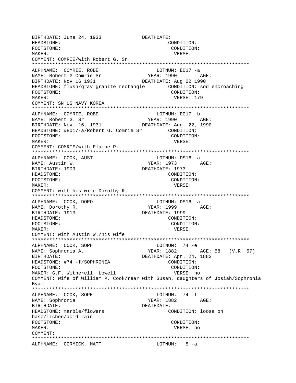BIRTHDATE: June 24, 1933 DEATHDATE: HEADSTONE: CONDITION: FOOTSTONE: CONDITION: MAKER: VERSE: COMMENT: COMRIE/with Robert G. Sr. \*\*\*\*\*\*\*\*\*\*\*\*\*\*\*\*\*\*\*\*\*\*\*\*\*\*\*\*\*\*\*\*\*\*\*\*\*\*\*\*\*\*\*\*\*\*\*\*\*\*\*\*\*\*\*\*\*\*\*\*\*\*\*\*\*\*\*\*\*\*\*\*\*\*\* ALPHNAME: COMRIE, ROBE LOTNUM: E017 -a NAME: Robert G Comrie Sr YEAR: 1990 AGE: BIRTHDATE: Nov 16 1931 DEATHDATE: Aug 22 1990 HEADSTONE: flush/gray granite rectangle CONDITION: sod encroaching FOOTSTONE: CONDITION: MAKER: VERSE: 179 COMMENT: SN US NAVY KOREA \*\*\*\*\*\*\*\*\*\*\*\*\*\*\*\*\*\*\*\*\*\*\*\*\*\*\*\*\*\*\*\*\*\*\*\*\*\*\*\*\*\*\*\*\*\*\*\*\*\*\*\*\*\*\*\*\*\*\*\*\*\*\*\*\*\*\*\*\*\*\*\*\*\*\* ALPHNAME: COMRIE, ROBE LOTNUM: E017 -b NAME: Robert G. Sr YEAR: 1990 AGE: BIRTHDATE: Nov. 16, 1931 DEATHDATE: Aug. 22, 1990 HEADSTONE: #E017-a/Robert G. Comrie Sr CONDITION: FOOTSTONE: CONDITION: MAKER: VERSE: COMMENT: COMRIE/with Elaine P. \*\*\*\*\*\*\*\*\*\*\*\*\*\*\*\*\*\*\*\*\*\*\*\*\*\*\*\*\*\*\*\*\*\*\*\*\*\*\*\*\*\*\*\*\*\*\*\*\*\*\*\*\*\*\*\*\*\*\*\*\*\*\*\*\*\*\*\*\*\*\*\*\*\*\* ALPHNAME: COOK, AUST LOTNUM: DS16 -a NAME: Austin W. NAME: Austin W. BIRTHDATE: 1909 DEATHDATE: 1973 HEADSTONE: CONDITION: FOOTSTONE: CONDITION: MAKER: VERSE: COMMENT: with his wife Dorothy R. \*\*\*\*\*\*\*\*\*\*\*\*\*\*\*\*\*\*\*\*\*\*\*\*\*\*\*\*\*\*\*\*\*\*\*\*\*\*\*\*\*\*\*\*\*\*\*\*\*\*\*\*\*\*\*\*\*\*\*\*\*\*\*\*\*\*\*\*\*\*\*\*\*\*\* ALPHNAME: COOK, DORO LOTNUM: DS16 -a NAME: Dorothy R. YEAR: 1999 AGE: BIRTHDATE: 1913 DEATHDATE: 1999 HEADSTONE: CONDITION: FOOTSTONE: CONDITION: MAKER: VERSE: COMMENT: with Austin W./his wife \*\*\*\*\*\*\*\*\*\*\*\*\*\*\*\*\*\*\*\*\*\*\*\*\*\*\*\*\*\*\*\*\*\*\*\*\*\*\*\*\*\*\*\*\*\*\*\*\*\*\*\*\*\*\*\*\*\*\*\*\*\*\*\*\*\*\*\*\*\*\*\*\*\*\* ALPHNAME: COOK, SOPH NAME: Sophronia A. YEAR: 1882 AGE: 58 (V.R. 57) BIRTHDATE: DEATHDATE: Apr. 24, 1882 HEADSTONE: #74 -f/SOPHRONIA CONDITION: FOOTSTONE: CONDITION: MAKER: G.F. Witherell Lowell vERSE: no COMMENT: Wife of William P. Cook/rear with Susan, daughters of Josiah/Sophronia Byam \*\*\*\*\*\*\*\*\*\*\*\*\*\*\*\*\*\*\*\*\*\*\*\*\*\*\*\*\*\*\*\*\*\*\*\*\*\*\*\*\*\*\*\*\*\*\*\*\*\*\*\*\*\*\*\*\*\*\*\*\*\*\*\*\*\*\*\*\*\*\*\*\*\*\* ALPHNAME: COOK, SOPH NAME: Sophronia YEAR: 1882 AGE: BIRTHDATE: DEATHDATE: HEADSTONE: marble/flowers CONDITION: loose on base/lichen/acid rain FOOTSTONE: CONDITION: MAKER: VERSE: no COMMENT: \*\*\*\*\*\*\*\*\*\*\*\*\*\*\*\*\*\*\*\*\*\*\*\*\*\*\*\*\*\*\*\*\*\*\*\*\*\*\*\*\*\*\*\*\*\*\*\*\*\*\*\*\*\*\*\*\*\*\*\*\*\*\*\*\*\*\*\*\*\*\*\*\*\*\* ALPHNAME: CORMICK, MATT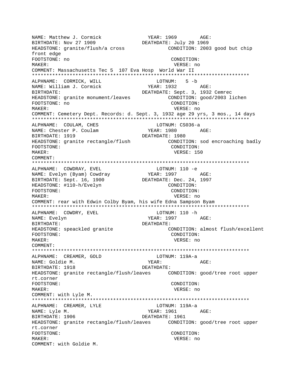NAME: Matthew J. Cormick YEAR: 1969 AGE: BIRTHDATE: Nov 27 1909 DEATHDATE: July 20 1969 HEADSTONE: granite/flush/a cross CONDITION: 2003 good but chip front edge FOOTSTONE: no CONDITION: MAKER: VERSE: no COMMENT: Massachusetts Tec 5 107 Eva Hosp World War II LOTNUM: 5-b ALPHNAME: CORMICK, WILL YEAR: 1932 NAME: William J. Cormick AGE: BIRTHDATE: DEATHDATE: Sept. 3, 1932 Cemrec HEADSTONE: granite monument/leaves CONDITION: good/2003 lichen FOOTSTONE: no CONDITION: VERSE: no MAKER: COMMENT: Cemetery Dept. Records: d. Sept. 3, 1932 age 29 yrs, 3 mos., 14 days ALPHNAME: COULAM, CHES LOTNUM: CS036-a NAME: Chester P. Coulam YEAR: 1980 AGE: BIRTHDATE: 1919 DEATHDATE: 1980 HEADSTONE: granite rectangle/flush CONDITION: sod encroaching badly CONDITION: FOOTSTONE: VERSE: 150 MAKER: COMMENT: ALPHNAME: COWDRAY, EVEL LOTNUM: 110 -e YEAR: 1997 NAME: Evelyn (Byam) Cowdray AGE: BIRTHDATE: Sept. 16, 1900 DEATHDATE: Dec. 24, 1997 HEADSTONE: #110-h/Evelyn CONDITION: FOOTSTONE: CONDITION: MAKER: VERSE: no COMMENT: rear with Edwin Colby Byam, his wife Edna Sampson Byam ALPHNAME: COWDRY, EVEL LOTNUM: 110 -h YEAR: 1997 NAME: Evelyn AGE: BIRTHDATE: DEATHDATE: CONDITION: almost flush/excellent HEADSTONE: speackled granite FOOTSTONE: CONDITION: MAKER: VERSE: no COMMENT: LOTNUM: 119A-a ALPHNAME: CREAMER, GOLD NAME: Goldie M. YEAR: AGE: BIRTHDATE: 1918 DEATHDATE: HEADSTONE: granite rectangle/flush/leaves CONDITION: good/tree root upper rt.corner FOOTSTONE: CONDITION: MAKER: VERSE: no COMMENT: with Lyle M. LOTNUM: 119A-a ALPHNAME: CREAMER, LYLE NAME: Lyle M. YEAR: 1961  $AGE$ : BIRTHDATE: 1906 DEATHDATE: 1961 HEADSTONE: granite rectangle/flush/leaves CONDITION: good/tree root upper rt.corner FOOTSTONE: CONDITION: MAKER: VERSE: no COMMENT: with Goldie M.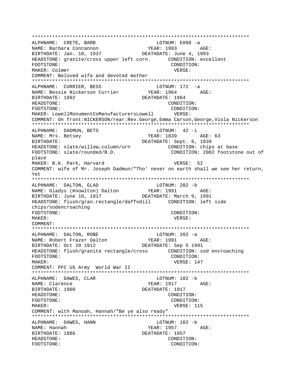\*\*\*\*\*\*\*\*\*\*\*\*\*\*\*\*\*\*\*\*\*\*\*\*\*\*\*\*\*\*\*\*\*\*\*\*\*\*\*\*\*\*\*\*\*\*\*\*\*\*\*\*\*\*\*\*\*\*\*\*\*\*\*\*\*\*\*\*\*\*\*\*\*\*\* ALPHNAME: CRETE, BARB LOTNUM: E088 -a NAME: Barbara Concannon YEAR: 1993 AGE: BIRTHDATE: Jan. 10, 1937 DEATHDATE: June 4, 1993 HEADSTONE: granite/cross upper left corn. CONDITION: excellent FOOTSTONE: CONDITION: MAKER: Colmer VERSE: COMMENT: Beloved wife and devoted mother \*\*\*\*\*\*\*\*\*\*\*\*\*\*\*\*\*\*\*\*\*\*\*\*\*\*\*\*\*\*\*\*\*\*\*\*\*\*\*\*\*\*\*\*\*\*\*\*\*\*\*\*\*\*\*\*\*\*\*\*\*\*\*\*\*\*\*\*\*\*\*\*\*\*\* ALPHNAME: CURRIER, BESS LOTNUM: 172 -a NAME: Bessie Nickerson Currier BIRTHDATE: 1892 DEATHDATE: 1964 HEADSTONE: CONDITION: FOOTSTONE: CONDITION: MAKER: LowellMonumentCoManufacturersLowell VERSE: COMMENT: On front:NICKERSON/rear:Rev.George,Emma Carson,George,Viola Nickerson \*\*\*\*\*\*\*\*\*\*\*\*\*\*\*\*\*\*\*\*\*\*\*\*\*\*\*\*\*\*\*\*\*\*\*\*\*\*\*\*\*\*\*\*\*\*\*\*\*\*\*\*\*\*\*\*\*\*\*\*\*\*\*\*\*\*\*\*\*\*\*\*\*\*\* ALPHNAME: DADMUN, BETS NAME: Mrs. Betsey NAME: 1839 AGE: 63 BIRTHDATE: Sept. 6, 1839 HEADSTONE: slate/willow,column/urn CONDITION: chips at base FOOTSTONE: slate/rounded/B.D. CONDITION: 2002 footstone out of place MAKER: B.K. Park, Harvard VERSE: 52 COMMENT: wife of Mr. Joseph Dadmun/"Tho' never on earth shall we see her return, Yet \*\*\*\*\*\*\*\*\*\*\*\*\*\*\*\*\*\*\*\*\*\*\*\*\*\*\*\*\*\*\*\*\*\*\*\*\*\*\*\*\*\*\*\*\*\*\*\*\*\*\*\*\*\*\*\*\*\*\*\*\*\*\*\*\*\*\*\*\*\*\*\*\*\*\* ALPHNAME: DALTON, GLAD LOTNUM: 202 -b NAME: Gladys (Knowlton) Dalton YEAR: 1991 AGE: BIRTHDATE: June 10, 1917 DEATHDATE: March 9, 1991 HEADSTONE: flush/gran.rectangle/daffodill CONDITION: left side chips/sodencroaching FOOTSTONE: CONDITION: MAKER: VERSE: COMMENT: \*\*\*\*\*\*\*\*\*\*\*\*\*\*\*\*\*\*\*\*\*\*\*\*\*\*\*\*\*\*\*\*\*\*\*\*\*\*\*\*\*\*\*\*\*\*\*\*\*\*\*\*\*\*\*\*\*\*\*\*\*\*\*\*\*\*\*\*\*\*\*\*\*\*\* ALPHNAME: DALTON, ROBE LOTNUM: 202 -a NAME: Robert Frazer Dalton YEAR: 1991 AGE: BIRTHDATE: Oct 20 1912 DEATHDATE: Sep 5 1991 HEADSTONE: flush/granite rectangle/cross CONDITION: sod encroaching FOOTSTONE: CONDITION: MAKER: THE SERVICE OF THE SERVICE OF THE SERVICE OF THE SERVICE OF THE SERVICE OF THE SERVICE OF THE SERVICE OF THE SERVICE OF THE SERVICE OF THE SERVICE OF THE SERVICE OF THE SERVICE OF THE SERVICE OF THE SERVICE OF THE S COMMENT: PFC US Army World War II \*\*\*\*\*\*\*\*\*\*\*\*\*\*\*\*\*\*\*\*\*\*\*\*\*\*\*\*\*\*\*\*\*\*\*\*\*\*\*\*\*\*\*\*\*\*\*\*\*\*\*\*\*\*\*\*\*\*\*\*\*\*\*\*\*\*\*\*\*\*\*\*\*\*\* ALPHNAME: DAWES, CLAR LOTNUM: 102 -b NAME: Clarence YEAR: 1917 AGE: BIRTHDATE: 1900 DEATHDATE: 1917 HEADSTONE: CONDITION: FOOTSTONE: CONDITION: MAKER: VERSE: 115 COMMENT: with Manoah, Hannah/"Be ye also ready" \*\*\*\*\*\*\*\*\*\*\*\*\*\*\*\*\*\*\*\*\*\*\*\*\*\*\*\*\*\*\*\*\*\*\*\*\*\*\*\*\*\*\*\*\*\*\*\*\*\*\*\*\*\*\*\*\*\*\*\*\*\*\*\*\*\*\*\*\*\*\*\*\*\*\* ALPHNAME: DAWES, HANN LOTNUM: 102 - b NAME: Hannah YEAR: 1957 AGE: BIRTHDATE: 1886 DEATHDATE: 1957 HEADSTONE: CONDITION: FOOTSTONE: CONDITION: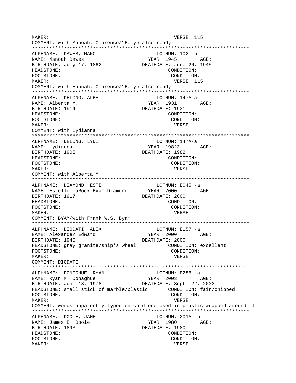MAKER: VERSE: 115 COMMENT: with Manoah, Clarence/"Be ye also ready" \*\*\*\*\*\*\*\*\*\*\*\*\*\*\*\*\*\*\*\*\*\*\*\*\*\*\*\*\*\*\*\*\*\*\*\*\*\*\*\*\*\*\*\*\*\*\*\*\*\*\*\*\*\*\*\*\*\*\*\*\*\*\*\*\*\*\*\*\*\*\*\*\*\*\* ALPHNAME: DAWES, MANO LOTNUM: 102 -b NAME: Manoah Dawes YEAR: 1945 AGE: BIRTHDATE: July 17, 1862 DEATHDATE: June 26, 1945 HEADSTONE: CONDITION: FOOTSTONE: CONDITION: MAKER: VERSE: 115 COMMENT: with Hannah, Clarence/"Be ye also ready" \*\*\*\*\*\*\*\*\*\*\*\*\*\*\*\*\*\*\*\*\*\*\*\*\*\*\*\*\*\*\*\*\*\*\*\*\*\*\*\*\*\*\*\*\*\*\*\*\*\*\*\*\*\*\*\*\*\*\*\*\*\*\*\*\*\*\*\*\*\*\*\*\*\*\* ALPHNAME: DELONG, ALBE LOTNUM: 147A-a NAME: Alberta M. Sand Magnus (1931 AGE: BIRTHDATE: 1914 DEATHDATE: 1931 HEADSTONE: CONDITION: FOOTSTONE: CONDITION: MAKER: VERSE: COMMENT: with Lydianna \*\*\*\*\*\*\*\*\*\*\*\*\*\*\*\*\*\*\*\*\*\*\*\*\*\*\*\*\*\*\*\*\*\*\*\*\*\*\*\*\*\*\*\*\*\*\*\*\*\*\*\*\*\*\*\*\*\*\*\*\*\*\*\*\*\*\*\*\*\*\*\*\*\*\* ALPHNAME: DELONG, LYDI LOTNUM: 147A-a NAME: Lydianna XEAR: 19823 AGE: BIRTHDATE: 1903 DEATHDATE: 1982 HEADSTONE: CONDITION: FOOTSTONE: CONDITION: MAKER: VERSE: COMMENT: with Alberta M. \*\*\*\*\*\*\*\*\*\*\*\*\*\*\*\*\*\*\*\*\*\*\*\*\*\*\*\*\*\*\*\*\*\*\*\*\*\*\*\*\*\*\*\*\*\*\*\*\*\*\*\*\*\*\*\*\*\*\*\*\*\*\*\*\*\*\*\*\*\*\*\*\*\*\* ALPHNAME: DIAMOND, ESTE LOTNUM: E045 -a NAME: Estelle LaRock Byam Diamond BIRTHDATE: 1917 DEATHDATE: 2000 HEADSTONE: CONDITION: FOOTSTONE: CONDITION: MAKER: VERSE: COMMENT: BYAM/with Frank W.S. Byam \*\*\*\*\*\*\*\*\*\*\*\*\*\*\*\*\*\*\*\*\*\*\*\*\*\*\*\*\*\*\*\*\*\*\*\*\*\*\*\*\*\*\*\*\*\*\*\*\*\*\*\*\*\*\*\*\*\*\*\*\*\*\*\*\*\*\*\*\*\*\*\*\*\*\* ALPHNAME: DIODATI, ALEX LOTNUM: E157 -a NAME: Alexander Edward TEAR: 2000 AGE: BIRTHDATE: 1945 DEATHDATE: 2000<br>HEADSTONE: gray granite/ship's wheel CONDITION: excellent HEADSTONE: gray granite/ship's wheel FOOTSTONE: CONDITION: MAKER: VERSE: COMMENT: DIODATI \*\*\*\*\*\*\*\*\*\*\*\*\*\*\*\*\*\*\*\*\*\*\*\*\*\*\*\*\*\*\*\*\*\*\*\*\*\*\*\*\*\*\*\*\*\*\*\*\*\*\*\*\*\*\*\*\*\*\*\*\*\*\*\*\*\*\*\*\*\*\*\*\*\*\* ALPHNAME: DONOGHUE, RYAN LOTNUM: E286 -a NAME: Ryan M. Donaghue YEAR: 2003 AGE: BIRTHDATE: June 13, 1978 DEATHDATE: Sept. 22, 2003 HEADSTONE: small stick of marble/plastic CONDITION: fair/chipped FOOTSTONE: CONDITION: MAKER: VERSE: COMMENT: words apparently typed on card enclosed in plastic wrapped around it \*\*\*\*\*\*\*\*\*\*\*\*\*\*\*\*\*\*\*\*\*\*\*\*\*\*\*\*\*\*\*\*\*\*\*\*\*\*\*\*\*\*\*\*\*\*\*\*\*\*\*\*\*\*\*\*\*\*\*\*\*\*\*\*\*\*\*\*\*\*\*\*\*\*\* ALPHNAME: DOOLE, JAME LOTNUM: 201A -b NAME: James E. Doole YEAR: 1980 AGE: BIRTHDATE: 1893 DEATHDATE: 1980 HEADSTONE: CONDITION: FOOTSTONE: CONDITION: MAKER: VERSE: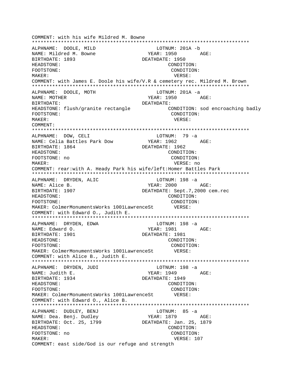COMMENT: with his wife Mildred M. Bowne ALPHNAME: DOOLE, MILD LOTNUM: 201A -b YEAR: 1950 AGE: NAME: Mildred M. Bowne BIRTHDATE: 1893 DEATHDATE: 1950 HEADSTONE: CONDITION: FOOTSTONE: CONDITION: MAKER: VERSE: COMMENT: with James E. Doole his wife/V.R & cemetery rec. Mildred M. Brown ALPHNAME: DOOLE, MOTH LOTNUM: 201A -a NAME: MOTHER YEAR: 1950 AGE: DEATHDATE: BIRTHDATE: HEADSTONE: flush/granite rectangle CONDITION: sod encroaching badly CONDITION: FOOTSTONE: MAKER: VERSE: COMMENT: ALPHNAME: DOW, CELI LOTNUM: 79 -a YEAR: 1962 AGE: NAME: Celia Battles Park Dow DEATHDATE: 1962 BIRTHDATE: 1864 HEADSTONE: CONDITION: FOOTSTONE: no CONDITION: MAKER: VERSE: no COMMENT: rear:with A. Heady Park his wife/left: Homer Battles Park ALPHNAME: DRYDEN, ALIC LOTNUM: 198 -a NAME: Alice B. YEAR: 2000 AGE: BIRTHDATE: 1907 DEATHDATE: Sept.7,2000 cem.rec HEADSTONE: CONDITION: CONDITION: FOOTSTONE: VERSE: MAKER: ColmerMonumentsWorks 1001LawrenceSt COMMENT: with Edward O., Judith E. ALPHNAME: DRYDEN, EDWA LOTNUM: 198 -a AGE: YEAR: 1981 NAME: Edward O. DEATHDATE: 1981 BIRTHDATE: 1901 HEADSTONE: CONDITION: CONDITION: FOOTSTONE: MAKER: ColmerMonumentsWorks 1001LawrenceSt VERSE: COMMENT: with Alice B., Judith E. ALPHNAME: DRYDEN, JUDI LOTNUM: 198 -a  $YEAR: 1949$   $AGE:$ NAME: Judith E. BIRTHDATE: 1934 DEATHDATE: 1949 HEADSTONE: CONDITION: CONDITION: FOOTSTONE: MAKER: ColmerMonumentsWorks 1001LawrenceSt VERSE: COMMENT: with Edward O., Alice B. ALPHNAME: DUDLEY, BENJ LOTNUM: 85 -a NAME: Dea. Benj. Dudley YEAR: 1879 AGE: BIRTHDATE: Oct. 25, 1799 DEATHDATE: Jan. 25, 1879 HEADSTONE: CONDITION: FOOTSTONE: no CONDITION: MAKER: VERSE: 107 COMMENT: east side/God is our refuge and strength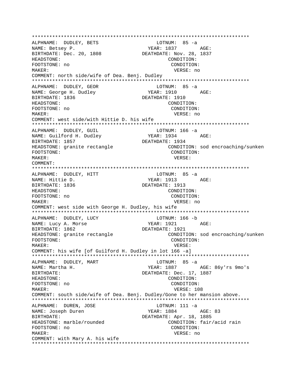ALPHNAME: DUDLEY, BETS LOTNUM: 85 -a  $YEAR: 1837$   $AGE:$ NAME: Betsey P. BIRTHDATE: Dec. 20, 1808 DEATHDATE: Nov. 28, 1837 HEADSTONE: CONDITION: FOOTSTONE: no CONDITION: MAKER: VERSE: no COMMENT: north side/wife of Dea. Benj. Dudley ALPHNAME: DUDLEY, GEOR LOTNUM:  $85 - a$ AGE: NAME: George H. Dudley YEAR: 1910 BIRTHDATE: 1836 DEATHDATE: 1910 HEADSTONE: CONDITION: FOOTSTONE: no CONDITION: MAKER: VERSE: no COMMENT: west side/with Hittie D. his wife ALPHNAME: DUDLEY, GUIL LOTNUM: 166 -a  $YEAR: 1934$   $AGE:$ NAME: Guilford H. Dudley DEATHDATE: 1934 BIRTHDATE: 1857 HEADSTONE: granite rectangle CONDITION: sod encroaching/sunken FOOTSTONE: CONDITION: MAKER: VERSE: COMMENT: ALPHNAME: DUDLEY, HITT LOTNUM: 85 -a NAME: Hittie D. YEAR: 1913 AGE: BIRTHDATE: 1836 DEATHDATE: 1913 HEADSTONE: CONDITION: CONDITION: FOOTSTONE: no MAKER: VERSE: no COMMENT: west side with George H. Dudley, his wife ALPHNAME: DUDLEY, LUCY LOTNUM: 166 -b NAME: Lucy A. Morse YEAR: 1921 AGE: BIRTHDATE: 1862 DEATHDATE: 1921 HEADSTONE: granite rectangle CONDITION: sod encroaching/sunken FOOTSTONE: CONDITION: MAKER: VERSE: COMMENT: his wife [of Guilford H. Dudley in lot 166 -a] ALPHNAME: DUDLEY, MART LOTNUM: 85 -a YEAR: 1887 AGE: 86y'rs 9mo's NAME: Martha H. DEATHDATE: Dec. 17, 1887 BIRTHDATE: HEADSTONE: CONDITION: FOOTSTONE: no CONDITION: MAKER: VERSE: 108 COMMENT: south side/wife of Dea. Benj. Dudley/Gone to her mansion above. ALPHNAME: DUREN, JOSE  $LOTNUM: 111 -a$ NAME: Joseph Duren YEAR: 1884 AGE: 83 DEATHDATE: Apr. 18, 1885 BIRTHDATE: HEADSTONE: marble/rounded CONDITION: fair/acid rain FOOTSTONE: no CONDITION: MAKER: VERSE: no COMMENT: with Mary A. his wife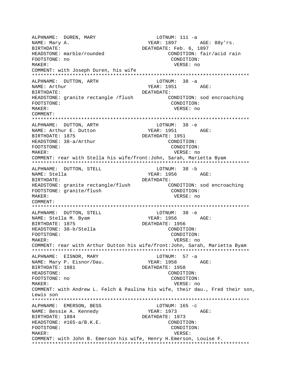ALPHNAME: DUREN, MARY LOTNUM: 111 -a NAME: Mary A. The Mathematic Service of the YEAR: 1897 AGE: 88y'rs. BIRTHDATE:  $DEATHDATE: Feb. 6, 1897$ HEADSTONE: marble/rounded CONDITION: fair/acid rain FOOTSTONE: no CONDITION: MAKER: VERSE: no COMMENT: with Joseph Duren, his wife \*\*\*\*\*\*\*\*\*\*\*\*\*\*\*\*\*\*\*\*\*\*\*\*\*\*\*\*\*\*\*\*\*\*\*\*\*\*\*\*\*\*\*\*\*\*\*\*\*\*\*\*\*\*\*\*\*\*\*\*\*\*\*\*\*\*\*\*\*\*\*\*\*\*\* ALPHNAME: DUTTON, ARTH NAME: Arthur  $YEAR: 1951$  AGE: BIRTHDATE: DEATHDATE: HEADSTONE: granite rectangle /flush CONDITION: sod encroaching FOOTSTONE: CONDITION: MAKER: VERSE: no COMMENT: \*\*\*\*\*\*\*\*\*\*\*\*\*\*\*\*\*\*\*\*\*\*\*\*\*\*\*\*\*\*\*\*\*\*\*\*\*\*\*\*\*\*\*\*\*\*\*\*\*\*\*\*\*\*\*\*\*\*\*\*\*\*\*\*\*\*\*\*\*\*\*\*\*\*\* ALPHNAME: DUTTON, ARTH<br>NAME: Arthur E. Dutton YEAR: 1951 AGE: BIRTHDATE: 1875 DEATHDATE: 1951 HEADSTONE:  $38-a/Arthur$  CONDITION: FOOTSTONE: CONDITION: MAKER: VERSE: no COMMENT: rear with Stella his wife/front:John, Sarah, Marietta Byam \*\*\*\*\*\*\*\*\*\*\*\*\*\*\*\*\*\*\*\*\*\*\*\*\*\*\*\*\*\*\*\*\*\*\*\*\*\*\*\*\*\*\*\*\*\*\*\*\*\*\*\*\*\*\*\*\*\*\*\*\*\*\*\*\*\*\*\*\*\*\*\*\*\*\* ALPHNAME: DUTTON, STELL NAME: Stella YEAR: 1956 AGE: BIRTHDATE: DEATHDATE: HEADSTONE: granite rectangle/flush CONDITION: sod encroaching FOOTSTONE: qranite/flush CONDITION: MAKER: VERSE: no COMMENT: \*\*\*\*\*\*\*\*\*\*\*\*\*\*\*\*\*\*\*\*\*\*\*\*\*\*\*\*\*\*\*\*\*\*\*\*\*\*\*\*\*\*\*\*\*\*\*\*\*\*\*\*\*\*\*\*\*\*\*\*\*\*\*\*\*\*\*\*\*\*\*\*\*\*\* ALPHNAME: DUTTON, STELL LOTNUM: 38 -e NAME: Stella M. Byam YEAR: 1956 AGE: BIRTHDATE: 1875 DEATHDATE: 1956 HEADSTONE: 38-b/Stella CONDITION: FOOTSTONE: CONDITION: MAKER: VERSE: no COMMENT: rear with Arthur Dutton his wife/front:John, Sarah, Marietta Byam \*\*\*\*\*\*\*\*\*\*\*\*\*\*\*\*\*\*\*\*\*\*\*\*\*\*\*\*\*\*\*\*\*\*\*\*\*\*\*\*\*\*\*\*\*\*\*\*\*\*\*\*\*\*\*\*\*\*\*\*\*\*\*\*\*\*\*\*\*\*\*\*\*\*\* ALPHNAME: EISNOR, MARY LOTNUM: 57 -a NAME: Mary P. Eisnor/Dau. YEAR: 1958 AGE: BIRTHDATE: 1881 DEATHDATE: 1958 HEADSTONE: CONDITION: FOOTSTONE: no CONDITION: MAKER: VERSE: no COMMENT: with Andrew L. Felch & Paulina his wife, their dau., Fred their son, Lewis son \*\*\*\*\*\*\*\*\*\*\*\*\*\*\*\*\*\*\*\*\*\*\*\*\*\*\*\*\*\*\*\*\*\*\*\*\*\*\*\*\*\*\*\*\*\*\*\*\*\*\*\*\*\*\*\*\*\*\*\*\*\*\*\*\*\*\*\*\*\*\*\*\*\*\* ALPHNAME: EMERSON, BESS LOTNUM: 165 -c NAME: Bessie A. Kennedy YEAR: 1973 AGE: BIRTHDATE: 1884 DEATHDATE: 1973 HEADSTONE: #165-a/B.K.E. CONDITION: FOOTSTONE: CONDITION: MAKER: VERSE: COMMENT: with John B. Emerson his wife, Henry H.Emerson, Louise F. \*\*\*\*\*\*\*\*\*\*\*\*\*\*\*\*\*\*\*\*\*\*\*\*\*\*\*\*\*\*\*\*\*\*\*\*\*\*\*\*\*\*\*\*\*\*\*\*\*\*\*\*\*\*\*\*\*\*\*\*\*\*\*\*\*\*\*\*\*\*\*\*\*\*\*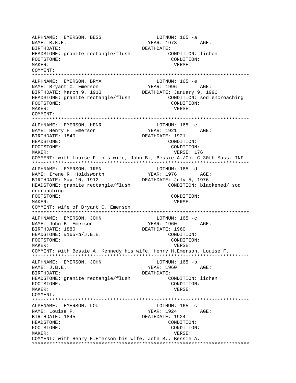ALPHNAME: EMERSON, BESS LOTNUM: 165 -a YEAR: 1973 AGE: NAME: B.K.E. BIRTHDATE: DEATHDATE: CONDITION: lichen HEADSTONE: granite rectangle/flush CONDITION: FOOTSTONE: MAKER: VERSE: COMMENT: ALPHNAME: EMERSON, BRYA LOTNUM: 165 -e YEAR: 1996 AGE: NAME: Bryant C. Emerson BIRTHDATE: March 9, 1913 DEATHDATE: January 9, 1996 HEADSTONE: granite rectangle/flush CONDITION: sod encroaching FOOTSTONE: CONDITION: MAKER: VERSE:  $COMM$  $R$  $N$  $T$ : ALPHNAME: EMERSON, HENR LOTNUM: 165 -c YEAR: 1921 AGE: NAME: Henry H. Emerson BIRTHDATE: 1840 DEATHDATE: 1921 HEADSTONE: CONDITION: FOOTSTONE: CONDITION: VERSE: 176 MAKER: COMMENT: with Louise F. his wife, John B., Bessie A./Co. C 30th Mass. INF ALPHNAME: EMERSON, IREN LOTNUM: 165 -d NAME: Irene R. Holdsworth<br>BIRTHDATE: May 10, 1912 YEAR: 1976 AGE: DEATHDATE: July 5, 1976 HEADSTONE: granite rectangle/flush CONDITION: blackened/ sod encroaching FOOTSTONE: CONDITION: MAKER: VERSE: COMMENT: wife of Bryant C. Emerson LOTNUM:  $165 -c$ ALPHNAME: EMERSON, JOHN NAME: John B. Emerson YEAR: 1960 AGE: BIRTHDATE: 1880 DEATHDATE: 1960 HEADSTONE: #165-b/J.B.E. CONDITION: FOOTSTONE: CONDITION: MAKER: VERSE: COMMENT: with Bessie A. Kennedy his wife, Henry H.Emerson, Louise F. ALPHNAME: EMERSON, JOHN LOTNUM: 165 -b YEAR: 1960 AGE: NAME: J.B.E. BIRTHDATE: DEATHDATE: HEADSTONE: granite rectangle/flush CONDITION: lichen CONDITION: FOOTSTONE: VERSE: MAKER: COMMENT: ALPHNAME: EMERSON, LOUI LOTNUM:  $165 -c$ YEAR: 1924 AGE: NAME: Louise F. BIRTHDATE: 1845 DEATHDATE: 1924 HEADSTONE: CONDITION: FOOTSTONE: CONDITION: MAKER: VERSE: COMMENT: with Henry H.Emerson his wife, John B., Bessie A.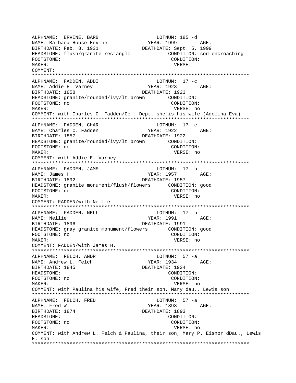ALPHNAME: ERVINE, BARB LOTNUM: 185 -d NAME: Barbara House Ervine YEAR: 1999 AGE: DEATHDATE: Sept. 5, 1999 BIRTHDATE: Feb. 8, 1931 HEADSTONE: flush/granite rectangle CONDITION: sod encroaching CONDITION: FOOTSTONE: MAKER: VERSE: COMMENT: ALPHNAME: FADDEN, ADDI  $LOTNUM: 17 -c$ NAME: Addie E. Varney YEAR: 1923 AGE: BIRTHDATE: 1858 DEATHDATE: 1923 HEADSTONE: granite/rounded/ivy/lt.brown CONDITION: FOOTSTONE: no CONDITION: MAKER: VERSE: no COMMENT: with Charles C. Fadden/Cem. Dept. she is his wife (Adelina Eva) ALPHNAME: FADDEN, CHAR  $LOTNUM: 17 -c$ NAME: Charles C. Fadden YEAR: 1922 AGE: BIRTHDATE: 1857 DEATHDATE: 1922 HEADSTONE: granite/rounded/ivy/lt.brown CONDITION: FOOTSTONE: no CONDITION: VERSE: no MAKER: COMMENT: with Addie E. Varney LOTNUM: 17 -b ALPHNAME: FADDEN, JAME YEAR: 1957 NAME: James H. AGE: BIRTHDATE: 1892 DEATHDATE: 1957 HEADSTONE: granite monument/flush/flowers CONDITION: good FOOTSTONE: no CONDITION: VERSE: no MAKER: COMMENT: FADDEN/with Nellie ALPHNAME: FADDEN, NELL LOTNUM: 17 -b NAME: Nellie YEAR: 1991 AGE: BIRTHDATE: 1896 DEATHDATE: 1991 HEADSTONE: gray granite monument/flowers CONDITION: good FOOTSTONE: no CONDITION: MAKER: VERSE: no COMMENT: FADDEN/with James H. ALPHNAME: FELCH, ANDR LOTNUM: 57 -a  $YEAR: 1934 \nAGE: \nAGE: \nAGE: 1934$ NAME: Andrew L. Felch DEATHDATE: 1934 BIRTHDATE: 1845 **HEADSTONE:** CONDITION: FOOTSTONE: no CONDITION: MAKER: VERSE: no COMMENT: with Paulina his wife, Fred their son, Mary dau., Lewis son LOTNUM:  $57 - a$ ALPHNAME: FELCH, FRED YEAR: 1893 NAME: Fred W. AGE: BIRTHDATE: 1874 DEATHDATE: 1893 HEADSTONE: CONDITION: FOOTSTONE: no CONDITION: VERSE: no MAKER: COMMENT: with Andrew L. Felch & Paulina, their son, Mary P. Eisnor dDau., Lewis  $E.$  son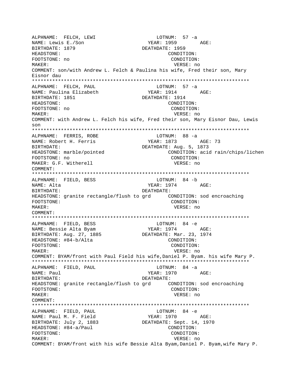ALPHNAME: FELCH, LEWI LOTNUM: 57 -a **YEAR: 1959** AGF: NAME: Lewis E./Son BIRTHDATE: 1879 DEATHDATE: 1959 HEADSTONE: CONDITION: CONDITION: FOOTSTONE: no MAKER: VERSE: no COMMENT: son/with Andrew L. Felch & Paulina his wife, Fred their son, Mary Eisnor dau ALPHNAME: FELCH, PAUL LOTNUM:  $57 - a$ NAME: Paulina Elizabeth YEAR: 1914 AGE: BIRTHDATE: 1851 DEATHDATE: 1914 HEADSTONE: CONDITION: FOOTSTONE: no CONDITION:  $M\Delta KFR$ : VERSE: no COMMENT: with Andrew L. Felch his wife, Fred their son, Mary Eisnor Dau, Lewis  $S<sub>on</sub>$ ALPHNAME: FERRIS, ROBE LOTNUM: 88 -a YEAR: 1873 AGE: 73 NAME: Robert H. Ferris DEATHDATE: Aug. 5, 1873 RIRTHDATE: HEADSTONE: marble/pointed CONDITION: acid rain/chips/lichen FOOTSTONE: no CONDITION: MAKER: G.F. Witherell VERSE: no COMMENT: ALPHNAME: FIELD, BESS LOTNUM: 84 -b  $YEAR: 1974$   $AGE:$ NAME: Alta BIRTHDATE: DEATHDATE: FOOTSTONE: CONDITION: MAKER: VERSE: no COMMENT: LOTNUM: 84 -e ALPHNAME: FIELD, BESS YEAR: 1974 NAME: Bessie Alta Byam AGE: DEATHDATE: Mar. 23, 1974 BIRTHDATE: Aug. 27, 1885 CONDITION: HEADSTONE: #84-b/Alta FOOTSTONE: CONDITION: MAKER: VERSE: no COMMENT: BYAM/front with Paul Field his wife, Daniel P. Byam. his wife Mary P. ALPHNAME: FIELD, PAUL LOTNUM: 84 -a NAME: Paul YEAR: 1970 AGE: BIRTHDATE: DEATHDATE: CONDITION: FOOTSTONE: MAKER: VERSE: no COMMENT: ALPHNAME: FIELD, PAUL LOTNUM: 84 -e NAME: Paul M. F. Field YEAR: 1970 AGE: BIRTHDATE: July 2, 1883 DEATHDATE: Sept. 14, 1970 HEADSTONE: #84-a/Paul CONDITION: FOOTSTONE: CONDITION: MAKER: VERSE: no COMMENT: BYAM/front with his wife Bessie Alta Byam, Daniel P. Byam, wife Mary P.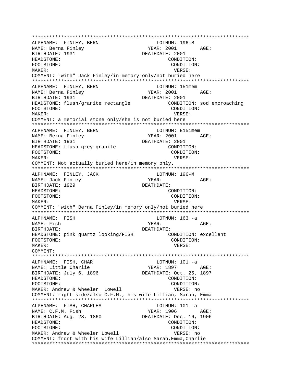\*\*\*\*\*\*\*\*\*\*\*\*\*\*\*\*\*\*\*\*\*\*\*\*\*\*\*\*\*\*\*\*\*\*\*\*\*\*\*\*\*\*\*\*\*\*\*\*\*\*\*\*\*\*\*\*\*\*\*\*\*\*\*\*\*\*\*\*\*\*\*\*\*\*\* ALPHNAME: FINLEY, BERN NAME: Berna Finley The South Communication of the YEAR: 2001 AGE: BIRTHDATE: 1931 DEATHDATE: 2001 HEADSTONE: CONDITION: FOOTSTONE: CONDITION: MAKER: VERSE: COMMENT: "with" Jack Finley/in memory only/not buried here \*\*\*\*\*\*\*\*\*\*\*\*\*\*\*\*\*\*\*\*\*\*\*\*\*\*\*\*\*\*\*\*\*\*\*\*\*\*\*\*\*\*\*\*\*\*\*\*\*\*\*\*\*\*\*\*\*\*\*\*\*\*\*\*\*\*\*\*\*\*\*\*\*\*\* ALPHNAME: FINLEY, BERN LOTNUM: 151mem NAME: Berna Finley YEAR: 2001 AGE: BIRTHDATE: 1931 DEATHDATE: 2001 HEADSTONE: flush/granite rectangle CONDITION: sod encroaching FOOTSTONE: CONDITION: MAKER: VERSE: COMMENT: a memorial stone only/she is not buried here \*\*\*\*\*\*\*\*\*\*\*\*\*\*\*\*\*\*\*\*\*\*\*\*\*\*\*\*\*\*\*\*\*\*\*\*\*\*\*\*\*\*\*\*\*\*\*\*\*\*\*\*\*\*\*\*\*\*\*\*\*\*\*\*\*\*\*\*\*\*\*\*\*\*\* ALPHNAME: FINLEY, BERN LOTNUM: E151mem NAME: Berna Finley TEAR: 2001 AGE: BIRTHDATE: 1931 DEATHDATE: 2001 HEADSTONE: flush grey granite CONDITION: FOOTSTONE: CONDITION: MAKER: VERSE: COMMENT: Not actually buried here/in memory only. \*\*\*\*\*\*\*\*\*\*\*\*\*\*\*\*\*\*\*\*\*\*\*\*\*\*\*\*\*\*\*\*\*\*\*\*\*\*\*\*\*\*\*\*\*\*\*\*\*\*\*\*\*\*\*\*\*\*\*\*\*\*\*\*\*\*\*\*\*\*\*\*\*\*\* ALPHNAME: FINLEY, JACK LOTNUM: 196-M NAME: Jack Finley Name YEAR: AGE: BIRTHDATE: 1929 DEATHDATE: HEADSTONE: CONDITION: FOOTSTONE: CONDITION: MAKER: VERSE: COMMENT: "with" Berna Finley/in memory only/not buried here \*\*\*\*\*\*\*\*\*\*\*\*\*\*\*\*\*\*\*\*\*\*\*\*\*\*\*\*\*\*\*\*\*\*\*\*\*\*\*\*\*\*\*\*\*\*\*\*\*\*\*\*\*\*\*\*\*\*\*\*\*\*\*\*\*\*\*\*\*\*\*\*\*\*\* ALPHNAME: FISH LOTNUM: 163 -a NAME: Fish YEAR: AGE: BIRTHDATE: DEATHDATE: HEADSTONE: pink quartz looking/FISH CONDITION: excellent FOOTSTONE: CONDITION: MAKER: VERSE: COMMENT: \*\*\*\*\*\*\*\*\*\*\*\*\*\*\*\*\*\*\*\*\*\*\*\*\*\*\*\*\*\*\*\*\*\*\*\*\*\*\*\*\*\*\*\*\*\*\*\*\*\*\*\*\*\*\*\*\*\*\*\*\*\*\*\*\*\*\*\*\*\*\*\*\*\*\* ALPHNAME: FISH, CHAR LOTNUM: 101 -a NAME: Little Charlie 1997 (AGE: 1897 (AGE: 1897)<br>BIRTHDATE: July 6, 1896 (DEATHDATE: 0ct. 25, 1897) BIRTHDATE: July 6, 1896 HEADSTONE: CONDITION: FOOTSTONE: CONDITION: MAKER: Andrew & Wheeler Lowell VERSE: no COMMENT: right side/also C.F.M., his wife Lillian, Sarah, Emma \*\*\*\*\*\*\*\*\*\*\*\*\*\*\*\*\*\*\*\*\*\*\*\*\*\*\*\*\*\*\*\*\*\*\*\*\*\*\*\*\*\*\*\*\*\*\*\*\*\*\*\*\*\*\*\*\*\*\*\*\*\*\*\*\*\*\*\*\*\*\*\*\*\*\* ALPHNAME: FISH, CHARLES LOTNUM: 101 -a NAME: C.F.M. Fish YEAR: 1906 AGE: BIRTHDATE: Aug. 28, 1860 DEATHDATE: Dec. 16, 1906 HEADSTONE: CONDITION: FOOTSTONE: CONDITION: MAKER: Andrew & Wheeler Lowell **VERSE:** no COMMENT: front with his wife Lillian/also Sarah,Emma,Charlie \*\*\*\*\*\*\*\*\*\*\*\*\*\*\*\*\*\*\*\*\*\*\*\*\*\*\*\*\*\*\*\*\*\*\*\*\*\*\*\*\*\*\*\*\*\*\*\*\*\*\*\*\*\*\*\*\*\*\*\*\*\*\*\*\*\*\*\*\*\*\*\*\*\*\*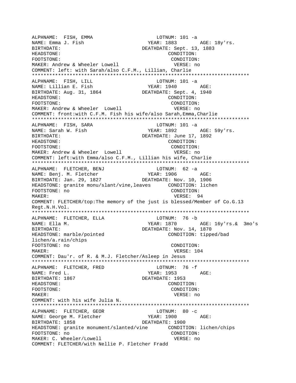ALPHNAME: FISH, EMMA LOTNUM: 101 -a NAME: Emma J. Fish YEAR: 1883 AGE: 18y'rs. BIRTHDATE: DEATHDATE: Sept. 13, 1883 HEADSTONE: CONDITION: FOOTSTONE: CONDITION: MAKER: Andrew & Wheeler Lowell **VERSE:** no COMMENT: left: with Sarah/also C.F.M., Lillian, Charlie \*\*\*\*\*\*\*\*\*\*\*\*\*\*\*\*\*\*\*\*\*\*\*\*\*\*\*\*\*\*\*\*\*\*\*\*\*\*\*\*\*\*\*\*\*\*\*\*\*\*\*\*\*\*\*\*\*\*\*\*\*\*\*\*\*\*\*\*\*\*\*\*\*\*\* ALPHNAME: FISH, LILL LOTNUM: 101 -a<br>NAME: Lillian E. Fish (YEAR: 1940) NAME: Lillian E. Fish The YEAR: 1940 AGE: BIRTHDATE: Aug. 31, 1864 DEATHDATE: Sept. 4, 1940 HEADSTONE: CONDITION: FOOTSTONE: CONDITION: MAKER: Andrew & Wheeler Lowell **VERSE:** no COMMENT: front:with C.F.M. Fish his wife/also Sarah,Emma,Charlie \*\*\*\*\*\*\*\*\*\*\*\*\*\*\*\*\*\*\*\*\*\*\*\*\*\*\*\*\*\*\*\*\*\*\*\*\*\*\*\*\*\*\*\*\*\*\*\*\*\*\*\*\*\*\*\*\*\*\*\*\*\*\*\*\*\*\*\*\*\*\*\*\*\*\* ALPHNAME: FISH, SARA LOTNUM: 101 -a NAME: Sarah W. Fish YEAR: 1892 AGE: 59y'rs. BIRTHDATE:  $DEATHDATE: June 17, 1892$ HEADSTONE: CONDITION: FOOTSTONE: CONDITION: MAKER: Andrew & Wheeler Lowell VERSE: no COMMENT: left:with Emma/also C.F.M., Lillian his wife, Charlie \*\*\*\*\*\*\*\*\*\*\*\*\*\*\*\*\*\*\*\*\*\*\*\*\*\*\*\*\*\*\*\*\*\*\*\*\*\*\*\*\*\*\*\*\*\*\*\*\*\*\*\*\*\*\*\*\*\*\*\*\*\*\*\*\*\*\*\*\*\*\*\*\*\*\* ALPHNAME: FLETCHER, BENJ LOTNUM: 62 -a NAME: Benj. M. Fletcher YEAR: 1906 AGE: BIRTHDATE: Jan. 29, 1827 DEATHDATE: Nov. 10, 1906 HEADSTONE: granite monu/slant/vine,leaves CONDITION: lichen FOOTSTONE: no CONDITION: MAKER: 94 COMMENT: FLETCHER/top:The memory of the just is blessed/Member of Co.G.13 Regt.N.H.Vol. \*\*\*\*\*\*\*\*\*\*\*\*\*\*\*\*\*\*\*\*\*\*\*\*\*\*\*\*\*\*\*\*\*\*\*\*\*\*\*\*\*\*\*\*\*\*\*\*\*\*\*\*\*\*\*\*\*\*\*\*\*\*\*\*\*\*\*\*\*\*\*\*\*\*\* ALPHNAME: FLETCHER, ELLA LOTNUM: 76 -b NAME: Ella M. YEAR: 1870 AGE: 16y'rs.& 3mo's BIRTHDATE: Nov. 14, 1870 HEADSTONE: marble/pointed CONDITION: tipped/bad lichen/a.rain/chips FOOTSTONE: no CONDITION: MAKER: 104 COMMENT: Dau'r. of R. & M.J. Fletcher/Asleep in Jesus \*\*\*\*\*\*\*\*\*\*\*\*\*\*\*\*\*\*\*\*\*\*\*\*\*\*\*\*\*\*\*\*\*\*\*\*\*\*\*\*\*\*\*\*\*\*\*\*\*\*\*\*\*\*\*\*\*\*\*\*\*\*\*\*\*\*\*\*\*\*\*\*\*\*\* ALPHNAME: FLETCHER, FRED LOTNUM: 76 -f NAME: Fred L. Same Communication of the MEAR: 1953 AGE: BIRTHDATE: 1867 DEATHDATE: 1953 HEADSTONE: CONDITION: FOOTSTONE: CONDITION: MAKER: VERSE: no COMMENT: with his wife Julia N. \*\*\*\*\*\*\*\*\*\*\*\*\*\*\*\*\*\*\*\*\*\*\*\*\*\*\*\*\*\*\*\*\*\*\*\*\*\*\*\*\*\*\*\*\*\*\*\*\*\*\*\*\*\*\*\*\*\*\*\*\*\*\*\*\*\*\*\*\*\*\*\*\*\*\* ALPHNAME: FLETCHER, GEOR LOTNUM: 80 -c NAME: George M. Fletcher YEAR: 1900 AGE: BIRTHDATE: 1858 DEATHDATE: 1900 HEADSTONE: granite monument/slanted/vine CONDITION: lichen/chips FOOTSTONE: no CONDITION: MAKER: C. Wheeler/Lowell vances are verse versus versus versus versus no COMMENT: FLETCHER/with Nellie P. Fletcher Fradd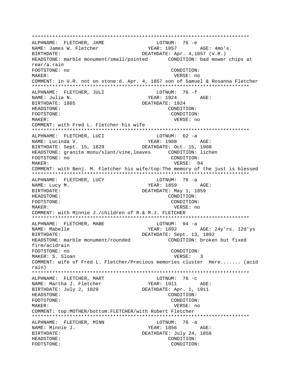ALPHNAME: FLETCHER, JAME LOTNUM: 76 -e YEAR: 1857 AGE: 4mo's. NAME: James W. Fletcher BIRTHDATE: DEATHDATE: Apr. 4,1857 (V.R.) HEADSTONE: marble monument/small/pointed CONDITION: bad mower chips at rear/a.rain FOOTSTONE: no CONDITION: MAKER: VERSE: no COMMENT: in V.R. not on stone:d. Apr. 4, 1857 son of Samuel & Rosanna Fletcher ALPHNAME: FLETCHER, JULI LOTNUM: 76 -f NAME: Julia N.  $YEAR: 1924$   $AGE:$ BIRTHDATE: 1865 DEATHDATE: 1924 HEADSTONE: CONDITION: FOOTSTONE: CONDITION: MAKER: VERSE: no COMMENT: with Fred L. Fletcher his wife ALPHNAME: FLETCHER, LUCI LOTNUM:  $62 - a$ YEAR: 1908 AGE: NAME: Lucinda V. BIRTHDATE: Sept. 15, 1829 DEATHDATE: Oct. 15, 1908 HEADSTONE: granite monu/slant/vine, leaves CONDITION: lichen FOOTSTONE: no CONDITION: MAKER: VERSE: 94 COMMENT: with Benj. M. Fletcher his wife/top: The memory of the just is blessed ALPHNAME: FLETCHER, LUCY LOTNUM: 76 -a YEAR: 1859 NAME: Lucy M.  $\triangle$   $G$   $\Gamma$ : BIRTHDATE: DEATHDATE: May 1, 1859 CONDITION: HEADSTONE: FOOTSTONE: CONDITION: MAKER: VERSE: no COMMENT: with Minnie J./children of R.& M.J. FLETCHER LOTNUM: 94 -a ALPHNAME: FLETCHER, MABE YEAR: 1892 NAME: Mabelle AGE: 24y'rs. 12d'ys DEATHDATE: Sept. 13, 1892 BIRTHDATE: HEADSTONE: marble monument/rounded CONDITION: broken but fixed firm/acidrain CONDITION: FOOTSTONE: no MAKER: S. Sloan VERSE: 3 COMMENT: wife of Fred L. Fletcher/Precious memories cluster Here....... (acid rain) LOTNUM:  $76 -c$ ALPHNAME: FLETCHER, MART NAME: Martha J. Fletcher YEAR: 1911 AGE: BIRTHDATE: July 2, 1829 DEATHDATE: Apr. 1, 1911 HEADSTONE: CONDITION: FOOTSTONE: CONDITION: MAKER: VERSE: no COMMENT: top:MOTHER/bottom:FLETCHER/with Robert Fletcher ALPHNAME: FLETCHER, MINN LOTNUM:  $76 -a$ NAME: Minnie J.  $YEAR: 1856$   $AGE:$ BIRTHDATE: DEATHDATE: July 24, 1856 HEADSTONE: CONDITION: FOOTSTONE: CONDITION: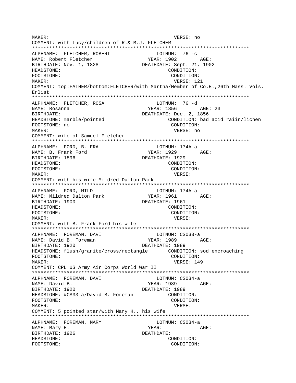MAKER: VERSE: no COMMENT: with Lucy/children of R.& M.J. FLETCHER ALPHNAME: FLETCHER, ROBERT LOTNUM: 76 -c NAME: Robert Fletcher YEAR: 1902 AGE: BIRTHDATE: Nov. 1, 1828 DEATHDATE: Sept. 21, 1902 HEADSTONE: CONDITION: FOOTSTONE: CONDITION: MAKER: VERSE: 121 COMMENT: top:FATHER/bottom:FLETCHER/with Martha/Member of Co.E., 26th Mass. Vols.  $Find the t$ ALPHNAME: FLETCHER, ROSA LOTNUM: 76 -d NAME: Rosanna YEAR: 1856 AGE: 23 BIRTHDATE: DEATHDATE: Dec. 2, 1856 HEADSTONE: marble/pointed CONDITION: bad acid raiin/lichen FOOTSTONE: no CONDITION: MAKER: VERSE: no COMMENT: wife of Samuel Fletcher ALPHNAME: FORD, B. FRA LOTNUM: 174A-a NAME: B. Frank Ford YEAR: 1929 AGE: DEATHDATE: 1929 BIRTHDATE: 1896 HEADSTONE: CONDITION: FOOTSTONE: CONDITION: MAKER: VERSE: COMMENT: with his wife Mildred Dalton Park ALPHNAME: FORD, MILD LOTNUM: 174A-a YEAR: 1961 AGE: NAME: Mildred Dalton Park BIRTHDATE: 1900 DEATHDATE: 1961 HEADSTONE: CONDITION: CONDITION: FOOTSTONE: VERSE: MAKER: COMMENT: with B. Frank Ford his wife LOTNUM: CS033-a ALPHNAME: FOREMAN, DAVI NAME: David B. Foreman YEAR: 1989 AGE: BIRTHDATE: 1920 DEATHDATE: 1989 HEADSTONE: flush/qranite/cross/rectangle CONDITION: sod encroaching FOOTSTONE: CONDITION: MAKER: VERSE: 149 COMMENT: CPL US Army Air Corps World War II ALPHNAME: FOREMAN, DAVI LOTNUM: CS034-a YEAR: 1989 AGE: NAME: David B. BIRTHDATE: 1920 DEATHDATE: 1989 HEADSTONE: #CS33-a/David B. Foreman CONDITION: FOOTSTONE: CONDITION: MAKER: VERSE: COMMENT: 5 pointed star/with Mary H., his wife ALPHNAME: FOREMAN, MARY LOTNUM: CS034-a NAME: Mary H. YEAR: AGE: BIRTHDATE: 1926 DEATHDATE: HEADSTONE: CONDITION: FOOTSTONE: CONDITION: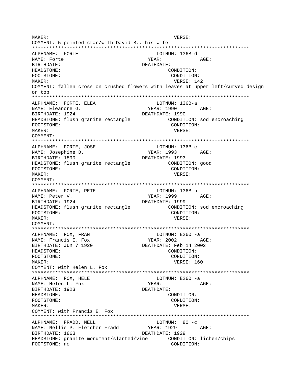MAKER: VERSE: COMMENT: 5 pointed star/with David B., his wife ALPHNAME: FORTE LOTNUM: 136B-d NAME: Forte YEAR: AGE: BIRTHDATE: DEATHDATE: CONDITION: HEADSTONE: FOOTSTONE: CONDITION: MAKER: VERSE: 142 COMMENT: fallen cross on crushed flowers with leaves at upper left/curved design  $on$  top ALPHNAME: FORTE, ELEA LOTNUM: 136B-a NAME: Eleanore G. YEAR: 1990 AGE: BIRTHDATE: 1924 DEATHDATE: 1990 HEADSTONE: flush granite rectangle CONDITION: sod encroaching FOOTSTONE: CONDITION: MAKER: VERSE: COMMENT: ALPHNAME: FORTE, JOSE LOTNUM: 136B-C YEAR: 1993 NAME: Josephine D. AGE: DEATHDATE: 1993 BIRTHDATE: 1890 HEADSTONE: flush granite rectangle CONDITION: good CONDITION: FOOTSTONE: MAKER: VERSE: COMMENT: ALPHNAME: FORTE, PETE LOTNUM: 136B-b NAME: Peter V. YEAR: 1999 AGE: BIRTHDATE: 1924 DEATHDATE: 1999 HEADSTONE: flush granite rectangle CONDITION: sod encroaching CONDITION: FOOTSTONE: MAKER: VERSE: COMMENT: ALPHNAME: FOX, FRAN LOTNUM: E260 -a **YEAR: 2002** NAME: Francis E. Fox AGE: BIRTHDATE: Jun 7 1920 DEATHDATE: Feb 14 2002 HEADSTONE: CONDITION: FOOTSTONE: CONDITION: VERSE: 160 MAKER: COMMENT: with Helen L. Fox LOTNUM: E260 -a ALPHNAME: FOX, HELE NAME: Helen L. Fox YEAR: AGE: BIRTHDATE: 1923 DEATHDATE: HEADSTONE: CONDITION: FOOTSTONE: CONDITION: MAKER: VERSE: COMMENT: with Francis E. Fox ALPHNAME: FRADD, NELL LOTNUM:  $80 - c$ NAME: Nellie P. Fletcher Fradd YEAR: 1929 AGE: BIRTHDATE: 1863 DEATHDATE: 1929 CONDITION: lichen/chips HEADSTONE: granite monument/slanted/vine FOOTSTONE: no CONDITION: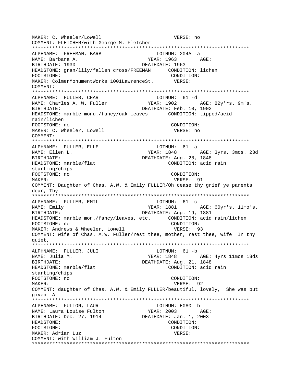MAKER: C. Wheeler/Lowell VERSE: no COMMENT: FLETCHER/with George M. Fletcher ALPHNAME: FREEMAN, BARB LOTNUM: 204A -a NAME: Barbara A. YEAR: 1963 AGE: BIRTHDATE: 1930 DEATHDATE: 1963 HEADSTONE: qran/lily/fallen cross/FREEMAN CONDITION: lichen CONDITION: FOOTSTONE: MAKER: ColmerMonumentWorks 1001LawrenceSt. VERSE: COMMENT: ALPHNAME: FULLER, CHAR LOTNUM: 61 -d NAME: Charles A. W. Fuller YEAR: 1902 AGE: 82y'rs. 9m's. **BIRTHDATE:** DEATHDATE: Feb. 10, 1902 HEADSTONE: marble monu./fancy/oak leaves CONDITION: tipped/acid rain/lichen FOOTSTONE: no CONDITION: MAKER: C. Wheeler, Lowell VERSE: no COMMENT: ALPHNAME: FULLER, ELLE LOTNUM: 61 -a NAME: Ellen L. YEAR: 1848 AGE: 3yrs. 3mos. 23d DEATHDATE: Aug. 28, 1848 BIRTHDATE: CONDITION: acid rain HEADSTONE: marble/flat starting/chips FOOTSTONE: no CONDITION: MAKER: VERSE: 91 COMMENT: Daughter of Chas. A.W. & Emily FULLER/Oh cease thy grief ye parents dear, Thy ALPHNAME: FULLER, EMIL LOTNUM:  $61 - c$ YEAR: 1881 AGE: 60yr's. 11mo's. NAME: Emily DEATHDATE: Aug. 19, 1881 BIRTHDATE: HEADSTONE: marble mon./fancy/leaves, etc. CONDITION: acid rain/lichen CONDITION: FOOTSTONE: no MAKER: Andrews & Wheeler, Lowell VERSE: 93 COMMENT: wife of Chas. A.W. Fuller/rest thee, mother, rest thee, wife In thy quiet, ALPHNAME: FULLER, JULI LOTNUM: 61 -b YEAR: 1848 AGE: 4yrs 11mos 18ds NAME: Julia M. DEATHDATE: Aug. 21, 1848 BIRTHDATE: CONDITION: acid rain HEADSTONE: marble/flat starting/chips FOOTSTONE: no CONDITION: MAKER: VERSE: 92 COMMENT: daughter of Chas. A.W. & Emily FULLER/beautiful, lovely, She was but given A ALPHNAME: FULTON, LAUR LOTNUM: E080 -b ALPHNAME. FOLION,<br>NAME: Laura Louise Fulton YEAR: 2003 AGE: BIRTHDATE: Dec. 27, 1914 DEATHDATE: Jan. 1, 2003 HEADSTONE: CONDITION: FOOTSTONE: CONDITION: MAKER: Adrian Luz VERSE: COMMENT: with William J. Fulton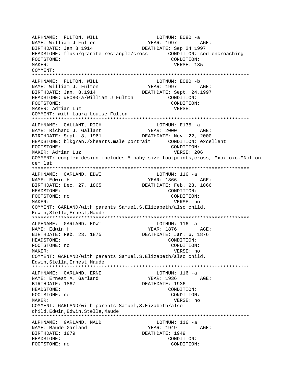ALPHNAME: FULTON, WILL LOTNUM: E080 -a<br>NAME: William J Fulton MAME: YEAR: 1997 AGE: NAME: William J Fulton BIRTHDATE: Jan 8 1914 DEATHDATE: Sep 24 1997 HEADSTONE: flush/granite rectangle/cross CONDITION: sod encroaching FOOTSTONE: CONDITION: MAKER: VERSE: 185 COMMENT: \*\*\*\*\*\*\*\*\*\*\*\*\*\*\*\*\*\*\*\*\*\*\*\*\*\*\*\*\*\*\*\*\*\*\*\*\*\*\*\*\*\*\*\*\*\*\*\*\*\*\*\*\*\*\*\*\*\*\*\*\*\*\*\*\*\*\*\*\*\*\*\*\*\*\* ALPHNAME: FULTON, WILL LOTNUM: E080 -b NAME: William J. Fulton YEAR: 1997 AGE:<br>BIRTHDATE: Jan. 8,1914 DEATHDATE: Sept. 24.1997 DEATHDATE: Sept. 24,1997 HEADSTONE: #E080-a/William J Fulton CONDITION: FOOTSTONE: CONDITION: MAKER: Adrian Luz **VERSE:** COMMENT: with Laura Louise Fulton \*\*\*\*\*\*\*\*\*\*\*\*\*\*\*\*\*\*\*\*\*\*\*\*\*\*\*\*\*\*\*\*\*\*\*\*\*\*\*\*\*\*\*\*\*\*\*\*\*\*\*\*\*\*\*\*\*\*\*\*\*\*\*\*\*\*\*\*\*\*\*\*\*\*\* ALPHNAME: GALLANT, RICH LOTNUM: E135 -a NAME: Richard J. Gallant YEAR: 2000 AGE: BIRTHDATE: Sept. 8, 1961 DEATHDATE: Nov. 22, 2000 HEADSTONE: blkgran./2hearts,male portrait CONDITION: excellent FOOTSTONE: CONDITION: MAKER: Adrian Luz **VERSE: 206** COMMENT: complex design includes 5 baby-size footprints,cross, "xox oxo."Not on cem lst \*\*\*\*\*\*\*\*\*\*\*\*\*\*\*\*\*\*\*\*\*\*\*\*\*\*\*\*\*\*\*\*\*\*\*\*\*\*\*\*\*\*\*\*\*\*\*\*\*\*\*\*\*\*\*\*\*\*\*\*\*\*\*\*\*\*\*\*\*\*\*\*\*\*\* ALPHNAME: GARLAND, EDWI LOTNUM: 116 -a NAME: Edwin H. YEAR: 1866 AGE: BIRTHDATE: Dec. 27, 1865 DEATHDATE: Feb. 23, 1866 HEADSTONE: CONDITION: FOOTSTONE: no CONDITION: MAKER: VERSE: no COMMENT: GARLAND/with parents Samuel,S.Elizabeth/also child. Edwin,Stella,Ernest,Maude \*\*\*\*\*\*\*\*\*\*\*\*\*\*\*\*\*\*\*\*\*\*\*\*\*\*\*\*\*\*\*\*\*\*\*\*\*\*\*\*\*\*\*\*\*\*\*\*\*\*\*\*\*\*\*\*\*\*\*\*\*\*\*\*\*\*\*\*\*\*\*\*\*\*\* ALPHNAME: GARLAND, EDWI LOTNUM: 116 -a NAME: Edwin H. YEAR: 1876 AGE: BIRTHDATE: Feb. 23, 1875 HEADSTONE: CONDITION: FOOTSTONE: no CONDITION: MAKER: VERSE: no COMMENT: GARLAND/with parents Samuel,S.Elizabeth/also child. Edwin,Stella,Ernest,Maude \*\*\*\*\*\*\*\*\*\*\*\*\*\*\*\*\*\*\*\*\*\*\*\*\*\*\*\*\*\*\*\*\*\*\*\*\*\*\*\*\*\*\*\*\*\*\*\*\*\*\*\*\*\*\*\*\*\*\*\*\*\*\*\*\*\*\*\*\*\*\*\*\*\*\* ALPHNAME: GARLAND, ERNE LOTNUM: 116 -a NAME: Ernest A. Garland YEAR: 1936 AGE: BIRTHDATE: 1867 DEATHDATE: 1936 HEADSTONE: CONDITION: FOOTSTONE: no CONDITION: MAKER: VERSE: no COMMENT: GARLAND/with parents Samuel,S.Eizabeth/also child.Edwin,Edwin,Stella,Maude \*\*\*\*\*\*\*\*\*\*\*\*\*\*\*\*\*\*\*\*\*\*\*\*\*\*\*\*\*\*\*\*\*\*\*\*\*\*\*\*\*\*\*\*\*\*\*\*\*\*\*\*\*\*\*\*\*\*\*\*\*\*\*\*\*\*\*\*\*\*\*\*\*\*\* ALPHNAME: GARLAND, MAUD LOTNUM: 116 -a NAME: Maude Garland YEAR: 1949 AGE: BIRTHDATE: 1879 DEATHDATE: 1949 HEADSTONE: CONDITION: FOOTSTONE: no CONDITION: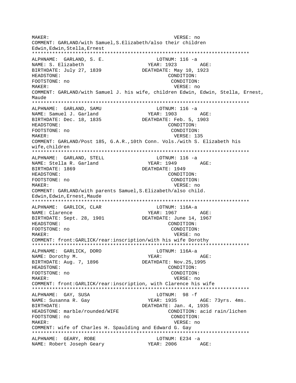MAKER: VERSE: no COMMENT: GARLAND/with Samuel,S.Elizabeth/also their children Edwin,Edwin,Stella,Ernest \*\*\*\*\*\*\*\*\*\*\*\*\*\*\*\*\*\*\*\*\*\*\*\*\*\*\*\*\*\*\*\*\*\*\*\*\*\*\*\*\*\*\*\*\*\*\*\*\*\*\*\*\*\*\*\*\*\*\*\*\*\*\*\*\*\*\*\*\*\*\*\*\*\*\* ALPHNAME: GARLAND, S. E. LOTNUM: 116 -a NAME: S. Elizabeth YEAR: 1923 AGE: BIRTHDATE: July 27, 1839 DEATHDATE: May 10, 1923 HEADSTONE: CONDITION: FOOTSTONE: no CONDITION: MAKER: VERSE: no COMMENT: GARLAND/with Samuel J. his wife, children Edwin, Edwin, Stella, Ernest, Maude \*\*\*\*\*\*\*\*\*\*\*\*\*\*\*\*\*\*\*\*\*\*\*\*\*\*\*\*\*\*\*\*\*\*\*\*\*\*\*\*\*\*\*\*\*\*\*\*\*\*\*\*\*\*\*\*\*\*\*\*\*\*\*\*\*\*\*\*\*\*\*\*\*\*\* ALPHNAME: GARLAND, SAMU LOTNUM: 116 -a NAME: Samuel J. Garland YEAR: 1903 AGE:<br>BIRTHDATE: Dec. 18, 1835 DEATHDATE: Feb. 5, 1903 BIRTHDATE: Dec. 18, 1835 HEADSTONE: CONDITION: FOOTSTONE: no CONDITION: MAKER: USE STREET STREET STREET AS A STREET STREET AS A STREET STREET AS A STREET STREET AS A STREET STREET AS COMMENT: GARLAND/Post 185, G.A.R.,10th Conn. Vols./with S. Elizabeth his wife,children \*\*\*\*\*\*\*\*\*\*\*\*\*\*\*\*\*\*\*\*\*\*\*\*\*\*\*\*\*\*\*\*\*\*\*\*\*\*\*\*\*\*\*\*\*\*\*\*\*\*\*\*\*\*\*\*\*\*\*\*\*\*\*\*\*\*\*\*\*\*\*\*\*\*\* ALPHNAME: GARLAND, STELL LOTNUM: 116 -a NAME: Stella R. Garland YEAR: 1949 AGE: BIRTHDATE: 1869 DEATHDATE: 1949 HEADSTONE: CONDITION: FOOTSTONE: no CONDITION: MAKER: VERSE: no COMMENT: GARLAND/with parents Samuel,S.Elizabeth/also child. Edwin,Edwin,Ernest,Maude \*\*\*\*\*\*\*\*\*\*\*\*\*\*\*\*\*\*\*\*\*\*\*\*\*\*\*\*\*\*\*\*\*\*\*\*\*\*\*\*\*\*\*\*\*\*\*\*\*\*\*\*\*\*\*\*\*\*\*\*\*\*\*\*\*\*\*\*\*\*\*\*\*\*\* ALPHNAME: GARLICK, CLAR LOTNUM: 116A-a NAME: Clarence YEAR: 1967 AGE: BIRTHDATE: Sept. 28, 1901 DEATHDATE: June 14, 1967 HEADSTONE:  $\begin{array}{ccc} \text{FOOTSTONE}: & \text{FOOTSTONE}: & \text{FOOTSTONE}: & \text{FOOTSTONE}: & \text{FOOTSTONE}: & \text{FOOTSTONE}: & \text{FOOTSTONE}: & \text{FOOTSTONE}: & \text{FOOTSTONE}: & \text{FMOTSTONE}: & \text{FMOTSTONE}: & \text{FMOTSTONE}: & \text{FMOTSTONE}: & \text{FMOTSTONE}: & \text{FMOTSTONE}: & \text{FMOTSTONE}: & \text{FMOTSTONE}: & \text{FMOTSTONE}: & \text{FMOTSTONE}: & \text{FMOTSTOLEN}: & \text$ FOOTSTONE: no MAKER: VERSE: no COMMENT: front:GARLICK/rear:inscription/with his wife Dorothy \*\*\*\*\*\*\*\*\*\*\*\*\*\*\*\*\*\*\*\*\*\*\*\*\*\*\*\*\*\*\*\*\*\*\*\*\*\*\*\*\*\*\*\*\*\*\*\*\*\*\*\*\*\*\*\*\*\*\*\*\*\*\*\*\*\*\*\*\*\*\*\*\*\*\* ALPHNAME: GARLICK, DORO LOTNUM: 116A-a NAME: Dorothy M. The Manuscripture of the Magnuscripture of the Magnuscripture of the Magnuscripture of the Ma BIRTHDATE: Aug. 7, 1896 DEATHDATE: Nov.25,1995 HEADSTONE: CONDITION: FOOTSTONE: no CONDITION: MAKER: VERSE: no COMMENT: front:GARLICK/rear:inscription, with Clarence his wife \*\*\*\*\*\*\*\*\*\*\*\*\*\*\*\*\*\*\*\*\*\*\*\*\*\*\*\*\*\*\*\*\*\*\*\*\*\*\*\*\*\*\*\*\*\*\*\*\*\*\*\*\*\*\*\*\*\*\*\*\*\*\*\*\*\*\*\*\*\*\*\*\*\*\* ALPHNAME: GAY, SUSA LOTNUM: 98 -f NAME: Susanna R. Gay  $YEAR: 1935$  AGE: 73yrs. 4ms. BIRTHDATE:  $DEATHDATE: Jan. 4, 1935$ HEADSTONE: marble/rounded/WIFE CONDITION: acid rain/lichen FOOTSTONE: no CONDITION: MAKER: VERSE: no COMMENT: wife of Charles H. Spaulding and Edward G. Gay \*\*\*\*\*\*\*\*\*\*\*\*\*\*\*\*\*\*\*\*\*\*\*\*\*\*\*\*\*\*\*\*\*\*\*\*\*\*\*\*\*\*\*\*\*\*\*\*\*\*\*\*\*\*\*\*\*\*\*\*\*\*\*\*\*\*\*\*\*\*\*\*\*\*\* ALPHNAME: GEARY, ROBE LOTNUM: E234 -a NAME: Robert Joseph Geary YEAR: 2006 AGE: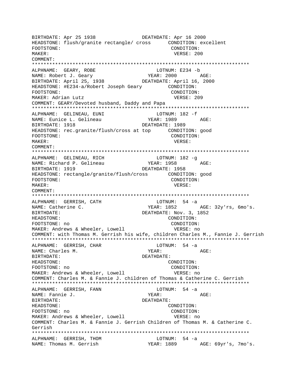BIRTHDATE: Apr 25 1938 DEATHDATE: Apr 16 2000 HEADSTONE: flush/granite rectangle/ cross CONDITION: excellent FOOTSTONE: CONDITION: MAKER: VERSE: 200 COMMENT: \*\*\*\*\*\*\*\*\*\*\*\*\*\*\*\*\*\*\*\*\*\*\*\*\*\*\*\*\*\*\*\*\*\*\*\*\*\*\*\*\*\*\*\*\*\*\*\*\*\*\*\*\*\*\*\*\*\*\*\*\*\*\*\*\*\*\*\*\*\*\*\*\*\*\* ALPHNAME: GEARY, ROBE LOTNUM: E234 -b NAME: Robert J. Geary YEAR: 2000 AGE:<br>BIRTHDATE: April 25, 1938 DEATHDATE: April 16, 2000 BIRTHDATE: April 25, 1938 HEADSTONE: #E234-a/Robert Joseph Geary CONDITION: FOOTSTONE: CONDITION: MAKER: Adrian Lutz **VERSE: 209** COMMENT: GEARY/Devoted husband, Daddy and Papa \*\*\*\*\*\*\*\*\*\*\*\*\*\*\*\*\*\*\*\*\*\*\*\*\*\*\*\*\*\*\*\*\*\*\*\*\*\*\*\*\*\*\*\*\*\*\*\*\*\*\*\*\*\*\*\*\*\*\*\*\*\*\*\*\*\*\*\*\*\*\*\*\*\*\* ALPHNAME: GELINEAU, EUNI LOTNUM: 182 - f NAME: Eunice L. Gelineau YEAR: 1989 AGE: BIRTHDATE: 1918 **DEATHDATE: 1989** HEADSTONE: rec.granite/flush/cross at top CONDITION: good FOOTSTONE: CONDITION: MAKER: VERSE: COMMENT: \*\*\*\*\*\*\*\*\*\*\*\*\*\*\*\*\*\*\*\*\*\*\*\*\*\*\*\*\*\*\*\*\*\*\*\*\*\*\*\*\*\*\*\*\*\*\*\*\*\*\*\*\*\*\*\*\*\*\*\*\*\*\*\*\*\*\*\*\*\*\*\*\*\*\* ALPHNAME: GELINEAU, RICH CHARAGH LOTNUM: 182 -q NAME: Richard P. Gelineau YEAR: 1958 AGE: BIRTHDATE: 1919 DEATHDATE: 1958 HEADSTONE: rectangle/granite/flush/cross CONDITION: good FOOTSTONE: CONDITION: MAKER: VERSE: COMMENT: \*\*\*\*\*\*\*\*\*\*\*\*\*\*\*\*\*\*\*\*\*\*\*\*\*\*\*\*\*\*\*\*\*\*\*\*\*\*\*\*\*\*\*\*\*\*\*\*\*\*\*\*\*\*\*\*\*\*\*\*\*\*\*\*\*\*\*\*\*\*\*\*\*\*\* ALPHNAME: GERRISH, CATH NAME: Catherine C. The South of the YEAR: 1852 AGE: 32y'rs, 6mo's. BIRTHDATE: DEATHDATE: Nov. 3, 1852 HEADSTONE: CONDITION: FOOTSTONE: no CONDITION: MAKER: Andrews & Wheeler, Lowell VERSE: no COMMENT: with Thomas M. Gerrish his wife, children Charles M., Fannie J. Gerrish \*\*\*\*\*\*\*\*\*\*\*\*\*\*\*\*\*\*\*\*\*\*\*\*\*\*\*\*\*\*\*\*\*\*\*\*\*\*\*\*\*\*\*\*\*\*\*\*\*\*\*\*\*\*\*\*\*\*\*\*\*\*\*\*\*\*\*\*\*\*\*\*\*\*\* ALPHNAME: GERRISH, CHAR LOTNUM: 54 -a NAME: Charles M. Name Magnus (2008) NAME: AGE: BIRTHDATE: DEATHDATE: HEADSTONE: CONDITION: FOOTSTONE: no CONDITION: MAKER: Andrews & Wheeler, Lowell VERSE: no COMMENT: Charles M. & Fannie J. children of Thomas & Catherine C. Gerrish \*\*\*\*\*\*\*\*\*\*\*\*\*\*\*\*\*\*\*\*\*\*\*\*\*\*\*\*\*\*\*\*\*\*\*\*\*\*\*\*\*\*\*\*\*\*\*\*\*\*\*\*\*\*\*\*\*\*\*\*\*\*\*\*\*\*\*\*\*\*\*\*\*\*\* ALPHNAME: GERRISH, FANN LOTNUM: 54 -a NAME: Fannie J. YEAR: AGE: BIRTHDATE: DEATHDATE: HEADSTONE: CONDITION: FOOTSTONE: no CONDITION: MAKER: Andrews & Wheeler, Lowell VERSE: no COMMENT: Charles M. & Fannie J. Gerrish Children of Thomas M. & Catherine C. Gerrish \*\*\*\*\*\*\*\*\*\*\*\*\*\*\*\*\*\*\*\*\*\*\*\*\*\*\*\*\*\*\*\*\*\*\*\*\*\*\*\*\*\*\*\*\*\*\*\*\*\*\*\*\*\*\*\*\*\*\*\*\*\*\*\*\*\*\*\*\*\*\*\*\*\*\* ALPHNAME: GERRISH, THOM NAME: Thomas M. Gerrish YEAR: 1889 AGE: 69yr's, 7mo's.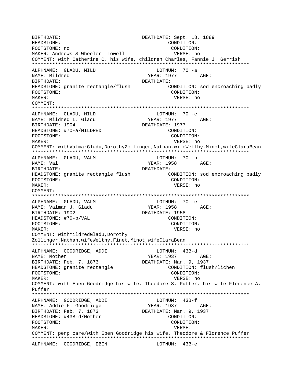BIRTHDATE: DEATHDATE: Sept. 18, 1889 CONDITION: HEADSTONE: FOOTSTONE: no CONDITION: MAKER: Andrews & Wheeler Lowell VERSE: no COMMENT: with Catherine C. his wife, children Charles, Fannie J. Gerrish ALPHNAME: GLADU, MILD LOTNUM: 70 -a NAME: Mildred YEAR: 1977 AGE: BIRTHDATE: DEATHDATE: HEADSTONE: granite rectangle/flush CONDITION: sod encroaching badly FOOTSTONE: CONDITION:  $M\Delta KFR$ : VERSE: no COMMENT: ALPHNAME: GLADU, MILD LOTNUM: 70 -e  $YEAR: 1977$   $AGE: 1977$ NAME: Mildred L. Gladu BIRTHDATE: 1904 DEATHDATE: 1977 HEADSTONE: #70-a/MILDRED CONDITION: FOOTSTONE: CONDITION: MAKER: VERSE: no COMMENT: withValmarGladu, DorothyZollinger, Nathan, wifeWelthy, Minot, wifeClaraBean ALPHNAME: GLADU, VALM LOTNUM: 70 -b NAME: Val YEAR: 1958 AGE: BIRTHDATE: DEATHDATE: HEADSTONE: granite rectangle flush CONDITION: sod encroaching badly FOOTSTONE: CONDITION: MAKER: VERSE: no  $COMMFINT$ :  $LOTNUM: 70 -e$ ALPHNAME: GLADU, VALM YEAR: 1958 AGE: NAME: Valmar J. Gladu DEATHDATE: 1958 BIRTHDATE: 1902 HEADSTONE: #70-b/VAL CONDITION: FOOTSTONE: CONDITION: MAKER: VERSE: no COMMENT: withMildredGladu, Dorothy Zollinger, Nathan, wifeWelthy, Finet, Minot, wifeClaraBean ALPHNAME: GOODRIDGE, ADDI LOTNUM: 43B-d YEAR: 1937 AGE: NAME: Mother BIRTHDATE: Feb. 7, 1873 DEATHDATE: Mar. 9, 1937 CONDITION: flush/lichen HEADSTONE: granite rectangle FOOTSTONE: CONDITION: MAKER: VERSE: no COMMENT: with Eben Goodridge his wife, Theodore S. Puffer, his wife Florence A. Puffer ALPHNAME: GOODRIDGE, ADDI LOTNUM: 43B-f YEAR: 1937 NAME: Addie F. Goodridge AGE: DEATHDATE: Mar. 9, 1937 BIRTHDATE: Feb. 7, 1873 CONDITION: HEADSTONE: #43B-d/Mother FOOTSTONE: CONDITION: MAKER: VERSE: COMMENT: perp.care/with Eben Goodridge his wife, Theodore & Florence Puffer LOTNUM: 43B-e ALPHNAME: GOODRIDGE, EBEN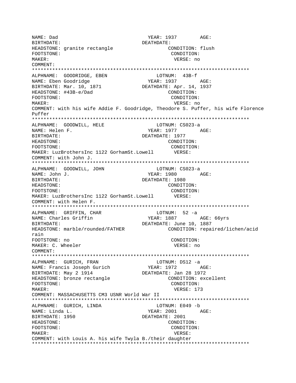YEAR: 1937 AGE: NAME: Dad DEATHDATE: BIRTHDATE: HEADSTONE: granite rectangle CONDITION: flush FOOTSTONE: CONDITION: MAKER: VERSE: no COMMENT: ALPHNAME: GOODRIDGE, EBEN  $LOTNIIM: 43B-f$ NAME: Eben Goodridge YEAR: 1937 AGE: DEATHDATE: Apr. 14, 1937 BIRTHDATE: Mar. 10, 1871 HEADSTONE: #43B-e/Dad CONDITION: FOOTSTONE: CONDITION: VERSE: no MAKER: COMMENT: with his wife Addie F. Goodridge, Theodore S. Puffer, his wife Florence  $P<sub>11</sub>f f<sub>P</sub>r$ ALPHNAME: GOODWILL, HELE LOTNUM: CS023-a NAME: Helen F. YEAR: 1977 AGE: BIRTHDATE: DEATHDATE: 1977 HEADSTONE: CONDITION: CONDITION: FOOTSTONE: MAKER: LuzBrothersInc 1122 GorhamSt.Lowell VERSE: COMMENT: with John J. LOTNUM: CS023-a ALPHNAME: GOODWILL, JOHN NAME: John J. YEAR: 1980 AGE: BIRTHDATE: DEATHDATE: 1980 CONDITION: HEADSTONE: FOOTSTONE: CONDITION: MAKER: LuzBrothersInc 1122 GorhamSt.Lowell VERSE: COMMENT: with Helen F.  $LOTNUM: 52 -a$ ALPHNAME: GRIFFIN, CHAR NAME: Charles Griffin YEAR: 1887 AGE: 66yrs DEATHDATE: June 10, 1887 BIRTHDATE: CONDITION: repaired/lichen/acid HEADSTONE: marble/rounded/FATHER rain FOOTSTONE: no CONDITION: MAKER: C. Wheeler VERSE: no COMMENT: ALPHNAME: GURICH, FRAN LOTNUM: DS12 -a YEAR: 1972 AGE: NAME: Francis Joseph Gurich BIRTHDATE: May 2 1914 DEATHDATE: Jan 28 1972 HEADSTONE: bronze rectangle CONDITION: excellent FOOTSTONE: CONDITION: VERSE: 173 MAKER: COMMENT: MASSACHUSETTS CM3 USNR World War II ALPHNAME: GURICH, LINDA LOTNUM: E049 -b NAME: Linda L. YEAR: 2001 AGE: BIRTHDATE: 1950 DEATHDATE: 2001 HEADSTONE: CONDITION: FOOTSTONE: CONDITION: MAKER: VERSE: COMMENT: with Louis A. his wife Twyla B./their daughter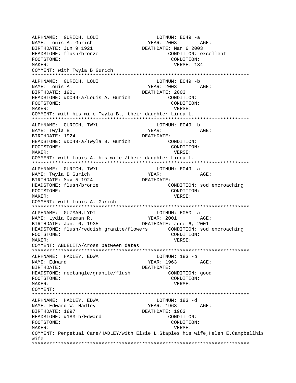ALPHNAME: GURICH, LOUI NAME: Louis A. Gurich YEAR: 2003 AGE: BIRTHDATE: Jun 9 1921 DEATHDATE: Mar 6 2003 HEADSTONE: flush/bronze CONDITION: excellent FOOTSTONE: CONDITION: MAKER: USA NEWSPAPER SERVICES AND MELON MAKER: 184 COMMENT: with Twyla B Gurich \*\*\*\*\*\*\*\*\*\*\*\*\*\*\*\*\*\*\*\*\*\*\*\*\*\*\*\*\*\*\*\*\*\*\*\*\*\*\*\*\*\*\*\*\*\*\*\*\*\*\*\*\*\*\*\*\*\*\*\*\*\*\*\*\*\*\*\*\*\*\*\*\*\*\* ALPHNAME: GURICH, LOUI NAME: Louis A. YEAR: 2003 AGE: BIRTHDATE: 1921 DEATHDATE: 2003 HEADSTONE: #D049-a/Louis A. Gurich CONDITION: FOOTSTONE: CONDITION: MAKER: VERSE: COMMENT: with his wife Twyla B., their daughter Linda L. \*\*\*\*\*\*\*\*\*\*\*\*\*\*\*\*\*\*\*\*\*\*\*\*\*\*\*\*\*\*\*\*\*\*\*\*\*\*\*\*\*\*\*\*\*\*\*\*\*\*\*\*\*\*\*\*\*\*\*\*\*\*\*\*\*\*\*\*\*\*\*\*\*\*\* ALPHNAME: GURICH, TWYL LOTNUME: LOTN<br>NAME: Twyla B. YEAR: NAME: Twyla B. YEAR: YEAR: AGE: BIRTHDATE: 1924 DEATHDATE: HEADSTONE: #D049-a/Twyla B. Gurich CONDITION: FOOTSTONE: CONDITION: MAKER: VERSE: COMMENT: with Louis A. his wife /their daughter Linda L. \*\*\*\*\*\*\*\*\*\*\*\*\*\*\*\*\*\*\*\*\*\*\*\*\*\*\*\*\*\*\*\*\*\*\*\*\*\*\*\*\*\*\*\*\*\*\*\*\*\*\*\*\*\*\*\*\*\*\*\*\*\*\*\*\*\*\*\*\*\*\*\*\*\*\* ALPHNAME: GURICH, TWYL LOTNUM: E049 -a NAME: Twyla B Gurich YEAR: YEAR: AGE: BIRTHDATE: May 5 1924 DEATHDATE: HEADSTONE: flush/bronze CONDITION: sod encroaching FOOTSTONE: CONDITION: MAKER: VERSE: COMMENT: with Louis A. Gurich \*\*\*\*\*\*\*\*\*\*\*\*\*\*\*\*\*\*\*\*\*\*\*\*\*\*\*\*\*\*\*\*\*\*\*\*\*\*\*\*\*\*\*\*\*\*\*\*\*\*\*\*\*\*\*\*\*\*\*\*\*\*\*\*\*\*\*\*\*\*\*\*\*\*\* ALPHNAME: GUZMAN, LYDI LOTNUM: E050 -a NAME: Lydia Guzman R. YEAR: 2001 AGE: BIRTHDATE: Jan. 6, 1935 DEATHDATE: June 6, 2001 HEADSTONE: flush/reddish granite/flowers CONDITION: sod encroaching FOOTSTONE: CONDITION: MAKER: VERSE: COMMENT: ABUELITA/cross between dates \*\*\*\*\*\*\*\*\*\*\*\*\*\*\*\*\*\*\*\*\*\*\*\*\*\*\*\*\*\*\*\*\*\*\*\*\*\*\*\*\*\*\*\*\*\*\*\*\*\*\*\*\*\*\*\*\*\*\*\*\*\*\*\*\*\*\*\*\*\*\*\*\*\*\* ALPHNAME: HADLEY, EDWA **LOTNUM:** 183 -b NAME: Edward  $YEAR: 1963$  AGE: BIRTHDATE: DEATHDATE: HEADSTONE: rectangle/granite/flush CONDITION: good FOOTSTONE: CONDITION: MAKER: VERSE: COMMENT: \*\*\*\*\*\*\*\*\*\*\*\*\*\*\*\*\*\*\*\*\*\*\*\*\*\*\*\*\*\*\*\*\*\*\*\*\*\*\*\*\*\*\*\*\*\*\*\*\*\*\*\*\*\*\*\*\*\*\*\*\*\*\*\*\*\*\*\*\*\*\*\*\*\*\* ALPHNAME: HADLEY, EDWA NAME: Edward W. Hadley YEAR: 1963 AGE: BIRTHDATE: 1897 **DEATHDATE: 1963** HEADSTONE: #183-b/Edward CONDITION: FOOTSTONE: CONDITION: MAKER: VERSE: COMMENT: Perpetual Care/HADLEY/with Elsie L.Staples his wife,Helen E.Campbellhis wife \*\*\*\*\*\*\*\*\*\*\*\*\*\*\*\*\*\*\*\*\*\*\*\*\*\*\*\*\*\*\*\*\*\*\*\*\*\*\*\*\*\*\*\*\*\*\*\*\*\*\*\*\*\*\*\*\*\*\*\*\*\*\*\*\*\*\*\*\*\*\*\*\*\*\*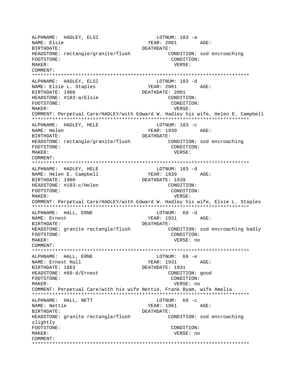ALPHNAME: HADLEY, ELSI LOTNUM: 183 -a YEAR: 2001 AGE: NAME: Elsie BIRTHDATE: DEATHDATE: HEADSTONE: rectangle/granite/flush CONDITION: sod encroaching CONDITION: FOOTSTONE: MAKER: VERSE: COMMENT: ALPHNAME: HADLEY, ELSI LOTNUM: 183 -d NAME: Elsie L. Staples YEAR: 2001 AGE: BIRTHDATE: 1906 DEATHDATE: 2001 HEADSTONE: #183-a/Elsie CONDITION: FOOTSTONE: CONDITION: MAKER: VERSE: COMMENT: Perpetual Care/HADLEY/with Edward W. Hadley his wife, Helen E. Campbell ALPHNAME: HADLEY, HELE LOTNUM: 183 -c NAME: Helen YEAR: 1939 AGE: DEATHDATE: BIRTHDATE: HEADSTONE: rectangle/granite/flush CONDITION: sod encroaching CONDITION: FOOTSTONE: MAKER: VERSE: COMMENT: ALPHNAME: HADLEY, HELE LOTNUM: 183 -d NAME: Helen E. Campbell YEAR: 1939 AGE: BIRTHDATE: 1900 DEATHDATE: 1939 HEADSTONE: #183-c/Helen CONDITION: FOOTSTONE: CONDITION: MAKER: VERSE: COMMENT: Perpetual Care/HADLEY/with Edward W. Hadley his wife, Elsie L. Staples ALPHNAME: HALL, ERNE LOTNUM: 69 -d NAME: Ernest YEAR: 1931 AGE: BIRTHDATE: DEATHDATE: CONDITION: sod encroaching badly HEADSTONE: granite rectangle/flush FOOTSTONE: CONDITION: MAKER: VERSE: no COMMENT: ALPHNAME: HALL, ERNE LOTNUM: 69 -e YEAR: 1931 AGE:<br>DEATHDATE: 1931 NAME: Ernest Hall BIRTHDATE: 1863 HEADSTONE: #69-d/Ernest CONDITION: good FOOTSTONE: CONDITION: MAKER: VERSE: no COMMENT: Perpetual Care/with his wife Nettie, Frank Byam, wife Amelia ALPHNAME: HALL, NETT LOTNUM:  $69 - c$ YEAR: 1961 NAME: Nettie AGE: BIRTHDATE: DEATHDATE: HEADSTONE: granite rectangle/flush CONDITION: sod encroaching slightly FOOTSTONE: CONDITION: MAKER: VERSE: no COMMENT: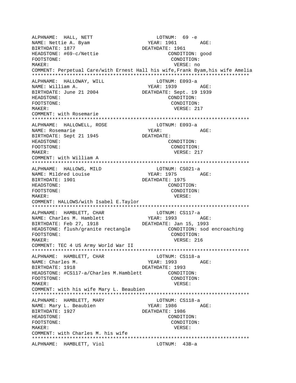LOTNUM: 07<br>
YEAR: 1961 AGE:<br>
2061 ALPHNAME: HALL, NETT NAME: Nettie A. Byam BIRTHDATE: 1877 DEATHDATE: 1961 HEADSTONE: #69-c/Nettie CONDITION: good CONDITION: FOOTSTONE: MAKER: VERSE: no COMMENT: Perpetual Care/with Ernest Hall his wife, Frank Byam, his wife Amelia ALPHNAME: HALLOWAY, WILL LOTNUM: E093-a **YEAR: 1939** NAME: William A. AGE: BIRTHDATE: June 21 2004 DEATHDATE: Sept. 19 1939 HEADSTONE: CONDITION: FOOTSTONE: CONDITION: MAKER: VERSE: 217 COMMENT: with Rosemarie LOTNUM: E093-a<br>YEAR: ALPHNAME: HALLOWELL, ROSE NAME: Rosemarie AGE: BIRTHDATE: Sept 21 1945 DEATHDATE: HEADSTONE: CONDITION: FOOTSTONE: CONDITION: VERSE: 217  $MAKER$ : COMMENT: with William A LOTNUM: CS021-a ALPHNAME: HALLOWS, MILD NAME: Mildred Louise YEAR: 1975 AGE: BIRTHDATE: 1901 DEATHDATE: 1975 HEADSTONE: CONDITION: FOOTSTONE: CONDITION: MAKER: VERSE: COMMENT: HALLOWS/with Isabel E.Taylor ALPHNAME: HAMBLETT, CHAR LOTNUM: CS117-a NAME: Charles M. Hamblett<br>BIRTHDATE: Feb 27, 1918 **YEAR: 1993** AGE: DEATHDATE: Jan 15, 1993 HEADSTONE: flush/granite rectangle CONDITION: sod encroaching FOOTSTONE: CONDITION: MAKER: VERSE: 216 COMMENT: TEC 4 US Army World War II ALPHNAME: HAMBLETT, CHAR LOTNUM: CS118-a YEAR: 1993 AGE: NAME: Charles M.  $BIRTHDATE: 1918$ DEATHDATE: 1993 HEADSTONE: #CS117-a/Charles M.Hamblett CONDITION: FOOTSTONE: CONDITION: MAKER: VERSE: COMMENT: with his wife Mary L. Beaubien ALPHNAME: HAMBLETT, MARY LOTNUM: CS118-a YEAR: 1986 AGE: NAME: Mary L. Beaubien BIRTHDATE: 1927 DEATHDATE: 1986 HEADSTONE: CONDITION: FOOTSTONE: CONDITION: MAKER: VERSE: COMMENT: with Charles M. his wife ALPHNAME: HAMBLETT, Viol LOTNUM: 43B-a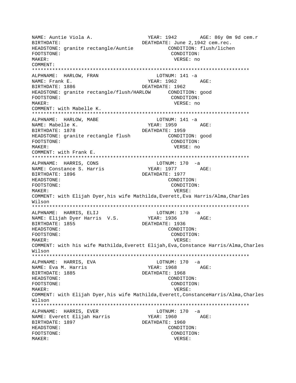YEAR: 1942 AGE: 86y 0m 9d cem.r NAME: Auntie Viola A. DEATHDATE: June 2,1942 cem.rec. BIRTHDATE: HEADSTONE: granite rectangle/Auntie CONDITION: flush/lichen FOOTSTONE: CONDITION: MAKER: VERSE: no COMMENT: ALPHNAME: HARLOW, FRAN LOTNUM: 141 -a YEAR: 1962 NAME: Frank E. AGE: BIRTHDATE: 1886 DEATHDATE: 1962 HEADSTONE: granite rectangle/flush/HARLOW CONDITION: good FOOTSTONE: CONDITION: VERSE: no MAKER: COMMENT: with Mabelle K. ALPHNAME: HARLOW, MABE  $LOTNUM: 141 -a$ NAME: Mabelle K. YEAR: 1959 AGE: BIRTHDATE: 1878 DEATHDATE: 1959 HEADSTONE: granite rectangle flush CONDITION: good FOOTSTONE: CONDITION: MAKER: VERSE: no COMMENT: with Frank E. LOTNUM: 170 -a ALPHNAME: HARRIS, CONS YEAR: 1977 AGE: NAME: Constance S. Harris DEATHDATE: 1977 BIRTHDATE: 1896 HEADSTONE: CONDITION: CONDITION: FOOTSTONE: MAKER: VERSE: COMMENT: with Elijah Dyer, his wife Mathilda, Everett, Eva Harris/Alma, Charles Wilson ALPHNAME: HARRIS, ELIJ LOTNUM: 170 -a YEAR: 1936 AGE: NAME: Elijah Dyer Harris V.S. BIRTHDATE: 1855 DEATHDATE: 1936 HEADSTONE: CONDITION: FOOTSTONE: CONDITION: MAKER: VERSE: COMMENT: with his wife Mathilda, Everett Elijah, Eva, Constance Harris/Alma, Charles Wilson  $LOTNUM: 170 -a$ ALPHNAME: HARRIS, EVA NAME: Eva M. Harris YEAR: 1968 AGE: BIRTHDATE: 1885 DEATHDATE: 1968 HEADSTONE: CONDITION: FOOTSTONE: CONDITION: MAKER: VERSE: COMMENT: with Elijah Dyer, his wife Mathilda, Everett, ConstanceHarris/Alma, Charles Wilson ALPHNAME: HARRIS, EVER  $LOTNUM: 170 -a$ NAME: Everett Elijah Harris AGE: YEAR: 1960 BIRTHDATE: 1897 DEATHDATE: 1960 HEADSTONE: CONDITION: FOOTSTONE: CONDITION: MAKER: VERSE: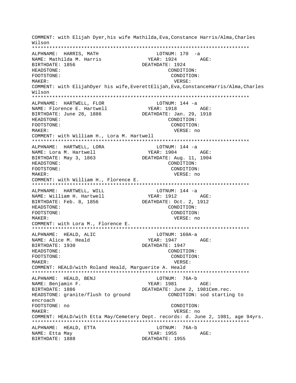COMMENT: with Elijah Dyer,his wife Mathilda,Eva,Constance Harris/Alma,Charles Wilson \*\*\*\*\*\*\*\*\*\*\*\*\*\*\*\*\*\*\*\*\*\*\*\*\*\*\*\*\*\*\*\*\*\*\*\*\*\*\*\*\*\*\*\*\*\*\*\*\*\*\*\*\*\*\*\*\*\*\*\*\*\*\*\*\*\*\*\*\*\*\*\*\*\*\* ALPHNAME: HARRIS, MATH NAME: Mathilda M. Harris YEAR: 1924 AGE: BIRTHDATE: 1856 DEATHDATE: 1924 HEADSTONE: CONDITION: FOOTSTONE: CONDITION: MAKER: VERSE: COMMENT: with ElijahDyer his wife,EverettElijah,Eva,ConstanceHarris/Alma,Charles Wilson \*\*\*\*\*\*\*\*\*\*\*\*\*\*\*\*\*\*\*\*\*\*\*\*\*\*\*\*\*\*\*\*\*\*\*\*\*\*\*\*\*\*\*\*\*\*\*\*\*\*\*\*\*\*\*\*\*\*\*\*\*\*\*\*\*\*\*\*\*\*\*\*\*\*\* ALPHNAME: HARTWELL, FLOR LOTNUM: 144 -a NAME: Florence E. Hartwell YEAR: 1918 AGE: BIRTHDATE: June 28, 1886 DEATHDATE: Jan. 29, 1918 HEADSTONE: CONDITION: FOOTSTONE: CONDITION: MAKER: VERSE: no COMMENT: with William H., Lora M. Hartwell \*\*\*\*\*\*\*\*\*\*\*\*\*\*\*\*\*\*\*\*\*\*\*\*\*\*\*\*\*\*\*\*\*\*\*\*\*\*\*\*\*\*\*\*\*\*\*\*\*\*\*\*\*\*\*\*\*\*\*\*\*\*\*\*\*\*\*\*\*\*\*\*\*\*\* ALPHNAME: HARTWELL, LORA COTNUM: 144 -a NAME: Lora M. Hartwell YEAR: 1904 AGE: BIRTHDATE: May 3, 1863 DEATHDATE: Aug. 11, 1904 HEADSTONE: CONDITION: FOOTSTONE: CONDITION: MAKER: VERSE: no COMMENT: with William H., Florence E. \*\*\*\*\*\*\*\*\*\*\*\*\*\*\*\*\*\*\*\*\*\*\*\*\*\*\*\*\*\*\*\*\*\*\*\*\*\*\*\*\*\*\*\*\*\*\*\*\*\*\*\*\*\*\*\*\*\*\*\*\*\*\*\*\*\*\*\*\*\*\*\*\*\*\* ALPHNAME: HARTWELL, WILL CONNUM: 144 -a NAME: William H. Hartwell YEAR: 1912 AGE: BIRTHDATE: Feb. 8, 1856 DEATHDATE: Oct. 2, 1912 HEADSTONE: CONDITION: FOOTSTONE: CONDITION: MAKER: VERSE: no COMMENT: with Lora M., Florence E. \*\*\*\*\*\*\*\*\*\*\*\*\*\*\*\*\*\*\*\*\*\*\*\*\*\*\*\*\*\*\*\*\*\*\*\*\*\*\*\*\*\*\*\*\*\*\*\*\*\*\*\*\*\*\*\*\*\*\*\*\*\*\*\*\*\*\*\*\*\*\*\*\*\*\* ALPHNAME: HEALD, ALIC NAME: Alice M. Heald YEAR: 1947 AGE: BIRTHDATE: 1930 DEATHDATE: 1947 HEADSTONE: CONDITION: FOOTSTONE: CONDITION: MAKER: VERSE: COMMENT: HEALD/with Roland Heald, Marguerite A. Heald \*\*\*\*\*\*\*\*\*\*\*\*\*\*\*\*\*\*\*\*\*\*\*\*\*\*\*\*\*\*\*\*\*\*\*\*\*\*\*\*\*\*\*\*\*\*\*\*\*\*\*\*\*\*\*\*\*\*\*\*\*\*\*\*\*\*\*\*\*\*\*\*\*\*\* ALPHNAME: HEALD, BENJ LOTNUM: 76A-b YEAR: 1981 AGE: BIRTHDATE: 1886 DEATHDATE: June 2, 1981Cem.rec. HEADSTONE: granite/flush to ground CONDITION: sod starting to encroach FOOTSTONE: no CONDITION: MAKER: VERSE: no COMMENT: HEALD/with Etta May/Cemetery Dept. records: d. June 2, 1981, age 94yrs. \*\*\*\*\*\*\*\*\*\*\*\*\*\*\*\*\*\*\*\*\*\*\*\*\*\*\*\*\*\*\*\*\*\*\*\*\*\*\*\*\*\*\*\*\*\*\*\*\*\*\*\*\*\*\*\*\*\*\*\*\*\*\*\*\*\*\*\*\*\*\*\*\*\*\* ALPHNAME: HEALD, ETTA LOTNUM: 76A-b NAME: Etta May  $YERR: 1955$  AGE: BIRTHDATE: 1888 DEATHDATE: 1955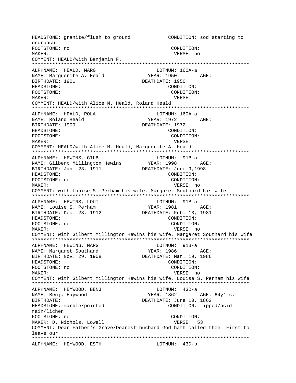HEADSTONE: granite/flush to ground CONDITION: sod starting to encroach FOOTSTONE: no CONDITION: MAKER: VERSE: no COMMENT: HEALD/with Benjamin F. ALPHNAME: HEALD, MARG LOTNUM: 160A-a NAME: Marguerite A. Heald  $YEAR: 1950 AGE:$ BIRTHDATE: 1901 DEATHDATE: 1950 HEADSTONE: CONDITION: FOOTSTONE: CONDITION: MAKER: VERSE: COMMENT: HEALD/with Alice M. Heald, Roland Heald ALPHNAME: HEALD, ROLA LOTNUM: 160A-a NAME: Roland Heald YEAR: 1972 AGE: BIRTHDATE: 1909 DEATHDATE: 1972 HEADSTONE: CONDITION: CONDITION: FOOTSTONE: MAKER: VERSE: COMMENT: HEALD/with Alice M. Heald, Marquerite A. Heald ALPHNAME: HEWINS, GILB LOTNUM: 91B-a YEAR: 1998 NAME: Gilbert Millington Hewins AGE: DEATHDATE: June 9,1998 BIRTHDATE: Jan. 23, 1911 CONDITION: HEADSTONE: FOOTSTONE: no CONDITION: MAKER: VERSE: no COMMENT: with Louise S. Perham his wife, Margaret Southard his wife ALPHNAME: HEWINS, LOUI LOTNUM: 91B-a NAME: Louise S. Perham BIRTHDATE: Dec. 23, 1912 DEATHDATE: Feb. 13, 1981 HEADSTONE: CONDITION: FOOTSTONE: no CONDITION: MAKER: VERSE: no COMMENT: with Gilbert Millington Hewins his wife, Margaret Southard his wife ALPHNAME: HEWINS, MARG LOTNUM: 91B-a YEAR: 1986 NAME: Margaret Southard AGE: DEATHDATE: Mar. 19, 1986 BIRTHDATE: Nov. 29, 1908 HEADSTONE: CONDITION: FOOTSTONE: no CONDITION: MAKER: VERSE: no COMMENT: with Gilbert Millington Hewins his wife, Louise S. Perham his wife ALPHNAME: HEYWOOD, BENJ LOTNUM: 43D-a NAME: Benj. Haywood YEAR: 1862 AGE: 64y'rs. BIRTHDATE: DEATHDATE: June 10, 1862 HEADSTONE: marble/pointed CONDITION: tipped/acid rain/lichen FOOTSTONE: no CONDITION: MAKER: D. Nichols, Lowell VERSE: 53 COMMENT: Dear Father's Grave/Dearest husband God hath called thee First to leave our ALPHNAME: HEYWOOD, ESTH LOTNUM: 43D-b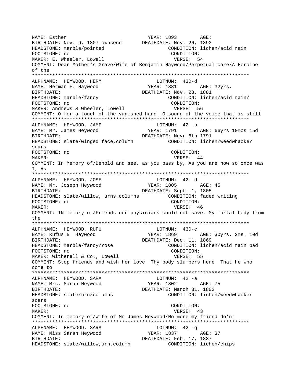NAME: Esther The YEAR: 1893 AGE: BIRTHDATE: Nov. 9, 1807Townsend DEATHDATE: Nov. 26, 1893 HEADSTONE: marble/pointed CONDITION: lichen/acid rain FOOTSTONE: no CONDITION: MAKER: E. Wheeler, Lowell **VERSE:** 54 COMMENT: Dear Mother's Grave/Wife of Benjamin Haywood/Perpetual care/A Heroine of the \*\*\*\*\*\*\*\*\*\*\*\*\*\*\*\*\*\*\*\*\*\*\*\*\*\*\*\*\*\*\*\*\*\*\*\*\*\*\*\*\*\*\*\*\*\*\*\*\*\*\*\*\*\*\*\*\*\*\*\*\*\*\*\*\*\*\*\*\*\*\*\*\*\*\* ALPHNAME: HEYWOOD, HERM NAME: Herman F. Haywood YEAR: 1881 AGE: 32yrs. BIRTHDATE: DEATHDATE: Nov. 23, 1881 HEADSTONE: marble/fancy CONDITION: lichen/acid rain/ FOOTSTONE: no CONDITION: MAKER: Andrews & Wheeler, Lowell **VERSE:** 56 COMMENT: O for a touch of the vanished hand O sound of the voice that is still \*\*\*\*\*\*\*\*\*\*\*\*\*\*\*\*\*\*\*\*\*\*\*\*\*\*\*\*\*\*\*\*\*\*\*\*\*\*\*\*\*\*\*\*\*\*\*\*\*\*\*\*\*\*\*\*\*\*\*\*\*\*\*\*\*\*\*\*\*\*\*\*\*\*\* ALPHNAME: HEYWOOD, JAME LOTNUM: 42 -b NAME: Mr. James Heywood YEAR: 1791 AGE: 66yrs 10mos 15d BIRTHDATE: Novr 6th 1791 HEADSTONE: slate/winged face,column CONDITION: lichen/weedwhacker scars FOOTSTONE: no CONDITION: MAKER: 44 AMERICAN MAKER: 45 COMMENT: In Memory of/Behold and see, as you pass by, As you are now so once was I, As \*\*\*\*\*\*\*\*\*\*\*\*\*\*\*\*\*\*\*\*\*\*\*\*\*\*\*\*\*\*\*\*\*\*\*\*\*\*\*\*\*\*\*\*\*\*\*\*\*\*\*\*\*\*\*\*\*\*\*\*\*\*\*\*\*\*\*\*\*\*\*\*\*\*\* ALPHNAME: HEYWOOD, JOSE LOTNUM: 42 -d NAME: Mr. Joseph Heywood YEAR: 1805 AGE: 45 BIRTHDATE: Sept. 1, 1805 HEADSTONE: slate/willow, urns,columns CONDITION: faded writing FOOTSTONE: no CONDITION: MAKER: SERVICE SERVICES AND MAKER: 46 COMMENT: IN memory of/Friends nor physicians could not save, My mortal body from the \*\*\*\*\*\*\*\*\*\*\*\*\*\*\*\*\*\*\*\*\*\*\*\*\*\*\*\*\*\*\*\*\*\*\*\*\*\*\*\*\*\*\*\*\*\*\*\*\*\*\*\*\*\*\*\*\*\*\*\*\*\*\*\*\*\*\*\*\*\*\*\*\*\*\* ALPHNAME: HEYWOOD, RUFU NAME: Rufus B. Haywood YEAR: 1869 AGE: 30yrs. 2ms. 10d BIRTHDATE: Dec. 11, 1869 HEADSTONE: marble/fancy/rose CONDITION: lichen/acid rain bad FOOTSTONE: no CONDITION: MAKER: Witherell & Co., Lowell VERSE: 55 COMMENT: Stop friends and wish her love Thy body slumbers here That he who come to \*\*\*\*\*\*\*\*\*\*\*\*\*\*\*\*\*\*\*\*\*\*\*\*\*\*\*\*\*\*\*\*\*\*\*\*\*\*\*\*\*\*\*\*\*\*\*\*\*\*\*\*\*\*\*\*\*\*\*\*\*\*\*\*\*\*\*\*\*\*\*\*\*\*\* ALPHNAME: HEYWOOD, SARA LOTNUM: 42 -a NAME: Mrs. Sarah Heywood YEAR: 1802 AGE: 75 BIRTHDATE: DEATHDATE: March 31, 1802 HEADSTONE: slate/urn/columns CONDITION: lichen/weedwhacker scars FOOTSTONE: no CONDITION: MAKER: 43 COMMENT: In memory of/Wife of Mr James Heywood/No more my friend do'nt \*\*\*\*\*\*\*\*\*\*\*\*\*\*\*\*\*\*\*\*\*\*\*\*\*\*\*\*\*\*\*\*\*\*\*\*\*\*\*\*\*\*\*\*\*\*\*\*\*\*\*\*\*\*\*\*\*\*\*\*\*\*\*\*\*\*\*\*\*\*\*\*\*\*\* ALPHNAME: HEYWOOD, SARA LOTNUM: 42 -q NAME: Miss Sarah Heywood YEAR: 1837 AGE: 37 BIRTHDATE: DEATHDATE: Feb. 17, 1837 HEADSTONE: slate/willow,urn,column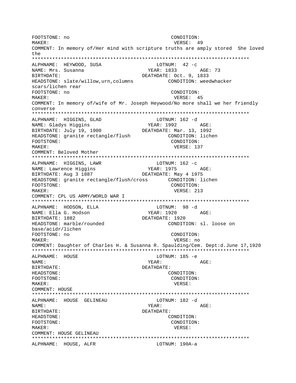FOOTSTONE: no CONDITION: VERSE: 49 MAKER: COMMENT: In memory of/Her mind with scripture truths are amply stored She loved the ALPHNAME: HEYWOOD, SUSA LOTNUM:  $42 -c$ NAME: Mrs. Susanna YEAR: 1833 AGE: 73 RIRTHDATE: DEATHDATE: Oct. 9, 1833 HEADSTONE: slate/willow, urn, columns CONDITION: weedwhacker scars/lichen rear FOOTSTONE: no CONDITION:  $M\Delta KFR$ : VERSE: 45 COMMENT: In memory of/wife of Mr. Joseph Heywood/No more shall we her friendly converse ALPHNAME: HIGGINS, GLAD LOTNUM: 162 -d NAME: Gladys Higgins YEAR: 1992 AGE: BIRTHDATE: July 19, 1900 DEATHDATE: Mar. 13, 1992 HEADSTONE: granite rectangle/flush CONDITION: lichen FOOTSTONE: CONDITION: MAKER: VERSE: 137 COMMENT: Beloved Mother LOTNUM: 162 -c ALPHNAME: HIGGINS, LAWR NAME: Lawrence Hiqqins YEAR: 1975 AGE: BIRTHDATE: Aug 3 1887 DEATHDATE: May 4 1975 HEADSTONE: granite rectangle/flush/cross CONDITION: lichen FOOTSTONE: CONDITION: MAKER: VERSE: 213 COMMENT: CPL US ARMY/WORLD WAR I ALPHNAME: HODSON, ELLA LOTNUM: 98 -d YEAR: 1920 AGE: NAME: Ella G. Hodson BIRTHDATE: 1882 DEATHDATE: 1920 HEADSTONE: marble/rounded CONDITION: sl. loose on base/acidr/lichen FOOTSTONE: no CONDITION: MAKER: VERSE: no COMMENT: Daughter of Charles H. & Susanna R. Spaulding/Cem. Dept:d.June 17,1920 ALPHNAME: HOUSE LOTNUM: 185 -e YEAR: NAME: AGE: BIRTHDATE: DEATHDATE: **HEADSTONE:** CONDITION: FOOTSTONE: CONDITION: MAKER: VERSE: COMMENT: HOUSE ALPHNAME: HOUSE GELINEAU LOTNUM: 182 -d NAME: YEAR: AGE: BIRTHDATE: DEATHDATE: HEADSTONE: CONDITION: FOOTSTONE: CONDITION: MAKER: VERSE: COMMENT: HOUSE GELINEAU ALPHNAME: HOUSE, ALFR LOTNUM: 190A-a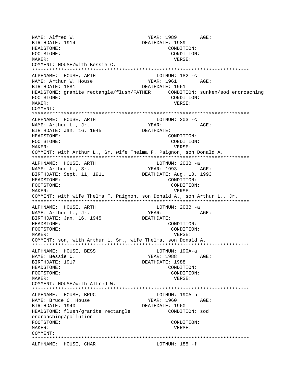NAME: Alfred W. YEAR: 1989 AGE: BIRTHDATE: 1914 DEATHDATE: 1989 HEADSTONE: CONDITION: FOOTSTONE: CONDITION: MAKER: VERSE: COMMENT: HOUSE/with Bessie C. \*\*\*\*\*\*\*\*\*\*\*\*\*\*\*\*\*\*\*\*\*\*\*\*\*\*\*\*\*\*\*\*\*\*\*\*\*\*\*\*\*\*\*\*\*\*\*\*\*\*\*\*\*\*\*\*\*\*\*\*\*\*\*\*\*\*\*\*\*\*\*\*\*\*\* ALPHNAME: HOUSE, ARTH LOTNUM: 182 -c NAME: Arthur W. House YEAR: 1961 AGE: BIRTHDATE: 1881 DEATHDATE: 1961 HEADSTONE: granite rectangle/flush/FATHER CONDITION: sunken/sod encroaching FOOTSTONE: CONDITION: MAKER: VERSE: COMMENT: \*\*\*\*\*\*\*\*\*\*\*\*\*\*\*\*\*\*\*\*\*\*\*\*\*\*\*\*\*\*\*\*\*\*\*\*\*\*\*\*\*\*\*\*\*\*\*\*\*\*\*\*\*\*\*\*\*\*\*\*\*\*\*\*\*\*\*\*\*\*\*\*\*\*\* ALPHNAME: HOUSE, ARTH NAME: Arthur L., Jr. YEAR: YEAR: AGE: BIRTHDATE: Jan. 16, 1945 DEATHDATE:<br>HEADSTONE: CO CONDITION: FOOTSTONE: CONDITION: MAKER: VERSE: COMMENT: with Arthur L., Sr. wife Thelma F. Paignon, son Donald A. \*\*\*\*\*\*\*\*\*\*\*\*\*\*\*\*\*\*\*\*\*\*\*\*\*\*\*\*\*\*\*\*\*\*\*\*\*\*\*\*\*\*\*\*\*\*\*\*\*\*\*\*\*\*\*\*\*\*\*\*\*\*\*\*\*\*\*\*\*\*\*\*\*\*\* ALPHNAME: HOUSE, ARTH LOTNUM: 203B -a NAME: Arthur L., Sr. YEAR: 1993 AGE: BIRTHDATE: Sept. 11, 1911 DEATHDATE: Aug. 10, 1993 HEADSTONE: CONDITION: FOOTSTONE: CONDITION: MAKER: VERSE: COMMENT: with wife Thelma F. Paignon, son Donald A., son Arthur L., Jr. \*\*\*\*\*\*\*\*\*\*\*\*\*\*\*\*\*\*\*\*\*\*\*\*\*\*\*\*\*\*\*\*\*\*\*\*\*\*\*\*\*\*\*\*\*\*\*\*\*\*\*\*\*\*\*\*\*\*\*\*\*\*\*\*\*\*\*\*\*\*\*\*\*\*\* ALPHNAME: HOUSE, ARTH LOTNUM: 203B -a<br>
NAME: Arthur L., Jr. VEAR: YEAR: NAME: Arthur L., Jr. YEAR: YEAR: AGE: BIRTHDATE: Jan. 16, 1945 DEATHDATE: HEADSTONE: CONDITION: FOOTSTONE: CONDITION: MAKER: VERSE: COMMENT: son, with Arthur L, Sr., wife Thelma, son Donald A. \*\*\*\*\*\*\*\*\*\*\*\*\*\*\*\*\*\*\*\*\*\*\*\*\*\*\*\*\*\*\*\*\*\*\*\*\*\*\*\*\*\*\*\*\*\*\*\*\*\*\*\*\*\*\*\*\*\*\*\*\*\*\*\*\*\*\*\*\*\*\*\*\*\*\* ALPHNAME: HOUSE, BESS LOTNUM: 190A-a NAME: Bessie C. The South of the YEAR: 1988 AGE: BIRTHDATE: 1917 **DEATHDATE: 1988** HEADSTONE: CONDITION: FOOTSTONE: CONDITION: MAKER: VERSE: COMMENT: HOUSE/with Alfred W. \*\*\*\*\*\*\*\*\*\*\*\*\*\*\*\*\*\*\*\*\*\*\*\*\*\*\*\*\*\*\*\*\*\*\*\*\*\*\*\*\*\*\*\*\*\*\*\*\*\*\*\*\*\*\*\*\*\*\*\*\*\*\*\*\*\*\*\*\*\*\*\*\*\*\* ALPHNAME: HOUSE, BRUC LOTNUM: 190A-b NAME: Bruce C. House The Magnus YEAR: 1960 AGE: BIRTHDATE: 1940 DEATHDATE: 1960 HEADSTONE: flush/granite rectangle CONDITION: sod encroaching/pollution FOOTSTONE: CONDITION: MAKER: VERSE: COMMENT: \*\*\*\*\*\*\*\*\*\*\*\*\*\*\*\*\*\*\*\*\*\*\*\*\*\*\*\*\*\*\*\*\*\*\*\*\*\*\*\*\*\*\*\*\*\*\*\*\*\*\*\*\*\*\*\*\*\*\*\*\*\*\*\*\*\*\*\*\*\*\*\*\*\*\* ALPHNAME: HOUSE, CHAR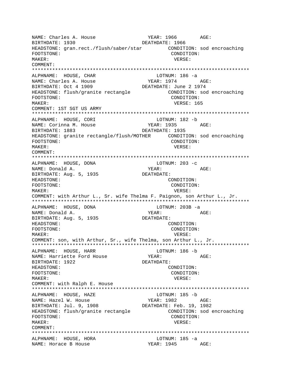NAME: Charles A. House YEAR: 1966 AGE: BIRTHDATE: 1930 DEATHDATE: 1966 HEADSTONE: gran.rect./flush/saber/star CONDITION: sod encroaching FOOTSTONE: CONDITION: MAKER: VERSE: COMMENT: LOTNUM: 186 -a ALPHNAME: HOUSE, CHAR NAME: Charles A. House YEAR: 1974 AGE: DEATHDATE: June 2 1974 BIRTHDATE: Oct 4 1909 HEADSTONE: flush/granite rectangle CONDITION: sod encroaching FOOTSTONE: CONDITION: VERSE: 165 MAKER: COMMENT: 1ST SGT US ARMY ALPHNAME: HOUSE, CORI LOTNUM: 182 -b NAME: Corinna M. House YEAR: 1935 AGE: BIRTHDATE: 1883 DEATHDATE: 1935 HEADSTONE: granite rectangle/flush/MOTHER CONDITION: sod encroaching FOOTSTONE: CONDITION: MAKER: VERSE: COMMENT: ALPHNAME: HOUSE, DONA LOTNUM: 203 -c YEAR: NAME: Donald A. AGE: BIRTHDATE: Aug. 5, 1935 DEATHDATE: HEADSTONE: CONDITION: FOOTSTONE: CONDITION: MAKER: VERSE: COMMENT: with Arthur L., Sr. wife Thelma F. Paignon, son Arthur L., Jr. ALPHNAME: HOUSE, DONA LOTNUM: 203B -a YEAR: NAME: Donald A. AGE: BIRTHDATE: Aug. 5, 1935 DEATHDATE: HEADSTONE: CONDITION: FOOTSTONE: CONDITION: MAKER: VERSE: COMMENT: son, with Arthur, Sr., wife Thelma, son Arthur L., Jr. ALPHNAME: HOUSE, HARR LOTNUM: 186 -b NAME: Harriette Ford House YEAR: AGE: BIRTHDATE: 1922 DEATHDATE: HEADSTONE: CONDITION: FOOTSTONE: CONDITION: MAKER: VERSE: COMMENT: with Ralph E. House LOTNUM:  $185 - b$ ALPHNAME: HOUSE, HAZE NAME: Hazel W. House YEAR: 1982 AGE: BIRTHDATE: Jul. 9, 1908 DEATHDATE: Feb. 19, 1982 HEADSTONE: flush/granite rectangle CONDITION: sod encroaching FOOTSTONE: CONDITION: MAKER: VERSE: COMMENT: ALPHNAME: HOUSE, HORA LOTNUM: 185 -a NAME: Horace B House YEAR: 1945 AGE: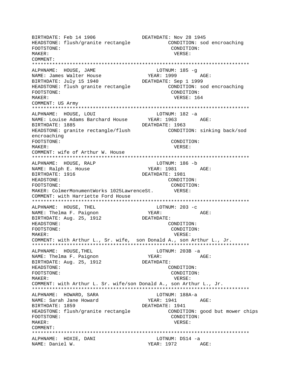BIRTHDATE: Feb 14 1906 DEATHDATE: Nov 28 1945 HEADSTONE: flush/granite rectangle CONDITION: sod encroaching FOOTSTONE: CONDITION: MAKER: VERSE: COMMENT: \*\*\*\*\*\*\*\*\*\*\*\*\*\*\*\*\*\*\*\*\*\*\*\*\*\*\*\*\*\*\*\*\*\*\*\*\*\*\*\*\*\*\*\*\*\*\*\*\*\*\*\*\*\*\*\*\*\*\*\*\*\*\*\*\*\*\*\*\*\*\*\*\*\*\* ALPHNAME: HOUSE, JAME NAME: James Walter House The Magnus of YEAR: 1999 AGE:<br>BIRTHDATE: July 15 1940 DEATHDATE: Sep 1 1999 BIRTHDATE: July 15 1940 HEADSTONE: flush granite rectangle CONDITION: sod encroaching FOOTSTONE: CONDITION: MAKER: VERSE: 164 COMMENT: US Army \*\*\*\*\*\*\*\*\*\*\*\*\*\*\*\*\*\*\*\*\*\*\*\*\*\*\*\*\*\*\*\*\*\*\*\*\*\*\*\*\*\*\*\*\*\*\*\*\*\*\*\*\*\*\*\*\*\*\*\*\*\*\*\*\*\*\*\*\*\*\*\*\*\*\* ALPHNAME: HOUSE, LOUI LOTNUM: 182 -a<br>
NAME: Louise Adams Barchard House YEAR: 1963 AGE: NAME: Louise Adams Barchard House BIRTHDATE: 1885 DEATHDATE: 1963 HEADSTONE: granite rectangle/flush CONDITION: sinking back/sod encroaching FOOTSTONE: CONDITION: MAKER: VERSE: COMMENT: wife of Arthur W. House \*\*\*\*\*\*\*\*\*\*\*\*\*\*\*\*\*\*\*\*\*\*\*\*\*\*\*\*\*\*\*\*\*\*\*\*\*\*\*\*\*\*\*\*\*\*\*\*\*\*\*\*\*\*\*\*\*\*\*\*\*\*\*\*\*\*\*\*\*\*\*\*\*\*\* ALPHNAME: HOUSE, RALP LOTNUM: 186 -b NAME: Ralph E. House YEAR: 1981 AGE: BIRTHDATE: 1916 DEATHDATE: 1981 HEADSTONE: CONDITION: FOOTSTONE: CONDITION: MAKER: ColmerMonumentWorks 1025LawrenceSt. VERSE: COMMENT: with Harriette Ford House \*\*\*\*\*\*\*\*\*\*\*\*\*\*\*\*\*\*\*\*\*\*\*\*\*\*\*\*\*\*\*\*\*\*\*\*\*\*\*\*\*\*\*\*\*\*\*\*\*\*\*\*\*\*\*\*\*\*\*\*\*\*\*\*\*\*\*\*\*\*\*\*\*\*\* ALPHNAME: HOUSE, THEL LOTNUM: 203 -c<br>
NAME: Thelma F. Paignon<br>
YEAR: NAME: Thelma F. Paignon YEAR: YEAR: AGE: BIRTHDATE: Aug. 25, 1912 DEATHDATE: HEADSTONE: CONDITION: FOOTSTONE: CONDITION: MAKER: VERSE: COMMENT: with Arthur L., Sr. wife, son Donald A., son Arthur L., Jr. \*\*\*\*\*\*\*\*\*\*\*\*\*\*\*\*\*\*\*\*\*\*\*\*\*\*\*\*\*\*\*\*\*\*\*\*\*\*\*\*\*\*\*\*\*\*\*\*\*\*\*\*\*\*\*\*\*\*\*\*\*\*\*\*\*\*\*\*\*\*\*\*\*\*\* ALPHNAME: HOUSE, THEL LOTNUM: 203B -a NAME: Thelma F. Paignon YEAR: YEAR: AGE: BIRTHDATE: Aug. 25, 1912 DEATHDATE: HEADSTONE: CONDITION: FOOTSTONE: CONDITION: MAKER: VERSE: COMMENT: with Arthur L. Sr. wife/son Donald A., son Arthur L., Jr. \*\*\*\*\*\*\*\*\*\*\*\*\*\*\*\*\*\*\*\*\*\*\*\*\*\*\*\*\*\*\*\*\*\*\*\*\*\*\*\*\*\*\*\*\*\*\*\*\*\*\*\*\*\*\*\*\*\*\*\*\*\*\*\*\*\*\*\*\*\*\*\*\*\*\* ALPHNAME: HOWARD, SARA CHARA LOTNUM: 188A-a NAME: Sarah Jane Howard Team YEAR: 1941 AGE: BIRTHDATE: 1859 DEATHDATE: 1941 HEADSTONE: flush/granite rectangle CONDITION: good but mower chips FOOTSTONE: CONDITION: MAKER: VERSE: COMMENT: \*\*\*\*\*\*\*\*\*\*\*\*\*\*\*\*\*\*\*\*\*\*\*\*\*\*\*\*\*\*\*\*\*\*\*\*\*\*\*\*\*\*\*\*\*\*\*\*\*\*\*\*\*\*\*\*\*\*\*\*\*\*\*\*\*\*\*\*\*\*\*\*\*\*\* ALPHNAME: HOXIE, DANI LOTNUM: DS14 -a NAME: Daniel W. YEAR: 1972 AGE: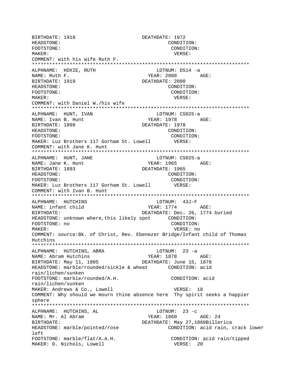BIRTHDATE: 1918 DEATHDATE: 1972 HEADSTONE: CONDITION: FOOTSTONE: CONDITION: MAKER: VERSE: COMMENT: with his wife Ruth F. \*\*\*\*\*\*\*\*\*\*\*\*\*\*\*\*\*\*\*\*\*\*\*\*\*\*\*\*\*\*\*\*\*\*\*\*\*\*\*\*\*\*\*\*\*\*\*\*\*\*\*\*\*\*\*\*\*\*\*\*\*\*\*\*\*\*\*\*\*\*\*\*\*\*\* ALPHNAME: HOXIE, RUTH LOTNUM: DS14 -a YEAR: 2000 AGE: BIRTHDATE: 1919 DEATHDATE: 2000 HEADSTONE: CONDITION: FOOTSTONE: CONDITION: MAKER: VERSE: COMMENT: with Daniel W./his wife \*\*\*\*\*\*\*\*\*\*\*\*\*\*\*\*\*\*\*\*\*\*\*\*\*\*\*\*\*\*\*\*\*\*\*\*\*\*\*\*\*\*\*\*\*\*\*\*\*\*\*\*\*\*\*\*\*\*\*\*\*\*\*\*\*\*\*\*\*\*\*\*\*\*\* ALPHNAME: HUNT, IVAN LOTNUM: CS025-a NAME: Ivan B. Hunt YEAR: 1978 AGE: BIRTHDATE: 1898 DEATHDATE: 1978 HEADSTONE: CONDITION: FOOTSTONE: CONDITION: MAKER: Luz Brothers 117 Gorham St. Lowell VERSE: COMMENT: with Jane K. Hunt \*\*\*\*\*\*\*\*\*\*\*\*\*\*\*\*\*\*\*\*\*\*\*\*\*\*\*\*\*\*\*\*\*\*\*\*\*\*\*\*\*\*\*\*\*\*\*\*\*\*\*\*\*\*\*\*\*\*\*\*\*\*\*\*\*\*\*\*\*\*\*\*\*\*\* ALPHNAME: HUNT, JANE LOTNUM: CS025-a NAME: Jane K. Hunt YEAR: 1965 AGE: BIRTHDATE: 1893 DEATHDATE: 1965 HEADSTONE: CONDITION: FOOTSTONE: CONDITION: MAKER: Luz Brothers 117 Gorham St. Lowell VERSE: COMMENT: with Ivan B. Hunt \*\*\*\*\*\*\*\*\*\*\*\*\*\*\*\*\*\*\*\*\*\*\*\*\*\*\*\*\*\*\*\*\*\*\*\*\*\*\*\*\*\*\*\*\*\*\*\*\*\*\*\*\*\*\*\*\*\*\*\*\*\*\*\*\*\*\*\*\*\*\*\*\*\*\* ALPHNAME: HUTCHINS NAME: infant child YEAR: 1774 AGE: BIRTHDATE: DEATHDATE: Dec. 26, 1774 buried HEADSTONE: unknown where,this likely spot CONDITION: FOOTSTONE: no CONDITION: MAKER: VERSE: no COMMENT: source:Bk. of Christ, Rev. Ebenezer Bridge/Infant child of Thomas Hutchins \*\*\*\*\*\*\*\*\*\*\*\*\*\*\*\*\*\*\*\*\*\*\*\*\*\*\*\*\*\*\*\*\*\*\*\*\*\*\*\*\*\*\*\*\*\*\*\*\*\*\*\*\*\*\*\*\*\*\*\*\*\*\*\*\*\*\*\*\*\*\*\*\*\*\* ALPHNAME: HUTCHINS, ABRA NAME: Abram Hutchins Team (1878 AGE: BIRTHDATE: May 11, 1805 DEATHDATE: June 15, 1878 HEADSTONE: marble/rounded/sickle & wheat CONDITION: acid rain/lichen/sunken FOOTSTONE: marble/rounded/A.H. CONDITION: acid rain/lichen/sunken MAKER: Andrews & Co., Lowell VERSE: 18 COMMENT: Why should we mourn thine absence here Thy spirit seeks a happier sphere \*\*\*\*\*\*\*\*\*\*\*\*\*\*\*\*\*\*\*\*\*\*\*\*\*\*\*\*\*\*\*\*\*\*\*\*\*\*\*\*\*\*\*\*\*\*\*\*\*\*\*\*\*\*\*\*\*\*\*\*\*\*\*\*\*\*\*\*\*\*\*\*\*\*\* ALPHNAME: HUTCHINS, AL LOTNUM: 23 -c NAME: Mr. Al Abram  $YEAR: 1860$  AGE: 24 BIRTHDATE: DEATHDATE: May 27,1860Billerica HEADSTONE: marble/pointed/rose CONDITION: acid rain, crack lower left FOOTSTONE: marble/flat/A.A.H. CONDITION: acid rain/tipped MAKER: D. Nichols, Lowell **VERSE: 20**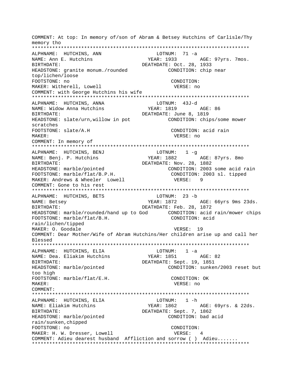COMMENT: At top: In memory of/son of Abram & Betsey Hutchins of Carlisle/Thy memory tho ALPHNAME: HUTCHINS, ANN LOTNUM: 71 -a YEAR: 1933 AGE: 97yrs. 7mos. NAME: Ann E. Hutchins BIRTHDATE: DEATHDATE: Oct. 28, 1933 HEADSTONE: granite monum./rounded CONDITION: chip near top/lichen/loose FOOTSTONE: no CONDITION: MAKER: Witherell, Lowell VERSE: no COMMENT: with George Hutchins his wife ALPHNAME: HUTCHINS, ANNA LOTNUM: 43J-d YEAR: 1819 NAME: Widow Anna Hutchins AGE: 86 BIRTHDATE: DEATHDATE: June 8, 1819 HEADSTONE: slate/urn, willow in pot CONDITION: chips/some mower scratches FOOTSTONE: slate/A.H CONDITION: acid rain VERSE: no MAKER: COMMENT: In memory of ALPHNAME: HUTCHINS, BENJ  $LOTNUM: 1 -q$ YEAR: 1882 NAME: Benj. P. Hutchins AGE: 87yrs. 8mo DEATHDATE: Nov. 28, 1882 BIRTHDATE: CONDITION: 2003 some acid rain HEADSTONE: marble/pointed CONDITION: 2003 sl. tipped FOOTSTONE: marble/flat/B.P.H. MAKER: Andrews & Wheeler Lowell VERSE: 9 COMMENT: Gone to his rest ALPHNAME: HUTCHINS, BETS LOTNUM: 23 -b NAME: Betsey YEAR: 1872 AGE: 66yrs 9ms 23ds. DEATHDATE: Feb. 28, 1872 **BIRTHDATE:** HEADSTONE: marble/rounded/hand up to God CONDITION: acid rain/mower chips FOOTSTONE: marble/flat/B.H. CONDITION: acid rain/lichen/tipped MAKER: O. Goodale VERSE: 19 COMMENT: Dear Mother/Wife of Abram Hutchins/Her children arise up and call her Blessed ALPHNAME: HUTCHINS, ELIA  $LOTNUM: 1 -a$ NAME: Dea. Eliakim Hutchins DEATHDATE: Sept. 19, 1851 BIRTHDATE: CONDITION: sunken/2003 reset but HEADSTONE: marble/pointed too high FOOTSTONE: marble/flat/E.H. CONDITION: OK MAKER: VERSE: no COMMENT: LOTNUM: 1 -h ALPHNAME: HUTCHINS, ELIA YEAR: 1862 NAME: Eliakim Hutchins AGE: 69yrs. & 22ds. DEATHDATE: Sept. 7, 1862 BIRTHDATE: HEADSTONE: marble/pointed CONDITION: bad acid rain/sunken, chipped FOOTSTONE: no CONDITION: MAKER: H. W. Dresser, Lowell VERSE: 4 COMMENT: Adieu dearest husband Affliction and sorrow ( ) Adieu.......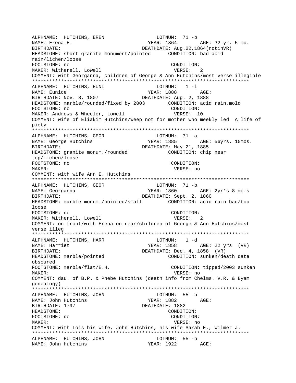ALPHNAME: HUTCHINS, EREN LOTNUM: 71 -b YEAR: 1864 AGE: ?2 yr. 5 mo. NAME: Erena E. BIRTHDATE: DEATHDATE: Aug. 22, 1864 (notinVR) HEADSTONE: short granite monument/pointed CONDITION: bad acid rain/lichen/loose FOOTSTONE: no CONDITION: MAKER: Witherell, Lowell VERSE:  $\overline{2}$ COMMENT: with Georganna, children of George & Ann Hutchins/most verse illegible LOTNUM:  $1 - i$ ALPHNAME: HUTCHINS, EUNI YEAR: 1888 NAME: Eunice AGE: BIRTHDATE: Nov. 8, 1807 DEATHDATE: Aug. 2, 1888 HEADSTONE: marble/rounded/fixed by 2003 CONDITION: acid rain, mold FOOTSTONE: no CONDITION: MAKER: Andrews & Wheeler, Lowell VERSE: 10 COMMENT: wife of Eliakim Hutchins/Weep not for mother who meekly led A life of piety ALPHNAME: HUTCHINS, GEOR  $LOTNUM: 71 -a$ YEAR: 1885 AGE: 56yrs. 10mos. NAME: George Hutchins DEATHDATE: May 21, 1885 BIRTHDATE: HEADSTONE: granite monum./rounded CONDITION: chip near top/lichen/loose FOOTSTONE: no CONDITION: MAKER: VERSE: no COMMENT: with wife Ann E. Hutchins ALPHNAME: HUTCHINS, GEOR LOTNUM: 71 -b NAME: Georganna YEAR: 1860 AGE: 2yr's 8 mo's DEATHDATE: Sept. 2, 1860 RIRTHDATE: HEADSTONE: marble monum./pointed/small CONDITION: acid rain bad/top loose FOOTSTONE: no CONDITION: MAKER: Witherell, Lowell VERSE: 2 COMMENT: on front/with Erena on rear/children of George & Ann Hutchins/most verse illeg ALPHNAME: HUTCHINS, HARR  $LOTNUM: 1 -d$ NAME: Harriet AGE: 22 yrs (VR) YEAR: 1858 BIRTHDATE: DEATHDATE: Dec. 4, 1858 (VR) CONDITION: sunken/death date HEADSTONE: marble/pointed obscured FOOTSTONE: marble/flat/E.H. CONDITION: tipped/2003 sunken MAKER: VERSE: no COMMENT: dau. of B.P. & Phebe Hutchins (death info from Chelms. V.R. & Byam genealogy) LOTNUM: 55 -b ALPHNAME: HUTCHINS, JOHN NAME: John Hutchins DEATHDATE: 1882 BIRTHDATE: 1797 HEADSTONE: CONDITION: FOOTSTONE: no CONDITION: MAKER: VERSE: no COMMENT: with Lois his wife, John Hutchins, his wife Sarah E., Wilmer J. ALPHNAME: HUTCHINS, JOHN LOTNUM: 55 -b YEAR: 1922 AGE: NAME: John Hutchins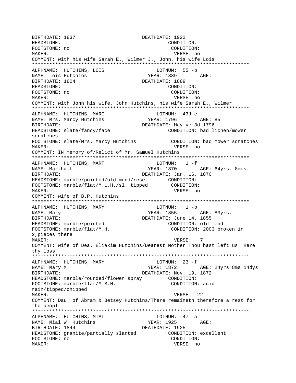BIRTHDATE: 1837 DEATHDATE: 1922 HEADSTONE: CONDITION: FOOTSTONE: no CONDITION: MAKER: VERSE: no COMMENT: with his wife Sarah E., Wilmer J., John, his wife Lois ALPHNAME: HUTCHINS, LOIS LOTNUM: 55 -b NAME: Lois Hutchins YEAR: 1889 AGE: BIRTHDATE: 1804 DEATHDATE: 1889 HEADSTONE: CONDITION: FOOTSTONE: no CONDITION: MAKER: VERSE: no COMMENT: with John his wife, John Hutchins, his wife Sarah E., Wilmer ALPHNAME: HUTCHINS, MARC LOTNUM: 43J-c YEAR: 1796 NAME: Mrs. Marcy Hutchins AGE: 85 DEATHDATE: May ye 3d 1796 BIRTHDATE: HEADSTONE: slate/fancy/face CONDITION: bad lichen/mower scratches FOOTSTONE: slate/Mrs. Marcy Hutchins CONDITION: bad mower scratches MAKER: VERSE: no COMMENT: IN memory of/Relict of Mr. Samuel Hutchins LOTNUM:  $1 - f$ ALPHNAME: HUTCHINS, MART NAME: Martha L. YEAR: 1870 AGE: 64yrs. 8mos. BIRTHDATE: DEATHDATE: Jan. 16, 1870 HEADSTONE: marble/pointed/old mend/reset CONDITION: CONDITION: FOOTSTONE: marble/flat/M.L.H./sl. tipped MAKER: VERSE: no COMMENT: wife of B.P. Hutchins ALPHNAME: HUTCHINS, MARY LOTNUM: 1 -b YEAR: 1855 AGE: 83yrs. NAME: Mary BIRTHDATE: DEATHDATE: June 14, 1855 HEADSTONE: marble/pointed CONDITION: old mend CONDITION: 2003 broken in FOOTSTONE: marble/flat/M.H. 2, pieces there MAKER: VERSE:  $\overline{7}$ COMMENT: wife of Dea. Eliakim Hutchins/Dearest Mother Thou hast left us Here thy loss ALPHNAME: HUTCHINS, MARY  $LOTNUM: 23 - f$ YEAR: 1872 AGE: 24yrs 8ms 14dys NAME: Mary M. DEATHDATE: Nov. 19, 1872 **BIRTHDATE:** HEADSTONE: marble/rounded/flower spray CONDITION: CONDITION: acid FOOTSTONE: marble/flat/M.M.H. rain/tipped/chipped VERSE: 22 MAKER: COMMENT: Dau. of Abram & Betsey Hutchins/There remaineth therefore a rest for the peopl ALPHNAME: HUTCHINS, MIAL LOTNUM: 47 -a NAME: Mial W. Hutchins YEAR: 1925 AGE: BIRTHDATE: 1844 DEATHDATE: 1925 HEADSTONE: granite/partially slanted CONDITION: excellent FOOTSTONE: no CONDITION: MAKER: VERSE: no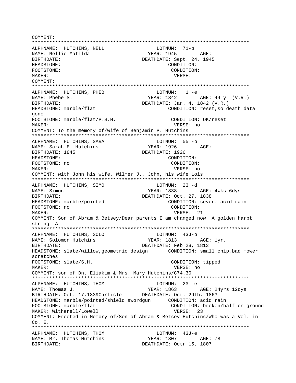\*\*\*\*\*\*\*\*\*\*\*\*\*\*\*\*\*\*\*\*\*\*\*\*\*\*\*\*\*\*\*\*\*\*\*\*\*\*\*\*\*\*\*\*\*\*\*\*\*\*\*\*\*\*\*\*\*\*\*\*\*\*\*\*\*\*\*\*\*\*\*\*\*\*\* ALPHNAME: HUTCHINS, NELL NAME: Nellie Matilda  $YEAR: 1945$  AGE: BIRTHDATE: DEATHDATE: Sept. 24, 1945 HEADSTONE: CONDITION: FOOTSTONE: CONDITION: MAKER: VERSE: COMMENT: \*\*\*\*\*\*\*\*\*\*\*\*\*\*\*\*\*\*\*\*\*\*\*\*\*\*\*\*\*\*\*\*\*\*\*\*\*\*\*\*\*\*\*\*\*\*\*\*\*\*\*\*\*\*\*\*\*\*\*\*\*\*\*\*\*\*\*\*\*\*\*\*\*\*\* ALPHNAME: HUTCHINS, PHEB LOTNUM: 1 -e NAME: Phebe S. Theory of the Summer Search Stephen Weak: 1842 AGE: 44 y (V.R.) BIRTHDATE:  $DE$  DEATHDATE: Jan. 4, 1842 (V.R.) HEADSTONE: marble/flat The CONDITION: reset, so death data gone FOOTSTONE: marble/flat/P.S.H. CONDITION: OK/reset MAKER: VERSE: no COMMENT: To the memory of/wife of Benjamin P. Hutchins \*\*\*\*\*\*\*\*\*\*\*\*\*\*\*\*\*\*\*\*\*\*\*\*\*\*\*\*\*\*\*\*\*\*\*\*\*\*\*\*\*\*\*\*\*\*\*\*\*\*\*\*\*\*\*\*\*\*\*\*\*\*\*\*\*\*\*\*\*\*\*\*\*\*\* ALPHNAME: HUTCHINS, SARA LOTNUM: 55 -b NAME: Sarah E. Hutchins Team YEAR: 1926 AGE: BIRTHDATE: 1845 DEATHDATE: 1926 HEADSTONE: CONDITION: FOOTSTONE: no CONDITION: MAKER: VERSE: no COMMENT: with John his wife, Wilmer J., John, his wife Lois \*\*\*\*\*\*\*\*\*\*\*\*\*\*\*\*\*\*\*\*\*\*\*\*\*\*\*\*\*\*\*\*\*\*\*\*\*\*\*\*\*\*\*\*\*\*\*\*\*\*\*\*\*\*\*\*\*\*\*\*\*\*\*\*\*\*\*\*\*\*\*\*\*\*\* ALPHNAME: HUTCHINS, SIMO<br>
LOTNUM: 23 -d NAME: Simon Samuel Communication of the MEAR: 1838 AGE: 4wks 6dys BIRTHDATE: DEATHDATE: Oct. 27, 1838 HEADSTONE: marble/pointed CONDITION: severe acid rain FOOTSTONE: no CONDITION: MAKER: 21 NOVEMBER: 21 COMMENT: Son of Abram & Betsey/Dear parents I am changed now A golden harpt string A \*\*\*\*\*\*\*\*\*\*\*\*\*\*\*\*\*\*\*\*\*\*\*\*\*\*\*\*\*\*\*\*\*\*\*\*\*\*\*\*\*\*\*\*\*\*\*\*\*\*\*\*\*\*\*\*\*\*\*\*\*\*\*\*\*\*\*\*\*\*\*\*\*\*\* ALPHNAME: HUTCHINS, SOLO NAME: Solomon Hutchins The YEAR: 1813 AGE: 1yr. BIRTHDATE: DEATHDATE: Feb 28, 1813 HEADSTONE: slate/willow,geometric design CONDITION: small chip,bad mower scratches FOOTSTONE: slate/S.H. CONDITION: tipped MAKER: VERSE: no COMMENT: son of Dn. Eliakim & Mrs. Mary Hutchins/C74.30 \*\*\*\*\*\*\*\*\*\*\*\*\*\*\*\*\*\*\*\*\*\*\*\*\*\*\*\*\*\*\*\*\*\*\*\*\*\*\*\*\*\*\*\*\*\*\*\*\*\*\*\*\*\*\*\*\*\*\*\*\*\*\*\*\*\*\*\*\*\*\*\*\*\*\* ALPHNAME: HUTCHINS, THOM **EXAMPLE 10** LOTNUM: 23 -e NAME: Thomas J. Thomas J. Thomas J. The Manusculing States: 24yrs 12dys BIRTHDATE: Oct. 17,1839Carlisle DEATHDATE: Oct. 29th, 1863 HEADSTONE: marble/pointed/shield swordgun CONDITION: acid rain FOOTSTONE: marble/flat CONDITION: broken/half on ground MAKER: Witherell/Lowell **VERSE: 23** COMMENT: Erected in Memory of/Son of Abram & Betsey Hutchins/Who was a Vol. in Co. E. \*\*\*\*\*\*\*\*\*\*\*\*\*\*\*\*\*\*\*\*\*\*\*\*\*\*\*\*\*\*\*\*\*\*\*\*\*\*\*\*\*\*\*\*\*\*\*\*\*\*\*\*\*\*\*\*\*\*\*\*\*\*\*\*\*\*\*\*\*\*\*\*\*\*\* ALPHNAME: HUTCHINS, THOM LOTNUM: 43J-e NAME: Mr. Thomas Hutchins BIRTHDATE: DEATHDATE: Octr 15, 1807

COMMENT: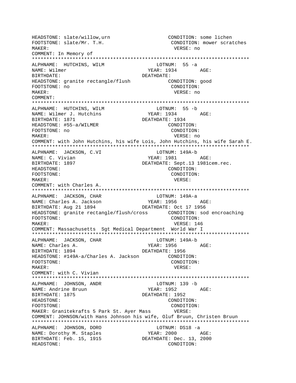HEADSTONE: slate/willow, urn CONDITION: some lichen FOOTSTONE: slate/Mr. T.H. CONDITION: mower scratches MAKER: VERSE: no COMMENT: In Memory of ALPHNAME: HUTCHINS, WILM LOTNUM: 55 -a NAME: Wilmer YEAR: 1934 AGE: RIRTHDATE: DEATHDATE: HEADSTONE: granite rectangle/flush CONDITION: good FOOTSTONE: no CONDITION: MAKER: VERSE: no COMMENT: ALPHNAME: HUTCHINS, WILM LOTNUM: 55 -b NAME: Wilmer J. Hutchins YEAR: 1934  $\triangle G$ F: BIRTHDATE: 1871 DEATHDATE: 1934 HEADSTONE: #55-a/WILMER CONDITION: FOOTSTONE: no CONDITION: MAKER: VERSE: no COMMENT: with John Hutchins, his wife Lois, John Hutchins, his wife Sarah E. ALPHNAME: JACKSON, C.VI LOTNUM: 149A-b YEAR: 1981 NAME: C. Vivian AGE: BIRTHDATE: 1897 DEATHDATE: Sept.13 1981cem.rec. HEADSTONE: CONDITION: FOOTSTONE: CONDITION: MAKER: VERSE: COMMENT: with Charles A. ALPHNAME: JACKSON, CHAR LOTNUM: 149A-a ALPHNAME: Under A. Jackson<br>NAME: Charles A. Jackson YEAR: 1956 AGE: DEATHDATE: Oct 17 1956 BIRTHDATE: Aug 21 1894 CONDITION: FOOTSTONE: VERSE: 146 MAKER: COMMENT: Massachusetts Sgt Medical Department World War I LOTNUM: 149A-b ALPHNAME: JACKSON, CHAR NAME: Charles A. YEAR: 1956 AGE: BIRTHDATE: 1894 DEATHDATE: 1956 HEADSTONE: #149A-a/Charles A. Jackson CONDITION: FOOTSTONE: CONDITION:  $M\Delta KFR$ : VERSE: COMMENT: with C. Vivian ALPHNAME: JOHNSON, ANDR LOTNUM: 139 -b YEAR: 1952 AGE: NAME: Andrine Bruun BIRTHDATE: 1875 DEATHDATE: 1952 HEADSTONE: CONDITION: FOOTSTONE: CONDITION: MAKER: Granitekrafts 5 Park St. Ayer Mass VERSE: COMMENT: JOHNSON/with Hans Johnson his wife, Oluf Bruun, Christen Bruun ALPHNAME: JOHNSON, DORO LOTNUM: DS18 -a NAME: Dorothy M. Staples YEAR: 2000 AGE: BIRTHDATE: Feb. 15, 1915 DEATHDATE: Dec. 13, 2000 HEADSTONE: CONDITION: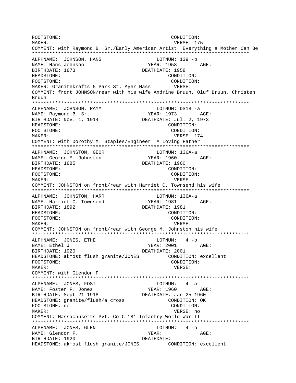FOOTSTONE: CONDITION: MAKER: VERSE: 175 COMMENT: with Raymond B. Sr./Early American Artist Everything a Mother Can Be \*\*\*\*\*\*\*\*\*\*\*\*\*\*\*\*\*\*\*\*\*\*\*\*\*\*\*\*\*\*\*\*\*\*\*\*\*\*\*\*\*\*\*\*\*\*\*\*\*\*\*\*\*\*\*\*\*\*\*\*\*\*\*\*\*\*\*\*\*\*\*\*\*\*\* ALPHNAME: JOHNSON, HANS LOTNUM: 139 -b NAME: Hans Johnson YEAR: 1958 AGE: BIRTHDATE: 1873 DEATHDATE: 1958 HEADSTONE: CONDITION: FOOTSTONE: CONDITION: MAKER: Granitekrafts 5 Park St. Ayer Mass VERSE: COMMENT: front JOHNSON/rear with his wife Andrine Bruun, Oluf Bruun, Christen Bruun \*\*\*\*\*\*\*\*\*\*\*\*\*\*\*\*\*\*\*\*\*\*\*\*\*\*\*\*\*\*\*\*\*\*\*\*\*\*\*\*\*\*\*\*\*\*\*\*\*\*\*\*\*\*\*\*\*\*\*\*\*\*\*\*\*\*\*\*\*\*\*\*\*\*\* ALPHNAME: JOHNSON, RAYM LOTNUM: DS18 -a NAME: Raymond B. Sr. YEAR: 1973 AGE:<br>BIRTHDATE: Nov. 1, 1914 DEATHDATE: Jul. 2, 1973 BIRTHDATE: Nov. 1, 1914 HEADSTONE: CONDITION: FOOTSTONE: CONDITION: MAKER: USE SERVICE STRAIN WERE SERVICE STRAINING WERE SERVICE STRAINING WERE SERVICE STRAINING WERE SERVICE STRAINING WERE SERVICE STRAINING WERE SERVICE STRAINING WERE SERVICE STRAINING WERE SERVICE STRAINING WERE SERVICE COMMENT: with Dorothy M. Staples/Engineer A Loving Father \*\*\*\*\*\*\*\*\*\*\*\*\*\*\*\*\*\*\*\*\*\*\*\*\*\*\*\*\*\*\*\*\*\*\*\*\*\*\*\*\*\*\*\*\*\*\*\*\*\*\*\*\*\*\*\*\*\*\*\*\*\*\*\*\*\*\*\*\*\*\*\*\*\*\* ALPHNAME: JOHNSTON, GEOR LOTNUM: 136A-a NAME: George M. Johnston Tear: 1960 AGE: BIRTHDATE: 1885 DEATHDATE: 1960 HEADSTONE: CONDITION: FOOTSTONE:  $\text{COMDITION:}$ MAKER: VERSE: COMMENT: JOHNSTON on front/rear with Harriet C. Townsend his wife \*\*\*\*\*\*\*\*\*\*\*\*\*\*\*\*\*\*\*\*\*\*\*\*\*\*\*\*\*\*\*\*\*\*\*\*\*\*\*\*\*\*\*\*\*\*\*\*\*\*\*\*\*\*\*\*\*\*\*\*\*\*\*\*\*\*\*\*\*\*\*\*\*\*\* ALPHNAME: JOHNSTON, HARR NAME: Harriet C. Townsend YEAR: 1981 AGE: BIRTHDATE: 1892 DEATHDATE: 1981 HEADSTONE: CONDITION: FOOTSTONE: CONDITION: MAKER: VERSE: COMMENT: JOHNSTON on front/rear with George M. Johnston his wife \*\*\*\*\*\*\*\*\*\*\*\*\*\*\*\*\*\*\*\*\*\*\*\*\*\*\*\*\*\*\*\*\*\*\*\*\*\*\*\*\*\*\*\*\*\*\*\*\*\*\*\*\*\*\*\*\*\*\*\*\*\*\*\*\*\*\*\*\*\*\*\*\*\*\* ALPHNAME: JONES, ETHE LOTNUM: NAME: Ethel J. Same Communications of the Magnus of the YEAR: 2001 AGE: BIRTHDATE: 1920 DEATHDATE: 2001 HEADSTONE: akmost flush granite/JONES CONDITION: excellent FOOTSTONE: CONDITION: MAKER: VERSE: COMMENT: with Glendon F. \*\*\*\*\*\*\*\*\*\*\*\*\*\*\*\*\*\*\*\*\*\*\*\*\*\*\*\*\*\*\*\*\*\*\*\*\*\*\*\*\*\*\*\*\*\*\*\*\*\*\*\*\*\*\*\*\*\*\*\*\*\*\*\*\*\*\*\*\*\*\*\*\*\*\* ALPHNAME: JONES, FOST CONDUCTED LOTNUM: 4 -a NAME: Foster F. Jones YEAR: 1960 AGE: BIRTHDATE: Sept 21 1918 DEATHDATE: Jan 25 1960 HEADSTONE: granite/flush/a cross CONDITION: OK FOOTSTONE: no CONDITION: MAKER: VERSE: no COMMENT: Massachusetts Pvt. Co C 181 Infantry World War II \*\*\*\*\*\*\*\*\*\*\*\*\*\*\*\*\*\*\*\*\*\*\*\*\*\*\*\*\*\*\*\*\*\*\*\*\*\*\*\*\*\*\*\*\*\*\*\*\*\*\*\*\*\*\*\*\*\*\*\*\*\*\*\*\*\*\*\*\*\*\*\*\*\*\* ALPHNAME: JONES, GLEN CONSTRAINING A -b NAME: Glendon F. YEAR: AGE: BIRTHDATE: 1920 DEATHDATE: HEADSTONE: akmost flush granite/JONES CONDITION: excellent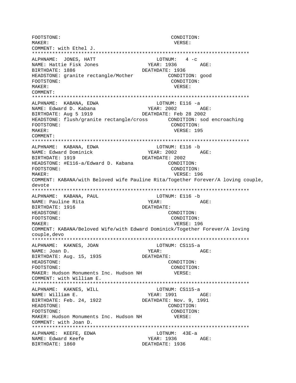FOOTSTONE: CONDITION: MAKER: VERSE: COMMENT: with Ethel J. ALPHNAME: JONES, HATT LOTNUM:  $4 - c$ YEAR: 1936 AGE: NAME: Hattie Fisk Jones BIRTHDATE: 1886 DEATHDATE: 1936 HEADSTONE: granite rectangle/Mother CONDITION: good CONDITION: FOOTSTONE: MAKER: VERSE:  $COMM$  $FNTT$ : ALPHNAME: KABANA, EDWA LOTNUM: E116 -a NAME: Edward D. Kabana YEAR: 2002 AGE: BIRTHDATE: Aug 5 1919 DEATHDATE: Feb 28 2002 HEADSTONE: flush/granite rectangle/cross CONDITION: sod encroaching CONDITION: FOOTSTONE: MAKER: VERSE: 195 COMMENT: ALPHNAME: KABANA, EDWA LOTNUM: E116 -b NAME: Edward Dominick YEAR: 2002 AGE: DEATHDATE: 2002 BIRTHDATE: 1919 HEADSTONE: #E116-a/Edward D. Kabana CONDITION: CONDITION: FOOTSTONE: MAKER: VERSE: 196 COMMENT: KABANA/with Beloved wife Pauline Rita/Together Forever/A loving couple, Aevote ALPHNAME: KABANA, PAUL LOTNUM: E116 -b NAME: Pauline Rita YEAR: AGE: BIRTHDATE: 1916 DEATHDATE: HEADSTONE: CONDITION: FOOTSTONE: CONDITION: VERSE: 196 MAKER: COMMENT: KABANA/Beloved Wife/with Edward Dominick/Together Forever/A loving couple, devo ALPHNAME: KAKNES, JOAN LOTNUM: CS115-a YEAR: AGE: NAME: Joan D. BIRTHDATE: Aug. 15, 1935 DEATHDATE: CONDITION: HEADSTONE: FOOTSTONE: CONDITION: MAKER: Hudson Monuments Inc. Hudson NH VERSE: COMMENT: with William E. ALPHNAME: KAKNES, WILL LOTNUM: CS115-a NAME: William E. YEAR: 1991 AGE: BIRTHDATE: Feb. 24, 1922 DEATHDATE: Nov. 9, 1991 HEADSTONE: CONDITION: FOOTSTONE: CONDITION: MAKER: Hudson Monuments Inc. Hudson NH VERSE: COMMENT: with Joan D. ALPHNAME: KEEFE, EDWA LOTNUM: 43E-a NAME: Edward Keefe YEAR: 1936 AGE: BIRTHDATE: 1860 DEATHDATE: 1936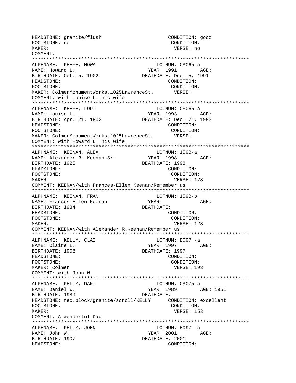HEADSTONE: granite/flush CONDITION: good FOOTSTONE: no CONDITION: MAKER: VERSE: no COMMENT: \*\*\*\*\*\*\*\*\*\*\*\*\*\*\*\*\*\*\*\*\*\*\*\*\*\*\*\*\*\*\*\*\*\*\*\*\*\*\*\*\*\*\*\*\*\*\*\*\*\*\*\*\*\*\*\*\*\*\*\*\*\*\*\*\*\*\*\*\*\*\*\*\*\*\* ALPHNAME: KEEFE, HOWA LOTNUM: CS065-a NAME: Howard L. YEAR: 1991 AGE: BIRTHDATE: Oct. 5, 1902 DEATHDATE: Dec. 5, 1991 HEADSTONE: CONDITION: FOOTSTONE: CONDITION: MAKER: ColmerMonumentWorks,1025LawrenceSt. VERSE: COMMENT: with Louise L. his wife \*\*\*\*\*\*\*\*\*\*\*\*\*\*\*\*\*\*\*\*\*\*\*\*\*\*\*\*\*\*\*\*\*\*\*\*\*\*\*\*\*\*\*\*\*\*\*\*\*\*\*\*\*\*\*\*\*\*\*\*\*\*\*\*\*\*\*\*\*\*\*\*\*\*\* ALPHNAME: KEEFE, LOUI LOTNUM: CS065-a NAME: Louise L.<br>BIRTHDATE: Apr. 21, 1902 DEATHDATE: Dec. 21, 1993 BIRTHDATE: Apr. 21, 1902 HEADSTONE: CONDITION: FOOTSTONE:  $\overline{COMDITION}$ :  $\overline{MAKER}$ :  $\overline{CollmexMonumentWorks}$ ,  $1025$ LawrenceSt.  $\overline{VERSE}$ : MAKER: ColmerMonumentWorks, 1025LawrenceSt. COMMENT: with Howard L. his wife \*\*\*\*\*\*\*\*\*\*\*\*\*\*\*\*\*\*\*\*\*\*\*\*\*\*\*\*\*\*\*\*\*\*\*\*\*\*\*\*\*\*\*\*\*\*\*\*\*\*\*\*\*\*\*\*\*\*\*\*\*\*\*\*\*\*\*\*\*\*\*\*\*\*\* ALPHNAME: KEENAN, ALEX LOTNUM: 159B-a NAME: Alexander R. Keenan Sr. YEAR: 1998 AGE: BIRTHDATE: 1925 DEATHDATE: 1998 HEADSTONE: CONDITION: FOOTSTONE: CONDITION: MAKER: VERSE: 128 COMMENT: KEENAN/with Frances-Ellen Keenan/Remember us \*\*\*\*\*\*\*\*\*\*\*\*\*\*\*\*\*\*\*\*\*\*\*\*\*\*\*\*\*\*\*\*\*\*\*\*\*\*\*\*\*\*\*\*\*\*\*\*\*\*\*\*\*\*\*\*\*\*\*\*\*\*\*\*\*\*\*\*\*\*\*\*\*\*\* ALPHNAME: KEENAN, FRAN LOTNUM: 159B-b NAME: Frances-Ellen Keenan YEAR: YEAR: AGE: BIRTHDATE: 1934 DEATHDATE: HEADSTONE: CONDITION: FOOTSTONE: CONDITION: MAKER: VERSE: 128 COMMENT: KEENAN/with Alexander R.Keenan/Remember us \*\*\*\*\*\*\*\*\*\*\*\*\*\*\*\*\*\*\*\*\*\*\*\*\*\*\*\*\*\*\*\*\*\*\*\*\*\*\*\*\*\*\*\*\*\*\*\*\*\*\*\*\*\*\*\*\*\*\*\*\*\*\*\*\*\*\*\*\*\*\*\*\*\*\* ALPHNAME: KELLY, CLAI CONNERTHE LOTNUM: E097 -a NAME: Claire L. Same Communications of the Magnus Media of the YEAR: 1997 AGE: BIRTHDATE: 1908 DEATHDATE: 1997 HEADSTONE: CONDITION: FOOTSTONE: CONDITION: MAKER: Colmer VERSE: 193 COMMENT: with John W. \*\*\*\*\*\*\*\*\*\*\*\*\*\*\*\*\*\*\*\*\*\*\*\*\*\*\*\*\*\*\*\*\*\*\*\*\*\*\*\*\*\*\*\*\*\*\*\*\*\*\*\*\*\*\*\*\*\*\*\*\*\*\*\*\*\*\*\*\*\*\*\*\*\*\* ALPHNAME: KELLY, DANI LOTNUM: CS075-a NAME: Daniel W. YEAR: 1989 AGE: 1951 BIRTHDATE: 1989 DEATHDATE: HEADSTONE: rec.block/granite/scroll/KELLY CONDITION: excellent FOOTSTONE: CONDITION: MAKER: VERSE: 153 COMMENT: A wonderful Dad \*\*\*\*\*\*\*\*\*\*\*\*\*\*\*\*\*\*\*\*\*\*\*\*\*\*\*\*\*\*\*\*\*\*\*\*\*\*\*\*\*\*\*\*\*\*\*\*\*\*\*\*\*\*\*\*\*\*\*\*\*\*\*\*\*\*\*\*\*\*\*\*\*\*\* ALPHNAME: KELLY, JOHN LOTNUM: E097 -a NAME: John W. 2001 AGE: BIRTHDATE: 1907 DEATHDATE: 2001 HEADSTONE: CONDITION: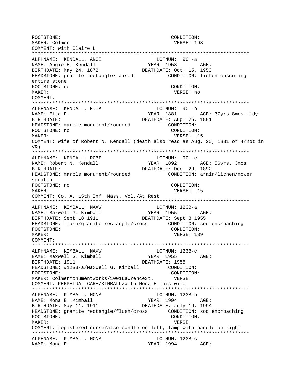FOOTSTONE: CONDITION: VERSE: 193 MAKER: Colmer COMMENT: with Claire L. ALPHNAME: KENDALL, ANGI  $LOTNUM: 90 -a$ YEAR: 1953 AGE: NAME: Angie E. Kendall BIRTHDATE: May 24, 1872 DEATHDATE: Oct. 15, 1953 CONDITION: lichen obscuring HEADSTONE: granite rectangle/raised entire stone FOOTSTONE: no CONDITION: MAKER: VERSE: no COMMENT: ALPHNAME: KENDALL, ETTA LOTNUM: 90 -b YEAR: 1881 AGE: 37yrs.8mos.11dy NAME: Etta P. DEATHDATE: Aug. 25, 1881 BIRTHDATE: HEADSTONE: marble monument/rounded CONDITION: FOOTSTONE: no CONDITION: VERSE: 15 MAKER: COMMENT: wife of Robert N. Kendall (death also read as Aug. 25, 1881 or 4/not in  $V$ R $)$ ALPHNAME: KENDALL, ROBE LOTNUM:  $90 - c$ AGE: 56yrs. 3mos. NAME: Robert N. Kendall YEAR: 1892 DEATHDATE: Dec. 29, 1892 **BIRTHDATE:** HEADSTONE: marble monument/rounded CONDITION: arain/lichen/mower scratch FOOTSTONE: no CONDITION:  $M\Delta KFR$ : VERSE: 15 COMMENT: Co. A, 15th Inf. Mass. Vol./At Rest ALPHNAME: KIMBALL, MAXW LOTNUM: 123B-a YEAR: 1955 AGE: NAME: Maxwell G. Kimball BIRTHDATE: Sept 18 1911 DEATHDATE: Sept 8 1955 CONDITION: FOOTSTONE: MAKER: VERSE: 139 COMMENT: ALPHNAME: KIMBALL, MAXW LOTNUM: 123B-c YEAR: 1955 AGE: NAME: Maxwell G. Kimball BIRTHDATE: 1911 DEATHDATE: 1955 HEADSTONE: #123B-a/Maxwell G. Kimball CONDITION: FOOTSTONE: VERSE: CONDITION: MAKER: ColmerMonumentWorks/1001LawrenceSt. COMMENT: PERPETUAL CARE/KIMBALL/with Mona E. his wife ALPHNAME: KIMBALL, MONA LOTNUM: 123B-b NAME: Mona E. Kimball YEAR: 1994 AGE: DEATHDATE: July 19, 1994 BIRTHDATE: May 11, 1911 FOOTSTONE: CONDITION: MAKER: VERSE: COMMENT: registered nurse/also candle on left, lamp with handle on right ALPHNAME: KIMBALL, MONA LOTNUM: 123B-c NAME: Mona E. YEAR: 1994 AGE: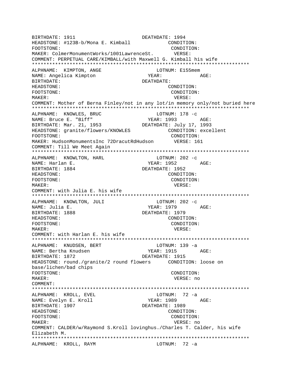BIRTHDATE: 1911 **DEATHDATE: 1994** HEADSTONE: #123B-b/Mona E. Kimball CONDITION: FOOTSTONE: CONDITION: MAKER: ColmerMonumentWorks/1001LawrenceSt. VERSE: COMMENT: PERPETUAL CARE/KIMBALL/with Maxwell G. Kimball his wife \*\*\*\*\*\*\*\*\*\*\*\*\*\*\*\*\*\*\*\*\*\*\*\*\*\*\*\*\*\*\*\*\*\*\*\*\*\*\*\*\*\*\*\*\*\*\*\*\*\*\*\*\*\*\*\*\*\*\*\*\*\*\*\*\*\*\*\*\*\*\*\*\*\*\* ALPHNAME: KIMPTON, ANGE  $L$  LOTNUM: E155mem NAME: Angelica Kimpton  $YEAR:$  AGE: BIRTHDATE: DEATHDATE: HEADSTONE: CONDITION: FOOTSTONE: CONDITION: MAKER: VERSE: COMMENT: Mother of Berna Finley/not in any lot/in memory only/not buried here \*\*\*\*\*\*\*\*\*\*\*\*\*\*\*\*\*\*\*\*\*\*\*\*\*\*\*\*\*\*\*\*\*\*\*\*\*\*\*\*\*\*\*\*\*\*\*\*\*\*\*\*\*\*\*\*\*\*\*\*\*\*\*\*\*\*\*\*\*\*\*\*\*\*\* ALPHNAME: KNOWLES, BRUC LOTNUM: 178 -c NAME: Bruce E. "Biff" YEAR: 1993 AGE: BIRTHDATE: Mar. 21, 1953 DEATHDATE: July 17, 1993 HEADSTONE: granite/flowers/KNOWLES CONDITION: excellent FOOTSTONE: CONDITION: MAKER: HudsonMonumentsInc 72DracutRdHudson VERSE: 161 COMMENT: Till We Meet Again \*\*\*\*\*\*\*\*\*\*\*\*\*\*\*\*\*\*\*\*\*\*\*\*\*\*\*\*\*\*\*\*\*\*\*\*\*\*\*\*\*\*\*\*\*\*\*\*\*\*\*\*\*\*\*\*\*\*\*\*\*\*\*\*\*\*\*\*\*\*\*\*\*\*\* ALPHNAME: KNOWLTON, HARL LOTNUM: 202 -c NAME: Harlan E. The South of the YEAR: 1952 AGE: BIRTHDATE: 1884 DEATHDATE: 1952 HEADSTONE: CONDITION: FOOTSTONE: CONDITION: MAKER: VERSE: COMMENT: with Julia E. his wife \*\*\*\*\*\*\*\*\*\*\*\*\*\*\*\*\*\*\*\*\*\*\*\*\*\*\*\*\*\*\*\*\*\*\*\*\*\*\*\*\*\*\*\*\*\*\*\*\*\*\*\*\*\*\*\*\*\*\*\*\*\*\*\*\*\*\*\*\*\*\*\*\*\*\* ALPHNAME: KNOWLTON, JULI LOTNUM: 202 -C NAME: Julia E. (2008) AGE: YEAR: 1979 AGE: BIRTHDATE: 1888 DEATHDATE: 1979 HEADSTONE: CONDITION: FOOTSTONE: CONDITION: MAKER: VERSE: COMMENT: with Harlan E. his wife \*\*\*\*\*\*\*\*\*\*\*\*\*\*\*\*\*\*\*\*\*\*\*\*\*\*\*\*\*\*\*\*\*\*\*\*\*\*\*\*\*\*\*\*\*\*\*\*\*\*\*\*\*\*\*\*\*\*\*\*\*\*\*\*\*\*\*\*\*\*\*\*\*\*\* ALPHNAME: KNUDSEN, BERT LOTNUM: 139 -a NAME: Bertha Knudsen Name YEAR: 1915 AGE: BIRTHDATE: 1872 DEATHDATE: 1915 HEADSTONE: round./granite/2 round flowers CONDITION: loose on base/lichen/bad chips FOOTSTONE: CONDITION: MAKER: VERSE: no COMMENT: \*\*\*\*\*\*\*\*\*\*\*\*\*\*\*\*\*\*\*\*\*\*\*\*\*\*\*\*\*\*\*\*\*\*\*\*\*\*\*\*\*\*\*\*\*\*\*\*\*\*\*\*\*\*\*\*\*\*\*\*\*\*\*\*\*\*\*\*\*\*\*\*\*\*\* ALPHNAME: KROLL, EVEL NAME: Evelyn E. Kroll YEAR: 1989 AGE: BIRTHDATE: 1907 DEATHDATE: 1989 HEADSTONE: CONDITION: FOOTSTONE: CONDITION: MAKER: VERSE: no COMMENT: CALDER/w/Raymond S.Kroll lovinghus./Charles T. Calder, his wife Elizabeth M. \*\*\*\*\*\*\*\*\*\*\*\*\*\*\*\*\*\*\*\*\*\*\*\*\*\*\*\*\*\*\*\*\*\*\*\*\*\*\*\*\*\*\*\*\*\*\*\*\*\*\*\*\*\*\*\*\*\*\*\*\*\*\*\*\*\*\*\*\*\*\*\*\*\*\* ALPHNAME: KROLL, RAYM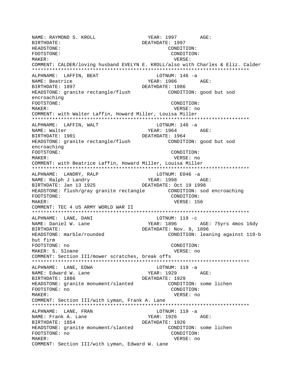NAME: RAYMOND S. KROLL YEAR: 1997 AGE: BIRTHDATE: DEATHDATE: 1997 HEADSTONE: CONDITION: FOOTSTONE: CONDITION: MAKER: VERSE: COMMENT: CALDER/loving husband EVELYN E. KROLL/also with Charles & Eliz. Calder \*\*\*\*\*\*\*\*\*\*\*\*\*\*\*\*\*\*\*\*\*\*\*\*\*\*\*\*\*\*\*\*\*\*\*\*\*\*\*\*\*\*\*\*\*\*\*\*\*\*\*\*\*\*\*\*\*\*\*\*\*\*\*\*\*\*\*\*\*\*\*\*\*\*\* ALPHNAME: LAFFIN, BEAT CHARAGE LOTNUM: 146 -a NAME: Beatrice The Media of the YEAR: 1986 AGE: BIRTHDATE: 1897 DEATHDATE: 1986 HEADSTONE: granite rectangle/flush CONDITION: good but sod encroaching FOOTSTONE: CONDITION: MAKER: VERSE: no COMMENT: with Walter Laffin, Howard Miller, Louisa Miller \*\*\*\*\*\*\*\*\*\*\*\*\*\*\*\*\*\*\*\*\*\*\*\*\*\*\*\*\*\*\*\*\*\*\*\*\*\*\*\*\*\*\*\*\*\*\*\*\*\*\*\*\*\*\*\*\*\*\*\*\*\*\*\*\*\*\*\*\*\*\*\*\*\*\* ALPHNAME: LAFFIN, WALT LOTNUM: 146 -a NAME: Walter  $YEAR: 1964$  AGE: BIRTHDATE: 1901 DEATHDATE: 1964 HEADSTONE: granite rectangle/flush CONDITION: good but sod encroaching FOOTSTONE: CONDITION: MAKER: VERSE: no COMMENT: with Beatrice Laffin, Howard Miller, Louisa Miller \*\*\*\*\*\*\*\*\*\*\*\*\*\*\*\*\*\*\*\*\*\*\*\*\*\*\*\*\*\*\*\*\*\*\*\*\*\*\*\*\*\*\*\*\*\*\*\*\*\*\*\*\*\*\*\*\*\*\*\*\*\*\*\*\*\*\*\*\*\*\*\*\*\*\* ALPHNAME: LANDRY, RALP CONTROL LOTNUM: E046 -a NAME: Ralph J Landry XEAR: 1998 AGE: BIRTHDATE: Jan 13 1925 DEATHDATE: Oct 19 1998 HEADSTONE: flush/gray granite rectangle CONDITION: sod encroaching FOOTSTONE: CONDITION: MAKER: VERSE: 156 COMMENT: TEC 4 US ARMY WORLD WAR II \*\*\*\*\*\*\*\*\*\*\*\*\*\*\*\*\*\*\*\*\*\*\*\*\*\*\*\*\*\*\*\*\*\*\*\*\*\*\*\*\*\*\*\*\*\*\*\*\*\*\*\*\*\*\*\*\*\*\*\*\*\*\*\*\*\*\*\*\*\*\*\*\*\*\* ALPHNAME: LANE, DANI LOTNUM: 119 -c NAME: Daniel W. Lane The Manus YEAR: 1896 AGE: 75yrs 4mos 16dy BIRTHDATE: NOV. 9, 1896 HEADSTONE: marble/rounded CONDITION: leaning against 119-b but firm FOOTSTONE: no CONDITION: MAKER: S. Sloane VERSE: no COMMENT: Section III/mower scratches, break offs \*\*\*\*\*\*\*\*\*\*\*\*\*\*\*\*\*\*\*\*\*\*\*\*\*\*\*\*\*\*\*\*\*\*\*\*\*\*\*\*\*\*\*\*\*\*\*\*\*\*\*\*\*\*\*\*\*\*\*\*\*\*\*\*\*\*\*\*\*\*\*\*\*\*\* ALPHNAME: LANE, EDWA LOTNUM: 119 -a NAME: Edward W. Lane YEAR: 1929 AGE: BIRTHDATE: 1886 DEATHDATE: 1929 HEADSTONE: granite monument/slanted CONDITION: some lichen FOOTSTONE: no CONDITION: MAKER: VERSE: no COMMENT: Section III/with Lyman, Frank A. Lane \*\*\*\*\*\*\*\*\*\*\*\*\*\*\*\*\*\*\*\*\*\*\*\*\*\*\*\*\*\*\*\*\*\*\*\*\*\*\*\*\*\*\*\*\*\*\*\*\*\*\*\*\*\*\*\*\*\*\*\*\*\*\*\*\*\*\*\*\*\*\*\*\*\*\* ALPHNAME: LANE, FRAN LOTNUM: 119 -a NAME: Frank A. Lane YEAR: 1926 AGE: BIRTHDATE: 1854 DEATHDATE: 1926 HEADSTONE: granite monument/slanted CONDITION: some lichen FOOTSTONE: no CONDITION: MAKER: VERSE: no COMMENT: Section III/with Lyman, Edward W. Lane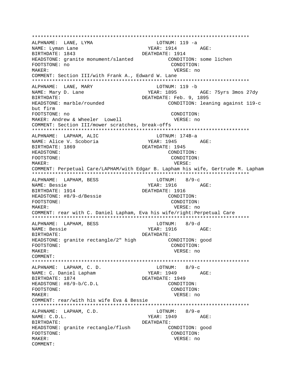ALPHNAME: LANE, LYMA LOTNUM: 119 -a  $YEAR: 1914 \qquad AGE:$ NAME: Lyman Lane BIRTHDATE: 1843 DEATHDATE: 1914 HEADSTONE: granite monument/slanted CONDITION: some lichen FOOTSTONE: no CONDITION: MAKER: VERSE: no COMMENT: Section III/with Frank A., Edward W. Lane LOTNUM: 119 -b ALPHNAME: LANE, MARY NAME: Mary D. Lane YEAR: 1895 AGE: 75yrs 3mos 27dy DEATHDATE: Feb. 9, 1895 BIRTHDATE: HEADSTONE: marble/rounded CONDITION: leaning against 119-c but firm FOOTSTONE: no CONDITION: MAKER: Andrew & Wheeler Lowell VERSE: no COMMENT: Section III/mower scratches, break-offs ALPHNAME: LAPHAM, ALIC LOTNUM: 174B-a NAME: Alice V. Scoboria YEAR: 1945 AGE: BIRTHDATE: 1869 DEATHDATE: 1945 HEADSTONE: CONDITION: FOOTSTONE: CONDITION: MAKER: VERSE: COMMENT: Perpetual Care/LAPHAM/with Edgar B. Lapham his wife, Gertrude M. Lapham ALPHNAME: LAPHAM, BESS LOTNUM: 8/9-c NAME: Bessie YEAR: 1916 AGE: BIRTHDATE: 1914 DEATHDATE: 1916 HEADSTONE: #8/9-d/Bessie CONDITION: FOOTSTONE: CONDITION: MAKER: VERSE: no COMMENT: rear with C. Daniel Lapham, Eva his wife/right: Perpetual Care ALPHNAME: LAPHAM, BESS LOTNUM: 8/9-d NAME: Bessie **BIRTHDATE:** DEATHDATE: HEADSTONE: granite rectangle/2" high CONDITION: good FOOTSTONE: CONDITION: VERSE: no MAKER: COMMENT: ALPHNAME: LAPHAM, C. D.  $LOTNUM: 8/9-c$  $YEAR: 1949$   $AGE:$ NAME: C. Daniel Lapham BIRTHDATE: 1874 DEATHDATE: 1949 HEADSTONE: #8/9-b/C.D.L CONDITION: FOOTSTONE: CONDITION: MAKER: VERSE: no COMMENT: rear/with his wife Eva & Bessie ALPHNAME: LAPHAM, C.D.  $LOTNUM: 8/9-e$ NAME: C.D.L. YEAR: 1949 AGE: BIRTHDATE: DEATHDATE: HEADSTONE: granite rectangle/flush CONDITION: good FOOTSTONE: CONDITION: MAKER: VERSE: no COMMENT: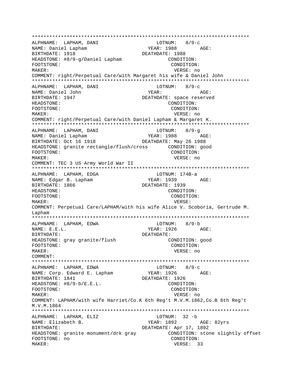\*\*\*\*\*\*\*\*\*\*\*\*\*\*\*\*\*\*\*\*\*\*\*\*\*\*\*\*\*\*\*\*\*\*\*\*\*\*\*\*\*\*\*\*\*\*\*\*\*\*\*\*\*\*\*\*\*\*\*\*\*\*\*\*\*\*\*\*\*\*\*\*\*\*\* ALPHNAME: LAPHAM, DANI NAME: Daniel Lapham YEAR: 1988 AGE: BIRTHDATE: 1918 DEATHDATE: 1988 HEADSTONE:  $\#8/9-q/Daniel Lapham$  CONDITION: FOOTSTONE: CONDITION: MAKER: VERSE: no COMMENT: right/Perpetual Care/with Margaret his wife & Daniel John \*\*\*\*\*\*\*\*\*\*\*\*\*\*\*\*\*\*\*\*\*\*\*\*\*\*\*\*\*\*\*\*\*\*\*\*\*\*\*\*\*\*\*\*\*\*\*\*\*\*\*\*\*\*\*\*\*\*\*\*\*\*\*\*\*\*\*\*\*\*\*\*\*\*\* ALPHNAME: LAPHAM, DANI LOTNUM: 8/9-c NAME: Daniel John YEAR: AGE: BIRTHDATE: 1947 DEATHDATE: space reserved HEADSTONE: CONDITION: FOOTSTONE: CONDITION: MAKER: VERSE: no COMMENT: right/Perpetual Care/with Daniel Lapham & Margaret K. \*\*\*\*\*\*\*\*\*\*\*\*\*\*\*\*\*\*\*\*\*\*\*\*\*\*\*\*\*\*\*\*\*\*\*\*\*\*\*\*\*\*\*\*\*\*\*\*\*\*\*\*\*\*\*\*\*\*\*\*\*\*\*\*\*\*\*\*\*\*\*\*\*\*\* ALPHNAME: LAPHAM, DANI NAME: Daniel Lapham YEAR: 1988 AGE: BIRTHDATE: Oct 16 1918 DEATHDATE: May 26 1988 HEADSTONE: granite rectangle/flush/cross CONDITION: good FOOTSTONE: CONDITION: MAKER: VERSE: no COMMENT: TEC 3 US Army World War II \*\*\*\*\*\*\*\*\*\*\*\*\*\*\*\*\*\*\*\*\*\*\*\*\*\*\*\*\*\*\*\*\*\*\*\*\*\*\*\*\*\*\*\*\*\*\*\*\*\*\*\*\*\*\*\*\*\*\*\*\*\*\*\*\*\*\*\*\*\*\*\*\*\*\* ALPHNAME: LAPHAM, EDGA LOTNUM: 174B-a NAME: Edgar B. Lapham YEAR: 1939 AGE: BIRTHDATE: 1866 DEATHDATE: 1939 HEADSTONE: CONDITION: FOOTSTONE: CONDITION: MAKER: VERSE: COMMENT: Perpetual Care/LAPHAM/with his wife Alice V. Scoboria, Gertrude M. Lapham \*\*\*\*\*\*\*\*\*\*\*\*\*\*\*\*\*\*\*\*\*\*\*\*\*\*\*\*\*\*\*\*\*\*\*\*\*\*\*\*\*\*\*\*\*\*\*\*\*\*\*\*\*\*\*\*\*\*\*\*\*\*\*\*\*\*\*\*\*\*\*\*\*\*\* ALPHNAME: LAPHAM, EDWA LOTNUM: 8/9-b NAME: E.E.L. YEAR: 1926 AGE: BIRTHDATE: DEATHDATE: HEADSTONE: gray granite/flush CONDITION: good FOOTSTONE: CONDITION: MAKER: VERSE: no COMMENT: \*\*\*\*\*\*\*\*\*\*\*\*\*\*\*\*\*\*\*\*\*\*\*\*\*\*\*\*\*\*\*\*\*\*\*\*\*\*\*\*\*\*\*\*\*\*\*\*\*\*\*\*\*\*\*\*\*\*\*\*\*\*\*\*\*\*\*\*\*\*\*\*\*\*\* ALPHNAME: LAPHAM, EDWA NAME: Corp. Edward E. Lapham YEAR: 1926 AGE: BIRTHDATE: 1841 DEATHDATE: 1926 HEADSTONE: #8/9-b/E.E.L. CONDITION: FOOTSTONE: CONDITION: MAKER: VERSE: no COMMENT: LAPHAM/with wife Harriet/Co.K 6th Reg't M.V.M.1862,Co.B 6th Reg't M.V.M.1864 \*\*\*\*\*\*\*\*\*\*\*\*\*\*\*\*\*\*\*\*\*\*\*\*\*\*\*\*\*\*\*\*\*\*\*\*\*\*\*\*\*\*\*\*\*\*\*\*\*\*\*\*\*\*\*\*\*\*\*\*\*\*\*\*\*\*\*\*\*\*\*\*\*\*\* ALPHNAME: LAPHAM, ELIZ LOTNUM: 32 -b NAME: Elizabeth B. YEAR: 1892 AGE: 82yrs BIRTHDATE: DEATHDATE: Apr 17, 1892 HEADSTONE: granite monument/drk gray CONDITION: stone slightly offset FOOTSTONE: no CONDITION: MAKER: VERSE: 33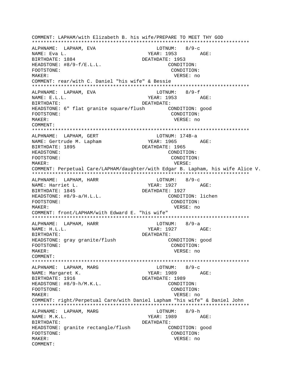COMMENT: LAPHAM/with Elizabeth B. his wife/PREPARE TO MEET THY GOD LOTNUM:  $8/9-c$ ALPHNAME: LAPHAM, EVA NAME: Eva L. YEAR: 1953  $AGE$ : BIRTHDATE: 1884 DEATHDATE: 1953 HEADSTONE:  $#8/9-f/E.L.L.$ CONDITION: FOOTSTONE: CONDITION: VERSE: no MAKER: COMMENT: rear/with C. Daniel "his wife" & Bessie ALPHNAME: LAPHAM, EVA  $LOTNUM: 8/9-f$ NAME: E.L.L. YEAR: 1953 AGE: BIRTHDATE: **DEATHDATE:** HEADSTONE: 6" flat granite square/flush CONDITION: good CONDITION: FOOTSTONE: VERSE: no MAKER: COMMENT: ALPHNAME: LAPHAM, GERT LOTNUM: 174B-a YEAR: 1965 AGE: NAME: Gertrude M. Lapham DEATHDATE: 1965 BIRTHDATE: 1895 HEADSTONE: CONDITION: FOOTSTONE: CONDITION: MAKER: VERSE: COMMENT: Perpetual Care/LAPHAM/daughter/with Edgar B. Lapham, his wife Alice V. ALPHNAME: LAPHAM, HARR LOTNUM: 8/9-c NAME: Harriet L. YEAR: 1927 AGE: BIRTHDATE: 1845 DEATHDATE: 1927 CONDITION: lichen HEADSTONE:  $#8/9-a/H.L.L.$ FOOTSTONE: CONDITION: MAKER: VERSE: no COMMENT: front/LAPHAM/with Edward E. "his wife"  $LOTNUM: 8/9-a$ ALPHNAME: LAPHAM, HARR YEAR: 1927 AGE: NAME: H.L.L. **BIRTHDATE:** DEATHDATE: HEADSTONE: gray granite/flush CONDITION: good FOOTSTONE: CONDITION: VERSE: no MAKER: COMMENT: ALPHNAME: LAPHAM, MARG  $LOTNUM: 8/9-c$ YEAR: 1989 AGE: NAME: Margaret K. BIRTHDATE: 1916 DEATHDATE: 1989 CONDITION: HEADSTONE: #8/9-h/M.K.L. FOOTSTONE: CONDITION: MAKER: VERSE: no COMMENT: right/Perpetual Care/with Daniel Lapham "his wife" & Daniel John  $8/9-h$ ALPHNAME: LAPHAM, MARG LOTNUM: NAME: M.K.L. YEAR: 1989 AGE: BIRTHDATE: DEATHDATE: HEADSTONE: granite rectangle/flush CONDITION: good FOOTSTONE: CONDITION: MAKER: VERSE: no COMMENT: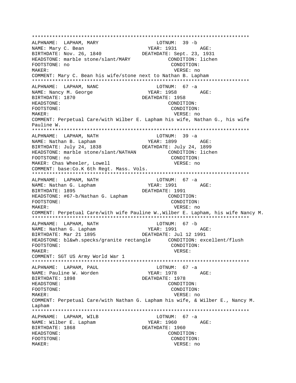\*\*\*\*\*\*\*\*\*\*\*\*\*\*\*\*\*\*\*\*\*\*\*\*\*\*\*\*\*\*\*\*\*\*\*\*\*\*\*\*\*\*\*\*\*\*\*\*\*\*\*\*\*\*\*\*\*\*\*\*\*\*\*\*\*\*\*\*\*\*\*\*\*\*\* ALPHNAME: LAPHAM, MARY NAME: Mary C. Bean YEAR: 1931 AGE: BIRTHDATE: Nov. 26, 1840 DEATHDATE: Sept. 23, 1931 HEADSTONE: marble stone/slant/MARY CONDITION: lichen FOOTSTONE: no CONDITION: MAKER: VERSE: no COMMENT: Mary C. Bean his wife/stone next to Nathan B. Lapham \*\*\*\*\*\*\*\*\*\*\*\*\*\*\*\*\*\*\*\*\*\*\*\*\*\*\*\*\*\*\*\*\*\*\*\*\*\*\*\*\*\*\*\*\*\*\*\*\*\*\*\*\*\*\*\*\*\*\*\*\*\*\*\*\*\*\*\*\*\*\*\*\*\*\* ALPHNAME: LAPHAM, NANC NAME: Nancy M. George YEAR: 1958 AGE: BIRTHDATE: 1870 DEATHDATE: 1958 HEADSTONE: CONDITION: FOOTSTONE: CONDITION: MAKER: VERSE: no COMMENT: Perpetual Care/with Wilber E. Lapham his wife, Nathan G., his wife Pauline W. \*\*\*\*\*\*\*\*\*\*\*\*\*\*\*\*\*\*\*\*\*\*\*\*\*\*\*\*\*\*\*\*\*\*\*\*\*\*\*\*\*\*\*\*\*\*\*\*\*\*\*\*\*\*\*\*\*\*\*\*\*\*\*\*\*\*\*\*\*\*\*\*\*\*\* ALPHNAME: LAPHAM, NATH LOTNUM: 39 -a NAME: Nathan B. Lapham YEAR: 1899 AGE: BIRTHDATE: July 24, 1838 DEATHDATE: July 24, 1899 HEADSTONE: marble stone/slant/NATHAN CONDITION: lichen FOOTSTONE: no CONDITION: MAKER: Chas Wheeler, Lowell VERSE: no COMMENT: base:Co.K 6th Regt. Mass. Vols. \*\*\*\*\*\*\*\*\*\*\*\*\*\*\*\*\*\*\*\*\*\*\*\*\*\*\*\*\*\*\*\*\*\*\*\*\*\*\*\*\*\*\*\*\*\*\*\*\*\*\*\*\*\*\*\*\*\*\*\*\*\*\*\*\*\*\*\*\*\*\*\*\*\*\* ALPHNAME: LAPHAM, NATH CHARLOTHE LOTNUM: 67 -a NAME: Nathan G. Lapham YEAR: 1991 AGE: BIRTHDATE: 1895 DEATHDATE: 1991 HEADSTONE: #67-b/Nathan G. Lapham CONDITION: FOOTSTONE: CONDITION: MAKER: VERSE: no COMMENT: Perpetual Care/with wife Pauline W.,Wilber E. Lapham, his wife Nancy M. \*\*\*\*\*\*\*\*\*\*\*\*\*\*\*\*\*\*\*\*\*\*\*\*\*\*\*\*\*\*\*\*\*\*\*\*\*\*\*\*\*\*\*\*\*\*\*\*\*\*\*\*\*\*\*\*\*\*\*\*\*\*\*\*\*\*\*\*\*\*\*\*\*\*\* ALPHNAME: LAPHAM, NATH LOTNUM: 67 -b NAME: Nathan G. Lapham YEAR: 1991 AGE: BIRTHDATE: Mar 21 1895 DEATHDATE: Jul 12 1991 HEADSTONE: bl&wh.specks/granite rectangle CONDITION: excellent/flush FOOTSTONE: CONDITION: MAKER: VERSE: COMMENT: SGT US Army World War 1 \*\*\*\*\*\*\*\*\*\*\*\*\*\*\*\*\*\*\*\*\*\*\*\*\*\*\*\*\*\*\*\*\*\*\*\*\*\*\*\*\*\*\*\*\*\*\*\*\*\*\*\*\*\*\*\*\*\*\*\*\*\*\*\*\*\*\*\*\*\*\*\*\*\*\* ALPHNAME: LAPHAM, PAUL CONNECTRITION ALPHNAME: 67 -a NAME: Pauline W. Worden YEAR: 1978 AGE: BIRTHDATE: 1898 DEATHDATE: 1978 HEADSTONE: CONDITION: FOOTSTONE: CONDITION: MAKER: VERSE: no COMMENT: Perpetual Care/with Nathan G. Lapham his wife, & Wilber E., Nancy M. Lapham \*\*\*\*\*\*\*\*\*\*\*\*\*\*\*\*\*\*\*\*\*\*\*\*\*\*\*\*\*\*\*\*\*\*\*\*\*\*\*\*\*\*\*\*\*\*\*\*\*\*\*\*\*\*\*\*\*\*\*\*\*\*\*\*\*\*\*\*\*\*\*\*\*\*\* ALPHNAME: LAPHAM, WILB LOTNUM: 67 -a NAME: Wilber E. Lapham YEAR: 1960 AGE: BIRTHDATE: 1868 DEATHDATE: 1960 HEADSTONE: CONDITION: FOOTSTONE: CONDITION: MAKER: VERSE: no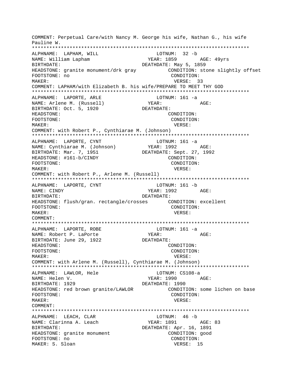COMMENT: Perpetual Care/with Nancy M. George his wife, Nathan G., his wife Pauline W. \*\*\*\*\*\*\*\*\*\*\*\*\*\*\*\*\*\*\*\*\*\*\*\*\*\*\*\*\*\*\*\*\*\*\*\*\*\*\*\*\*\*\*\*\*\*\*\*\*\*\*\*\*\*\*\*\*\*\*\*\*\*\*\*\*\*\*\*\*\*\*\*\*\*\* ALPHNAME: LAPHAM, WILL LOTNUM: 32 -b NAME: William Lapham YEAR: 1859 AGE: 49yrs BIRTHDATE: DEATHDATE: May 5, 1859 HEADSTONE: granite monument/drk gray  $COMDITION:$  stone slightly offset FOOTSTONE: no FOOTSTONE: no MAKER: VERSE: 33 COMMENT: LAPHAM/with Elizabeth B. his wife/PREPARE TO MEET THY GOD \*\*\*\*\*\*\*\*\*\*\*\*\*\*\*\*\*\*\*\*\*\*\*\*\*\*\*\*\*\*\*\*\*\*\*\*\*\*\*\*\*\*\*\*\*\*\*\*\*\*\*\*\*\*\*\*\*\*\*\*\*\*\*\*\*\*\*\*\*\*\*\*\*\*\* ALPHNAME: LAPORTE, ARLE LOTNUM: 161 -a NAME: Arlene M. (Russell) YEAR: YEAR: AGE: BIRTHDATE: Oct. 5, 1920 DEATHDATE: HEADSTONE: CONDITION: FOOTSTONE: CONDITION: MAKER: VERSE: COMMENT: with Robert P., Cynthiarae M. (Johnson) \*\*\*\*\*\*\*\*\*\*\*\*\*\*\*\*\*\*\*\*\*\*\*\*\*\*\*\*\*\*\*\*\*\*\*\*\*\*\*\*\*\*\*\*\*\*\*\*\*\*\*\*\*\*\*\*\*\*\*\*\*\*\*\*\*\*\*\*\*\*\*\*\*\*\* ALPHNAME: LAPORTE, CYNT LOTNUM: 161 -a NAME: Cynthiarae M. (Johnson) YEAR: 1992 AGE: BIRTHDATE: Mar. 7, 1951 HEADSTONE: #161-b/CINDY CONDITION: FOOTSTONE: CONDITION: MAKER: VERSE: COMMENT: with Robert P., Arlene M. (Russell) \*\*\*\*\*\*\*\*\*\*\*\*\*\*\*\*\*\*\*\*\*\*\*\*\*\*\*\*\*\*\*\*\*\*\*\*\*\*\*\*\*\*\*\*\*\*\*\*\*\*\*\*\*\*\*\*\*\*\*\*\*\*\*\*\*\*\*\*\*\*\*\*\*\*\* ALPHNAME: LAPORTE, CYNT LOTNUM: 161 -b NAME: CINDY CONDITERT PROPERTY AGE: BIRTHDATE: DEATHDATE: HEADSTONE: flush/gran. rectangle/crosses CONDITION: excellent FOOTSTONE: CONDITION: MAKER: VERSE: COMMENT: \*\*\*\*\*\*\*\*\*\*\*\*\*\*\*\*\*\*\*\*\*\*\*\*\*\*\*\*\*\*\*\*\*\*\*\*\*\*\*\*\*\*\*\*\*\*\*\*\*\*\*\*\*\*\*\*\*\*\*\*\*\*\*\*\*\*\*\*\*\*\*\*\*\*\* ALPHNAME: LAPORTE, ROBE LOTNUM: 161 -a NAME: Robert P. LaPorte YEAR: AGE: BIRTHDATE: June 29, 1922 HEADSTONE: CONDITION: FOOTSTONE: CONDITION: MAKER: VERSE: COMMENT: with Arlene M. (Russell), Cynthiarae M. (Johnson) \*\*\*\*\*\*\*\*\*\*\*\*\*\*\*\*\*\*\*\*\*\*\*\*\*\*\*\*\*\*\*\*\*\*\*\*\*\*\*\*\*\*\*\*\*\*\*\*\*\*\*\*\*\*\*\*\*\*\*\*\*\*\*\*\*\*\*\*\*\*\*\*\*\*\* ALPHNAME: LAWLOR, Hele LOTNUM: CS108-a NAME: Helen V. YEAR: 1990 AGE: BIRTHDATE: 1929 DEATHDATE: 1990 HEADSTONE: red brown granite/LAWLOR CONDITION: some lichen on base FOOTSTONE: CONDITION: MAKER: VERSE: COMMENT: \*\*\*\*\*\*\*\*\*\*\*\*\*\*\*\*\*\*\*\*\*\*\*\*\*\*\*\*\*\*\*\*\*\*\*\*\*\*\*\*\*\*\*\*\*\*\*\*\*\*\*\*\*\*\*\*\*\*\*\*\*\*\*\*\*\*\*\*\*\*\*\*\*\*\* ALPHNAME: LEACH, CLAR LOTNUM: 46 -b NAME: Clarinna A. Leach YEAR: 1891 AGE: 83 BIRTHDATE: DEATHDATE: Apr. 16, 1891 HEADSTONE: granite monument CONDITION: good FOOTSTONE: no CONDITION: MAKER: S. Sloan VERSE: 15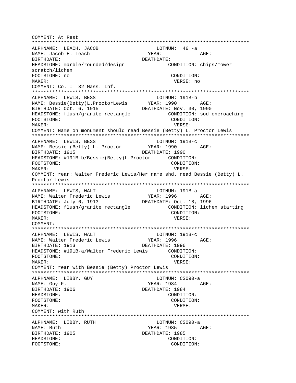COMMENT: At Rest \*\*\*\*\*\*\*\*\*\*\*\*\*\*\*\*\*\*\*\*\*\*\*\*\*\*\*\*\*\*\*\*\*\*\*\*\*\*\*\*\*\*\*\*\*\*\*\*\*\*\*\*\*\*\*\*\*\*\*\*\*\*\*\*\*\*\*\*\*\*\*\*\*\*\* ALPHNAME: LEACH, JACOB LOTNUM: 46 -a NAME: Jacob H. Leach YEAR: YEAR: AGE: BIRTHDATE: DEATHDATE: HEADSTONE: marble/rounded/design CONDITION: chips/mower scratch/lichen FOOTSTONE: no CONDITION: MAKER: VERSE: no COMMENT: Co. I 32 Mass. Inf. \*\*\*\*\*\*\*\*\*\*\*\*\*\*\*\*\*\*\*\*\*\*\*\*\*\*\*\*\*\*\*\*\*\*\*\*\*\*\*\*\*\*\*\*\*\*\*\*\*\*\*\*\*\*\*\*\*\*\*\*\*\*\*\*\*\*\*\*\*\*\*\*\*\*\* ALPHNAME: LEWIS, BESS LOTNUM: 191B-b NAME: Bessie(Betty)L.ProctorLewis YEAR: 1990 AGE: BIRTHDATE: Oct. 6, 1915 DEATHDATE: Nov. 30, 1990 HEADSTONE: flush/granite rectangle CONDITION: sod encroaching FOOTSTONE: CONDITION: MAKER: VERSE: COMMENT: Name on monument should read Bessie (Betty) L. Proctor Lewis \*\*\*\*\*\*\*\*\*\*\*\*\*\*\*\*\*\*\*\*\*\*\*\*\*\*\*\*\*\*\*\*\*\*\*\*\*\*\*\*\*\*\*\*\*\*\*\*\*\*\*\*\*\*\*\*\*\*\*\*\*\*\*\*\*\*\*\*\*\*\*\*\*\*\* ALPHNAME: LEWIS, BESS<br>
NAME: Bessie (Betty) L. Proctor (BEAR: 1990 NAME: Bessie (Betty) L. Proctor YEAR: 1990 AGE: BIRTHDATE: 1915 DEATHDATE: 1990 HEADSTONE: #191B-b/Bessie(Betty)L.Proctor CONDITION: FOOTSTONE: CONDITION: MAKER: VERSE: COMMENT: rear: Walter Frederic Lewis/Her name shd. read Bessie (Betty) L. Proctor Lewis \*\*\*\*\*\*\*\*\*\*\*\*\*\*\*\*\*\*\*\*\*\*\*\*\*\*\*\*\*\*\*\*\*\*\*\*\*\*\*\*\*\*\*\*\*\*\*\*\*\*\*\*\*\*\*\*\*\*\*\*\*\*\*\*\*\*\*\*\*\*\*\*\*\*\* ALPHNAME: LEWIS, WALT LOTNUM: 191B-a NAME: Walter Frederic Lewis YEAR: 1996 AGE: BIRTHDATE: July 6, 1913 DEATHDATE: Oct. 18, 1996 HEADSTONE: flush/granite rectangle CONDITION: lichen starting FOOTSTONE: CONDITION: MAKER: VERSE: COMMENT: \*\*\*\*\*\*\*\*\*\*\*\*\*\*\*\*\*\*\*\*\*\*\*\*\*\*\*\*\*\*\*\*\*\*\*\*\*\*\*\*\*\*\*\*\*\*\*\*\*\*\*\*\*\*\*\*\*\*\*\*\*\*\*\*\*\*\*\*\*\*\*\*\*\*\* ALPHNAME: LEWIS, WALT NAME: Walter Frederic Lewis TEAR: 1996 AGE: BIRTHDATE: 1913 DEATHDATE: 1996 HEADSTONE: #191B-a/Walter Frederic Lewis CONDITION: FOOTSTONE: CONDITION: MAKER: VERSE: COMMENT: rear with Bessie (Betty) Proctor Lewis \*\*\*\*\*\*\*\*\*\*\*\*\*\*\*\*\*\*\*\*\*\*\*\*\*\*\*\*\*\*\*\*\*\*\*\*\*\*\*\*\*\*\*\*\*\*\*\*\*\*\*\*\*\*\*\*\*\*\*\*\*\*\*\*\*\*\*\*\*\*\*\*\*\*\* ALPHNAME: LIBBY, GUY LOTNUM: CS090-a NAME: Guy F.  $\qquad \qquad$  YEAR: 1984  $\qquad$  AGE: BIRTHDATE: 1906 DEATHDATE: 1984 HEADSTONE: CONDITION: FOOTSTONE: CONDITION: MAKER: VERSE: COMMENT: with Ruth \*\*\*\*\*\*\*\*\*\*\*\*\*\*\*\*\*\*\*\*\*\*\*\*\*\*\*\*\*\*\*\*\*\*\*\*\*\*\*\*\*\*\*\*\*\*\*\*\*\*\*\*\*\*\*\*\*\*\*\*\*\*\*\*\*\*\*\*\*\*\*\*\*\*\* ALPHNAME: LIBBY, RUTH LOTNUM: CS090-a NAME: Ruth  $YEAR: 1985$  AGE: BIRTHDATE: 1905 DEATHDATE: 1985 HEADSTONE: CONDITION: FOOTSTONE: CONDITION: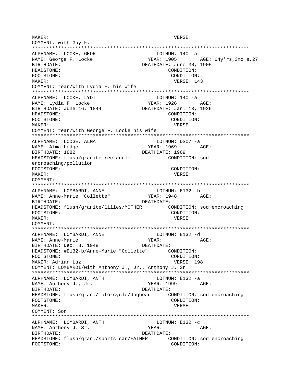MAKER: VERSE: COMMENT: with Guy F. \*\*\*\*\*\*\*\*\*\*\*\*\*\*\*\*\*\*\*\*\*\*\*\*\*\*\*\*\*\*\*\*\*\*\*\*\*\*\*\*\*\*\*\*\*\*\*\*\*\*\*\*\*\*\*\*\*\*\*\*\*\*\*\*\*\*\*\*\*\*\*\*\*\*\* ALPHNAME: LOCKE, GEOR LOTNUM: 140 -a NAME: George F. Locke YEAR: 1905 AGE: 64y'rs,3mo's,27 BIRTHDATE: DEATHDATE: June 30, 1905 HEADSTONE: CONDITION: FOOTSTONE: CONDITION: MAKER: VERSE: 143 COMMENT: rear/with Lydia F. his wife \*\*\*\*\*\*\*\*\*\*\*\*\*\*\*\*\*\*\*\*\*\*\*\*\*\*\*\*\*\*\*\*\*\*\*\*\*\*\*\*\*\*\*\*\*\*\*\*\*\*\*\*\*\*\*\*\*\*\*\*\*\*\*\*\*\*\*\*\*\*\*\*\*\*\* ALPHNAME: LOCKE, LYDI LOTNUM: 140 -a NAME: Lydia F. Locke YEAR: 1926 AGE: BIRTHDATE: June 16, 1844 DEATHDATE: Jan. 13, 1926 HEADSTONE: CONDITION: FOOTSTONE: CONDITION: MAKER: VERSE: COMMENT: rear/with George F. Locke his wife \*\*\*\*\*\*\*\*\*\*\*\*\*\*\*\*\*\*\*\*\*\*\*\*\*\*\*\*\*\*\*\*\*\*\*\*\*\*\*\*\*\*\*\*\*\*\*\*\*\*\*\*\*\*\*\*\*\*\*\*\*\*\*\*\*\*\*\*\*\*\*\*\*\*\* ALPHNAME: LODGE, ALMA LOTNUM: DS07 -a NAME: Alma Lodge YEAR: 1969 AGE: BIRTHDATE: 1882 DEATHDATE: 1969 HEADSTONE: flush/granite rectangle CONDITION: sod encroaching/pollution FOOTSTONE: CONDITION: MAKER: VERSE: COMMENT: \*\*\*\*\*\*\*\*\*\*\*\*\*\*\*\*\*\*\*\*\*\*\*\*\*\*\*\*\*\*\*\*\*\*\*\*\*\*\*\*\*\*\*\*\*\*\*\*\*\*\*\*\*\*\*\*\*\*\*\*\*\*\*\*\*\*\*\*\*\*\*\*\*\*\* ALPHNAME: LOMBARDI, ANNE LOTNUM: E132 -b NAME: Anne-Marie "Collette" BIRTHDATE: DEATHDATE: HEADSTONE: flush/granite/lilies/MOTHER CONDITION: sod encroaching FOOTSTONE: CONDITION: MAKER: VERSE: COMMENT: \*\*\*\*\*\*\*\*\*\*\*\*\*\*\*\*\*\*\*\*\*\*\*\*\*\*\*\*\*\*\*\*\*\*\*\*\*\*\*\*\*\*\*\*\*\*\*\*\*\*\*\*\*\*\*\*\*\*\*\*\*\*\*\*\*\*\*\*\*\*\*\*\*\*\* ALPHNAME: LOMBARDI, ANNE LOTNUM: E132 -d NAME: Anne-Marie YEAR: AGE: BIRTHDATE: Dec. 8, 1948 DEATHDATE: HEADSTONE: #E132-b/Anne-Marie "Collette" CONDITION: FOOTSTONE: CONDITION: MAKER: Adrian Luz VERSE: 198 COMMENT: LOMBARDI/with Anthony J., Jr., Anthony J. Sr. \*\*\*\*\*\*\*\*\*\*\*\*\*\*\*\*\*\*\*\*\*\*\*\*\*\*\*\*\*\*\*\*\*\*\*\*\*\*\*\*\*\*\*\*\*\*\*\*\*\*\*\*\*\*\*\*\*\*\*\*\*\*\*\*\*\*\*\*\*\*\*\*\*\*\* ALPHNAME: LOMBARDI, ANTH LOTNUM: E132 -a NAME: Anthony J., Jr. BIRTHDATE: DEATHDATE: HEADSTONE: flush/gran./motorcycle/doghead CONDITION: sod encroaching FOOTSTONE: CONDITION: MAKER: VERSE: COMMENT: Son \*\*\*\*\*\*\*\*\*\*\*\*\*\*\*\*\*\*\*\*\*\*\*\*\*\*\*\*\*\*\*\*\*\*\*\*\*\*\*\*\*\*\*\*\*\*\*\*\*\*\*\*\*\*\*\*\*\*\*\*\*\*\*\*\*\*\*\*\*\*\*\*\*\*\* ALPHNAME: LOMBARDI, ANTH LOTNUM: E132 -c NAME: Anthony J. Sr. YEAR: YEAR: AGE: BIRTHDATE: DEATHDATE: HEADSTONE: flush/gran./sports car/FATHER CONDITION: sod encroaching FOOTSTONE: CONDITION: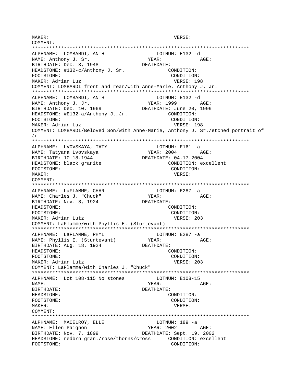MAKER: VERSE: COMMENT: \*\*\*\*\*\*\*\*\*\*\*\*\*\*\*\*\*\*\*\*\*\*\*\*\*\*\*\*\*\*\*\*\*\*\*\*\*\*\*\*\*\*\*\*\*\*\*\*\*\*\*\*\*\*\*\*\*\*\*\*\*\*\*\*\*\*\*\*\*\*\*\*\*\*\* ALPHNAME: LOMBARDI, ANTH LOTNUM: E132 -d NAME: Anthony J. Sr. YEAR: YEAR: AGE: BIRTHDATE: Dec. 3, 1948 DEATHDATE: DEATHDATE: HEADSTONE: #132-c/Anthony J. Sr. CONDITION: FOOTSTONE: CONDITION: MAKER: Adrian Luz VERSE: 198 COMMENT: LOMBARDI front and rear/with Anne-Marie, Anthony J. Jr. \*\*\*\*\*\*\*\*\*\*\*\*\*\*\*\*\*\*\*\*\*\*\*\*\*\*\*\*\*\*\*\*\*\*\*\*\*\*\*\*\*\*\*\*\*\*\*\*\*\*\*\*\*\*\*\*\*\*\*\*\*\*\*\*\*\*\*\*\*\*\*\*\*\*\* ALPHNAME: LOMBARDI, ANTH LOTNUM: E132 -d NAME: Anthony J. Jr. YEAR: 1999 AGE: BIRTHDATE: Dec. 10, 1969 DEATHDATE: June 20, 1999 HEADSTONE: #E132-a/Anthony J., Jr. CONDITION: FOOTSTONE: CONDITION: MAKER: Adrian Luz **VERSE: 198** COMMENT: LOMBARDI/Beloved Son/with Anne-Marie, Anthony J. Sr./etched portrait of Jr. \*\*\*\*\*\*\*\*\*\*\*\*\*\*\*\*\*\*\*\*\*\*\*\*\*\*\*\*\*\*\*\*\*\*\*\*\*\*\*\*\*\*\*\*\*\*\*\*\*\*\*\*\*\*\*\*\*\*\*\*\*\*\*\*\*\*\*\*\*\*\*\*\*\*\* ALPHNAME: LVOVSKAYA, TATY LOTNUM: E161 -a NAME: Tatyana Lvovskaya YEAR: 2004 AGE: BIRTHDATE: 10.18.1944 DEATHDATE: 04.17.2004 HEADSTONE: black granite CONDITION: excellent FOOTSTONE: CONDITION: MAKER: VERSE: COMMENT: \*\*\*\*\*\*\*\*\*\*\*\*\*\*\*\*\*\*\*\*\*\*\*\*\*\*\*\*\*\*\*\*\*\*\*\*\*\*\*\*\*\*\*\*\*\*\*\*\*\*\*\*\*\*\*\*\*\*\*\*\*\*\*\*\*\*\*\*\*\*\*\*\*\*\* ALPHNAME: LaFLAMME, CHAR LOTNUM: E287 -a NAME: Charles J. "Chuck" YEAR: YEAR: AGE: BIRTHDATE: Nov. 8, 1924 DEATHDATE: HEADSTONE: CONDITION: FOOTSTONE: CONDITION: MAKER: Adrian Lutz **VERSE: 203** COMMENT: LaFlamme/with Phyllis E. (Sturtevant) \*\*\*\*\*\*\*\*\*\*\*\*\*\*\*\*\*\*\*\*\*\*\*\*\*\*\*\*\*\*\*\*\*\*\*\*\*\*\*\*\*\*\*\*\*\*\*\*\*\*\*\*\*\*\*\*\*\*\*\*\*\*\*\*\*\*\*\*\*\*\*\*\*\*\* ALPHNAME: LaFLAMME, PHYL LOTNUM: E287 -a NAME: Phyllis E. (Sturtevant) YEAR: YEAR: AGE: BIRTHDATE: Aug. 18, 1924 DEATHDATE: HEADSTONE: CONDITION: FOOTSTONE: CONDITION: MAKER: Adrian Lutz **VERSE: 203** COMMENT: LaFlamme/with Charles J. "Chuck" \*\*\*\*\*\*\*\*\*\*\*\*\*\*\*\*\*\*\*\*\*\*\*\*\*\*\*\*\*\*\*\*\*\*\*\*\*\*\*\*\*\*\*\*\*\*\*\*\*\*\*\*\*\*\*\*\*\*\*\*\*\*\*\*\*\*\*\*\*\*\*\*\*\*\* ALPHNAME: Lot 108-115 No stones LOTNUM: E108-15 NAME:  $YEAR:$  AGE: BIRTHDATE: DEATHDATE: HEADSTONE: CONDITION: FOOTSTONE: CONDITION: MAKER: VERSE: COMMENT: \*\*\*\*\*\*\*\*\*\*\*\*\*\*\*\*\*\*\*\*\*\*\*\*\*\*\*\*\*\*\*\*\*\*\*\*\*\*\*\*\*\*\*\*\*\*\*\*\*\*\*\*\*\*\*\*\*\*\*\*\*\*\*\*\*\*\*\*\*\*\*\*\*\*\* ALPHNAME: MACELROY, ELLE LOTNUM: 189 -a NAME: Ellen Paignon YEAR: 2002 AGE: BIRTHDATE: Nov. 7, 1899 DEATHDATE: Sept. 19, 2002 HEADSTONE: redbrn gran./rose/thorns/cross CONDITION: excellent FOOTSTONE: CONDITION: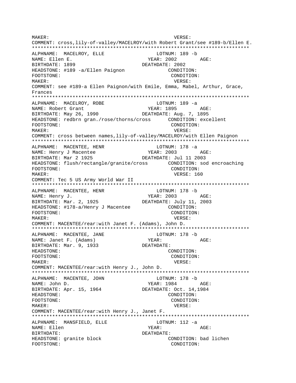MAKER: VERSE: COMMENT: cross,lily-of-valley/MACELROY/with Robert Grant/see #189-b/Ellen E. \*\*\*\*\*\*\*\*\*\*\*\*\*\*\*\*\*\*\*\*\*\*\*\*\*\*\*\*\*\*\*\*\*\*\*\*\*\*\*\*\*\*\*\*\*\*\*\*\*\*\*\*\*\*\*\*\*\*\*\*\*\*\*\*\*\*\*\*\*\*\*\*\*\*\* ALPHNAME: MACELROY, ELLE LOTNUM: 189 -b NAME: Ellen E. The South of the YEAR: 2002 AGE: BIRTHDATE: 1899 DEATHDATE: 2002 HEADSTONE: #189 -a/Ellen Paignon CONDITION: FOOTSTONE: CONDITION: MAKER: VERSE: COMMENT: see #189-a Ellen Paignon/with Emile, Emma, Mabel, Arthur, Grace, Frances \*\*\*\*\*\*\*\*\*\*\*\*\*\*\*\*\*\*\*\*\*\*\*\*\*\*\*\*\*\*\*\*\*\*\*\*\*\*\*\*\*\*\*\*\*\*\*\*\*\*\*\*\*\*\*\*\*\*\*\*\*\*\*\*\*\*\*\*\*\*\*\*\*\*\* ALPHNAME: MACELROY, ROBE LOTNUM: 189 -a NAME: Robert Grant The South Communist MEAR: 1895 AGE: BIRTHDATE: May 26, 1990 DEATHDATE: Aug. 7, 1895 HEADSTONE: redbrn gran./rose/thorns/cross CONDITION: excellent FOOTSTONE: CONDITION: MAKER: VERSE: COMMENT: cross between names,lily-of-valley/MACELROY/with Ellen Paignon \*\*\*\*\*\*\*\*\*\*\*\*\*\*\*\*\*\*\*\*\*\*\*\*\*\*\*\*\*\*\*\*\*\*\*\*\*\*\*\*\*\*\*\*\*\*\*\*\*\*\*\*\*\*\*\*\*\*\*\*\*\*\*\*\*\*\*\*\*\*\*\*\*\*\* ALPHNAME: MACENTEE, HENR CONNUM: 178 -a NAME: Henry J Macentee YEAR: 2003 AGE: BIRTHDATE: Mar 2 1925 DEATHDATE: Jul 11 2003 HEADSTONE: flush/rectangle/granite/cross CONDITION: sod encroaching FOOTSTONE: CONDITION: MAKER: 160 COMMENT: Tec 5 US Army World War II \*\*\*\*\*\*\*\*\*\*\*\*\*\*\*\*\*\*\*\*\*\*\*\*\*\*\*\*\*\*\*\*\*\*\*\*\*\*\*\*\*\*\*\*\*\*\*\*\*\*\*\*\*\*\*\*\*\*\*\*\*\*\*\*\*\*\*\*\*\*\*\*\*\*\* ALPHNAME: MACENTEE, HENR LOTNUM: 178 -b NAME: Henry J. Same Communication of the MEAR: 2003 AGE: BIRTHDATE: Mar. 2, 1925 DEATHDATE: July 11, 2003 HEADSTONE: #178-a/Henry J Macentee CONDITION: FOOTSTONE: CONDITION: MAKER: VERSE: COMMENT: MACENTEE/rear:with Janet F. (Adams), John D. \*\*\*\*\*\*\*\*\*\*\*\*\*\*\*\*\*\*\*\*\*\*\*\*\*\*\*\*\*\*\*\*\*\*\*\*\*\*\*\*\*\*\*\*\*\*\*\*\*\*\*\*\*\*\*\*\*\*\*\*\*\*\*\*\*\*\*\*\*\*\*\*\*\*\* ALPHNAME: MACENTEE, JANE LOTNUM: 178 -b NAME: Janet F. (Adams) YEAR: YEAR: AGE: BIRTHDATE: Mar. 9, 1933 DEATHDATE: HEADSTONE: CONDITION: FOOTSTONE: CONDITION: MAKER: VERSE: COMMENT: MACENTEE/rear:with Henry J., John D. \*\*\*\*\*\*\*\*\*\*\*\*\*\*\*\*\*\*\*\*\*\*\*\*\*\*\*\*\*\*\*\*\*\*\*\*\*\*\*\*\*\*\*\*\*\*\*\*\*\*\*\*\*\*\*\*\*\*\*\*\*\*\*\*\*\*\*\*\*\*\*\*\*\*\* ALPHNAME: MACENTEE, JOHN LOTNUM: 178 -b NAME: John D. YEAR: 1984 AGE: BIRTHDATE: Apr. 15, 1964 DEATHDATE: Oct. 14,1984 HEADSTONE: CONDITION: FOOTSTONE: CONDITION: MAKER: VERSE: COMMENT: MACENTEE/rear:with Henry J., Janet F. \*\*\*\*\*\*\*\*\*\*\*\*\*\*\*\*\*\*\*\*\*\*\*\*\*\*\*\*\*\*\*\*\*\*\*\*\*\*\*\*\*\*\*\*\*\*\*\*\*\*\*\*\*\*\*\*\*\*\*\*\*\*\*\*\*\*\*\*\*\*\*\*\*\*\* ALPHNAME: MANSFIELD, ELLE LOTNUM: 112 -a NAME: Ellen YEAR: AGE: BIRTHDATE: DEATHDATE: HEADSTONE: granite block CONDITION: bad lichen FOOTSTONE: CONDITION: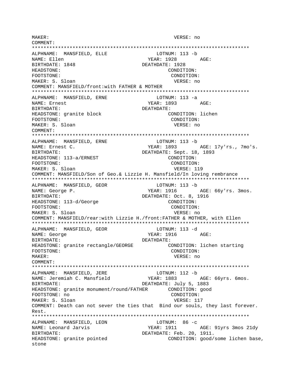MAKER: VERSE: no COMMENT: \*\*\*\*\*\*\*\*\*\*\*\*\*\*\*\*\*\*\*\*\*\*\*\*\*\*\*\*\*\*\*\*\*\*\*\*\*\*\*\*\*\*\*\*\*\*\*\*\*\*\*\*\*\*\*\*\*\*\*\*\*\*\*\*\*\*\*\*\*\*\*\*\*\*\* ALPHNAME: MANSFIELD, ELLE LOTNUM: 113 -b NAME: Ellen Xessex (1928 AGE: BIRTHDATE: 1848 DEATHDATE: 1928 HEADSTONE: CONDITION: FOOTSTONE: CONDITION: MAKER: S. Sloan VERSE: no COMMENT: MANSFIELD/front:with FATHER & MOTHER \*\*\*\*\*\*\*\*\*\*\*\*\*\*\*\*\*\*\*\*\*\*\*\*\*\*\*\*\*\*\*\*\*\*\*\*\*\*\*\*\*\*\*\*\*\*\*\*\*\*\*\*\*\*\*\*\*\*\*\*\*\*\*\*\*\*\*\*\*\*\*\*\*\*\* ALPHNAME: MANSFIELD, ERNE LOTNUM: 113 -a NAME: Ernest Contract Contract Contract Contract PEAR: 1893 AGE: BIRTHDATE: DEATHDATE: HEADSTONE: granite block CONDITION: lichen FOOTSTONE: CONDITION: MAKER: S. Sloan VERSE: no COMMENT: \*\*\*\*\*\*\*\*\*\*\*\*\*\*\*\*\*\*\*\*\*\*\*\*\*\*\*\*\*\*\*\*\*\*\*\*\*\*\*\*\*\*\*\*\*\*\*\*\*\*\*\*\*\*\*\*\*\*\*\*\*\*\*\*\*\*\*\*\*\*\*\*\*\*\* ALPHNAME: MANSFIELD, ERNE LOTNUM: 113 -b NAME: Ernest C. YEAR: 1893 AGE: 17y'rs., 7mo's. BIRTHDATE: DEATHDATE: Sept. 18, 1893 HEADSTONE: 113-a/ERNEST CONDITION: FOOTSTONE: CONDITION: MAKER: S. Sloan VERSE: 119 COMMENT: MANSFIELD/Son of Geo.& Lizzie H. Mansfield/In loving rembrance \*\*\*\*\*\*\*\*\*\*\*\*\*\*\*\*\*\*\*\*\*\*\*\*\*\*\*\*\*\*\*\*\*\*\*\*\*\*\*\*\*\*\*\*\*\*\*\*\*\*\*\*\*\*\*\*\*\*\*\*\*\*\*\*\*\*\*\*\*\*\*\*\*\*\* ALPHNAME: MANSFIELD, GEOR LOTNUM: 113 -b NAME: George P. The Magnus of the Magnus of the YEAR: 1916 AGE: 66y'rs. 3mos. BIRTHDATE: DEATHDATE: Oct. 8, 1916 HEADSTONE: 113-d/George CONDITION: FOOTSTONE: CONDITION: MAKER: S. Sloan VERSE: no COMMENT: MANSFIELD/rear:with Lizzie H./front:FATHER & MOTHER, with Ellen \*\*\*\*\*\*\*\*\*\*\*\*\*\*\*\*\*\*\*\*\*\*\*\*\*\*\*\*\*\*\*\*\*\*\*\*\*\*\*\*\*\*\*\*\*\*\*\*\*\*\*\*\*\*\*\*\*\*\*\*\*\*\*\*\*\*\*\*\*\*\*\*\*\*\* ALPHNAME: MANSFIELD, GEOR NAME: George The Second State of the Second State of the Magnus Age:  $YEAR: 1916$  Age: BIRTHDATE: DEATHDATE: HEADSTONE: granite rectangle/GEORGE CONDITION: lichen starting FOOTSTONE: CONDITION: MAKER: VERSE: no COMMENT: \*\*\*\*\*\*\*\*\*\*\*\*\*\*\*\*\*\*\*\*\*\*\*\*\*\*\*\*\*\*\*\*\*\*\*\*\*\*\*\*\*\*\*\*\*\*\*\*\*\*\*\*\*\*\*\*\*\*\*\*\*\*\*\*\*\*\*\*\*\*\*\*\*\*\* ALPHNAME: MANSFIELD, JERE LOTNUM: 112 -b NAME: Jeremiah C. Mansfield YEAR: 1883 AGE: 66yrs. 6mos. BIRTHDATE: **DEATHDATE:** July 5, 1883 HEADSTONE: granite monument/round/FATHER CONDITION: good FOOTSTONE: no CONDITION: MAKER: S. Sloan VERSE: 117 COMMENT: Death can not sever the ties that Bind our souls, they last forever. Rest. \*\*\*\*\*\*\*\*\*\*\*\*\*\*\*\*\*\*\*\*\*\*\*\*\*\*\*\*\*\*\*\*\*\*\*\*\*\*\*\*\*\*\*\*\*\*\*\*\*\*\*\*\*\*\*\*\*\*\*\*\*\*\*\*\*\*\*\*\*\*\*\*\*\*\* ALPHNAME: MANSFIELD, LEON LOTNUM: 86 -C NAME: Leonard Jarvis The Manus YEAR: 1911 AGE: 91yrs 3mos 21dy BIRTHDATE:  $DEATHDATE:$  Feb. 20, 1911. HEADSTONE: granite pointed CONDITION: good/some lichen base, stone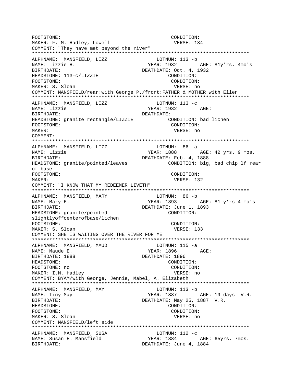FOOTSTONE: CONDITION: MAKER: F. M. Hadley, Lowell VERSE: 134 COMMENT: "They have met beyond the river" ALPHNAME: MANSFIELD, LIZZ LOTNUM: 113 -b YEAR: 1932 AGE: 81y'rs. 4mo's NAME: Lizzie H. BIRTHDATE: DEATHDATE: Oct. 4, 1932 CONDITION: HEADSTONE: 113-c/LIZZIE FOOTSTONE: CONDITION: MAKER: S. Sloan VERSE: no COMMENT: MANSFIELD/rear:with George P./front:FATHER & MOTHER with Ellen ALPHNAME: MANSFIELD, LIZZ LOTNUM:  $113 - c$ NAME: Lizzie YEAR: 1932 AGE: BIRTHDATE: DEATHDATE: CONDITION: bad lichen HEADSTONE: granite rectangle/LIZZIE FOOTSTONE: CONDITION: MAKER: VERSE: no COMMENT: ALPHNAME: MANSFIELD, LIZZ LOTNUM: 86 -a YEAR: 1888 AGE: 42 yrs. 9 mos. NAME: Lizzie DEATHDATE: Feb. 4, 1888 BIRTHDATE: CONDITION: big, bad chip lf rear HEADSTONE: granite/pointed/leaves of base FOOTSTONE: CONDITION: MAKER: VERSE: 132 COMMENT: "I KNOW THAT MY REDEEMER LIVETH" ALPHNAME: MANSFIELD, MARY LOTNUM: 86 -b YEAR: 1893 AGE: 81 y'rs 4 mo's NAME: Mary E. DEATHDATE: June 1, 1893 BIRTHDATE: CONDITION: HEADSTONE: granite/pointed slightlyoffcenterofbase/lichen FOOTSTONE: CONDITION: MAKER: S. Sloan VERSE: 133 COMMENT: SHE IS WAITING OVER THE RIVER FOR ME ALPHNAME: MANSFIELD, MAUD  $LOTNUM: 115 -a$ NAME: Maude E. YEAR: 1896 AGE: BIRTHDATE: 1888 DEATHDATE: 1896 HEADSTONE: CONDITION: FOOTSTONE: no CONDITION: MAKER: I.M. Hadley VERSE: no COMMENT: BYAM/with George, Jennie, Mabel, A. Elizabeth ALPHNAME: MANSFIELD, MAY LOTNUM: 113 -b NAME: Tiny May YEAR: 1887 AGE: 19 days V.R. DEATHDATE: May 25, 1887 V.R. **BIRTHDATE:** HEADSTONE: CONDITION: FOOTSTONE: CONDITION: MAKER: S. Sloan VERSE: no COMMENT: MANSFIELD/left side ALPHNAME: MANSFIELD, SUSA LOTNUM:  $112 - c$ NAME: Susan E. Mansfield YEAR: 1884 AGE: 65yrs. 7mos. BIRTHDATE: DEATHDATE: June 4, 1884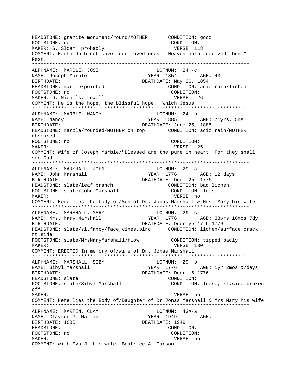HEADSTONE: granite monument/round/MOTHER CONDITION: good FOOTSTONE: no CONDITION: MAKER: S. Sloan probably vERSE: 118 COMMENT: Earth doth not cover our loved ones "Heaven hath received them." Rest. \*\*\*\*\*\*\*\*\*\*\*\*\*\*\*\*\*\*\*\*\*\*\*\*\*\*\*\*\*\*\*\*\*\*\*\*\*\*\*\*\*\*\*\*\*\*\*\*\*\*\*\*\*\*\*\*\*\*\*\*\*\*\*\*\*\*\*\*\*\*\*\*\*\*\* ALPHNAME: MARBLE, JOSE LOTNUM: 24 - c NAME: Joseph Marble **Ageler Accord Marble** YEAR: 1854 AGE: 43 BIRTHDATE: DEATHDATE: May 26, 1854 HEADSTONE: marble/pointed CONDITION: acid rain/lichen FOOTSTONE: no CONDITION: MAKER: D. Nichols, Lowell **VERSE: 26** COMMENT: He is the hope, the blissful hope. Which Jesus \*\*\*\*\*\*\*\*\*\*\*\*\*\*\*\*\*\*\*\*\*\*\*\*\*\*\*\*\*\*\*\*\*\*\*\*\*\*\*\*\*\*\*\*\*\*\*\*\*\*\*\*\*\*\*\*\*\*\*\*\*\*\*\*\*\*\*\*\*\*\*\*\*\*\* ALPHNAME: MARBLE, NANCY LOTNUM: 24 -b NAME: Nancy Same Communication of the MEAR: 1885 AGE: 71yrs. 5ms. BIRTHDATE: DEATHDATE: June 25, 1885 HEADSTONE: marble/rounded/MOTHER on top CONDITION: acid rain/MOTHER obscured FOOTSTONE: no CONDITION: MAKER: VERSE: 25 COMMENT: Wife of Joseph Marble/"Blessed are the pure in heart For they shall see God." \*\*\*\*\*\*\*\*\*\*\*\*\*\*\*\*\*\*\*\*\*\*\*\*\*\*\*\*\*\*\*\*\*\*\*\*\*\*\*\*\*\*\*\*\*\*\*\*\*\*\*\*\*\*\*\*\*\*\*\*\*\*\*\*\*\*\*\*\*\*\*\*\*\*\* ALPHNAME: MARSHALL, JOHN LOTNUM: 29 -a NAME: John Marshall YEAR: 1776 AGE: 12 days BIRTHDATE: DEATHDATE: Dec. 25, 1776 HEADSTONE: slate/leaf branch CONDITION: bad lichen FOOTSTONE: slate/John Marshall CONDITION: loose MAKER: VERSE: no COMMENT: Here lies the body of/Son of Dr. Jonas Marshall & Mrs. Mary his wife \*\*\*\*\*\*\*\*\*\*\*\*\*\*\*\*\*\*\*\*\*\*\*\*\*\*\*\*\*\*\*\*\*\*\*\*\*\*\*\*\*\*\*\*\*\*\*\*\*\*\*\*\*\*\*\*\*\*\*\*\*\*\*\*\*\*\*\*\*\*\*\*\*\*\* ALPHNAME: MARSHALL, MARY LOTNUM: 29 -C NAME: Mrs. Mary Marshall YEAR: 1776 AGE: 38yrs 10mos 7dy BIRTHDATE: DEATHDATE: Decr ye 17th 1776 HEADSTONE: slate/sl.fancy/face,vines,bird CONDITION: lichen/surface crack rt.side FOOTSTONE: slate/MrsMaryMarshall/flow CONDITION: tipped badly MAKER: USA CONTROLLER SERVICES AND MERSE SERVICES AND MERSE SERVICES AND MERSE SERVICES AND MERSE SERVICES AND MERSE SERVICES AND MERSE SERVICES AND MERSE SERVICES AND MERSEUP. COMMENT: ERECTED In memory of/wife of Dr. Jonas Marshall \*\*\*\*\*\*\*\*\*\*\*\*\*\*\*\*\*\*\*\*\*\*\*\*\*\*\*\*\*\*\*\*\*\*\*\*\*\*\*\*\*\*\*\*\*\*\*\*\*\*\*\*\*\*\*\*\*\*\*\*\*\*\*\*\*\*\*\*\*\*\*\*\*\*\* ALPHNAME: MARSHALL, SIBY LOTNUM: 29 -b NAME: Sibyl Marshall YEAR: 1776 AGE: 1yr 2mos &7days BIRTHDATE: Decr 16 1776 HEADSTONE: slate CONDITION: FOOTSTONE: slate/Sibyl Marshall CONDITION: loose, rt.side broken off MAKER: VERSE: no COMMENT: Here lies the Body of/Daughter of Dr Jonas Marshall & Mrs Mary his wife \*\*\*\*\*\*\*\*\*\*\*\*\*\*\*\*\*\*\*\*\*\*\*\*\*\*\*\*\*\*\*\*\*\*\*\*\*\*\*\*\*\*\*\*\*\*\*\*\*\*\*\*\*\*\*\*\*\*\*\*\*\*\*\*\*\*\*\*\*\*\*\*\*\*\* ALPHNAME: MARTIN, CLAY CONNECTRITION: 43A-a NAME: Clayton G. Martin YEAR: 1949 AGE: BIRTHDATE: 1880 DEATHDATE: 1949 HEADSTONE: CONDITION: FOOTSTONE: no CONDITION: MAKER: VERSE: no COMMENT: with Eva J. his wife, Beatrice A. Carson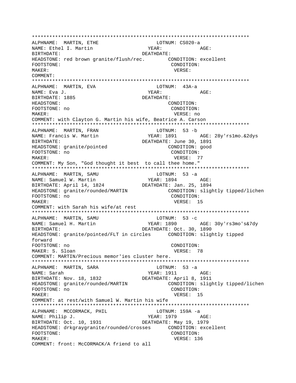\*\*\*\*\*\*\*\*\*\*\*\*\*\*\*\*\*\*\*\*\*\*\*\*\*\*\*\*\*\*\*\*\*\*\*\*\*\*\*\*\*\*\*\*\*\*\*\*\*\*\*\*\*\*\*\*\*\*\*\*\*\*\*\*\*\*\*\*\*\*\*\*\*\*\* ALPHNAME: MARTIN, ETHE LOTNUM: CS020-a NAME: Ethel I. Martin YEAR: YEAR: AGE: BIRTHDATE: DEATHDATE: HEADSTONE: red brown granite/flush/rec. CONDITION: excellent FOOTSTONE: CONDITION: MAKER: VERSE: COMMENT: \*\*\*\*\*\*\*\*\*\*\*\*\*\*\*\*\*\*\*\*\*\*\*\*\*\*\*\*\*\*\*\*\*\*\*\*\*\*\*\*\*\*\*\*\*\*\*\*\*\*\*\*\*\*\*\*\*\*\*\*\*\*\*\*\*\*\*\*\*\*\*\*\*\*\* ALPHNAME: MARTIN, EVA LOTNUM: 43A-a NAME: Eva J. YEAR: AGE: BIRTHDATE: 1885 DEATHDATE: HEADSTONE: CONDITION: FOOTSTONE: no CONDITION: MAKER: VERSE: no COMMENT: with Clayton G. Martin his wife, Beatrice A. Carson \*\*\*\*\*\*\*\*\*\*\*\*\*\*\*\*\*\*\*\*\*\*\*\*\*\*\*\*\*\*\*\*\*\*\*\*\*\*\*\*\*\*\*\*\*\*\*\*\*\*\*\*\*\*\*\*\*\*\*\*\*\*\*\*\*\*\*\*\*\*\*\*\*\*\* ALPHNAME: MARTIN, FRAN NAME: Francis W. Martin YEAR: 1891 AGE: 28y'rs1mo.&2dys BIRTHDATE: DEATHDATE: June 30, 1891 HEADSTONE: granite/pointed  $\begin{array}{ccc} \text{COMDITION:} & \text{good} \\ \text{FOOTSTONE:} & \text{no} \end{array}$ FOOTSTONE: no MAKER: T7 COMMENT: My Son, "God thought it best to call thee home." \*\*\*\*\*\*\*\*\*\*\*\*\*\*\*\*\*\*\*\*\*\*\*\*\*\*\*\*\*\*\*\*\*\*\*\*\*\*\*\*\*\*\*\*\*\*\*\*\*\*\*\*\*\*\*\*\*\*\*\*\*\*\*\*\*\*\*\*\*\*\*\*\*\*\* ALPHNAME: MARTIN, SAMU LOTNUM: 53 -a NAME: Samuel W. Martin YEAR: 1894 AGE: BIRTHDATE: April 14, 1824 DEATHDATE: Jan. 25, 1894 HEADSTONE: granite/rounded/MARTIN CONDITION: slightly tipped/lichen FOOTSTONE: no condition: MAKER: VERSE: 15 COMMENT: with Sarah his wife/at rest \*\*\*\*\*\*\*\*\*\*\*\*\*\*\*\*\*\*\*\*\*\*\*\*\*\*\*\*\*\*\*\*\*\*\*\*\*\*\*\*\*\*\*\*\*\*\*\*\*\*\*\*\*\*\*\*\*\*\*\*\*\*\*\*\*\*\*\*\*\*\*\*\*\*\* ALPHNAME: MARTIN, SAMU LOTNUM: 53 -c NAME: Samuel H. Martin YEAR: 1890 AGE: 30y'rs3mo's&7dy BIRTHDATE: DEATHDATE: Oct. 30, 1890 HEADSTONE: granite/pointed/FLT in circles CONDITION: slightly tipped forward FOOTSTONE: no CONDITION: MAKER: S. Sloan VERSE: 78 COMMENT: MARTIN/Precious memor'ies cluster here. \*\*\*\*\*\*\*\*\*\*\*\*\*\*\*\*\*\*\*\*\*\*\*\*\*\*\*\*\*\*\*\*\*\*\*\*\*\*\*\*\*\*\*\*\*\*\*\*\*\*\*\*\*\*\*\*\*\*\*\*\*\*\*\*\*\*\*\*\*\*\*\*\*\*\* ALPHNAME: MARTIN, SARA LOTNUM: 53 -a NAME: Sarah YEAR: 1911 AGE: BIRTHDATE: Nov. 18, 1832 DEATHDATE: April 8, 1911 HEADSTONE: granite/rounded/MARTIN CONDITION: slightly tipped/lichen FOOTSTONE: no CONDITION: MAKER: VERSE: 15 COMMENT: at rest/with Samuel W. Martin his wife \*\*\*\*\*\*\*\*\*\*\*\*\*\*\*\*\*\*\*\*\*\*\*\*\*\*\*\*\*\*\*\*\*\*\*\*\*\*\*\*\*\*\*\*\*\*\*\*\*\*\*\*\*\*\*\*\*\*\*\*\*\*\*\*\*\*\*\*\*\*\*\*\*\*\* ALPHNAME: MCCORMACK, PHIL LOTNUM: 159A -a NAME: Philip J.  $YEAR: 1979$  AGE: BIRTHDATE: Oct. 10, 1931 DEATHDATE: May 19, 1979 HEADSTONE: drkgraygranite/rounded/crosses CONDITION: excellent FOOTSTONE: CONDITION: MAKER: VERSE: 136 COMMENT: front: McCORMACK/A friend to all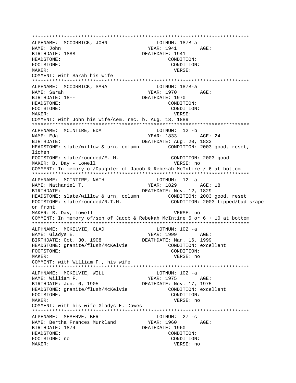ALPHNAME: MCCORMICK, JOHN LOTNUM: 187B-a YEAR: 1941 AGE: NAME: John BIRTHDATE: 1888 DEATHDATE: 1941 HEADSTONE: CONDITION: FOOTSTONE: CONDITION: MAKER: VERSE: COMMENT: with Sarah his wife ALPHNAME: MCCORMICK, SARA LOTNUM: 187B-a NAME: Sarah YEAR: 1970 AGE: BIRTHDATE: 18--DEATHDATE: 1970 HEADSTONE: CONDITION: FOOTSTONE: CONDITION: MAKER: VERSE: COMMENT: with John his wife/cem. rec. b. Aug. 18, 1889 ALPHNAME: MCINTIRE, EDA LOTNUM: 12 -b NAME: Eda YEAR: 1833 AGE: 24 BIRTHDATE: DEATHDATE: Aug. 20, 1833 HEADSTONE: slate/willow & urn, column CONDITION: 2003 good, reset, lichen CONDITION: 2003 good FOOTSTONE: slate/rounded/E. M. MAKER: B. Day - Lowell VERSE: no COMMENT: In memory of/Daughter of Jacob & Rebekah McIntire / 6 at bottom ALPHNAME: MCINTIRE, NATH LOTNUM: 12 -a NAME: Nathaniel T. YEAR: 1829 AGE: 18 BIRTHDATE: DEATHDATE: Nov. 12, 1829 HEADSTONE: slate/willow & urn, column CONDITION: 2003 good, reset FOOTSTONE: slate/rounded/N.T.M. CONDITION: 2003 tipped/bad srape on front MAKER: B. Day, Lowell VERSE: no COMMENT: In memory of/son of Jacob & Rebekah McIntire 5 or 6 + 10 at bottom ALPHNAME: MCKELVIE, GLAD  $LOTNUM: 102 -a$ YEAR: 1999 NAME: Gladys E. AGE: DEATHDATE: Mar. 16, 1999 BIRTHDATE: Oct. 30, 1908 HEADSTONE: granite/flush/McKelvie CONDITION: excellent FOOTSTONE: CONDITION: MAKER: VERSE: no COMMENT: with William F., his wife ALPHNAME: MCKELVIE, WILL  $LOTNUM: 102 -a$ NAME: William F.  $YEAR: 1975 AGE:$ BIRTHDATE: Jun. 6, 1905 DEATHDATE: Nov. 17, 1975 HEADSTONE: granite/flush/McKelvie CONDITION: excellent FOOTSTONE: CONDITION: MAKER: VERSE: no COMMENT: with his wife Gladys E. Dawes LOTNUM:  $27 -c$ ALPHNAME: MESERVE, BERT NAME: Bertha Frances Murkland YEAR: 1960 AGE: BIRTHDATE: 1874 DEATHDATE: 1960 HEADSTONE: CONDITION: FOOTSTONE: no CONDITION: MAKER: VERSE: no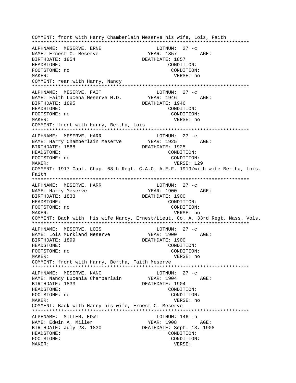COMMENT: front with Harry Chamberlain Meserve his wife, Lois, Faith ALPHNAME: MESERVE, ERNE LOTNUM:  $27 - c$ YEAR: 1857 AGE: NAME: Ernest C. Meserve BIRTHDATE: 1854 DEATHDATE: 1857 HEADSTONE: CONDITION: FOOTSTONE: no CONDITION: MAKER: VERSE: no COMMENT: rear: with Harry, Nancy ALPHNAME: MESERVE, FAIT  $LOTNUM: 27 -c$ NAME: Faith Lucena Meserve M.D. YEAR: 1946 AGE: BIRTHDATE: 1895 DEATHDATE: 1946 HEADSTONE: CONDITION: FOOTSTONE: no CONDITION: MAKER: VERSE: no COMMENT: front with Harry, Bertha, Lois ALPHNAME: MESERVE, HARR LOTNUM:  $27 -c$  $YEAR: 1925$   $AGE:$ NAME: Harry Chamberlain Meserve DEATHDATE: 1925 BIRTHDATE: 1868 HEADSTONE: CONDITION: FOOTSTONE: no CONDITION: MAKER: VERSE: 129 COMMENT: 1917 Capt. Chap. 68th Regt. C.A.C.-A.E.F. 1919/with wife Bertha, Lois, Faith ALPHNAME: MESERVE, HARR LOTNUM: 27 -c **YEAR: 1900** NAME: Harry Meserve  $\triangle$   $G$   $F$ : BIRTHDATE: 1833 DEATHDATE: 1900 HEADSTONE: CONDITION: FOOTSTONE: no CONDITION: MAKER: VERSE: no COMMENT: Back with his wife Nancy, Ernest/Lieut. Co. A. 33rd Reqt. Mass. Vols. LOTNUM:  $27 - c$ ALPHNAME: MESERVE, LOIS **YEAR: 1900** NAME: Lois Murkland Meserve  $AGE:$ BIRTHDATE: 1899 DEATHDATE: 1900 HEADSTONE: CONDITION: FOOTSTONE: no CONDITION: MAKER: VERSE: no COMMENT: front with Harry, Bertha, Faith Meserve ALPHNAME: MESERVE, NANC LOTNUM:  $27 - c$ NAME: Nancy Lucenia Chamberlain YEAR: 1904 AGE: BIRTHDATE: 1833 DEATHDATE: 1904 HEADSTONE: CONDITION: FOOTSTONE: no CONDITION: MAKER: VERSE: no COMMENT: Back with Harry his wife, Ernest C. Meserve ALPHNAME: MILLER, EDWI LOTNUM: 146 -b NAME: Edwin A. Miller YEAR: 1908 AGE: BIRTHDATE: July 28, 1830 DEATHDATE: Sept. 13, 1908 HEADSTONE: CONDITION: FOOTSTONE: CONDITION: MAKER: VERSE: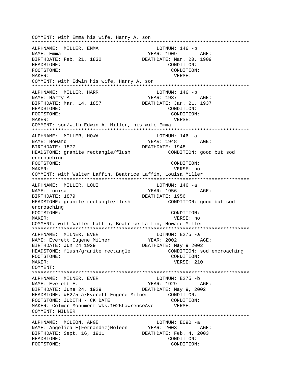COMMENT: with Emma his wife, Harry A. son \*\*\*\*\*\*\*\*\*\*\*\*\*\*\*\*\*\*\*\*\*\*\*\*\*\*\*\*\*\*\*\*\*\*\*\*\*\*\*\*\*\*\*\*\*\*\*\*\*\*\*\*\*\*\*\*\*\*\*\*\*\*\*\*\*\*\*\*\*\*\*\*\*\*\* ALPHNAME: MILLER, EMMA NAME: Emma YEAR: 1909 AGE: BIRTHDATE: Feb. 21, 1832 DEATHDATE: Mar. 20, 1909 HEADSTONE: CONDITION: FOOTSTONE: CONDITION: MAKER: VERSE: COMMENT: with Edwin his wife, Harry A. son \*\*\*\*\*\*\*\*\*\*\*\*\*\*\*\*\*\*\*\*\*\*\*\*\*\*\*\*\*\*\*\*\*\*\*\*\*\*\*\*\*\*\*\*\*\*\*\*\*\*\*\*\*\*\*\*\*\*\*\*\*\*\*\*\*\*\*\*\*\*\*\*\*\*\* ALPHNAME: MILLER, HARR LOTNUM: 146 -b NAME: Harry A. Same Communications of the MEAR: 1937 AGE: BIRTHDATE: Mar. 14, 1857 DEATHDATE: Jan. 21, 1937 HEADSTONE: CONDITION: FOOTSTONE: CONDITION: MAKER: VERSE: COMMENT: son/with Edwin A. Miller, his wife Emma \*\*\*\*\*\*\*\*\*\*\*\*\*\*\*\*\*\*\*\*\*\*\*\*\*\*\*\*\*\*\*\*\*\*\*\*\*\*\*\*\*\*\*\*\*\*\*\*\*\*\*\*\*\*\*\*\*\*\*\*\*\*\*\*\*\*\*\*\*\*\*\*\*\*\* ALPHNAME: MILLER, HOWA LOTNUM: 146 -a NAME: Howard AGE: BIRTHDATE: 1877 DEATHDATE: 1948 HEADSTONE: granite rectangle/flush CONDITION: good but sod encroaching FOOTSTONE: CONDITION: MAKER: VERSE: no COMMENT: with Walter Laffin, Beatrice Laffin, Louisa Miller \*\*\*\*\*\*\*\*\*\*\*\*\*\*\*\*\*\*\*\*\*\*\*\*\*\*\*\*\*\*\*\*\*\*\*\*\*\*\*\*\*\*\*\*\*\*\*\*\*\*\*\*\*\*\*\*\*\*\*\*\*\*\*\*\*\*\*\*\*\*\*\*\*\*\* ALPHNAME: MILLER, LOUI LOTNUM: 146 -a NAME: Louisa YEAR: 1956 AGE: BIRTHDATE: 1879 DEATHDATE: 1956 HEADSTONE: granite rectangle/flush CONDITION: good but sod encroaching FOOTSTONE: CONDITION: MAKER: VERSE: no COMMENT: with Walter Laffin, Beatrice Laffin, Howard Miller \*\*\*\*\*\*\*\*\*\*\*\*\*\*\*\*\*\*\*\*\*\*\*\*\*\*\*\*\*\*\*\*\*\*\*\*\*\*\*\*\*\*\*\*\*\*\*\*\*\*\*\*\*\*\*\*\*\*\*\*\*\*\*\*\*\*\*\*\*\*\*\*\*\*\* ALPHNAME: MILNER, EVER<br>NAME: Everett Eugene Milner (1997) YEAR: 2002 NAME: Everett Eugene Milner YEAR: 2002 AGE: BIRTHDATE: Jun 24 1929 DEATHDATE: May 9 2002 HEADSTONE: flush/granite rectangle CONDITION: sod encroaching FOOTSTONE: CONDITION: MAKER: 210 COMMENT: \*\*\*\*\*\*\*\*\*\*\*\*\*\*\*\*\*\*\*\*\*\*\*\*\*\*\*\*\*\*\*\*\*\*\*\*\*\*\*\*\*\*\*\*\*\*\*\*\*\*\*\*\*\*\*\*\*\*\*\*\*\*\*\*\*\*\*\*\*\*\*\*\*\*\* ALPHNAME: MILNER, EVER LOTNUM: E275 -b NAME: Everett E. The South Communication of the YEAR: 1929 AGE: BIRTHDATE: June 24, 1929 DEATHDATE: May 9, 2002 HEADSTONE: #E275-a/Everett Eugene Milner CONDITION: FOOTSTONE: JUDITH - CK DATE CONDITION: MAKER: Colmer Monument Wks.1025LawrenceAve VERSE: COMMENT: MILNER \*\*\*\*\*\*\*\*\*\*\*\*\*\*\*\*\*\*\*\*\*\*\*\*\*\*\*\*\*\*\*\*\*\*\*\*\*\*\*\*\*\*\*\*\*\*\*\*\*\*\*\*\*\*\*\*\*\*\*\*\*\*\*\*\*\*\*\*\*\*\*\*\*\*\* ALPHNAME: MOLEON, ANGE LOTNUM: E090 -a NAME: Angelica E(Fernandez)Moleon YEAR: 2003 AGE: BIRTHDATE: Sept. 16, 1911 DEATHDATE: Feb. 4, 2003 HEADSTONE: CONDITION: FOOTSTONE: CONDITION: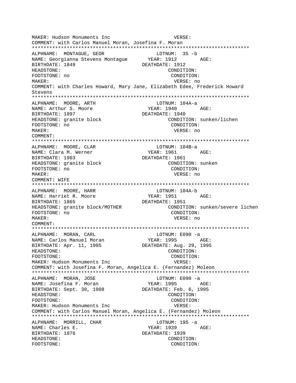MAKER: Hudson Monuments Inc VERSE: COMMENT: with Carlos Manuel Moran, Josefina F. Moran \*\*\*\*\*\*\*\*\*\*\*\*\*\*\*\*\*\*\*\*\*\*\*\*\*\*\*\*\*\*\*\*\*\*\*\*\*\*\*\*\*\*\*\*\*\*\*\*\*\*\*\*\*\*\*\*\*\*\*\*\*\*\*\*\*\*\*\*\*\*\*\*\*\*\* ALPHNAME: MONTAGUE, GEOR LOTNUM: 35 -b NAME: Georgianna Stevens Montaque BIRTHDATE: 1849 DEATHDATE: 1912 HEADSTONE: CONDITION: FOOTSTONE: no CONDITION: MAKER: VERSE: no COMMENT: with Charles Howard, Mary Jane, Elizabeth Edee, Frederick Howard Stevens \*\*\*\*\*\*\*\*\*\*\*\*\*\*\*\*\*\*\*\*\*\*\*\*\*\*\*\*\*\*\*\*\*\*\*\*\*\*\*\*\*\*\*\*\*\*\*\*\*\*\*\*\*\*\*\*\*\*\*\*\*\*\*\*\*\*\*\*\*\*\*\*\*\*\* ALPHNAME: MOORE, ARTH LOTNUM: 104A-a NAME: Arthur S. Moore  $YEAR: 1940$  AGE: BIRTHDATE: 1897 DEATHDATE: 1940 HEADSTONE: granite block CONDITION: sunken/lichen FOOTSTONE: no CONDITION: MAKER: VERSE: no COMMENT: \*\*\*\*\*\*\*\*\*\*\*\*\*\*\*\*\*\*\*\*\*\*\*\*\*\*\*\*\*\*\*\*\*\*\*\*\*\*\*\*\*\*\*\*\*\*\*\*\*\*\*\*\*\*\*\*\*\*\*\*\*\*\*\*\*\*\*\*\*\*\*\*\*\*\* ALPHNAME: MOORE, CLAR LOTNUM: 104B-a NAME: Clara M. Werner The State of The YEAR: 1961 AGE: BIRTHDATE: 1903 DEATHDATE: 1961 HEADSTONE: granite block CONDITION: sunken FOOTSTONE: no CONDITION: MAKER: VERSE: no COMMENT: WIFE \*\*\*\*\*\*\*\*\*\*\*\*\*\*\*\*\*\*\*\*\*\*\*\*\*\*\*\*\*\*\*\*\*\*\*\*\*\*\*\*\*\*\*\*\*\*\*\*\*\*\*\*\*\*\*\*\*\*\*\*\*\*\*\*\*\*\*\*\*\*\*\*\*\*\* ALPHNAME: MOORE, HARR LOTNUM: 104A-b NAME: Harriet R. Moore  $YEAR: 1951$  AGE: BIRTHDATE: 1865 DEATHDATE: 1951 HEADSTONE: granite block/MOTHER CONDITION: sunken/severe lichen FOOTSTONE: no CONDITION: MAKER: VERSE: no COMMENT: \*\*\*\*\*\*\*\*\*\*\*\*\*\*\*\*\*\*\*\*\*\*\*\*\*\*\*\*\*\*\*\*\*\*\*\*\*\*\*\*\*\*\*\*\*\*\*\*\*\*\*\*\*\*\*\*\*\*\*\*\*\*\*\*\*\*\*\*\*\*\*\*\*\*\* ALPHNAME: MORAN, CARL LOTNUM: E090 -a NAME: Carlos Manuel Moran YEAR: 1995 AGE: BIRTHDATE: Apr. 11, 1905 DEATHDATE: Aug. 29, 1995 HEADSTONE: CONDITION: FOOTSTONE: CONDITION: MAKER: Hudson Monuments Inc **VERSE:** COMMENT: with Josefina F. Moran, Angelica E. (Fernandez) Moleon \*\*\*\*\*\*\*\*\*\*\*\*\*\*\*\*\*\*\*\*\*\*\*\*\*\*\*\*\*\*\*\*\*\*\*\*\*\*\*\*\*\*\*\*\*\*\*\*\*\*\*\*\*\*\*\*\*\*\*\*\*\*\*\*\*\*\*\*\*\*\*\*\*\*\* ALPHNAME: MORAN, JOSE LOTNUM: E090 -a NAME: Josefina F. Moran BIRTHDATE: Sept. 30, 1908 DEATHDATE: Feb. 6, 1995 HEADSTONE: CONDITION: FOOTSTONE: CONDITION: MAKER: Hudson Monuments Inc and VERSE: COMMENT: with Carlos Manuel Moran, Angelica E. (Fernandez) Moleon \*\*\*\*\*\*\*\*\*\*\*\*\*\*\*\*\*\*\*\*\*\*\*\*\*\*\*\*\*\*\*\*\*\*\*\*\*\*\*\*\*\*\*\*\*\*\*\*\*\*\*\*\*\*\*\*\*\*\*\*\*\*\*\*\*\*\*\*\*\*\*\*\*\*\* ALPHNAME: MORRILL, CHAR LOTNUM: 195 -a NAME: Charles E. The South of the YEAR: 1939 AGE: BIRTHDATE: 1876 DEATHDATE: 1939 HEADSTONE: CONDITION: FOOTSTONE: CONDITION: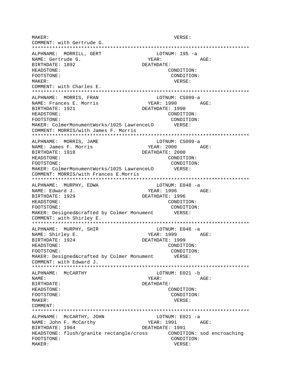MAKER: VERSE: COMMENT: with Gertrude G. \*\*\*\*\*\*\*\*\*\*\*\*\*\*\*\*\*\*\*\*\*\*\*\*\*\*\*\*\*\*\*\*\*\*\*\*\*\*\*\*\*\*\*\*\*\*\*\*\*\*\*\*\*\*\*\*\*\*\*\*\*\*\*\*\*\*\*\*\*\*\*\*\*\*\* ALPHNAME: MORRILL, GERT LOTNUM: 195 -a NAME: Gertrude G. The Mass of the MEAR: AGE: BIRTHDATE: 1892 DEATHDATE: HEADSTONE: CONDITION: FOOTSTONE: CONDITION: MAKER: VERSE: COMMENT: with Charles E. \*\*\*\*\*\*\*\*\*\*\*\*\*\*\*\*\*\*\*\*\*\*\*\*\*\*\*\*\*\*\*\*\*\*\*\*\*\*\*\*\*\*\*\*\*\*\*\*\*\*\*\*\*\*\*\*\*\*\*\*\*\*\*\*\*\*\*\*\*\*\*\*\*\*\* ALPHNAME: MORRIS, FRAN LOTNUM: CS099-a NAME: Frances E. Morris Team YEAR: 1990 AGE: BIRTHDATE: 1921 DEATHDATE: 1990 HEADSTONE: CONDITION: FOOTSTONE: CONDITION: MAKER: ColmerMonumentWorks/1025 LawrenceLO VERSE: COMMENT: MORRIS/with James F. Morris \*\*\*\*\*\*\*\*\*\*\*\*\*\*\*\*\*\*\*\*\*\*\*\*\*\*\*\*\*\*\*\*\*\*\*\*\*\*\*\*\*\*\*\*\*\*\*\*\*\*\*\*\*\*\*\*\*\*\*\*\*\*\*\*\*\*\*\*\*\*\*\*\*\*\* ALPHNAME: MORRIS, JAME LOTNUM: CS099-a NAME: James F. Morris The Magnus YEAR: 2000 AGE: BIRTHDATE: 1918 DEATHDATE: 2000 HEADSTONE: CONDITION: FOOTSTONE: CONDITION: MAKER: ColmerMonumentWorks/1025 LawrenceLO VERSE: COMMENT: MORRIS/with Frances E.Morris \*\*\*\*\*\*\*\*\*\*\*\*\*\*\*\*\*\*\*\*\*\*\*\*\*\*\*\*\*\*\*\*\*\*\*\*\*\*\*\*\*\*\*\*\*\*\*\*\*\*\*\*\*\*\*\*\*\*\*\*\*\*\*\*\*\*\*\*\*\*\*\*\*\*\* ALPHNAME: MURPHY, EDWA LOTNUM: E048 -a NAME: Edward J. Same Communications of the MEAR: 1996 AGE: BIRTHDATE: 1929 DEATHDATE: 1996 HEADSTONE: CONDITION: FOOTSTONE:  $\text{COMDITION:}$ MAKER: Designed&crafted by Colmer Monument VERSE: COMMENT: with Shirley E. \*\*\*\*\*\*\*\*\*\*\*\*\*\*\*\*\*\*\*\*\*\*\*\*\*\*\*\*\*\*\*\*\*\*\*\*\*\*\*\*\*\*\*\*\*\*\*\*\*\*\*\*\*\*\*\*\*\*\*\*\*\*\*\*\*\*\*\*\*\*\*\*\*\*\* ALPHNAME: MURPHY, SHIR NAME: Shirley E. The South of the South States of the YEAR: 1999 AGE: BIRTHDATE: 1924 DEATHDATE: 1999 HEADSTONE: CONDITION: FOOTSTONE: CONDITION:<br>
MAKER: Designed&crafted by Colmer Monument VERSE: MAKER: Designed&crafted by Colmer Monument COMMENT: with Edward J. \*\*\*\*\*\*\*\*\*\*\*\*\*\*\*\*\*\*\*\*\*\*\*\*\*\*\*\*\*\*\*\*\*\*\*\*\*\*\*\*\*\*\*\*\*\*\*\*\*\*\*\*\*\*\*\*\*\*\*\*\*\*\*\*\*\*\*\*\*\*\*\*\*\*\* ALPHNAME: MCCARTHY LOTNUM: E021 -b NAME: YEAR: AGE: BIRTHDATE: DEATHDATE: HEADSTONE: CONDITION: FOOTSTONE: CONDITION: MAKER: VERSE: COMMENT: \*\*\*\*\*\*\*\*\*\*\*\*\*\*\*\*\*\*\*\*\*\*\*\*\*\*\*\*\*\*\*\*\*\*\*\*\*\*\*\*\*\*\*\*\*\*\*\*\*\*\*\*\*\*\*\*\*\*\*\*\*\*\*\*\*\*\*\*\*\*\*\*\*\*\* ALPHNAME: MCCARTHY, JOHN LOTNUM: E021 -a NAME: John F. McCarthy **YEAR: 1991** AGE: BIRTHDATE: 1964 DEATHDATE: 1991 HEADSTONE: flush/granite rectangle/cross CONDITION: sod encroaching FOOTSTONE: CONDITION: MAKER: VERSE: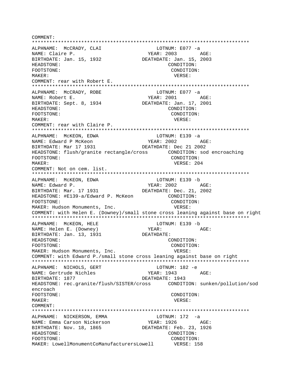COMMENT: \*\*\*\*\*\*\*\*\*\*\*\*\*\*\*\*\*\*\*\*\*\*\*\*\*\*\*\*\*\*\*\*\*\*\*\*\*\*\*\*\*\*\*\*\*\*\*\*\*\*\*\*\*\*\*\*\*\*\*\*\*\*\*\*\*\*\*\*\*\*\*\*\*\*\* ALPHNAME: MCCRADY, CLAI CONNECTRITION: E077 -a NAME: Claire P. The Contract of the MEAR: 2003 AGE: BIRTHDATE: Jan. 15, 1932 DEATHDATE: Jan. 15, 2003 HEADSTONE: CONDITION: FOOTSTONE: CONDITION: MAKER: VERSE: COMMENT: rear with Robert E. \*\*\*\*\*\*\*\*\*\*\*\*\*\*\*\*\*\*\*\*\*\*\*\*\*\*\*\*\*\*\*\*\*\*\*\*\*\*\*\*\*\*\*\*\*\*\*\*\*\*\*\*\*\*\*\*\*\*\*\*\*\*\*\*\*\*\*\*\*\*\*\*\*\*\* ALPHNAME: MCCRADY, ROBE LOTNUM: E077 -a NAME: Robert E. The South of the South of the YEAR: 2001 AGE: BIRTHDATE: Sept. 8, 1934 DEATHDATE: Jan. 17, 2001 HEADSTONE: CONDITION: FOOTSTONE: CONDITION: MAKER: VERSE: COMMENT: rear with Claire P. \*\*\*\*\*\*\*\*\*\*\*\*\*\*\*\*\*\*\*\*\*\*\*\*\*\*\*\*\*\*\*\*\*\*\*\*\*\*\*\*\*\*\*\*\*\*\*\*\*\*\*\*\*\*\*\*\*\*\*\*\*\*\*\*\*\*\*\*\*\*\*\*\*\*\* ALPHNAME: MCKEON, EDWA NAME: Edward P McKeon The State of the YEAR: 2002 AGE: BIRTHDATE: Mar 17 1931 DEATHDATE: Dec 21 2002 HEADSTONE: flush/granite rectangle/cross CONDITION: sod encroaching FOOTSTONE: CONDITION: MAKER: 204 COMMENT: Not on cem. list. \*\*\*\*\*\*\*\*\*\*\*\*\*\*\*\*\*\*\*\*\*\*\*\*\*\*\*\*\*\*\*\*\*\*\*\*\*\*\*\*\*\*\*\*\*\*\*\*\*\*\*\*\*\*\*\*\*\*\*\*\*\*\*\*\*\*\*\*\*\*\*\*\*\*\* ALPHNAME: MCKEON, EDWA and the LOTNUM: E139 -b NAME: Edward P. YEAR: 2002 AGE: BIRTHDATE: Mar. 17 1931 DEATHDATE: Dec. 21, 2002 HEADSTONE: #E139-a/Edward P. McKeon CONDITION: FOOTSTONE: CONDITION: MAKER: Hudson Monuments, Inc. The MAKER: VERSE: COMMENT: with Helen E. (Downey)/small stone cross leaning against base on right \*\*\*\*\*\*\*\*\*\*\*\*\*\*\*\*\*\*\*\*\*\*\*\*\*\*\*\*\*\*\*\*\*\*\*\*\*\*\*\*\*\*\*\*\*\*\*\*\*\*\*\*\*\*\*\*\*\*\*\*\*\*\*\*\*\*\*\*\*\*\*\*\*\*\* ALPHNAME: McKEON, HELE LOTNUM: E139 -b NAME: Helen E. (Downey) YEAR: AGE: BIRTHDATE: Jan. 13, 1931 HEADSTONE: CONDITION: FOOTSTONE: CONDITION: MAKER: Hudson Monuments, Inc. The Controller Makers: VERSE: COMMENT: with Edward P./small stone cross leaning against base on right \*\*\*\*\*\*\*\*\*\*\*\*\*\*\*\*\*\*\*\*\*\*\*\*\*\*\*\*\*\*\*\*\*\*\*\*\*\*\*\*\*\*\*\*\*\*\*\*\*\*\*\*\*\*\*\*\*\*\*\*\*\*\*\*\*\*\*\*\*\*\*\*\*\*\* ALPHNAME: NICHOLS, GERT LOTNUM: 182 -e NAME: Gertrude Nichles Team YEAR: 1943 AGE: BIRTHDATE: 1877 DEATHDATE: 1943 HEADSTONE: rec.granite/flush/SISTER/cross CONDITION: sunken/pollution/sod encroach FOOTSTONE: CONDITION: MAKER: VERSE: COMMENT: \*\*\*\*\*\*\*\*\*\*\*\*\*\*\*\*\*\*\*\*\*\*\*\*\*\*\*\*\*\*\*\*\*\*\*\*\*\*\*\*\*\*\*\*\*\*\*\*\*\*\*\*\*\*\*\*\*\*\*\*\*\*\*\*\*\*\*\*\*\*\*\*\*\*\* ALPHNAME: NICKERSON, EMMA LOTNUM: 172 -a NAME: Emma Carson Nickerson YEAR: 1926 AGE: BIRTHDATE: Nov. 18, 1865 DEATHDATE: Feb. 23, 1926 HEADSTONE: CONDITION: FOOTSTONE: CONDITION: MAKER: LowellMonumentCoManufacturersLowell VERSE: 158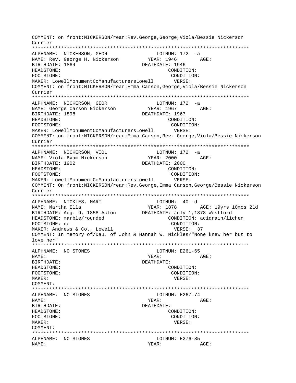COMMENT: on front:NICKERSON/rear:Rev.George,George,Viola/Bessie Nickerson Currier \*\*\*\*\*\*\*\*\*\*\*\*\*\*\*\*\*\*\*\*\*\*\*\*\*\*\*\*\*\*\*\*\*\*\*\*\*\*\*\*\*\*\*\*\*\*\*\*\*\*\*\*\*\*\*\*\*\*\*\*\*\*\*\*\*\*\*\*\*\*\*\*\*\*\* ALPHNAME: NICKERSON, GEOR LOTNUM: 172 -a NAME: Rev. George H. Nickerson BIRTHDATE: 1864 DEATHDATE: 1946 HEADSTONE: CONDITION: FOOTSTONE: CONDITION: MAKER: LowellMonumentCoManufacturersLowell VERSE: COMMENT: on front:NICKERSON/rear:Emma Carson,George,Viola/Bessie Nickerson Currier \*\*\*\*\*\*\*\*\*\*\*\*\*\*\*\*\*\*\*\*\*\*\*\*\*\*\*\*\*\*\*\*\*\*\*\*\*\*\*\*\*\*\*\*\*\*\*\*\*\*\*\*\*\*\*\*\*\*\*\*\*\*\*\*\*\*\*\*\*\*\*\*\*\*\* ALPHNAME: NICKERSON, GEOR LOTNUM: 172 -a NAME: George Carson Nickerson YEAR: 1967 AGE: BIRTHDATE: 1898 DEATHDATE: 1967 HEADSTONE: CONDITION: FOOTSTONE: CONDITION: MAKER: LowellMonumentCoManufacturersLowell VERSE: COMMENT: on front:NICKERSON/rear:Emma Carson,Rev. George,Viola/Bessie Nickerson Currier \*\*\*\*\*\*\*\*\*\*\*\*\*\*\*\*\*\*\*\*\*\*\*\*\*\*\*\*\*\*\*\*\*\*\*\*\*\*\*\*\*\*\*\*\*\*\*\*\*\*\*\*\*\*\*\*\*\*\*\*\*\*\*\*\*\*\*\*\*\*\*\*\*\*\* ALPHNAME: NICKERSON, VIOL LOTNUM: 172 -a NAME: Viola Byam Nickerson YEAR: 2000 AGE: BIRTHDATE: 1902 DEATHDATE: 2000 HEADSTONE: CONDITION: FOOTSTONE: CONDITION: MAKER: LowellMonumentCoManufacturersLowell VERSE: COMMENT: On front:NICKERSON/rear:Rev.George,Emma Carson,George/Bessie Nickerson Currier \*\*\*\*\*\*\*\*\*\*\*\*\*\*\*\*\*\*\*\*\*\*\*\*\*\*\*\*\*\*\*\*\*\*\*\*\*\*\*\*\*\*\*\*\*\*\*\*\*\*\*\*\*\*\*\*\*\*\*\*\*\*\*\*\*\*\*\*\*\*\*\*\*\*\* ALPHNAME: NICKLES, MART NAME: Martha Ella YEAR: 1878 AGE: 19yrs 10mos 21d BIRTHDATE: Aug. 9, 1858 Acton DEATHDATE: July 1,1878 Westford HEADSTONE: marble/rounded CONDITION: acidrain/lichen FOOTSTONE: no CONDITION: MAKER: Andrews & Co., Lowell **VERSE:** 37 COMMENT: In memory of/Dau. of John & Hannah W. Nickles/"None knew her but to love her" \*\*\*\*\*\*\*\*\*\*\*\*\*\*\*\*\*\*\*\*\*\*\*\*\*\*\*\*\*\*\*\*\*\*\*\*\*\*\*\*\*\*\*\*\*\*\*\*\*\*\*\*\*\*\*\*\*\*\*\*\*\*\*\*\*\*\*\*\*\*\*\*\*\*\* ALPHNAME: NO STONES NAME: YEAR: AGE: BIRTHDATE: DEATHDATE: HEADSTONE: CONDITION: FOOTSTONE: CONDITION: MAKER: VERSE: COMMENT: \*\*\*\*\*\*\*\*\*\*\*\*\*\*\*\*\*\*\*\*\*\*\*\*\*\*\*\*\*\*\*\*\*\*\*\*\*\*\*\*\*\*\*\*\*\*\*\*\*\*\*\*\*\*\*\*\*\*\*\*\*\*\*\*\*\*\*\*\*\*\*\*\*\*\* ALPHNAME: NO STONES LOTNUM: E267-74 NAME: YEAR: AGE: BIRTHDATE: DEATHDATE: HEADSTONE: CONDITION: FOOTSTONE: CONDITION: MAKER: VERSE: COMMENT: \*\*\*\*\*\*\*\*\*\*\*\*\*\*\*\*\*\*\*\*\*\*\*\*\*\*\*\*\*\*\*\*\*\*\*\*\*\*\*\*\*\*\*\*\*\*\*\*\*\*\*\*\*\*\*\*\*\*\*\*\*\*\*\*\*\*\*\*\*\*\*\*\*\*\* ALPHNAME: NO STONES LOTNUM: E276-85 NAME: YEAR: AGE: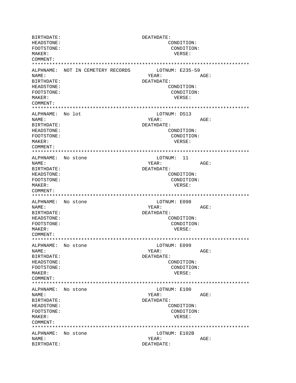BIRTHDATE: DEATHDATE: HEADSTONE: CONDITION: FOOTSTONE: CONDITION: MAKER: VERSE: COMMENT: \*\*\*\*\*\*\*\*\*\*\*\*\*\*\*\*\*\*\*\*\*\*\*\*\*\*\*\*\*\*\*\*\*\*\*\*\*\*\*\*\*\*\*\*\*\*\*\*\*\*\*\*\*\*\*\*\*\*\*\*\*\*\*\*\*\*\*\*\*\*\*\*\*\*\* ALPHNAME: NOT IN CEMETERY RECORDS LOTNUM: E235-59 NAME: YEAR: AGE: BIRTHDATE: DEATHDATE: HEADSTONE: CONDITION: FOOTSTONE: CONDITION: MAKER: VERSE: COMMENT: \*\*\*\*\*\*\*\*\*\*\*\*\*\*\*\*\*\*\*\*\*\*\*\*\*\*\*\*\*\*\*\*\*\*\*\*\*\*\*\*\*\*\*\*\*\*\*\*\*\*\*\*\*\*\*\*\*\*\*\*\*\*\*\*\*\*\*\*\*\*\*\*\*\*\* ALPHNAME: No lot LOTNUM: DS13 NAME: YEAR: AGE: BIRTHDATE: DEATHDATE: HEADSTONE: CONDITION: FOOTSTONE: CONDITION: MAKER: VERSE: COMMENT: \*\*\*\*\*\*\*\*\*\*\*\*\*\*\*\*\*\*\*\*\*\*\*\*\*\*\*\*\*\*\*\*\*\*\*\*\*\*\*\*\*\*\*\*\*\*\*\*\*\*\*\*\*\*\*\*\*\*\*\*\*\*\*\*\*\*\*\*\*\*\*\*\*\*\* ALPHNAME: No stone LOTNUM: 11 NAME: YEAR: AGE: BIRTHDATE: DEATHDATE: HEADSTONE: CONDITION: FOOTSTONE: CONDITION: MAKER: VERSE: COMMENT: \*\*\*\*\*\*\*\*\*\*\*\*\*\*\*\*\*\*\*\*\*\*\*\*\*\*\*\*\*\*\*\*\*\*\*\*\*\*\*\*\*\*\*\*\*\*\*\*\*\*\*\*\*\*\*\*\*\*\*\*\*\*\*\*\*\*\*\*\*\*\*\*\*\*\* ALPHNAME: No stone and the LOTNUM: E098 NAME: YEAR: AGE: BIRTHDATE: DEATHDATE: HEADSTONE: CONDITION: FOOTSTONE: CONDITION: MAKER: VERSE: COMMENT: \*\*\*\*\*\*\*\*\*\*\*\*\*\*\*\*\*\*\*\*\*\*\*\*\*\*\*\*\*\*\*\*\*\*\*\*\*\*\*\*\*\*\*\*\*\*\*\*\*\*\*\*\*\*\*\*\*\*\*\*\*\*\*\*\*\*\*\*\*\*\*\*\*\*\* ALPHNAME: No stone LOTNUM: E099 NAME: YEAR: AGE: BIRTHDATE: DEATHDATE: HEADSTONE: CONDITION: FOOTSTONE: CONDITION: MAKER: VERSE: COMMENT: \*\*\*\*\*\*\*\*\*\*\*\*\*\*\*\*\*\*\*\*\*\*\*\*\*\*\*\*\*\*\*\*\*\*\*\*\*\*\*\*\*\*\*\*\*\*\*\*\*\*\*\*\*\*\*\*\*\*\*\*\*\*\*\*\*\*\*\*\*\*\*\*\*\*\* ALPHNAME: No stone LOTNUM: E100 NAME: YEAR: AGE: BIRTHDATE: DEATHDATE: HEADSTONE: CONDITION: FOOTSTONE: CONDITION: MAKER: VERSE: COMMENT: \*\*\*\*\*\*\*\*\*\*\*\*\*\*\*\*\*\*\*\*\*\*\*\*\*\*\*\*\*\*\*\*\*\*\*\*\*\*\*\*\*\*\*\*\*\*\*\*\*\*\*\*\*\*\*\*\*\*\*\*\*\*\*\*\*\*\*\*\*\*\*\*\*\*\* ALPHNAME: No stone LOTNUM: E102B NAME: YEAR: AGE: BIRTHDATE: DEATHDATE: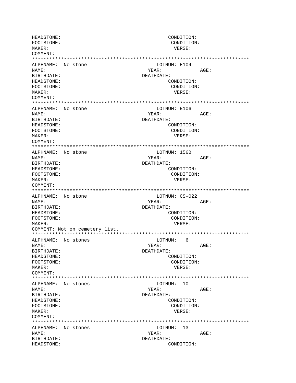HEADSTONE: CONDITION: FOOTSTONE: CONDITION: MAKER: VERSE: COMMENT: ALPHNAME: No stone LOTNUM: E104 NAME: YEAR: AGE: **BIRTHDATE:** DEATHDATE: HEADSTONE: CONDITION: FOOTSTONE: CONDITION: MAKER: VERSE: COMMENT: ALPHNAME: No stone LOTNUM: E106 NAME: YEAR: AGE: BIRTHDATE: DEATHDATE: HEADSTONE: CONDITION: FOOTSTONE: CONDITION: MAKER: VERSE: COMMENT: ALPHNAME: No stone LOTNUM: 156B NAME: YEAR: AGE: BIRTHDATE: DEATHDATE: CONDITION: HEADSTONE: FOOTSTONE: CONDITION: MAKER: VERSE: COMMENT: LOTNUM: CS-022 ALPHNAME: No stone NAME: YEAR: AGE: BIRTHDATE: DEATHDATE: HEADSTONE: CONDITION: FOOTSTONE: CONDITION: MAKER: VERSE: COMMENT: Not on cemetery list. LOTNUM: 6 ALPHNAME: No stones NAME: YEAR: AGE: BIRTHDATE: DEATHDATE: HEADSTONE: CONDITION: FOOTSTONE: CONDITION:  $M\Delta KFR$ : VERSE: COMMENT: ALPHNAME: No stones LOTNUM: 10 NAME: YEAR: AGE: BIRTHDATE: DEATHDATE: HEADSTONE: CONDITION: CONDITION: FOOTSTONE: MAKER: VERSE: COMMENT: ALPHNAME: No stones LOTNUM: 13 NAME: YEAR: AGE: BIRTHDATE: DEATHDATE: HEADSTONE: CONDITION: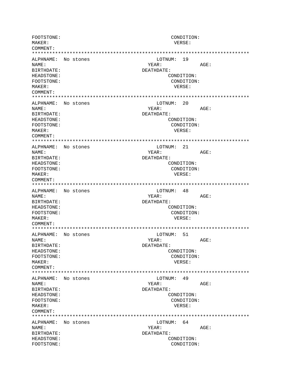FOOTSTONE: CONDITION: MAKER: VERSE: COMMENT: LOTNUM: 19 ALPHNAME: No stones NAME: YEAR: AGE: BIRTHDATE: DEATHDATE: CONDITION: HEADSTONE: FOOTSTONE: CONDITION: MAKER: VERSE:  $COMM$  $FNTT$ : ALPHNAME: No stones LOTNUM: 20 NAME: YEAR: AGE: BIRTHDATE: DEATHDATE: HEADSTONE: CONDITION: FOOTSTONE: CONDITION: MAKER: VERSE: COMMENT: ALPHNAME: No stones LOTNUM: 21 NAME: YEAR: AGE: BIRTHDATE: DEATHDATE: HEADSTONE: CONDITION: CONDITION: FOOTSTONE: MAKER: VERSE: COMMENT: LOTNUM: 48 ALPHNAME: No stones AGE: NAMF: YEAR: BIRTHDATE: DEATHDATE: HEADSTONE: CONDITION: CONDITION: FOOTSTONE: MAKER: VERSE: COMMENT: LOTNUM: 51 ALPHNAME: No stones NAME: YEAR: AGE: BIRTHDATE: DEATHDATE: HEADSTONE: CONDITION: FOOTSTONE: CONDITION: VERSE: MAKER: COMMENT: ALPHNAME: No stones LOTNUM: 49 NAME: YEAR:  $AGE:$ BIRTHDATE: DEATHDATE: HEADSTONE: CONDITION: FOOTSTONE: CONDITION: MAKER: VERSE: COMMENT: ALPHNAME: No stones LOTNUM: 64 NAME: YEAR: AGE: BIRTHDATE: DEATHDATE: HEADSTONE: CONDITION: FOOTSTONE: CONDITION: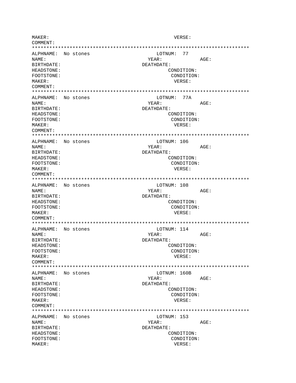MAKER: VERSE: COMMENT: ALPHNAME: No stones LOTNUM: 77 NAME: YEAR: AGE: BIRTHDATE: DEATHDATE: HEADSTONE: CONDITION: FOOTSTONE: CONDITION: MAKER: VERSE: COMMENT: ALPHNAME: No stones LOTNUM: 77A NAME: YEAR: AGE: BIRTHDATE: DEATHDATE: HEADSTONE: CONDITION: FOOTSTONE: CONDITION: MAKER: VERSE: COMMENT: LOTNUM: 106 ALPHNAME: No stones NAME: YEAR: AGE: BIRTHDATE: DEATHDATE: HEADSTONE: CONDITION: FOOTSTONE: CONDITION: MAKER: VERSE: COMMENT: LOTNUM: 108 ALPHNAME: No stones NAME: YEAR:  $\triangle G$ F: BIRTHDATE: DEATHDATE: HEADSTONE: CONDITION: CONDITION: FOOTSTONE: MAKER: VERSE: COMMENT: ALPHNAME: No stones LOTNUM: 114 AGE: NAME: YEAR: BIRTHDATE: DEATHDATE: HEADSTONE: CONDITION: FOOTSTONE: CONDITION: MAKER: VERSE: COMMENT: ALPHNAME: No stones LOTNUM: 160B NAME: YEAR: AGE: DEATHDATE: **RIRTHDATE:** HEADSTONE: CONDITION: FOOTSTONE: CONDITION: VERSE: MAKER: COMMENT: ALPHNAME: No stones LOTNUM: 153 NAME: YEAR: AGE: BIRTHDATE: DEATHDATE: HEADSTONE: CONDITION: FOOTSTONE: CONDITION: MAKER: VERSE: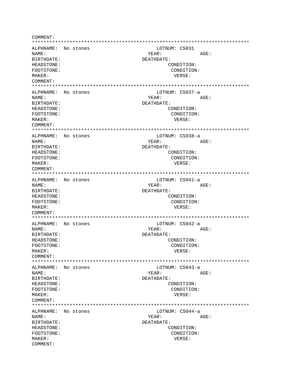COMMENT: ALPHNAME: No stones LOTNUM: CS031 NAME: YEAR:  $AGE:$ DEATHDATE: BIRTHDATE: HEADSTONE: CONDITION: FOOTSTONE: CONDITION: MAKER: VERSE: COMMENT: ALPHNAME: No stones LOTNUM: CS037-a NAMF: VFAR: AGE: BIRTHDATE: DEATHDATE: HEADSTONE: CONDITION: FOOTSTONE: CONDITION: MAKER: VERSE: COMMENT: ALPHNAME: No stones LOTNUM: CS038-a NAME: YEAR: AGE: BIRTHDATE: DEATHDATE: HEADSTONE: CONDITION: FOOTSTONE: CONDITION: VERSE: MAKER: COMMENT: ALPHNAME: No stones LOTNUM: CS041-a YEAR: NAME: AGE: **BIRTHDATE:** DEATHDATE: HEADSTONE: CONDITION: FOOTSTONE: CONDITION: VERSE: MAKER: COMMENT: ALPHNAME: No stones LOTNUM: CS042-a NAME: YEAR: AGE: BIRTHDATE: DEATHDATE: HEADSTONE: CONDITION: FOOTSTONE: CONDITION: VERSE: MAKER: COMMENT: LOTNUM: CS043-a ALPHNAME: No stones NAME: YEAR: AGE: BIRTHDATE: DEATHDATE: HEADSTONE: CONDITION: FOOTSTONE: CONDITION: MAKER: VERSE: COMMENT: ALPHNAME: No stones LOTNUM: CS044-a AGE: NAME: YEAR: BIRTHDATE: DEATHDATE: HEADSTONE: CONDITION: FOOTSTONE: CONDITION: MAKER: VERSE: COMMENT: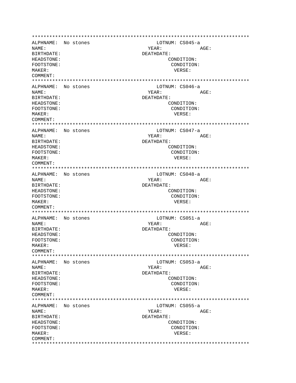ALPHNAME: No stones LOTNUM: CS045-a NAME: YEAR: AGE: BIRTHDATE: DEATHDATE: HEADSTONE: CONDITION: FOOTSTONE: CONDITION: MAKER: VERSE: COMMENT: ALPHNAME: No stones LOTNUM: CS046-a NAME: YEAR: AGE: RIRTHDATE: DEATHDATE: HEADSTONE: CONDITION: FOOTSTONE: CONDITION: MAKER: VERSE: COMMENT: ALPHNAME: No stones LOTNUM: CS047-a NAME: YEAR: AGE: DEATHDATE: BIRTHDATE: HEADSTONE: CONDITION: FOOTSTONE: CONDITION: VERSE: MAKER: COMMENT: ALPHNAME: No stones LOTNUM: CS048-a NAME: YEAR: AGE: DEATHDATE: BIRTHDATE: HEADSTONE: CONDITION: FOOTSTONE: CONDITION: MAKER: VERSE: COMMENT: ALPHNAME: No stones LOTNUM: CS051-a NAME: YEAR: AGE: BIRTHDATE: DEATHDATE: HEADSTONE: CONDITION: FOOTSTONE: CONDITION: MAKER: VERSE: COMMENT: ALPHNAME: No stones LOTNUM: CS053-a AGE: NAME: YEAR: **BIRTHDATE:** DEATHDATE: **HEADSTONE:** CONDITION: FOOTSTONE: CONDITION: VERSE: MAKER: COMMENT: ALPHNAME: No stones LOTNUM: CS055-a NAME: YEAR: AGE: BIRTHDATE: DEATHDATE: CONDITION: HEADSTONE: FOOTSTONE: CONDITION: MAKER: VERSE: COMMENT: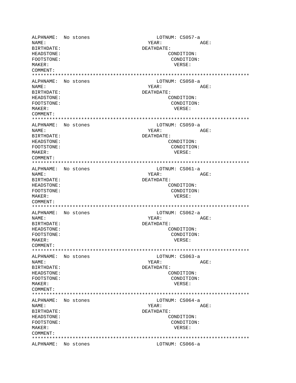ALPHNAME: No stones<br>
NAME: No stones<br>
NAME: AGE: NAME: YEAR: AGE: BIRTHDATE: DEATHDATE: HEADSTONE: CONDITION: FOOTSTONE: CONDITION: MAKER: VERSE: COMMENT: \*\*\*\*\*\*\*\*\*\*\*\*\*\*\*\*\*\*\*\*\*\*\*\*\*\*\*\*\*\*\*\*\*\*\*\*\*\*\*\*\*\*\*\*\*\*\*\*\*\*\*\*\*\*\*\*\*\*\*\*\*\*\*\*\*\*\*\*\*\*\*\*\*\*\* ALPHNAME: No stones LOTNUM: CS058-a NAME: AGE: BIRTHDATE: DEATHDATE: HEADSTONE: CONDITION: FOOTSTONE: CONDITION: MAKER: VERSE: COMMENT: \*\*\*\*\*\*\*\*\*\*\*\*\*\*\*\*\*\*\*\*\*\*\*\*\*\*\*\*\*\*\*\*\*\*\*\*\*\*\*\*\*\*\*\*\*\*\*\*\*\*\*\*\*\*\*\*\*\*\*\*\*\*\*\*\*\*\*\*\*\*\*\*\*\*\* ALPHNAME: No stones LOTNUM: CS059-a NAME:  $YEAR:$  AGE: BIRTHDATE: DEATHDATE: HEADSTONE: CONDITION: FOOTSTONE: CONDITION: MAKER: VERSE: COMMENT: \*\*\*\*\*\*\*\*\*\*\*\*\*\*\*\*\*\*\*\*\*\*\*\*\*\*\*\*\*\*\*\*\*\*\*\*\*\*\*\*\*\*\*\*\*\*\*\*\*\*\*\*\*\*\*\*\*\*\*\*\*\*\*\*\*\*\*\*\*\*\*\*\*\*\* ALPHNAME: No stones LOTNUM: CS061-a NAME: YEAR: AGE: BIRTHDATE: DEATHDATE: HEADSTONE: CONDITION: FOOTSTONE: CONDITION: MAKER: VERSE: COMMENT: \*\*\*\*\*\*\*\*\*\*\*\*\*\*\*\*\*\*\*\*\*\*\*\*\*\*\*\*\*\*\*\*\*\*\*\*\*\*\*\*\*\*\*\*\*\*\*\*\*\*\*\*\*\*\*\*\*\*\*\*\*\*\*\*\*\*\*\*\*\*\*\*\*\*\* ALPHNAME: No stones and LOTNUM: CS062-a NAME: YEAR: AGE: BIRTHDATE: DEATHDATE: HEADSTONE: CONDITION: FOOTSTONE: CONDITION: MAKER: VERSE: COMMENT: \*\*\*\*\*\*\*\*\*\*\*\*\*\*\*\*\*\*\*\*\*\*\*\*\*\*\*\*\*\*\*\*\*\*\*\*\*\*\*\*\*\*\*\*\*\*\*\*\*\*\*\*\*\*\*\*\*\*\*\*\*\*\*\*\*\*\*\*\*\*\*\*\*\*\* ALPHNAME: No stones LOTNUM: CS063-a NAME: YEAR: AGE: BIRTHDATE: DEATHDATE: HEADSTONE: CONDITION: FOOTSTONE: CONDITION: MAKER: VERSE: COMMENT: \*\*\*\*\*\*\*\*\*\*\*\*\*\*\*\*\*\*\*\*\*\*\*\*\*\*\*\*\*\*\*\*\*\*\*\*\*\*\*\*\*\*\*\*\*\*\*\*\*\*\*\*\*\*\*\*\*\*\*\*\*\*\*\*\*\*\*\*\*\*\*\*\*\*\* ALPHNAME: No stones LOTNUM: CS064-a NAME: YEAR: AGE: BIRTHDATE: DEATHDATE: HEADSTONE: CONDITION: FOOTSTONE: CONDITION: MAKER: VERSE: COMMENT: \*\*\*\*\*\*\*\*\*\*\*\*\*\*\*\*\*\*\*\*\*\*\*\*\*\*\*\*\*\*\*\*\*\*\*\*\*\*\*\*\*\*\*\*\*\*\*\*\*\*\*\*\*\*\*\*\*\*\*\*\*\*\*\*\*\*\*\*\*\*\*\*\*\*\* ALPHNAME: No stones LOTNUM: CS066-a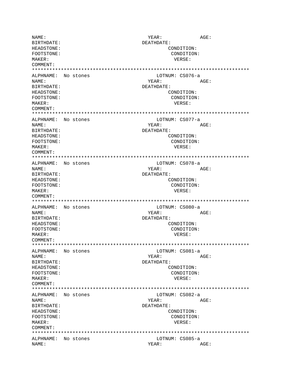NAME:  $YEAR:$  AGE: BIRTHDATE: DEATHDATE: HEADSTONE: CONDITION: FOOTSTONE: CONDITION: MAKER: VERSE: COMMENT: \*\*\*\*\*\*\*\*\*\*\*\*\*\*\*\*\*\*\*\*\*\*\*\*\*\*\*\*\*\*\*\*\*\*\*\*\*\*\*\*\*\*\*\*\*\*\*\*\*\*\*\*\*\*\*\*\*\*\*\*\*\*\*\*\*\*\*\*\*\*\*\*\*\*\* ALPHNAME: No stones and the LOTNUM: CS076-a NAME: YEAR: AGE: BIRTHDATE: DEATHDATE: HEADSTONE: CONDITION: FOOTSTONE: CONDITION: MAKER: VERSE: COMMENT: \*\*\*\*\*\*\*\*\*\*\*\*\*\*\*\*\*\*\*\*\*\*\*\*\*\*\*\*\*\*\*\*\*\*\*\*\*\*\*\*\*\*\*\*\*\*\*\*\*\*\*\*\*\*\*\*\*\*\*\*\*\*\*\*\*\*\*\*\*\*\*\*\*\*\* ALPHNAME: No stones NAME: YEAR: AGE: BIRTHDATE: DEATHDATE: CONDITION: FOOTSTONE: CONDITION: MAKER: VERSE: COMMENT: \*\*\*\*\*\*\*\*\*\*\*\*\*\*\*\*\*\*\*\*\*\*\*\*\*\*\*\*\*\*\*\*\*\*\*\*\*\*\*\*\*\*\*\*\*\*\*\*\*\*\*\*\*\*\*\*\*\*\*\*\*\*\*\*\*\*\*\*\*\*\*\*\*\*\* ALPHNAME: No stones and the LOTNUM: CS078-a NAME: YEAR: AGE: BIRTHDATE: DEATHDATE: HEADSTONE: CONDITION: FOOTSTONE: CONDITION: MAKER: VERSE: COMMENT: \*\*\*\*\*\*\*\*\*\*\*\*\*\*\*\*\*\*\*\*\*\*\*\*\*\*\*\*\*\*\*\*\*\*\*\*\*\*\*\*\*\*\*\*\*\*\*\*\*\*\*\*\*\*\*\*\*\*\*\*\*\*\*\*\*\*\*\*\*\*\*\*\*\*\* ALPHNAME: No stones LOTNUM: CS080-a NAME: YEAR: AGE: BIRTHDATE: DEATHDATE: HEADSTONE: CONDITION: FOOTSTONE: CONDITION: MAKER: VERSE: COMMENT: \*\*\*\*\*\*\*\*\*\*\*\*\*\*\*\*\*\*\*\*\*\*\*\*\*\*\*\*\*\*\*\*\*\*\*\*\*\*\*\*\*\*\*\*\*\*\*\*\*\*\*\*\*\*\*\*\*\*\*\*\*\*\*\*\*\*\*\*\*\*\*\*\*\*\* ALPHNAME: No stones NAME: YEAR: AGE: BIRTHDATE: DEATHDATE: HEADSTONE: CONDITION: FOOTSTONE: CONDITION: MAKER: VERSE: COMMENT: \*\*\*\*\*\*\*\*\*\*\*\*\*\*\*\*\*\*\*\*\*\*\*\*\*\*\*\*\*\*\*\*\*\*\*\*\*\*\*\*\*\*\*\*\*\*\*\*\*\*\*\*\*\*\*\*\*\*\*\*\*\*\*\*\*\*\*\*\*\*\*\*\*\*\* ALPHNAME: No stones NAME: YEAR: AGE: BIRTHDATE: DEATHDATE: HEADSTONE: CONDITION: FOOTSTONE: CONDITION: MAKER: VERSE: COMMENT: \*\*\*\*\*\*\*\*\*\*\*\*\*\*\*\*\*\*\*\*\*\*\*\*\*\*\*\*\*\*\*\*\*\*\*\*\*\*\*\*\*\*\*\*\*\*\*\*\*\*\*\*\*\*\*\*\*\*\*\*\*\*\*\*\*\*\*\*\*\*\*\*\*\*\* ALPHNAME: No stones LOTNUM: CS085-a NAME: YEAR: AGE: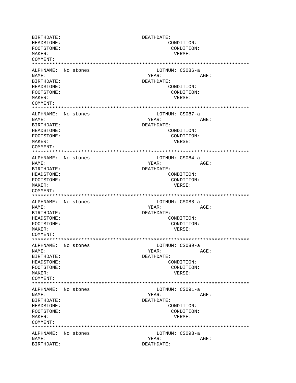BIRTHDATE: DEATHDATE: HEADSTONE: CONDITION: FOOTSTONE: CONDITION: MAKER: VERSE: COMMENT: \*\*\*\*\*\*\*\*\*\*\*\*\*\*\*\*\*\*\*\*\*\*\*\*\*\*\*\*\*\*\*\*\*\*\*\*\*\*\*\*\*\*\*\*\*\*\*\*\*\*\*\*\*\*\*\*\*\*\*\*\*\*\*\*\*\*\*\*\*\*\*\*\*\*\* ALPHNAME: No stones LOTNUM: CS086-a NAME: YEAR: AGE: BIRTHDATE: DEATHDATE: HEADSTONE: CONDITION: FOOTSTONE: CONDITION: MAKER: VERSE: COMMENT: \*\*\*\*\*\*\*\*\*\*\*\*\*\*\*\*\*\*\*\*\*\*\*\*\*\*\*\*\*\*\*\*\*\*\*\*\*\*\*\*\*\*\*\*\*\*\*\*\*\*\*\*\*\*\*\*\*\*\*\*\*\*\*\*\*\*\*\*\*\*\*\*\*\*\* ALPHNAME: No stones and LOTNUM: CS087-a NAME: YEAR: AGE: BIRTHDATE: DEATHDATE: HEADSTONE: CONDITION: FOOTSTONE: CONDITION: MAKER: VERSE: COMMENT: \*\*\*\*\*\*\*\*\*\*\*\*\*\*\*\*\*\*\*\*\*\*\*\*\*\*\*\*\*\*\*\*\*\*\*\*\*\*\*\*\*\*\*\*\*\*\*\*\*\*\*\*\*\*\*\*\*\*\*\*\*\*\*\*\*\*\*\*\*\*\*\*\*\*\* ALPHNAME: No stones and the LOTNUM: CS084-a NAME: YEAR: AGE: BIRTHDATE: DEATHDATE: HEADSTONE: CONDITION: FOOTSTONE: CONDITION: MAKER: VERSE: COMMENT: \*\*\*\*\*\*\*\*\*\*\*\*\*\*\*\*\*\*\*\*\*\*\*\*\*\*\*\*\*\*\*\*\*\*\*\*\*\*\*\*\*\*\*\*\*\*\*\*\*\*\*\*\*\*\*\*\*\*\*\*\*\*\*\*\*\*\*\*\*\*\*\*\*\*\* ALPHNAME: No stones and the LOTNUM: CS088-a NAME: YEAR: AGE: BIRTHDATE: DEATHDATE: HEADSTONE: CONDITION: FOOTSTONE: CONDITION: MAKER: VERSE: COMMENT: \*\*\*\*\*\*\*\*\*\*\*\*\*\*\*\*\*\*\*\*\*\*\*\*\*\*\*\*\*\*\*\*\*\*\*\*\*\*\*\*\*\*\*\*\*\*\*\*\*\*\*\*\*\*\*\*\*\*\*\*\*\*\*\*\*\*\*\*\*\*\*\*\*\*\* ALPHNAME: No stones and the LOTNUM: CS089-a NAME: YEAR: AGE: BIRTHDATE: DEATHDATE: HEADSTONE: CONDITION: FOOTSTONE: CONDITION: MAKER: VERSE: COMMENT: \*\*\*\*\*\*\*\*\*\*\*\*\*\*\*\*\*\*\*\*\*\*\*\*\*\*\*\*\*\*\*\*\*\*\*\*\*\*\*\*\*\*\*\*\*\*\*\*\*\*\*\*\*\*\*\*\*\*\*\*\*\*\*\*\*\*\*\*\*\*\*\*\*\*\* ALPHNAME: No stones LOTNUM: CS091-a NAME: YEAR: AGE: BIRTHDATE: DEATHDATE: HEADSTONE: CONDITION: FOOTSTONE: CONDITION: MAKER: VERSE: COMMENT: \*\*\*\*\*\*\*\*\*\*\*\*\*\*\*\*\*\*\*\*\*\*\*\*\*\*\*\*\*\*\*\*\*\*\*\*\*\*\*\*\*\*\*\*\*\*\*\*\*\*\*\*\*\*\*\*\*\*\*\*\*\*\*\*\*\*\*\*\*\*\*\*\*\*\* ALPHNAME: No stones LOTNUM: CS093-a NAME: YEAR: AGE: BIRTHDATE: DEATHDATE: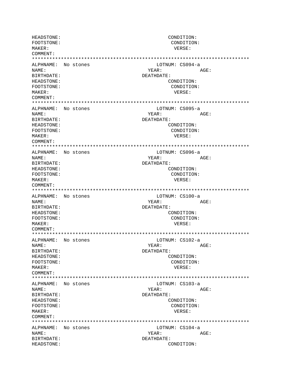HEADSTONE: CONDITION: FOOTSTONE: CONDITION: MAKER: VERSE: COMMENT: ALPHNAME: No stones LOTNUM: CS094-a NAME: YEAR: AGE: **BIRTHDATE:** DEATHDATE: HEADSTONE: CONDITION: FOOTSTONE: CONDITION: MAKER: VERSE: COMMENT: ALPHNAME: No stones LOTNUM: CS095-a NAME: YEAR: AGE: BIRTHDATE: DEATHDATE: HEADSTONE: CONDITION: FOOTSTONE: CONDITION: MAKER: VERSE: COMMENT: ALPHNAME: No stones LOTNUM: CS096-a NAME: YEAR: AGE: BIRTHDATE: DEATHDATE: CONDITION: HEADSTONE: CONDITION: FOOTSTONE: MAKER: VERSE: COMMENT: LOTNUM: CS100-a ALPHNAME: No stones NAME: YEAR: AGE: BIRTHDATE: DEATHDATE: HEADSTONE: CONDITION: FOOTSTONE: CONDITION: MAKER: VERSE:  $COMM$  $FNT$ : ALPHNAME: No stones LOTNUM: CS102-a AGE: NAME: YEAR: BIRTHDATE: DEATHDATE: HEADSTONE: CONDITION: FOOTSTONE: CONDITION:  $M\Delta KFR$ : VERSE: COMMENT: ALPHNAME: No stones LOTNUM: CS103-a YEAR: NAME: AGE: BIRTHDATE: DEATHDATE: HEADSTONE: CONDITION: CONDITION: FOOTSTONE: MAKER: VERSE: COMMENT: ALPHNAME: No stones LOTNUM: CS104-a NAME: YEAR: AGE: BIRTHDATE: DEATHDATE: HEADSTONE: CONDITION: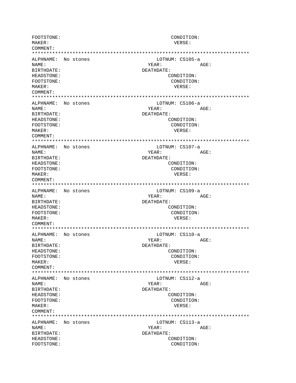FOOTSTONE: CONDITION: MAKER: VERSE: COMMENT: LOTNUM: CS105-a ALPHNAME: No stones NAME: YEAR: AGE: BIRTHDATE: DEATHDATE: CONDITION: HEADSTONE: FOOTSTONE: CONDITION: MAKER: VERSE:  $COMM$  $FNTT$ : ALPHNAME: No stones LOTNUM: CS106-a NAME: YEAR: AGE: BIRTHDATE: DEATHDATE: HEADSTONE: CONDITION: FOOTSTONE: CONDITION: MAKER: VERSE: COMMENT: ALPHNAME: No stones LOTNUM: CS107-a NAME: YEAR: AGE: BIRTHDATE: DEATHDATE: HEADSTONE: CONDITION: FOOTSTONE: CONDITION: MAKER: VERSE: COMMENT: ALPHNAME: No stones LOTNUM: CS109-a AGE: NAMF: YEAR: BIRTHDATE: DEATHDATE: HEADSTONE: CONDITION: CONDITION: FOOTSTONE: MAKER: VERSE: COMMENT: ALPHNAME: No stones LOTNUM: CS110-a NAME: AGE: YEAR: BIRTHDATE: DEATHDATE: HEADSTONE: CONDITION: CONDITION: FOOTSTONE: VERSE: MAKER: COMMENT: ALPHNAME: No stones LOTNUM: CS112-a YEAR: NAME:  $\triangle$   $G$   $F$ : BIRTHDATE: DEATHDATE: HEADSTONE: CONDITION: FOOTSTONE: CONDITION: MAKER: VERSE: COMMENT: ALPHNAME: No stones LOTNUM: CS113-a NAME: YEAR: AGE: BIRTHDATE: DEATHDATE: HEADSTONE: CONDITION: FOOTSTONE: CONDITION: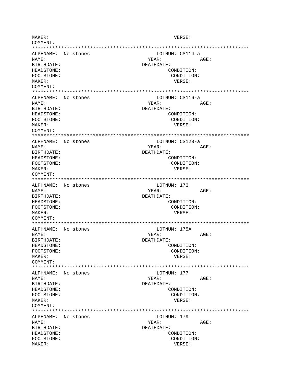MAKER: VERSE:  $COMM$ **FNT:** ALPHNAME: No stones LOTNUM: CS114-a NAME: YEAR: AGE: BIRTHDATE: DEATHDATE: HEADSTONE: CONDITION: FOOTSTONE: CONDITION: MAKER: VERSE: COMMENT: ALPHNAME: No stones LOTNUM: CS116-a NAME: YEAR: AGE: BIRTHDATE: DEATHDATE: HEADSTONE: CONDITION: FOOTSTONE: CONDITION: MAKER: VERSE: COMMENT: LOTNUM: CS120-a ALPHNAME: No stones NAME: YEAR: AGE: BIRTHDATE: DEATHDATE: HEADSTONE: CONDITION: FOOTSTONE: CONDITION: MAKER: VERSE: COMMENT: ALPHNAME: No stones LOTNUM: 173 NAME: YEAR:  $\triangle G$ F: BIRTHDATE: DEATHDATE: HEADSTONE: CONDITION: CONDITION: FOOTSTONE: MAKER: VERSE: COMMENT: ALPHNAME: No stones LOTNUM: 175A NAME: YEAR: AGE: BIRTHDATE: DEATHDATE: HEADSTONE: CONDITION: CONDITION: FOOTSTONE: MAKER: VERSE: COMMENT: ALPHNAME: No stones LOTNUM: 177 NAME: YEAR: AGE: DEATHDATE: **RIRTHDATE:** HEADSTONE: CONDITION: FOOTSTONE: CONDITION: VERSE: MAKER: COMMENT: ALPHNAME: No stones LOTNUM: 179 NAME: YEAR: AGE: BIRTHDATE: DEATHDATE: HEADSTONE: CONDITION: FOOTSTONE: CONDITION: MAKER: VERSE: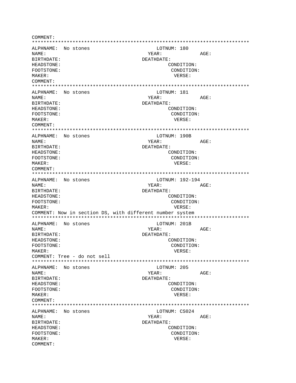COMMENT: ALPHNAME: No stones LOTNUM: 180 NAME: YEAR: AGE: BIRTHDATE: DEATHDATE: HEADSTONE: CONDITION: FOOTSTONE: CONDITION: MAKER: VERSE: COMMENT: ALPHNAME: No stones LOTNUM: 181 NAMF: VFAR:  $\Delta C$ F: BIRTHDATE: DEATHDATE: HEADSTONE: CONDITION: FOOTSTONE: CONDITION: MAKER: VERSE: COMMENT: ALPHNAME: No stones LOTNUM: 190B NAME: YEAR: AGE: BIRTHDATE: DEATHDATE: HEADSTONE: CONDITION: FOOTSTONE: CONDITION: MAKER: VERSE: COMMENT: ALPHNAME: No stones LOTNUM: 192-194 NAME: YEAR: AGE: BIRTHDATE: DEATHDATE: CONDITION: HEADSTONE: FOOTSTONE: CONDITION: MAKER: VERSE: COMMENT: Now in section DS, with different number system ALPHNAME: No stones LOTNUM: 201B YEAR: NAME: AGE: BIRTHDATE: DEATHDATE: HEADSTONE: CONDITION: FOOTSTONE: CONDITION: VERSE: MAKER: COMMENT: Tree - do not sell LOTNUM: 205 ALPHNAME: No stones NAME: YEAR: AGE: **BIRTHDATE:** DEATHDATE: HEADSTONE: CONDITION: FOOTSTONE: CONDITION: MAKER: VERSE: COMMENT: ALPHNAME: No stones LOTNUM: CS024 AGE: NAME: YEAR: BIRTHDATE: DEATHDATE: HEADSTONE: CONDITION: FOOTSTONE: CONDITION: MAKER: VERSE: COMMENT: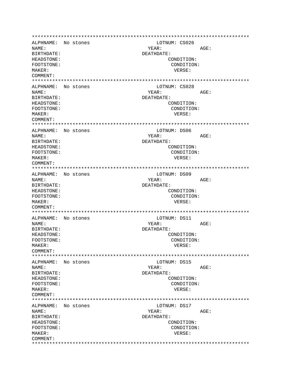ALPHNAME: No stones LOTNUM: CS026 NAME: YEAR: AGE: BIRTHDATE: DEATHDATE: HEADSTONE: CONDITION: FOOTSTONE: CONDITION: MAKER: VERSE: COMMENT: ALPHNAME: No stones LOTNUM: CS028 NAME: YEAR: AGE: RIRTHDATE: DEATHDATE: HEADSTONE: CONDITION: FOOTSTONE: CONDITION: MAKER: VERSE: COMMENT: ALPHNAME: No stones LOTNUM: DS06 NAME: YEAR: AGE: BIRTHDATE: DEATHDATE: HEADSTONE: CONDITION: FOOTSTONE: CONDITION: MAKER: VERSE: COMMENT: ALPHNAME: No stones LOTNUM: DS09 NAME:  $YEAR:$ AGE: DEATHDATE: BIRTHDATE: HEADSTONE: CONDITION: FOOTSTONE: CONDITION: MAKER: VERSE: COMMENT: ALPHNAME: No stones LOTNUM: DS11 NAME: YEAR: AGE: BIRTHDATE: DEATHDATE: HEADSTONE: CONDITION: FOOTSTONE: CONDITION: MAKER: VERSE: COMMENT: ALPHNAME: No stones LOTNUM: DS15 NAME: YEAR: AGE: **BIRTHDATE:** DEATHDATE: **HEADSTONE:** CONDITION: CONDITION: FOOTSTONE: VERSE: MAKER: COMMENT: ALPHNAME: No stones LOTNUM: DS17 NAME: YEAR: AGE: BIRTHDATE: DEATHDATE: HEADSTONE: CONDITION: FOOTSTONE: CONDITION: MAKER: VERSE: COMMENT: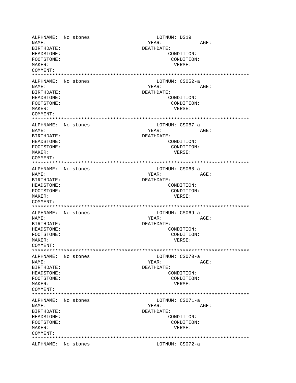ALPHNAME: No stones LOTNUM: DS19 NAME: YEAR: AGE: BIRTHDATE: DEATHDATE: HEADSTONE: CONDITION: FOOTSTONE: CONDITION: MAKER: VERSE: COMMENT: \*\*\*\*\*\*\*\*\*\*\*\*\*\*\*\*\*\*\*\*\*\*\*\*\*\*\*\*\*\*\*\*\*\*\*\*\*\*\*\*\*\*\*\*\*\*\*\*\*\*\*\*\*\*\*\*\*\*\*\*\*\*\*\*\*\*\*\*\*\*\*\*\*\*\* ALPHNAME: No stones LOTNUM: CS052-a NAME: AGE: BIRTHDATE: DEATHDATE: HEADSTONE: CONDITION: FOOTSTONE: CONDITION: MAKER: VERSE: COMMENT: \*\*\*\*\*\*\*\*\*\*\*\*\*\*\*\*\*\*\*\*\*\*\*\*\*\*\*\*\*\*\*\*\*\*\*\*\*\*\*\*\*\*\*\*\*\*\*\*\*\*\*\*\*\*\*\*\*\*\*\*\*\*\*\*\*\*\*\*\*\*\*\*\*\*\* ALPHNAME: No stones LOTNUM: CS067-a NAME:  $YEAR:$  AGE: BIRTHDATE: DEATHDATE: HEADSTONE: CONDITION: FOOTSTONE: CONDITION: MAKER: VERSE: COMMENT: \*\*\*\*\*\*\*\*\*\*\*\*\*\*\*\*\*\*\*\*\*\*\*\*\*\*\*\*\*\*\*\*\*\*\*\*\*\*\*\*\*\*\*\*\*\*\*\*\*\*\*\*\*\*\*\*\*\*\*\*\*\*\*\*\*\*\*\*\*\*\*\*\*\*\* ALPHNAME: No stones LOTNUM: CS068-a NAME: YEAR: AGE: BIRTHDATE: DEATHDATE: HEADSTONE: CONDITION: FOOTSTONE: CONDITION: MAKER: VERSE: COMMENT: \*\*\*\*\*\*\*\*\*\*\*\*\*\*\*\*\*\*\*\*\*\*\*\*\*\*\*\*\*\*\*\*\*\*\*\*\*\*\*\*\*\*\*\*\*\*\*\*\*\*\*\*\*\*\*\*\*\*\*\*\*\*\*\*\*\*\*\*\*\*\*\*\*\*\* ALPHNAME: No stones and LOTNUM: CS069-a NAME: YEAR: AGE: BIRTHDATE: DEATHDATE: HEADSTONE: CONDITION: FOOTSTONE: CONDITION: MAKER: VERSE: COMMENT: \*\*\*\*\*\*\*\*\*\*\*\*\*\*\*\*\*\*\*\*\*\*\*\*\*\*\*\*\*\*\*\*\*\*\*\*\*\*\*\*\*\*\*\*\*\*\*\*\*\*\*\*\*\*\*\*\*\*\*\*\*\*\*\*\*\*\*\*\*\*\*\*\*\*\* ALPHNAME: No stones LOTNUM: CS070-a NAME: YEAR: AGE: BIRTHDATE: DEATHDATE: HEADSTONE: CONDITION: FOOTSTONE: CONDITION: MAKER: VERSE: COMMENT: \*\*\*\*\*\*\*\*\*\*\*\*\*\*\*\*\*\*\*\*\*\*\*\*\*\*\*\*\*\*\*\*\*\*\*\*\*\*\*\*\*\*\*\*\*\*\*\*\*\*\*\*\*\*\*\*\*\*\*\*\*\*\*\*\*\*\*\*\*\*\*\*\*\*\* ALPHNAME: No stones LOTNUM: CS071-a NAME: YEAR: AGE: BIRTHDATE: DEATHDATE: HEADSTONE: CONDITION: FOOTSTONE: CONDITION: MAKER: VERSE: COMMENT: \*\*\*\*\*\*\*\*\*\*\*\*\*\*\*\*\*\*\*\*\*\*\*\*\*\*\*\*\*\*\*\*\*\*\*\*\*\*\*\*\*\*\*\*\*\*\*\*\*\*\*\*\*\*\*\*\*\*\*\*\*\*\*\*\*\*\*\*\*\*\*\*\*\*\* ALPHNAME: No stones LOTNUM: CS072-a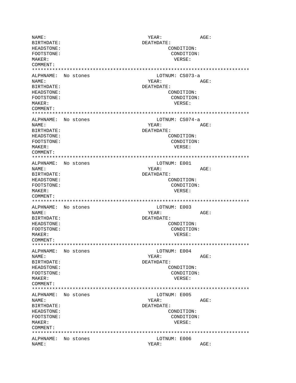AGE: NAME: YEAR: DEATHDATE: **BIRTHDATE:** HEADSTONE: CONDITION: FOOTSTONE: CONDITION: MAKER: VERSE: COMMENT: ALPHNAME: No stones LOTNUM: CS073-a NAME: YEAR: AGE: BIRTHDATE: DEATHDATE: HEADSTONE: CONDITION: CONDITION: FOOTSTONE: MAKER: VERSE: COMMENT: ALPHNAME: No stones LOTNUM: CS074-a NAME: YEAR: AGE: BIRTHDATE: DEATHDATE: HEADSTONE: CONDITION: CONDITION: FOOTSTONE: MAKER: VERSE: COMMENT: LOTNUM: E001 ALPHNAME: No stones NAME: AGE: YEAR: DEATHDATE: BIRTHDATE: HEADSTONE: CONDITION: FOOTSTONE: CONDITION: MAKER: VERSE: COMMENT: LOTNUM: E003 ALPHNAME: No stones YEAR: NAME: AGE: BIRTHDATE: DEATHDATE: HEADSTONE: CONDITION: FOOTSTONE: CONDITION: MAKER: VERSE: COMMENT: LOTNUM: E004 ALPHNAME: No stones NAME: YEAR: AGE: BIRTHDATE: DEATHDATE: HEADSTONE: CONDITION: FOOTSTONE: CONDITION: MAKER: VERSE:  $COMM$  $R$  $N$  $T$ : LOTNUM: E005 ALPHNAME: No stones NAME: YEAR: AGE: BIRTHDATE: DEATHDATE: HEADSTONE: CONDITION: FOOTSTONE: CONDITION: MAKER: VERSE: COMMENT: ALPHNAME: No stones LOTNUM: E006 NAME: YEAR: AGE: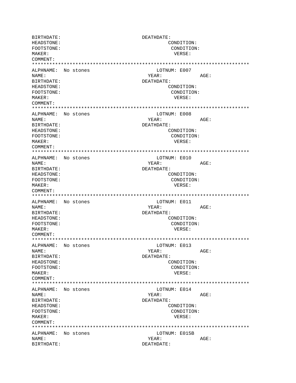**BIRTHDATE:** DEATHDATE: HEADSTONE: CONDITION: FOOTSTONE: CONDITION: MAKER: VERSE: COMMENT: ALPHNAME: No stones LOTNUM: E007 NAME: YEAR: AGE: BIRTHDATE: DEATHDATE: HEADSTONE: CONDITION: FOOTSTONE: CONDITION:  $M\Delta K$ <sub>F</sub>P: VERSE: COMMENT: ALPHNAME: No stones LOTNUM: E008 NAME: YEAR:  $AGE:$ BIRTHDATE: DEATHDATE: HEADSTONE: CONDITION: FOOTSTONE: CONDITION: MAKER: VERSE: COMMENT: ALPHNAME: No stones LOTNUM: E010 NAME: YEAR: AGE: **BIRTHDATE:** DEATHDATE: HEADSTONE: CONDITION: FOOTSTONE: CONDITION: MAKER: VERSE:  $COMMFINT$ : ALPHNAME: No stones LOTNUM: E011 NAME: YEAR: AGE: DEATHDATE: BIRTHDATE: HEADSTONE: CONDITION: FOOTSTONE: CONDITION: VERSE: MAKER: COMMENT: ALPHNAME: No stones LOTNUM: E013 NAME: YEAR: AGE: DEATHDATE: BIRTHDATE: HEADSTONE: CONDITION: FOOTSTONE: CONDITION: MAKER: VERSE: COMMENT: ALPHNAME: No stones LOTNUM: E014 NAME: YEAR: AGE: BIRTHDATE: DEATHDATE: HEADSTONE: CONDITION: FOOTSTONE: CONDITION: MAKER: VERSE: COMMENT: ALPHNAME: No stones LOTNUM: E015B NAME: YEAR: AGE: BIRTHDATE: DEATHDATE: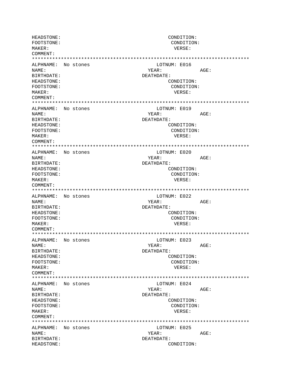HEADSTONE: CONDITION: FOOTSTONE: CONDITION: MAKER: VERSE: COMMENT: ALPHNAME: No stones LOTNUM: E016 NAME: YEAR: AGE: **BIRTHDATE:** DEATHDATE: HEADSTONE: CONDITION: FOOTSTONE: CONDITION: MAKER: VERSE: COMMENT: ALPHNAME: No stones LOTNUM: E019 NAME: YEAR: AGE: BIRTHDATE: DEATHDATE: HEADSTONE: CONDITION: FOOTSTONE: CONDITION: MAKER: VERSE: COMMENT: ALPHNAME: No stones LOTNUM: E020 NAME: YEAR: AGE: BIRTHDATE: DEATHDATE: CONDITION: HEADSTONE: FOOTSTONE: CONDITION: MAKER: VERSE: COMMENT: ALPHNAME: No stones LOTNUM: E022 NAME: YEAR: AGE: BIRTHDATE: DEATHDATE: HEADSTONE: CONDITION: FOOTSTONE: CONDITION: MAKER: VERSE:  $COMM$  $FNT$ : ALPHNAME: No stones LOTNUM: E023 AGE: NAME: YEAR: BIRTHDATE: DEATHDATE: HEADSTONE: CONDITION: FOOTSTONE: CONDITION:  $M\Delta KFR$ : VERSE: COMMENT: ALPHNAME: No stones LOTNUM: E024 NAME: YEAR: AGE: BIRTHDATE: DEATHDATE: HEADSTONE: CONDITION: CONDITION: FOOTSTONE: MAKER: VERSE: COMMENT: ALPHNAME: No stones LOTNUM: E025 NAME: YEAR: AGE: BIRTHDATE: DEATHDATE: HEADSTONE: CONDITION: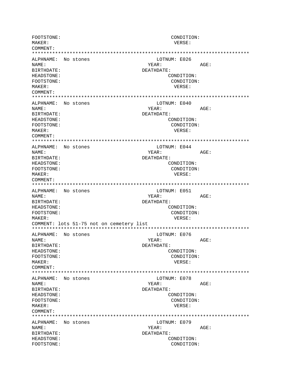FOOTSTONE: CONDITION: MAKER: VERSE: COMMENT: LOTNUM: E026 ALPHNAME: No stones NAME: YEAR: AGE: BIRTHDATE: DEATHDATE: CONDITION: HEADSTONE: FOOTSTONE: CONDITION: MAKER: VERSE:  $COMM$  $FNTT$ : ALPHNAME: No stones LOTNUM: E040 NAME: YEAR: AGE: BIRTHDATE: DEATHDATE: HEADSTONE: CONDITION: FOOTSTONE: CONDITION: MAKER: VERSE: COMMENT: ALPHNAME: No stones LOTNUM: E044 NAME: YEAR: AGE: BIRTHDATE: DEATHDATE: HEADSTONE: CONDITION: FOOTSTONE: CONDITION: MAKER: VERSE: COMMENT: LOTNUM: E051 ALPHNAME: No stones NAMF: YEAR: AGE: BIRTHDATE: DEATHDATE: HEADSTONE: CONDITION: CONDITION: FOOTSTONE: MAKER: VERSE: COMMENT: lots 51-75 not on cemetery list ALPHNAME: No stones LOTNUM: E076 NAME: YEAR:  $AGE:$ BIRTHDATE: DEATHDATE: CONDITION: HEADSTONE: CONDITION: FOOTSTONE: VERSE: MAKER: COMMENT: ALPHNAME: No stones LOTNUM: E078 NAME: YEAR:  $AGE:$ BIRTHDATE: DEATHDATE: HEADSTONE: CONDITION: FOOTSTONE: CONDITION: MAKER: VERSE: COMMENT: LOTNUM: E079 ALPHNAME: No stones NAME: YEAR: AGE: BIRTHDATE: DEATHDATE: HEADSTONE: CONDITION: FOOTSTONE: CONDITION: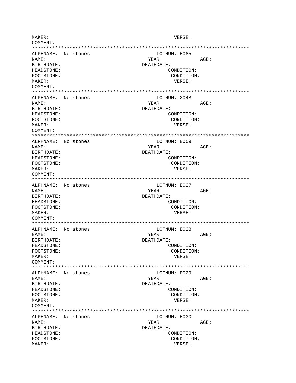MAKER: VERSE:  $COMM$  $FNT$ : ALPHNAME: No stones LOTNUM: E085 NAME: YEAR: AGE: BIRTHDATE: DEATHDATE: HEADSTONE: CONDITION: FOOTSTONE: CONDITION: MAKER: VERSE: COMMENT: ALPHNAME: No stones LOTNUM: 204B NAME: YEAR: AGE: BIRTHDATE: DEATHDATE: HEADSTONE: CONDITION: FOOTSTONE: CONDITION: MAKER: VERSE: COMMENT: LOTNUM: E009 ALPHNAME: No stones NAME: YEAR: AGE: BIRTHDATE: DEATHDATE: HEADSTONE: CONDITION: FOOTSTONE: CONDITION: MAKER: VERSE: COMMENT: ALPHNAME: No stones LOTNUM: E027 NAME: YEAR:  $\triangle G$ F: BIRTHDATE: DEATHDATE: HEADSTONE: CONDITION: CONDITION: FOOTSTONE: MAKER: VERSE: COMMENT: ALPHNAME: No stones LOTNUM: E028 NAME: YEAR: AGE: BIRTHDATE: DEATHDATE: HEADSTONE: CONDITION: FOOTSTONE: CONDITION: MAKER: VERSE: COMMENT: ALPHNAME: No stones LOTNUM: E029 NAME: YEAR: AGE: DEATHDATE: **RIRTHDATE:** HEADSTONE: CONDITION: FOOTSTONE: CONDITION: VERSE: MAKER: COMMENT: ALPHNAME: No stones LOTNUM: E030 NAME: YEAR: AGE: BIRTHDATE: DEATHDATE: HEADSTONE: CONDITION: FOOTSTONE: CONDITION: MAKER: VERSE: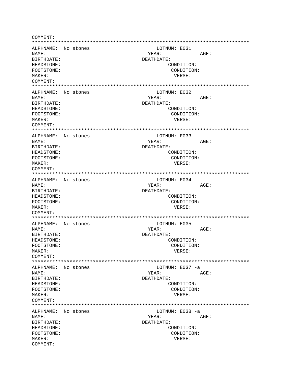COMMENT: ALPHNAME: No stones LOTNUM: E031 NAME: YEAR: AGE: BIRTHDATE: DEATHDATE: HEADSTONE: CONDITION: FOOTSTONE: CONDITION: MAKER: VERSE: COMMENT: ALPHNAME: No stones LOTNUM: E032 NAMF: VFAR: AGE: BIRTHDATE: DEATHDATE: HEADSTONE: CONDITION: FOOTSTONE: CONDITION: MAKER: VERSE: COMMENT: ALPHNAME: No stones LOTNUM: E033 NAME: YEAR: AGE: BIRTHDATE: DEATHDATE: HEADSTONE: CONDITION: FOOTSTONE: CONDITION: MAKER: VERSE: COMMENT: ALPHNAME: No stones LOTNUM: E034 NAME: YEAR: AGE: **BIRTHDATE:** DEATHDATE: HEADSTONE: CONDITION: FOOTSTONE: CONDITION: VERSE: MAKER: COMMENT: ALPHNAME: No stones LOTNUM: E035 NAME: AGE: YEAR: BIRTHDATE: DEATHDATE: HEADSTONE: CONDITION: FOOTSTONE: CONDITION: VERSE: MAKER: COMMENT: LOTNUM: E037 -a ALPHNAME: No stones AGE: NAME: YEAR: BIRTHDATE: DEATHDATE: HEADSTONE: CONDITION: FOOTSTONE: CONDITION: MAKER: VERSE: COMMENT: ALPHNAME: No stones LOTNUM: E038 -a NAME: YEAR: AGE: BIRTHDATE: DEATHDATE: HEADSTONE: CONDITION: FOOTSTONE: CONDITION: MAKER: VERSE: COMMENT: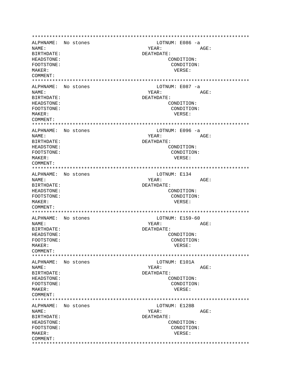ALPHNAME: No stones LOTNUM: E086 -a NAME: YEAR: AGE: BIRTHDATE: DEATHDATE: HEADSTONE: CONDITION: FOOTSTONE: CONDITION: MAKER: VERSE: COMMENT: ALPHNAME: No stones LOTNUM: E087 -a NAME: YEAR: AGE: RIRTHDATE: DEATHDATE: HEADSTONE: CONDITION: FOOTSTONE: CONDITION: MAKER: VERSE: COMMENT: ALPHNAME: No stones LOTNUM: E096 -a NAME: YEAR: AGE: DEATHDATE: BIRTHDATE: HEADSTONE: CONDITION: FOOTSTONE: CONDITION: VERSE: MAKER: COMMENT: ALPHNAME: No stones LOTNUM: E134 NAME: YEAR: AGE: DEATHDATE: BIRTHDATE: HEADSTONE: CONDITION: FOOTSTONE: CONDITION: MAKER: VERSE: COMMENT: ALPHNAME: No stones LOTNUM: E159-60 NAME: YEAR: AGE: BIRTHDATE: DEATHDATE: HEADSTONE: CONDITION: FOOTSTONE: CONDITION: MAKER: VERSE: COMMENT: ALPHNAME: No stones LOTNUM: E101A AGE: NAME: YEAR: **BIRTHDATE:** DEATHDATE: HEADSTONE: CONDITION: FOOTSTONE: CONDITION: VERSE: MAKER: COMMENT: ALPHNAME: No stones LOTNUM: E128B NAME: YEAR: AGE: BIRTHDATE: DEATHDATE: HEADSTONE: CONDITION: FOOTSTONE: CONDITION: MAKER: VERSE: COMMENT: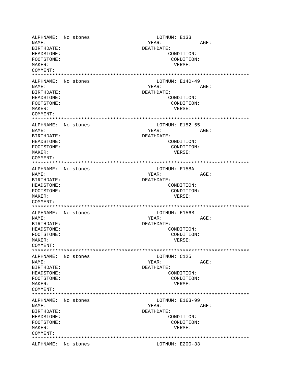ALPHNAME: No stones LOTNUM: E133 NAME: YEAR: AGE: BIRTHDATE: DEATHDATE: HEADSTONE: CONDITION: FOOTSTONE: CONDITION: MAKER: VERSE: COMMENT: \*\*\*\*\*\*\*\*\*\*\*\*\*\*\*\*\*\*\*\*\*\*\*\*\*\*\*\*\*\*\*\*\*\*\*\*\*\*\*\*\*\*\*\*\*\*\*\*\*\*\*\*\*\*\*\*\*\*\*\*\*\*\*\*\*\*\*\*\*\*\*\*\*\*\* ALPHNAME: No stones NAME: AGE: BIRTHDATE: DEATHDATE: HEADSTONE: CONDITION: FOOTSTONE: CONDITION: MAKER: VERSE: COMMENT: \*\*\*\*\*\*\*\*\*\*\*\*\*\*\*\*\*\*\*\*\*\*\*\*\*\*\*\*\*\*\*\*\*\*\*\*\*\*\*\*\*\*\*\*\*\*\*\*\*\*\*\*\*\*\*\*\*\*\*\*\*\*\*\*\*\*\*\*\*\*\*\*\*\*\* ALPHNAME: No stones LOTNUM: E152-55 NAME: YEAR: AGE: BIRTHDATE: DEATHDATE: HEADSTONE: CONDITION: FOOTSTONE: CONDITION: MAKER: VERSE: COMMENT: \*\*\*\*\*\*\*\*\*\*\*\*\*\*\*\*\*\*\*\*\*\*\*\*\*\*\*\*\*\*\*\*\*\*\*\*\*\*\*\*\*\*\*\*\*\*\*\*\*\*\*\*\*\*\*\*\*\*\*\*\*\*\*\*\*\*\*\*\*\*\*\*\*\*\* ALPHNAME: No stones and the control of the LOTNUM: E158A and the MAME: AGE: NAME: YEAR: AGE: BIRTHDATE: DEATHDATE: HEADSTONE: CONDITION: FOOTSTONE: CONDITION: MAKER: VERSE: COMMENT: \*\*\*\*\*\*\*\*\*\*\*\*\*\*\*\*\*\*\*\*\*\*\*\*\*\*\*\*\*\*\*\*\*\*\*\*\*\*\*\*\*\*\*\*\*\*\*\*\*\*\*\*\*\*\*\*\*\*\*\*\*\*\*\*\*\*\*\*\*\*\*\*\*\*\* ALPHNAME: No stones LOTNUM: E156B NAME: YEAR: AGE: BIRTHDATE: DEATHDATE: HEADSTONE: CONDITION: FOOTSTONE: CONDITION: MAKER: VERSE: COMMENT: \*\*\*\*\*\*\*\*\*\*\*\*\*\*\*\*\*\*\*\*\*\*\*\*\*\*\*\*\*\*\*\*\*\*\*\*\*\*\*\*\*\*\*\*\*\*\*\*\*\*\*\*\*\*\*\*\*\*\*\*\*\*\*\*\*\*\*\*\*\*\*\*\*\*\* ALPHNAME: No stones and the LOTNUM: C125 NAME: YEAR: AGE: BIRTHDATE: DEATHDATE: HEADSTONE: CONDITION: FOOTSTONE: CONDITION: MAKER: VERSE: COMMENT: \*\*\*\*\*\*\*\*\*\*\*\*\*\*\*\*\*\*\*\*\*\*\*\*\*\*\*\*\*\*\*\*\*\*\*\*\*\*\*\*\*\*\*\*\*\*\*\*\*\*\*\*\*\*\*\*\*\*\*\*\*\*\*\*\*\*\*\*\*\*\*\*\*\*\* ALPHNAME: No stones NAME: YEAR: AGE: BIRTHDATE: DEATHDATE: HEADSTONE: CONDITION: FOOTSTONE: CONDITION: MAKER: VERSE: COMMENT: \*\*\*\*\*\*\*\*\*\*\*\*\*\*\*\*\*\*\*\*\*\*\*\*\*\*\*\*\*\*\*\*\*\*\*\*\*\*\*\*\*\*\*\*\*\*\*\*\*\*\*\*\*\*\*\*\*\*\*\*\*\*\*\*\*\*\*\*\*\*\*\*\*\*\* ALPHNAME: No stones LOTNUM: E200-33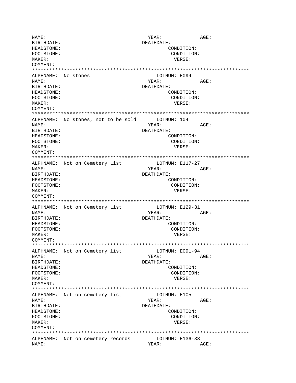NAME:  $YEAR:$  AGE: BIRTHDATE: DEATHDATE: HEADSTONE: CONDITION: FOOTSTONE: CONDITION: MAKER: VERSE: COMMENT: \*\*\*\*\*\*\*\*\*\*\*\*\*\*\*\*\*\*\*\*\*\*\*\*\*\*\*\*\*\*\*\*\*\*\*\*\*\*\*\*\*\*\*\*\*\*\*\*\*\*\*\*\*\*\*\*\*\*\*\*\*\*\*\*\*\*\*\*\*\*\*\*\*\*\* ALPHNAME: No stones and the LOTNUM: E094 NAME: YEAR: AGE: BIRTHDATE: DEATHDATE: HEADSTONE: CONDITION: FOOTSTONE: CONDITION: MAKER: VERSE: COMMENT: \*\*\*\*\*\*\*\*\*\*\*\*\*\*\*\*\*\*\*\*\*\*\*\*\*\*\*\*\*\*\*\*\*\*\*\*\*\*\*\*\*\*\*\*\*\*\*\*\*\*\*\*\*\*\*\*\*\*\*\*\*\*\*\*\*\*\*\*\*\*\*\*\*\*\* ALPHNAME: No stones, not to be sold NAME: YEAR: AGE: BIRTHDATE: DEATHDATE: HEADSTONE: CONDITION: FOOTSTONE: CONDITION: MAKER: VERSE: COMMENT: \*\*\*\*\*\*\*\*\*\*\*\*\*\*\*\*\*\*\*\*\*\*\*\*\*\*\*\*\*\*\*\*\*\*\*\*\*\*\*\*\*\*\*\*\*\*\*\*\*\*\*\*\*\*\*\*\*\*\*\*\*\*\*\*\*\*\*\*\*\*\*\*\*\*\* ALPHNAME: Not on Cemetery List LOTNUM: E117-27 NAME: YEAR: AGE: BIRTHDATE: DEATHDATE: HEADSTONE: CONDITION: FOOTSTONE: CONDITION: MAKER: VERSE: COMMENT: \*\*\*\*\*\*\*\*\*\*\*\*\*\*\*\*\*\*\*\*\*\*\*\*\*\*\*\*\*\*\*\*\*\*\*\*\*\*\*\*\*\*\*\*\*\*\*\*\*\*\*\*\*\*\*\*\*\*\*\*\*\*\*\*\*\*\*\*\*\*\*\*\*\*\* ALPHNAME: Not on Cemetery List [107NUM: E129-31] NAME: YEAR: AGE: BIRTHDATE: DEATHDATE: HEADSTONE: CONDITION: FOOTSTONE: CONDITION: MAKER: VERSE: COMMENT: \*\*\*\*\*\*\*\*\*\*\*\*\*\*\*\*\*\*\*\*\*\*\*\*\*\*\*\*\*\*\*\*\*\*\*\*\*\*\*\*\*\*\*\*\*\*\*\*\*\*\*\*\*\*\*\*\*\*\*\*\*\*\*\*\*\*\*\*\*\*\*\*\*\*\* ALPHNAME: Not on Cemetery list NAME: YEAR: AGE: BIRTHDATE: DEATHDATE: HEADSTONE: CONDITION: FOOTSTONE: CONDITION: MAKER: VERSE: COMMENT: \*\*\*\*\*\*\*\*\*\*\*\*\*\*\*\*\*\*\*\*\*\*\*\*\*\*\*\*\*\*\*\*\*\*\*\*\*\*\*\*\*\*\*\*\*\*\*\*\*\*\*\*\*\*\*\*\*\*\*\*\*\*\*\*\*\*\*\*\*\*\*\*\*\*\* ALPHNAME: Not on cemetery list LOTNUM: E105 NAME: YEAR: AGE: BIRTHDATE: DEATHDATE: HEADSTONE: CONDITION: FOOTSTONE: CONDITION: MAKER: VERSE: COMMENT: \*\*\*\*\*\*\*\*\*\*\*\*\*\*\*\*\*\*\*\*\*\*\*\*\*\*\*\*\*\*\*\*\*\*\*\*\*\*\*\*\*\*\*\*\*\*\*\*\*\*\*\*\*\*\*\*\*\*\*\*\*\*\*\*\*\*\*\*\*\*\*\*\*\*\* ALPHNAME: Not on cemetery records NAME: YEAR: AGE: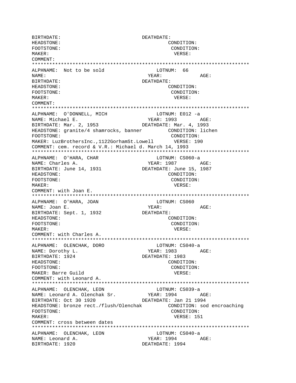BIRTHDATE: DEATHDATE: HEADSTONE: CONDITION: FOOTSTONE: CONDITION: MAKER: VERSE: COMMENT: \*\*\*\*\*\*\*\*\*\*\*\*\*\*\*\*\*\*\*\*\*\*\*\*\*\*\*\*\*\*\*\*\*\*\*\*\*\*\*\*\*\*\*\*\*\*\*\*\*\*\*\*\*\*\*\*\*\*\*\*\*\*\*\*\*\*\*\*\*\*\*\*\*\*\* ALPHNAME: Not to be sold all the LOTNUM: 66 NAME: AGE: BIRTHDATE: DEATHDATE: HEADSTONE: CONDITION: FOOTSTONE: CONDITION: MAKER: VERSE: COMMENT: \*\*\*\*\*\*\*\*\*\*\*\*\*\*\*\*\*\*\*\*\*\*\*\*\*\*\*\*\*\*\*\*\*\*\*\*\*\*\*\*\*\*\*\*\*\*\*\*\*\*\*\*\*\*\*\*\*\*\*\*\*\*\*\*\*\*\*\*\*\*\*\*\*\*\* ALPHNAME: O'DONNELL, MICH LOTNUM: E012 -a NAME: Michael E. YEAR: 1993 AGE: BIRTHDATE: Mar. 2, 1953 DEATHDATE: Mar. 4, 1993 HEADSTONE: granite/4 shamrocks, banner CONDITION: lichen FOOTSTONE: CONDITION: MAKER: LuzBrothersInc.,1122GorhamSt.Lowell VERSE: 190 COMMENT: cem. record & V.R.: Michael d. March 14, 1993 \*\*\*\*\*\*\*\*\*\*\*\*\*\*\*\*\*\*\*\*\*\*\*\*\*\*\*\*\*\*\*\*\*\*\*\*\*\*\*\*\*\*\*\*\*\*\*\*\*\*\*\*\*\*\*\*\*\*\*\*\*\*\*\*\*\*\*\*\*\*\*\*\*\*\* ALPHNAME: O'HARA, CHAR LOTNUM: CS060-a NAME: Charles A. YEAR: 1987 AGE: BIRTHDATE: June 14, 1931 DEATHDATE: June 15, 1987 HEADSTONE: CONDITION: FOOTSTONE: CONDITION: MAKER: VERSE: COMMENT: with Joan E. \*\*\*\*\*\*\*\*\*\*\*\*\*\*\*\*\*\*\*\*\*\*\*\*\*\*\*\*\*\*\*\*\*\*\*\*\*\*\*\*\*\*\*\*\*\*\*\*\*\*\*\*\*\*\*\*\*\*\*\*\*\*\*\*\*\*\*\*\*\*\*\*\*\*\* ALPHNAME: O'HARA, JOAN LOTNUM: CS060 NAME: Joan E. YEAR: AGE: BIRTHDATE: Sept. 1, 1932 DEATHDATE: HEADSTONE: CONDITION: FOOTSTONE: CONDITION: MAKER: VERSE: COMMENT: with Charles A. \*\*\*\*\*\*\*\*\*\*\*\*\*\*\*\*\*\*\*\*\*\*\*\*\*\*\*\*\*\*\*\*\*\*\*\*\*\*\*\*\*\*\*\*\*\*\*\*\*\*\*\*\*\*\*\*\*\*\*\*\*\*\*\*\*\*\*\*\*\*\*\*\*\*\* ALPHNAME: OLENCHAK, DORO LOTNUM: CS040-a NAME: Dorothy L. The Mass of the MEAR: 1983 AGE: BIRTHDATE: 1924 DEATHDATE: 1983 HEADSTONE: CONDITION: FOOTSTONE: CONDITION: MAKER: Barre Guild **VERSE:** COMMENT: with Leonard A. \*\*\*\*\*\*\*\*\*\*\*\*\*\*\*\*\*\*\*\*\*\*\*\*\*\*\*\*\*\*\*\*\*\*\*\*\*\*\*\*\*\*\*\*\*\*\*\*\*\*\*\*\*\*\*\*\*\*\*\*\*\*\*\*\*\*\*\*\*\*\*\*\*\*\* ALPHNAME: OLENCHAK, LEON LOTNUM: CS039-a NAME: Leonard A. Olenchak Sr. BIRTHDATE: Oct 30 1920 DEATHDATE: Jan 21 1994 HEADSTONE: bronze rect./flush/Olenchak CONDITION: sod encroaching FOOTSTONE: CONDITION: MAKER: USE SERVICE SERVICES AND MERSE SERVICES AND MERSE SERVICES AND MERSE SERVICES AND MERSE SERVICES AND ME COMMENT: cross between dates \*\*\*\*\*\*\*\*\*\*\*\*\*\*\*\*\*\*\*\*\*\*\*\*\*\*\*\*\*\*\*\*\*\*\*\*\*\*\*\*\*\*\*\*\*\*\*\*\*\*\*\*\*\*\*\*\*\*\*\*\*\*\*\*\*\*\*\*\*\*\*\*\*\*\* ALPHNAME: OLENCHAK, LEON LOTNUM: CS040-a NAME: Leonard A. YEAR: 1994 AGE: BIRTHDATE: 1920 DEATHDATE: 1994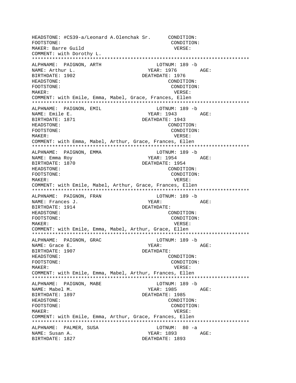HEADSTONE: #CS39-a/Leonard A.Olenchak Sr. CONDITION: FOOTSTONE: CONDITION: MAKER: Barre Guild VERSE: COMMENT: with Dorothy L. \*\*\*\*\*\*\*\*\*\*\*\*\*\*\*\*\*\*\*\*\*\*\*\*\*\*\*\*\*\*\*\*\*\*\*\*\*\*\*\*\*\*\*\*\*\*\*\*\*\*\*\*\*\*\*\*\*\*\*\*\*\*\*\*\*\*\*\*\*\*\*\*\*\*\* ALPHNAME: PAIGNON, ARTH LOTNUM: 189 -b NAME: Arthur L. Same Communications of the Magnus Media of the Magnus AGE: BIRTHDATE: 1902 DEATHDATE: 1976 HEADSTONE: CONDITION: FOOTSTONE: CONDITION: MAKER: VERSE: COMMENT: with Emile, Emma, Mabel, Grace, Frances, Ellen \*\*\*\*\*\*\*\*\*\*\*\*\*\*\*\*\*\*\*\*\*\*\*\*\*\*\*\*\*\*\*\*\*\*\*\*\*\*\*\*\*\*\*\*\*\*\*\*\*\*\*\*\*\*\*\*\*\*\*\*\*\*\*\*\*\*\*\*\*\*\*\*\*\*\* ALPHNAME: PAIGNON, EMIL CHARAGE LOTNUM: 189 -b NAME: Emile E. The South of the South States of the YEAR: 1943 AGE: BIRTHDATE: 1871 DEATHDATE: 1943 HEADSTONE: CONDITION: FOOTSTONE: CONDITION: MAKER: VERSE: COMMENT: with Emma, Mabel, Arthur, Grace, Frances, Ellen \*\*\*\*\*\*\*\*\*\*\*\*\*\*\*\*\*\*\*\*\*\*\*\*\*\*\*\*\*\*\*\*\*\*\*\*\*\*\*\*\*\*\*\*\*\*\*\*\*\*\*\*\*\*\*\*\*\*\*\*\*\*\*\*\*\*\*\*\*\*\*\*\*\*\* ALPHNAME: PAIGNON, EMMA NAME: Emma Roy YEAR: 1954 AGE: BIRTHDATE: 1870 DEATHDATE: 1954 HEADSTONE: CONDITION: FOOTSTONE: CONDITION: MAKER: VERSE: COMMENT: with Emile, Mabel, Arthur, Grace, Frances, Ellen \*\*\*\*\*\*\*\*\*\*\*\*\*\*\*\*\*\*\*\*\*\*\*\*\*\*\*\*\*\*\*\*\*\*\*\*\*\*\*\*\*\*\*\*\*\*\*\*\*\*\*\*\*\*\*\*\*\*\*\*\*\*\*\*\*\*\*\*\*\*\*\*\*\*\* ALPHNAME: PAIGNON, FRAN LOTNUM: 189 -b NAME: Frances J. The Communication of the Magnus of the Magnus of the Magnus AGE: BIRTHDATE: 1914 DEATHDATE: HEADSTONE: CONDITION: FOOTSTONE: CONDITION: MAKER: VERSE: COMMENT: with Emile, Emma, Mabel, Arthur, Grace, Ellen \*\*\*\*\*\*\*\*\*\*\*\*\*\*\*\*\*\*\*\*\*\*\*\*\*\*\*\*\*\*\*\*\*\*\*\*\*\*\*\*\*\*\*\*\*\*\*\*\*\*\*\*\*\*\*\*\*\*\*\*\*\*\*\*\*\*\*\*\*\*\*\*\*\*\* ALPHNAME: PAIGNON, GRAC LOTNUM: 189 -b NAME: Grace E. YEAR: AGE: BIRTHDATE: 1907 DEATHDATE: HEADSTONE: CONDITION: FOOTSTONE: CONDITION: MAKER: VERSE: COMMENT: with Emile, Emma, Mabel, Arthur, Frances, Ellen \*\*\*\*\*\*\*\*\*\*\*\*\*\*\*\*\*\*\*\*\*\*\*\*\*\*\*\*\*\*\*\*\*\*\*\*\*\*\*\*\*\*\*\*\*\*\*\*\*\*\*\*\*\*\*\*\*\*\*\*\*\*\*\*\*\*\*\*\*\*\*\*\*\*\* ALPHNAME: PAIGNON, MABE LOTNUM: 189 -b NAME: Mabel M. YEAR: 1985 AGE: BIRTHDATE: 1897 DEATHDATE: 1985 HEADSTONE: CONDITION: FOOTSTONE: CONDITION: MAKER: VERSE: COMMENT: with Emile, Emma, Arthur, Grace, Frances, Ellen \*\*\*\*\*\*\*\*\*\*\*\*\*\*\*\*\*\*\*\*\*\*\*\*\*\*\*\*\*\*\*\*\*\*\*\*\*\*\*\*\*\*\*\*\*\*\*\*\*\*\*\*\*\*\*\*\*\*\*\*\*\*\*\*\*\*\*\*\*\*\*\*\*\*\* ALPHNAME: PALMER, SUSA and the LOTNUM: 80 -a NAME: Susan A. YEAR: 1893 AGE: BIRTHDATE: 1827 DEATHDATE: 1893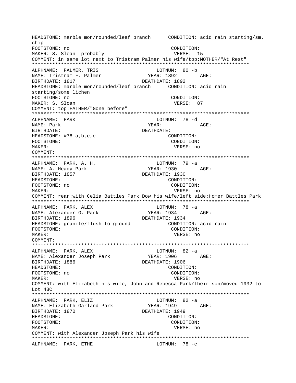HEADSTONE: marble mon/rounded/leaf branch CONDITION: acid rain starting/sm. chip FOOTSTONE: no CONDITION: MAKER: S. Sloan probably VERSE: 15 COMMENT: in same lot next to Tristram Palmer his wife/top:MOTHER/"At Rest" ALPHNAME: PALMER, TRIS LOTNUM: 80 -b NAME: Tristram F. Palmer YEAR: 1892 AGE: BIRTHDATE: 1817 DEATHDATE: 1892 starting/some lichen FOOTSTONE: no CONDITION: MAKER: S. Sloan VERSE: 87 COMMENT: top:FATHER/"Gone before" ALPHNAME: PARK LOTNUM: 78 -d NAME: Park YEAR: AGE: BIRTHDATE: DEATHDATE: CONDITION: HEADSTONE: #78-a,b,c,e FOOTSTONE: CONDITION: MAKER: VERSE: no COMMENT: LOTNUM: 79 -a ALPHNAME: PARK, A. H. YEAR: 1930 AGE: NAME: A. Heady Park BIRTHDATE: 1857 DEATHDATE: 1930 HEADSTONE: CONDITION: FOOTSTONE: no CONDITION:  $M\Delta KFR$ : VERSE: no COMMENT: rear:with Celia Battles Park Dow his wife/left side: Homer Battles Park ALPHNAME: PARK, ALEX LOTNUM: 78 -a YEAR: 1934 AGE: NAME: Alexander G. Park DEATHDATE: 1934 BIRTHDATE: 1896 CONDITION: acid rain HEADSTONE: granite/flush to ground CONDITION: FOOTSTONE: MAKER: VERSE: no COMMENT: ALPHNAME: PARK, ALEX  $LOTNUM: 82 -a$ NAME: Alexander Joseph Park YEAR: 1906 AGE: DEATHDATE: 1906 BIRTHDATE: 1886 HEADSTONE: CONDITION: FOOTSTONE: no CONDITION: MAKER: VERSE: no COMMENT: with Elizabeth his wife, John and Rebecca Park/their son/moved 1932 to Lot 43C LOTNUM:  $82 - a$ ALPHNAME: PARK, ELIZ YEAR: 1949 AGE: NAME: Elizabeth Garland Park BIRTHDATE: 1870 DEATHDATE: 1949 HEADSTONE: CONDITION: FOOTSTONE: CONDITION: VERSE: no MAKER: COMMENT: with Alexander Joseph Park his wife LOTNUM:  $78 - c$ ALPHNAME: PARK, ETHE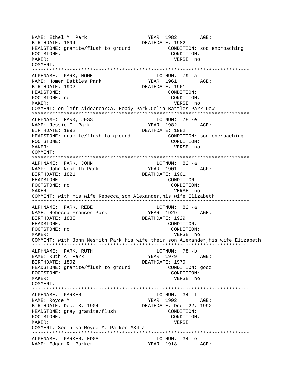YEAR: 1982 AGE: NAME: Ethel M. Park DEATHDATE: 1982 BIRTHDATE: 1894 HEADSTONE: granite/flush to ground CONDITION: sod encroaching FOOTSTONE: CONDITION: MAKER: VERSE: no COMMENT: ALPHNAME: PARK, HOME LOTNUM: 79 -a NAME: Homer Battles Park YEAR: 1961 AGE: BIRTHDATE: 1902 DEATHDATE: 1961 HEADSTONE: CONDITION: FOOTSTONE: no CONDITION: MAKER: VERSE: no COMMENT: on left side/rear: A. Heady Park, Celia Battles Park Dow ALPHNAME: PARK, JESS LOTNUM: 78 -e YEAR: 1982 AGE: NAME: Jessie C. Park BIRTHDATE: 1892 DEATHDATE: 1982 HEADSTONE: granite/flush to ground CONDITION: sod encroaching FOOTSTONE: CONDITION: MAKER: VERSE: no COMMENT: LOTNUM: 82 -a ALPHNAME: PARK, JOHN NAME: John Nesmith Park YEAR: 1901 AGE: BIRTHDATE: 1821 DEATHDATE: 1901 HEADSTONE: CONDITION: FOOTSTONE: no CONDITION: MAKER: VERSE: no COMMENT: with his wife Rebecca, son Alexander, his wife Elizabeth ALPHNAME: PARK, REBE LOTNUM: 82 -a YEAR: 1929 AGE: NAME: Rebecca Frances Park DEATHDATE: 1929 RIRTHDATE: 1836 HEADSTONE: CONDITION: FOOTSTONE: no CONDITION: MAKER: VERSE: no COMMENT: with John Nesmith Park his wife, their son Alexander, his wife Elizabeth ALPHNAME: PARK, RUTH LOTNUM: 78 -b NAME: Ruth A. Park YEAR: 1979 AGE: BIRTHDATE: 1892 DEATHDATE: 1979 HEADSTONE: granite/flush to ground CONDITION: good FOOTSTONE: CONDITION: MAKER: VERSE: no COMMENT: LOTNUM:  $34 - f$ ALPHNAME: PARKER NAME: Royce M. YEAR: 1992 AGE: BIRTHDATE: Dec. 8, 1904 DEATHDATE: Dec. 22, 1992 HEADSTONE: gray granite/flush CONDITION: FOOTSTONE: CONDITION: MAKER: VERSE: COMMENT: See also Royce M. Parker #34-a ALPHNAME: PARKER, EDGA LOTNUM: 34 -e YEAR: 1918 AGE: NAME: Edgar R. Parker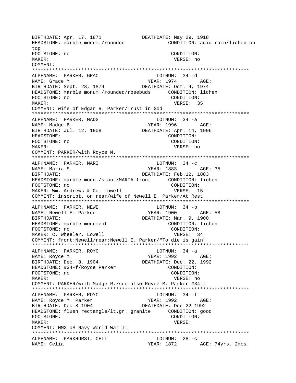BIRTHDATE: Apr. 17, 1871<br>HEADSTONE: marble monum./rounded DEATHDATE: May 29, 1918<br>CONDITION: acid rain/lichen on HEADSTONE: marble monum./rounded top FOOTSTONE: no CONDITION: MAKER: VERSE: no COMMENT: \*\*\*\*\*\*\*\*\*\*\*\*\*\*\*\*\*\*\*\*\*\*\*\*\*\*\*\*\*\*\*\*\*\*\*\*\*\*\*\*\*\*\*\*\*\*\*\*\*\*\*\*\*\*\*\*\*\*\*\*\*\*\*\*\*\*\*\*\*\*\*\*\*\*\* ALPHNAME: PARKER, GRAC NAME: Grace M. (28, 1874)<br>BIRTHDATE: Sept. 28, 1874 (28) DEATHDATE: Oct. 4, 1974 BIRTHDATE: Sept. 28, 1874 HEADSTONE: marble monum./rounded/rosebuds CONDITION: lichen FOOTSTONE: no CONDITION: MAKER: VERSE: 35 COMMENT: wife of Edgar R. Parker/Trust in God \*\*\*\*\*\*\*\*\*\*\*\*\*\*\*\*\*\*\*\*\*\*\*\*\*\*\*\*\*\*\*\*\*\*\*\*\*\*\*\*\*\*\*\*\*\*\*\*\*\*\*\*\*\*\*\*\*\*\*\*\*\*\*\*\*\*\*\*\*\*\*\*\*\*\* ALPHNAME: PARKER, MADG NAME: Madge B. The Matter of the Magnus of the Magnus of the Magnus AGE: BIRTHDATE: Jul. 12, 1908 DEATHDATE: Apr. 14, 1996<br>HEADSTONE: CONDITION: CONDITION: FOOTSTONE: no CONDITION: MAKER: VERSE: no COMMENT: PARKER/with Royce M. \*\*\*\*\*\*\*\*\*\*\*\*\*\*\*\*\*\*\*\*\*\*\*\*\*\*\*\*\*\*\*\*\*\*\*\*\*\*\*\*\*\*\*\*\*\*\*\*\*\*\*\*\*\*\*\*\*\*\*\*\*\*\*\*\*\*\*\*\*\*\*\*\*\*\* ALPHNAME: PARKER, MARI LOTNUM: 34 -c NAME: Maria S. YEAR: 1883 AGE: 35 BIRTHDATE:  $DEATHDATE: Feb.12, 1883$ HEADSTONE: marble monu./slant/MARIA front CONDITION: lichen FOOTSTONE: no CONDITION: MAKER: Wm. Andrews & Co. Lowell VERSE: 15 COMMENT: inscript. on rear/wife of Newell E. Parker/At Rest \*\*\*\*\*\*\*\*\*\*\*\*\*\*\*\*\*\*\*\*\*\*\*\*\*\*\*\*\*\*\*\*\*\*\*\*\*\*\*\*\*\*\*\*\*\*\*\*\*\*\*\*\*\*\*\*\*\*\*\*\*\*\*\*\*\*\*\*\*\*\*\*\*\*\* ALPHNAME: PARKER, NEWE **LOTNUM:** 34 -b NAME: Newell E. Parker YEAR: 1900 AGE: 58 BIRTHDATE: DEATHDATE: Mar. 9, 1900 HEADSTONE: marble monument CONDITION: lichen<br>FOOTSTONE: no<br>CONDITION: FOOTSTONE: no MAKER: C. Wheeler, Lowell **VERSE:** 34 COMMENT: front:Newell/rear:Newell E. Parker/"To die is gain" \*\*\*\*\*\*\*\*\*\*\*\*\*\*\*\*\*\*\*\*\*\*\*\*\*\*\*\*\*\*\*\*\*\*\*\*\*\*\*\*\*\*\*\*\*\*\*\*\*\*\*\*\*\*\*\*\*\*\*\*\*\*\*\*\*\*\*\*\*\*\*\*\*\*\* ALPHNAME: PARKER, ROYC LOTNUM: 34 -a NAME: Royce M. Same Communications of the MEAR: 1992 AGE: BIRTHDATE: Dec. 8, 1904 DEATHDATE: Dec. 22, 1992 HEADSTONE: #34-f/Royce Parker CONDITION: FOOTSTONE: no CONDITION: MAKER: VERSE: no COMMENT: PARKER/with Madge R./see also Royce M. Parker #34-f \*\*\*\*\*\*\*\*\*\*\*\*\*\*\*\*\*\*\*\*\*\*\*\*\*\*\*\*\*\*\*\*\*\*\*\*\*\*\*\*\*\*\*\*\*\*\*\*\*\*\*\*\*\*\*\*\*\*\*\*\*\*\*\*\*\*\*\*\*\*\*\*\*\*\* ALPHNAME: PARKER, ROYC LOTNUM: 34 -f NAME: Royce M. Parker YEAR: 1992 AGE: BIRTHDATE: Dec 8 1904 DEATHDATE: Dec 22 1992 HEADSTONE: flush rectangle/lt.gr. granite CONDITION: good FOOTSTONE: CONDITION: MAKER: VERSE: COMMENT: MM2 US Navy World War II \*\*\*\*\*\*\*\*\*\*\*\*\*\*\*\*\*\*\*\*\*\*\*\*\*\*\*\*\*\*\*\*\*\*\*\*\*\*\*\*\*\*\*\*\*\*\*\*\*\*\*\*\*\*\*\*\*\*\*\*\*\*\*\*\*\*\*\*\*\*\*\*\*\*\* ALPHNAME: PARKHURST, CELI NAME: Celia Charles Age: 74yrs. 2mos.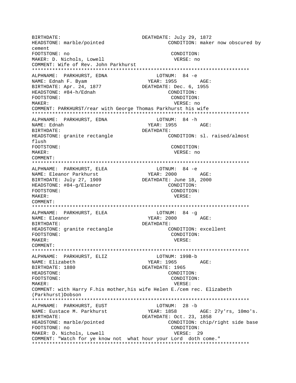BIRTHDATE: DEATHDATE: July 29, 1872 CONDITION: maker now obscured by HEADSTONE: marble/pointed cement FOOTSTONE: no CONDITION: MAKER: D. Nichols, Lowell VERSE: no COMMENT: Wife of Rev. John Parkhurst ALPHNAME: PARKHURST, EDNA  $LOTNIIM: 84 -e$ YEAR: 1955 NAME: Ednah F. Byam AGE: BIRTHDATE: Apr. 24, 1877 DEATHDATE: Dec. 6, 1955 HEADSTONE: #84-h/Ednah CONDITION: FOOTSTONE: CONDITION: VERSE: no MAKER: COMMENT: PARKHURST/rear with George Thomas Parkhurst his wife ALPHNAME: PARKHURST, EDNA LOTNUM: 84 -h NAME: Ednah YEAR: 1955  $AGE$ : BIRTHDATE: DEATHDATE: HEADSTONE: granite rectangle CONDITION: sl. raised/almost flush FOOTSTONE: CONDITION: MAKER: VERSE: no COMMENT: ALPHNAME: PARKHURST, ELEA LOTNUM: 84 -e **YEAR: 2000** NAME: Eleanor Parkhurst AGE: BIRTHDATE: July 27, 1909 DEATHDATE: June 18, 2000 HEADSTONE: #84-q/Eleanor CONDITION: FOOTSTONE: CONDITION: MAKER: VERSE: COMMENT: LOTNUM: 84 -g ALPHNAME: PARKHURST, ELEA YEAR: 2000 NAME: Eleanor AGE: BIRTHDATE: DEATHDATE: CONDITION: excellent HEADSTONE: granite rectangle FOOTSTONE: CONDITION: MAKER: VERSE: COMMENT: ALPHNAME: PARKHURST, ELIZ LOTNUM: 199B-b YEAR: 1965 AGE: NAME: Elizabeth DEATHDATE: 1965 BIRTHDATE: 1880 **HEADSTONE:** CONDITION: FOOTSTONE: CONDITION: MAKER: VERSE: COMMENT: with Harry F.his mother, his wife Helen E./cem rec. Elizabeth (Parkhurst) Dobson LOTNUM: 28 -b ALPHNAME: PARKHURST, EUST AGE: 27y'rs, 10mo's. NAME: Eustace M. Parkhurst YEAR: 1858 DEATHDATE: Oct. 23, 1858 BIRTHDATE: HEADSTONE: marble/pointed CONDITION: chip/right side base FOOTSTONE: no CONDITION: MAKER: D. Nichols, Lowell VERSE: 29 COMMENT: "Watch for ye know not what hour your Lord doth come."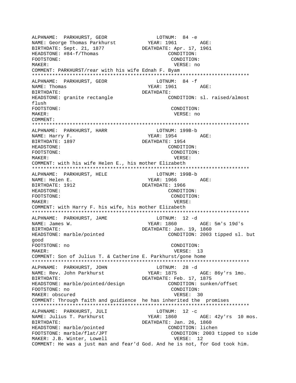ALPHNAME: PARKHURST, GEOR LOTNUM: 84 -e NAME: George Thomas Parkhurst BIRTHDATE: Sept. 21, 1877 DEATHDATE: Apr. 17, 1961 HEADSTONE:  $\#84-f/Thomas$  CONDITION: FOOTSTONE: CONDITION: MAKER: VERSE: no COMMENT: PARKHURST/rear with his wife Ednah F. Byam \*\*\*\*\*\*\*\*\*\*\*\*\*\*\*\*\*\*\*\*\*\*\*\*\*\*\*\*\*\*\*\*\*\*\*\*\*\*\*\*\*\*\*\*\*\*\*\*\*\*\*\*\*\*\*\*\*\*\*\*\*\*\*\*\*\*\*\*\*\*\*\*\*\*\* ALPHNAME: PARKHURST, GEOR NAME: Thomas 6 and 1961 and 1961 and 1961 and 1961 and 1961 and 1961 and 1961 and 1961 and 1970 and 1981 and 1 BIRTHDATE: DEATHDATE: HEADSTONE: granite rectangle CONDITION: sl. raised/almost flush FOOTSTONE: CONDITION: MAKER: VERSE: no COMMENT: \*\*\*\*\*\*\*\*\*\*\*\*\*\*\*\*\*\*\*\*\*\*\*\*\*\*\*\*\*\*\*\*\*\*\*\*\*\*\*\*\*\*\*\*\*\*\*\*\*\*\*\*\*\*\*\*\*\*\*\*\*\*\*\*\*\*\*\*\*\*\*\*\*\*\* ALPHNAME: PARKHURST, HARR LOTNUM: 199B-b NAME: Harry F. The Communication of the STEAR: 1954 AGE: BIRTHDATE: 1897 **DEATHDATE: 1954** HEADSTONE: CONDITION: FOOTSTONE: CONDITION: MAKER: VERSE: COMMENT: with his wife Helen E., his mother Elizabeth \*\*\*\*\*\*\*\*\*\*\*\*\*\*\*\*\*\*\*\*\*\*\*\*\*\*\*\*\*\*\*\*\*\*\*\*\*\*\*\*\*\*\*\*\*\*\*\*\*\*\*\*\*\*\*\*\*\*\*\*\*\*\*\*\*\*\*\*\*\*\*\*\*\*\* ALPHNAME: PARKHURST, HELE LOTNUM: 199B-b NAME: Helen E. YEAR: 1966 AGE: BIRTHDATE: 1912 DEATHDATE: 1966 HEADSTONE: CONDITION: FOOTSTONE: CONDITION: MAKER: VERSE: COMMENT: with Harry F. his wife, his mother Elizabeth \*\*\*\*\*\*\*\*\*\*\*\*\*\*\*\*\*\*\*\*\*\*\*\*\*\*\*\*\*\*\*\*\*\*\*\*\*\*\*\*\*\*\*\*\*\*\*\*\*\*\*\*\*\*\*\*\*\*\*\*\*\*\*\*\*\*\*\*\*\*\*\*\*\*\* ALPHNAME: PARKHURST, JAME LOTNUM: 12 -d NAME: James W. Sames W. Same Manuscript (1860 AGE: 5m's 19d's BIRTHDATE:  $DERTHDATE: Jan. 19, 1860$ HEADSTONE: marble/pointed CONDITION: 2003 tipped sl. but good FOOTSTONE: no CONDITION: MAKER: 13 COMMENT: Son of Julius T. & Catherine E. Parkhurst/gone home \*\*\*\*\*\*\*\*\*\*\*\*\*\*\*\*\*\*\*\*\*\*\*\*\*\*\*\*\*\*\*\*\*\*\*\*\*\*\*\*\*\*\*\*\*\*\*\*\*\*\*\*\*\*\*\*\*\*\*\*\*\*\*\*\*\*\*\*\*\*\*\*\*\*\* ALPHNAME: PARKHURST, JOHN LOTNUM: 28 -d NAME: Rev. John Parkhurst YEAR: 1875 AGE: 86y'rs 1mo. BIRTHDATE:  $DEATHDATE: Feb. 17, 1875$ HEADSTONE: marble/pointed/design CONDITION: sunken/offset FOOTSTONE: no CONDITION: MAKER: obscured VERSE: 30 COMMENT: Through faith and guidience he has inherited the promises \*\*\*\*\*\*\*\*\*\*\*\*\*\*\*\*\*\*\*\*\*\*\*\*\*\*\*\*\*\*\*\*\*\*\*\*\*\*\*\*\*\*\*\*\*\*\*\*\*\*\*\*\*\*\*\*\*\*\*\*\*\*\*\*\*\*\*\*\*\*\*\*\*\*\* ALPHNAME: PARKHURST, JULI LOTNUM: 12 -c NAME: Julius T. Parkhurst YEAR: 1860 AGE: 42y'rs 10 mos. BIRTHDATE: USING THE SERIES OF A REATHER DEATHDATE: Jan. 26, 1860 HEADSTONE: marble/pointed CONDITION: lichen FOOTSTONE: marble/flat/JPT CONDITION: 2003 tipped to side MAKER: J.B. Winter, Lowell **VERSE:** 12 COMMENT: He was a just man and fear'd God. And he is not, for God took him.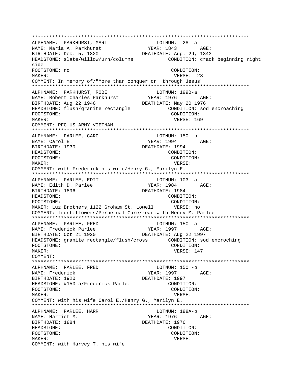\*\*\*\*\*\*\*\*\*\*\*\*\*\*\*\*\*\*\*\*\*\*\*\*\*\*\*\*\*\*\*\*\*\*\*\*\*\*\*\*\*\*\*\*\*\*\*\*\*\*\*\*\*\*\*\*\*\*\*\*\*\*\*\*\*\*\*\*\*\*\*\*\*\*\* ALPHNAME: PARKHURST, MARI LOTNUM: 28 -a NAME: Maria A. Parkhurst YEAR: 1843 AGE: BIRTHDATE: Dec. 5, 1820 DEATHDATE: Aug. 29, 1843 HEADSTONE: slate/willow/urn/columns CONDITION: crack beginning right side FOOTSTONE: no CONDITION: MAKER: VERSE: 28 COMMENT: In memory of/"More than conquer or through Jesus" \*\*\*\*\*\*\*\*\*\*\*\*\*\*\*\*\*\*\*\*\*\*\*\*\*\*\*\*\*\*\*\*\*\*\*\*\*\*\*\*\*\*\*\*\*\*\*\*\*\*\*\*\*\*\*\*\*\*\*\*\*\*\*\*\*\*\*\*\*\*\*\*\*\*\* ALPHNAME: PARKHURST, ROBE LOTNUM: 199B-a NAME: Robert Charles Parkhurst BIRTHDATE: Aug 22 1946 DEATHDATE: May 20 1976 HEADSTONE: flush/granite rectangle CONDITION: sod encroaching FOOTSTONE: CONDITION: MAKER: USE SERVICES IN THE MAKER: 169 COMMENT: PFC US ARMY VIETNAM \*\*\*\*\*\*\*\*\*\*\*\*\*\*\*\*\*\*\*\*\*\*\*\*\*\*\*\*\*\*\*\*\*\*\*\*\*\*\*\*\*\*\*\*\*\*\*\*\*\*\*\*\*\*\*\*\*\*\*\*\*\*\*\*\*\*\*\*\*\*\*\*\*\*\* ALPHNAME: PARLEE, CARO NAME: Carol E. YEAR: 1994 AGE: DEATHDATE: 1994 HEADSTONE: CONDITION: FOOTSTONE: CONDITION: MAKER: VERSE: COMMENT: with Frederick his wife/Henry G., Marilyn E. \*\*\*\*\*\*\*\*\*\*\*\*\*\*\*\*\*\*\*\*\*\*\*\*\*\*\*\*\*\*\*\*\*\*\*\*\*\*\*\*\*\*\*\*\*\*\*\*\*\*\*\*\*\*\*\*\*\*\*\*\*\*\*\*\*\*\*\*\*\*\*\*\*\*\* ALPHNAME: PARLEE, EDIT LOTNUM: 103 -a NAME: Edith D. Parlee YEAR: 1984 AGE: BIRTHDATE: 1896 DEATHDATE: 1984 HEADSTONE: CONDITION: FOOTSTONE: CONDITION: MAKER: Luz Brothers,1122 Groham St. Lowell VERSE: no COMMENT: front:flowers/Perpetual Care/rear:with Henry M. Parlee \*\*\*\*\*\*\*\*\*\*\*\*\*\*\*\*\*\*\*\*\*\*\*\*\*\*\*\*\*\*\*\*\*\*\*\*\*\*\*\*\*\*\*\*\*\*\*\*\*\*\*\*\*\*\*\*\*\*\*\*\*\*\*\*\*\*\*\*\*\*\*\*\*\*\* ALPHNAME: PARLEE, FRED LOTNUM: 150 -a NAME: Frederick Parlee  $YERR: 1997$  AGE: BIRTHDATE: Oct 21 1920 DEATHDATE: Aug 22 1997 HEADSTONE: granite rectangle/flush/cross CONDITION: sod encroching FOOTSTONE: CONDITION: MAKER: VERSE: 147 COMMENT: \*\*\*\*\*\*\*\*\*\*\*\*\*\*\*\*\*\*\*\*\*\*\*\*\*\*\*\*\*\*\*\*\*\*\*\*\*\*\*\*\*\*\*\*\*\*\*\*\*\*\*\*\*\*\*\*\*\*\*\*\*\*\*\*\*\*\*\*\*\*\*\*\*\*\* ALPHNAME: PARLEE, FRED<br>NAME: Frederick YEAR: 1997 AGE: BIRTHDATE: 1920 DEATHDATE: 1997 HEADSTONE: #150-a/Frederick Parlee CONDITION: FOOTSTONE:  $\text{COMDITION:}$ MAKER: VERSE: COMMENT: with his wife Carol E./Henry G., Marilyn E. \*\*\*\*\*\*\*\*\*\*\*\*\*\*\*\*\*\*\*\*\*\*\*\*\*\*\*\*\*\*\*\*\*\*\*\*\*\*\*\*\*\*\*\*\*\*\*\*\*\*\*\*\*\*\*\*\*\*\*\*\*\*\*\*\*\*\*\*\*\*\*\*\*\*\* ALPHNAME: PARLEE, HARR LOTNUM: 188A-b NAME: Harriet M. Same Magnus (2008) 2014 1976 AGE: BIRTHDATE: 1884 DEATHDATE: 1976 HEADSTONE: CONDITION: FOOTSTONE: CONDITION: MAKER: VERSE: COMMENT: with Harvey T. his wife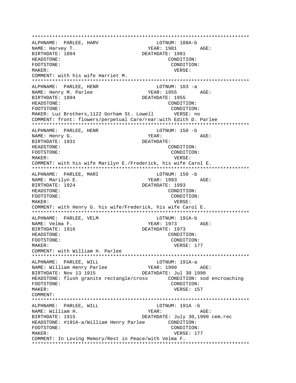\*\*\*\*\*\*\*\*\*\*\*\*\*\*\*\*\*\*\*\*\*\*\*\*\*\*\*\*\*\*\*\*\*\*\*\*\*\*\*\*\*\*\*\*\*\*\*\*\*\*\*\*\*\*\*\*\*\*\*\*\*\*\*\*\*\*\*\*\*\*\*\*\*\*\* ALPHNAME: PARLEE, HARV NAME: Harvey T. The Manus of the Magnus of the Magnus of the Magnus of the Magnus of the Magnus of the Magnus of the Magnus of the Magnus of the Magnus of the Magnus of the Magnus of the Magnus of the Magnus of the Magnus BIRTHDATE: 1894 DEATHDATE: 1981 HEADSTONE: CONDITION: FOOTSTONE: CONDITION: MAKER: VERSE: COMMENT: with his wife Harriet M. \*\*\*\*\*\*\*\*\*\*\*\*\*\*\*\*\*\*\*\*\*\*\*\*\*\*\*\*\*\*\*\*\*\*\*\*\*\*\*\*\*\*\*\*\*\*\*\*\*\*\*\*\*\*\*\*\*\*\*\*\*\*\*\*\*\*\*\*\*\*\*\*\*\*\* ALPHNAME: PARLEE, HENR LOTNUM: 103 -a NAME: Henry M. Parlee  $YERR: 1955$  AGE: BIRTHDATE: 1894 DEATHDATE: 1955 HEADSTONE: CONDITION: FOOTSTONE: CONDITION: MAKER: Luz Brothers,1122 Gorham St. Lowell VERSE: no COMMENT: front: flowers/perpetual Care/rear:with Edith D. Parlee \*\*\*\*\*\*\*\*\*\*\*\*\*\*\*\*\*\*\*\*\*\*\*\*\*\*\*\*\*\*\*\*\*\*\*\*\*\*\*\*\*\*\*\*\*\*\*\*\*\*\*\*\*\*\*\*\*\*\*\*\*\*\*\*\*\*\*\*\*\*\*\*\*\*\* ALPHNAME: PARLEE, HENR LOTNUM: 150 -b NAME: Henry G. Same Manuscript (1990) and Manuscript (1991) and Manuscript (1991) and Manuscript (1991) and Ma BIRTHDATE: 1931 DEATHDATE: HEADSTONE: CONDITION: FOOTSTONE: CONDITION: MAKER: VERSE: COMMENT: with his wife Marilyn E./Frederick, his wife Carol E. \*\*\*\*\*\*\*\*\*\*\*\*\*\*\*\*\*\*\*\*\*\*\*\*\*\*\*\*\*\*\*\*\*\*\*\*\*\*\*\*\*\*\*\*\*\*\*\*\*\*\*\*\*\*\*\*\*\*\*\*\*\*\*\*\*\*\*\*\*\*\*\*\*\*\* ALPHNAME: PARLEE, MARI LOTNUM: 150 -b NAME: Marilyn E. The Marilyn E. The Marilyn E. The Marilyn E. The Marilyn E. The Marilyn E. The Marilyn E. The Marilyn E. The Marilyn E. The Marilyn E. The Marilyn E. The Marilyn E. The Marilyn E. The Marilyn E. The Marily BIRTHDATE: 1924 DEATHDATE: 1993 HEADSTONE: CONDITION: FOOTSTONE: CONDITION: MAKER: VERSE: COMMENT: with Henry G. his wife/Frederick, his wife Carol E. \*\*\*\*\*\*\*\*\*\*\*\*\*\*\*\*\*\*\*\*\*\*\*\*\*\*\*\*\*\*\*\*\*\*\*\*\*\*\*\*\*\*\*\*\*\*\*\*\*\*\*\*\*\*\*\*\*\*\*\*\*\*\*\*\*\*\*\*\*\*\*\*\*\*\* ALPHNAME: PARLEE, VELM LOTNUM: 191A-b NAME: Velma F. YEAR: 1973 AGE: DEATHDATE: 1973 HEADSTONE: CONDITION: FOOTSTONE: CONDITION: MAKER: VERSE: 177 COMMENT: with William H. Parlee \*\*\*\*\*\*\*\*\*\*\*\*\*\*\*\*\*\*\*\*\*\*\*\*\*\*\*\*\*\*\*\*\*\*\*\*\*\*\*\*\*\*\*\*\*\*\*\*\*\*\*\*\*\*\*\*\*\*\*\*\*\*\*\*\*\*\*\*\*\*\*\*\*\*\* ALPHNAME: PARLEE, WILL CONNECTED LOTNUM: 191A-a ALPHNAME: FARLEE, WILL<br>NAME: William Henry Parlee YEAR: 1990 AGE: BIRTHDATE: Nov 13 1915 DEATHDATE: Jul 30 1990 HEADSTONE: flush granite rectangle/cross CONDITION: sod encroaching FOOTSTONE: CONDITION: MAKER: USA CONTROLLER WERE WERSE: 157 COMMENT: \*\*\*\*\*\*\*\*\*\*\*\*\*\*\*\*\*\*\*\*\*\*\*\*\*\*\*\*\*\*\*\*\*\*\*\*\*\*\*\*\*\*\*\*\*\*\*\*\*\*\*\*\*\*\*\*\*\*\*\*\*\*\*\*\*\*\*\*\*\*\*\*\*\*\* ALPHNAME: PARLEE, WILL **LOTNUM:** 191A -b NAME: William H. Same Manuscript (NEAR: AGE: AGE: AGE: 2014) BIRTHDATE: 1915 DEATHDATE: July 30,1990 cem.rec HEADSTONE: #191A-a/William Henry Parlee CONDITION: FOOTSTONE: CONDITION: MAKER: VERSE: 177 COMMENT: In Loving Memory/Rest in Peace/with Velma F. \*\*\*\*\*\*\*\*\*\*\*\*\*\*\*\*\*\*\*\*\*\*\*\*\*\*\*\*\*\*\*\*\*\*\*\*\*\*\*\*\*\*\*\*\*\*\*\*\*\*\*\*\*\*\*\*\*\*\*\*\*\*\*\*\*\*\*\*\*\*\*\*\*\*\*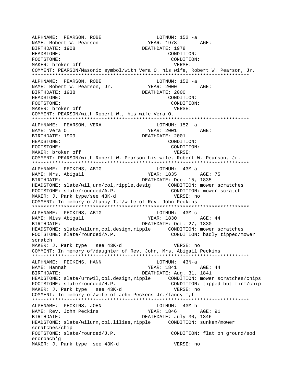ALPHNAME: PEARSON, ROBE LOTNUM: 152 -a NAME: Robert W. Pearson BIRTHDATE: 1908 DEATHDATE: 1978 HEADSTONE: CONDITION: FOOTSTONE: CONDITION: MAKER: broken off  $V$  versus versus versus versus versus versus versus versus versus versus versus versus versus versus versus versus versus versus versus versus versus versus versus versus versus versus versus versus vers COMMENT: PEARSON/Masonic symbol/with Vera O. his wife, Robert W. Pearson, Jr. \*\*\*\*\*\*\*\*\*\*\*\*\*\*\*\*\*\*\*\*\*\*\*\*\*\*\*\*\*\*\*\*\*\*\*\*\*\*\*\*\*\*\*\*\*\*\*\*\*\*\*\*\*\*\*\*\*\*\*\*\*\*\*\*\*\*\*\*\*\*\*\*\*\*\* ALPHNAME: PEARSON, ROBE LOTNUM: 152 -a NAME: Robert W. Pearson, Jr. BIRTHDATE: 1938 DEATHDATE: 2000 HEADSTONE: CONDITION: FOOTSTONE: CONDITION: MAKER: broken off  $V$ ERSE: COMMENT: PEARSON/with Robert W., his wife Vera O. \*\*\*\*\*\*\*\*\*\*\*\*\*\*\*\*\*\*\*\*\*\*\*\*\*\*\*\*\*\*\*\*\*\*\*\*\*\*\*\*\*\*\*\*\*\*\*\*\*\*\*\*\*\*\*\*\*\*\*\*\*\*\*\*\*\*\*\*\*\*\*\*\*\*\* ALPHNAME: PEARSON, VERA LOTNUM: 152 -a NAME: Vera 0. <br>
YEAR: 2001 AGE: BIRTHDATE: 1909 DEATHDATE: 2001 HEADSTONE: CONDITION: FOOTSTONE: CONDITION: MAKER: broken off  $V$ ERSE: COMMENT: PEARSON/with Robert W. Pearson his wife, Robert W. Pearson, Jr. \*\*\*\*\*\*\*\*\*\*\*\*\*\*\*\*\*\*\*\*\*\*\*\*\*\*\*\*\*\*\*\*\*\*\*\*\*\*\*\*\*\*\*\*\*\*\*\*\*\*\*\*\*\*\*\*\*\*\*\*\*\*\*\*\*\*\*\*\*\*\*\*\*\*\* ALPHNAME: PECKINS, ABIG LOTNUM: 43M-a NAME: Mrs. Abigail **YEAR: 1835** AGE: 75 BIRTHDATE: DEATHDATE: Dec. 15, 1835 HEADSTONE: slate/wil,urn/col,ripple,desig CONDITION: mower scratches FOOTSTONE: slate/rounded/A.P. CONDITION: mower scratch MAKER: J. Park type/see 43K-d VERSE: no COMMENT: In memory of/fancy I,f/wife of Rev. John Peckins \*\*\*\*\*\*\*\*\*\*\*\*\*\*\*\*\*\*\*\*\*\*\*\*\*\*\*\*\*\*\*\*\*\*\*\*\*\*\*\*\*\*\*\*\*\*\*\*\*\*\*\*\*\*\*\*\*\*\*\*\*\*\*\*\*\*\*\*\*\*\*\*\*\*\* ALPHNAME: PECKINS, ABIG LOTNUM: 43M-C NAME: Miss Abiqail 1930 YEAR: 1830 AGE: 44 BIRTHDATE: DEATHDATE: Oct. 27, 1830 HEADSTONE: slate/wilurn,col,design,ripple CONDITION: mower scratches FOOTSTONE: slate/rounded/A.P. CONDITION: badly tipped/mower scratch MAKER: J. Park type see 43K-d VERSE: no COMMENT: In memory of/daughter of Rev. John, Mrs. Abigail Peckins \*\*\*\*\*\*\*\*\*\*\*\*\*\*\*\*\*\*\*\*\*\*\*\*\*\*\*\*\*\*\*\*\*\*\*\*\*\*\*\*\*\*\*\*\*\*\*\*\*\*\*\*\*\*\*\*\*\*\*\*\*\*\*\*\*\*\*\*\*\*\*\*\*\*\* ALPHNAME: PECKINS, HANN LOTNUM: 43N-a NAME: Hannah 1941 YEAR: 1841 AGE: 44 BIRTHDATE: DEATHDATE: Aug. 31, 1841 HEADSTONE: slate/urnwil,col,design,ripple CONDITION: mower scratches/chips FOOTSTONE: slate/rounded/H.P. CONDITION: tipped but firm/chip MAKER: J. Park type see 43K-d vERSE: no COMMENT: In memory of/wife of John Peckens Jr./fancy I,f \*\*\*\*\*\*\*\*\*\*\*\*\*\*\*\*\*\*\*\*\*\*\*\*\*\*\*\*\*\*\*\*\*\*\*\*\*\*\*\*\*\*\*\*\*\*\*\*\*\*\*\*\*\*\*\*\*\*\*\*\*\*\*\*\*\*\*\*\*\*\*\*\*\*\* ALPHNAME: PECKINS, JOHN LOTNUM: 43M-b NAME: Rev. John Peckins TEAR: 1846 AGE: 91 BIRTHDATE: DEATHDATE: July 30, 1846 HEADSTONE: slate/wilurn,col,lilies,ripple CONDITION: sunken/mower scratches/chip FOOTSTONE: slate/rounded/J.P. CONDITION: flat on ground/sod encroach'g MAKER: J. Park type see 43K-d VERSE: no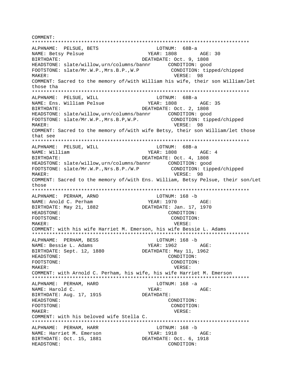COMMENT: ALPHNAME: PELSUE, BETS LOTNUM: 68B-a NAME: Betsy Pelsue YEAR: 1808 AGE: 30 DEATHDATE: Oct. 9, 1808 BIRTHDATE: HEADSTONE: slate/willow.urn/columns/bannr CONDITION: good CONDITION: tipped/chipped FOOTSTONE: slate/Mr.W.P., Mrs.B.P., W.P MAKER: VERSE: 98 COMMENT: Sacred to the memory of/with William his wife, their son William/let those tha ALPHNAME: PELSUE, WILL LOTNUM: 68B-a NAME: Ens. William Pelsue YEAR: 1808 AGE: 35 BIRTHDATE: DEATHDATE: Oct. 2, 1808 CONDITION: tipped/chipped FOOTSTONE: slate/Mr.W.P., Mrs.B.P, W.P. VERSE: 98 MAKER: COMMENT: Sacred to the memory of/with wife Betsy, their son William/let those that see ALPHNAME: PELSUE, WILL LOTNUM: 68B-a **YEAR: 1808** NAME: William  $AGE: 4$ DEATHDATE: Oct. 4, 1808 BIRTHDATE: CONDITION: tipped/chipped FOOTSTONE: slate/Mr.W.P., Nrs.B.P./W.P VERSE: 98 MAKER: COMMENT: Sacred to the memory of/with Ens. William, Betsy Pelsue, their son/Let those ALPHNAME: PERHAM, ARNO LOTNUM: 168 -b YEAR: 1970 AGE: NAME: Anold C. Perham BIRTHDATE: May 21, 1882 DEATHDATE: Jan. 17, 1970 HEADSTONE: CONDITION: FOOTSTONE: CONDITION: VERSE: MAKER: COMMENT: with his wife Harriet M. Emerson, his wife Bessie L. Adams ALPHNAME: PERHAM, BESS LOTNUM: 168 -b NAME: Bessie L. Adams YEAR: 1962 AGE: BIRTHDATE: Sept. 12, 1880 DEATHDATE: May 11, 1962 HEADSTONE: CONDITION: FOOTSTONE: CONDITION: MAKER: VERSE: COMMENT: with Arnold C. Perham, his wife, his wife Harriet M. Emerson ALPHNAME: PERHAM, HARO LOTNUM:  $168 - a$ NAME: Harold C. YEAR: AGE: BIRTHDATE: Aug. 17, 1915 DEATHDATE: HEADSTONE: CONDITION: FOOTSTONE: CONDITION: MAKER: VERSE: COMMENT: with his beloved wife Stella C. ALPHNAME: PERHAM, HARR LOTNUM: 168 -b NAME: Harriet M. Emerson YEAR: 1918 AGE: BIRTHDATE: Oct. 15, 1881 DEATHDATE: Oct. 6, 1918 HEADSTONE: CONDITION: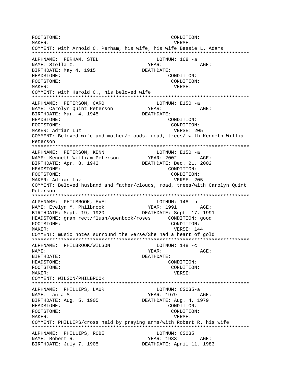FOOTSTONE: CONDITION: MAKER: VERSE: COMMENT: with Arnold C. Perham, his wife, his wife Bessie L. Adams \*\*\*\*\*\*\*\*\*\*\*\*\*\*\*\*\*\*\*\*\*\*\*\*\*\*\*\*\*\*\*\*\*\*\*\*\*\*\*\*\*\*\*\*\*\*\*\*\*\*\*\*\*\*\*\*\*\*\*\*\*\*\*\*\*\*\*\*\*\*\*\*\*\*\* ALPHNAME: PERHAM, STEL LOTNUM: 168 -a NAME: Stella C. YEAR: AGE: BIRTHDATE: May 4, 1915 DEATHDATE: HEADSTONE: CONDITION: FOOTSTONE: CONDITION: MAKER: VERSE: COMMENT: with Harold C., his beloved wife \*\*\*\*\*\*\*\*\*\*\*\*\*\*\*\*\*\*\*\*\*\*\*\*\*\*\*\*\*\*\*\*\*\*\*\*\*\*\*\*\*\*\*\*\*\*\*\*\*\*\*\*\*\*\*\*\*\*\*\*\*\*\*\*\*\*\*\*\*\*\*\*\*\*\* ALPHNAME: PETERSON, CARO LOTNUM: E150 -a NAME: Carolyn Quint Peterson YEAR: AGE: BIRTHDATE: Mar. 4, 1945 DEATHDATE: HEADSTONE: CONDITION: FOOTSTONE: CONDITION: MAKER: Adrian Luz VERSE: 205 COMMENT: Beloved wife and mother/clouds, road, trees/ with Kenneth William Peterson \*\*\*\*\*\*\*\*\*\*\*\*\*\*\*\*\*\*\*\*\*\*\*\*\*\*\*\*\*\*\*\*\*\*\*\*\*\*\*\*\*\*\*\*\*\*\*\*\*\*\*\*\*\*\*\*\*\*\*\*\*\*\*\*\*\*\*\*\*\*\*\*\*\*\* ALPHNAME: PETERSON, KENN LOTNUM: E150 -a NAME: Kenneth William Peterson YEAR: 2002 AGE: BIRTHDATE: Apr. 8, 1942 DEATHDATE: Dec. 21, 2002 HEADSTONE: CONDITION: FOOTSTONE: CONDITION: MAKER: Adrian Luz VERSE: 205 COMMENT: Beloved husband and father/clouds, road, trees/with Carolyn Quint Peterson \*\*\*\*\*\*\*\*\*\*\*\*\*\*\*\*\*\*\*\*\*\*\*\*\*\*\*\*\*\*\*\*\*\*\*\*\*\*\*\*\*\*\*\*\*\*\*\*\*\*\*\*\*\*\*\*\*\*\*\*\*\*\*\*\*\*\*\*\*\*\*\*\*\*\* ALPHNAME: PHILBROOK, EVEL LOTNUM: 148 -b NAME: Evelyn M. Philbrook YEAR: 1991 AGE: BIRTHDATE: Sept. 19, 1920 DEATHDATE: Sept. 17, 1991 HEADSTONE: gran rect/flush/openbook/roses CONDITION: good FOOTSTONE: CONDITION: MAKER: USE NERSE: 144 COMMENT: music notes surround the verse/She had a heart of gold \*\*\*\*\*\*\*\*\*\*\*\*\*\*\*\*\*\*\*\*\*\*\*\*\*\*\*\*\*\*\*\*\*\*\*\*\*\*\*\*\*\*\*\*\*\*\*\*\*\*\*\*\*\*\*\*\*\*\*\*\*\*\*\*\*\*\*\*\*\*\*\*\*\*\* ALPHNAME: PHILBROOK/WILSON LOTNUM: 148 -c NAME: YEAR: AGE: BIRTHDATE: DEATHDATE: HEADSTONE: CONDITION: FOOTSTONE: CONDITION: MAKER: VERSE: COMMENT: WILSON/PHILBROOK \*\*\*\*\*\*\*\*\*\*\*\*\*\*\*\*\*\*\*\*\*\*\*\*\*\*\*\*\*\*\*\*\*\*\*\*\*\*\*\*\*\*\*\*\*\*\*\*\*\*\*\*\*\*\*\*\*\*\*\*\*\*\*\*\*\*\*\*\*\*\*\*\*\*\* ALPHNAME: PHILLIPS, LAUR LOTNUM: CS035-a NAME: Laura S. YEAR: 1979 AGE: BIRTHDATE: Aug. 5, 1905 DEATHDATE: Aug. 4, 1979 HEADSTONE: CONDITION: FOOTSTONE: CONDITION: MAKER: VERSE: COMMENT: PHILLIPS/cross held by praying arms/with Robert R. his wife \*\*\*\*\*\*\*\*\*\*\*\*\*\*\*\*\*\*\*\*\*\*\*\*\*\*\*\*\*\*\*\*\*\*\*\*\*\*\*\*\*\*\*\*\*\*\*\*\*\*\*\*\*\*\*\*\*\*\*\*\*\*\*\*\*\*\*\*\*\*\*\*\*\*\* ALPHNAME: PHILLIPS, ROBE LOTNUM: CS035 NAME: Robert R. YEAR: 1983 AGE: BIRTHDATE: July 7, 1905 DEATHDATE: April 11, 1983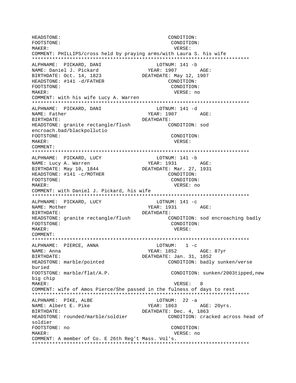HEADSTONE: CONDITION: FOOTSTONE: CONDITION: MAKER: VERSE: COMMENT: PHILLIPS/cross held by praying arms/with Laura S. his wife ALPHNAME: PICKARD, DANI LOTNUM: 141 -b YEAR: 1907 NAME: Daniel J. Pickard AGE: BIRTHDATE: Oct. 14, 1823 DEATHDATE: May 12, 1907 HEADSTONE: #141 -d/FATHER CONDITION: FOOTSTONE: CONDITION: MAKER: VERSE: no COMMENT: with his wife Lucy A. Warren ALPHNAME: PICKARD, DANI LOTNUM: 141 -d NAME: Father YEAR: 1907 AGE: BIRTHDATE: DEATHDATE: HEADSTONE: granite rectangle/flush CONDITION: sod encroach.bad/blackpollutio FOOTSTONE: CONDITION: MAKER: VERSE: COMMENT: ALPHNAME: PICKARD, LUCY LOTNUM: 141 -b NAME: Lucy A. Warren YEAR: 1931 AGE: BIRTHDATE: May 10, 1844 DEATHDATE: Mar. 27, 1931 HEADSTONE: #141 -c/MOTHER CONDITION: FOOTSTONE: CONDITION: MAKER: VERSE: no COMMENT: with Daniel J. Pickard, his wife ALPHNAME: PICKARD, LUCY LOTNUM:  $141 - c$ YEAR: 1931 AGE: NAME: Mother BIRTHDATE: DEATHDATE: HEADSTONE: granite rectangle/flush CONDITION: sod encroaching badly FOOTSTONE: CONDITION: VERSE: MAKER: COMMENT:  $LOTNUM: 1 - c$ ALPHNAME: PIERCE, ANNA NAME: Anna YEAR: 1852 AGE: 87yr DEATHDATE: Jan. 31, 1852 BIRTHDATE: CONDITION: badly sunken/verse HEADSTONE: marble/pointed buried FOOTSTONE: marble/flat/A.P. CONDITION: sunken/2003tipped, new big chip MAKER: VERSE: 8 COMMENT: wife of Amos Pierce/She passed in the fulness of days to rest LOTNUM:  $22 - a$ ALPHNAME: PIKE, ALBE NAME: Albert E. Pike YEAR: 1863 AGE: 20yrs. DEATHDATE: Dec. 4, 1863 BIRTHDATE: HEADSTONE: rounded/marble/soldier CONDITION: cracked across head of soldier FOOTSTONE: no CONDITION: MAKER: VERSE: no COMMENT: A member of Co. E 26th Req't Mass. Vol's.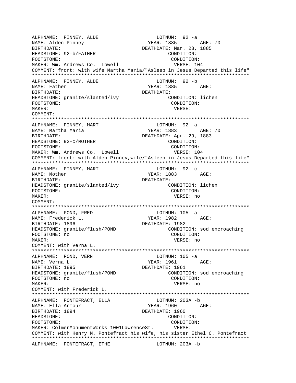ALPHNAME: PINNEY, ALDE LOTNUM: 92 -a NAME: Alden Pinney YEAR: 1885 AGE: 70 BIRTHDATE: Nar. 28, 1885 HEADSTONE: 92-b/FATHER CONDITION: FOOTSTONE: CONDITION: MAKER: Wm. Andrews Co. Lowell **VERSE: 104** COMMENT: front: with wife Martha Maria/"Asleep in Jesus Departed this life" \*\*\*\*\*\*\*\*\*\*\*\*\*\*\*\*\*\*\*\*\*\*\*\*\*\*\*\*\*\*\*\*\*\*\*\*\*\*\*\*\*\*\*\*\*\*\*\*\*\*\*\*\*\*\*\*\*\*\*\*\*\*\*\*\*\*\*\*\*\*\*\*\*\*\* ALPHNAME: PINNEY, ALDE NAME: Father The Contract of the Contract of Texas and YEAR: 1885 AGE: BIRTHDATE: DEATHDATE: HEADSTONE: granite/slanted/ivy CONDITION: lichen FOOTSTONE: CONDITION: MAKER: VERSE: COMMENT: \*\*\*\*\*\*\*\*\*\*\*\*\*\*\*\*\*\*\*\*\*\*\*\*\*\*\*\*\*\*\*\*\*\*\*\*\*\*\*\*\*\*\*\*\*\*\*\*\*\*\*\*\*\*\*\*\*\*\*\*\*\*\*\*\*\*\*\*\*\*\*\*\*\*\* ALPHNAME: PINNEY, MART<br>NAME: Martha Maria YEAR: 1883 AGE: 70 BIRTHDATE: DEATHDATE: Apr. 29, 1883 HEADSTONE: 92-c/MOTHER CONDITION: FOOTSTONE: CONDITION: MAKER: Wm. Andrews Co. Lowell **VERSE: 104** COMMENT: front: with Alden Pinney,wife/"Asleep in Jesus Departed this life" \*\*\*\*\*\*\*\*\*\*\*\*\*\*\*\*\*\*\*\*\*\*\*\*\*\*\*\*\*\*\*\*\*\*\*\*\*\*\*\*\*\*\*\*\*\*\*\*\*\*\*\*\*\*\*\*\*\*\*\*\*\*\*\*\*\*\*\*\*\*\*\*\*\*\* ALPHNAME: PINNEY, MART LOTNUM: 92 -c NAME: Mother The Magnus of the Magnus of the Magnus of the YEAR: 1883 BIRTHDATE: DEATHDATE: HEADSTONE: granite/slanted/ivy CONDITION: lichen FOOTSTONE: CONDITION: MAKER: VERSE: no COMMENT: \*\*\*\*\*\*\*\*\*\*\*\*\*\*\*\*\*\*\*\*\*\*\*\*\*\*\*\*\*\*\*\*\*\*\*\*\*\*\*\*\*\*\*\*\*\*\*\*\*\*\*\*\*\*\*\*\*\*\*\*\*\*\*\*\*\*\*\*\*\*\*\*\*\*\* ALPHNAME: POND, FRED LOTNUM: 105 -a NAME: Frederick L. YEAR: 1982 AGE: BIRTHDATE: 1896<br>HEADSTONE: granite/flush/POND DEATHDATE: 1982<br>CONDITION: sod encroaching HEADSTONE: granite/flush/POND FOOTSTONE: no CONDITION: MAKER: VERSE: no COMMENT: with Verna L. \*\*\*\*\*\*\*\*\*\*\*\*\*\*\*\*\*\*\*\*\*\*\*\*\*\*\*\*\*\*\*\*\*\*\*\*\*\*\*\*\*\*\*\*\*\*\*\*\*\*\*\*\*\*\*\*\*\*\*\*\*\*\*\*\*\*\*\*\*\*\*\*\*\*\* ALPHNAME: POND, VERN LOTNUM: 105 -a NAME: Verna L. YEAR: 1961 AGE: BIRTHDATE: 1895 DEATHDATE: 1961 HEADSTONE: granite/flush/POND CONDITION: sod encroaching FOOTSTONE: no CONDITION: MAKER: VERSE: no COMMENT: with Frederick L. \*\*\*\*\*\*\*\*\*\*\*\*\*\*\*\*\*\*\*\*\*\*\*\*\*\*\*\*\*\*\*\*\*\*\*\*\*\*\*\*\*\*\*\*\*\*\*\*\*\*\*\*\*\*\*\*\*\*\*\*\*\*\*\*\*\*\*\*\*\*\*\*\*\*\* ALPHNAME: PONTEFRACT, ELLA LOTNUM: 203A -b NAME: Ella Armour and YEAR: 1960 AGE: BIRTHDATE: 1894 DEATHDATE: 1960 HEADSTONE: CONDITION: FOOTSTONE: CONDITION: MAKER: ColmerMonumentWorks 1001LawrenceSt. VERSE: COMMENT: with Henry M. Pontefract his wife, his sister Ethel C. Pontefract \*\*\*\*\*\*\*\*\*\*\*\*\*\*\*\*\*\*\*\*\*\*\*\*\*\*\*\*\*\*\*\*\*\*\*\*\*\*\*\*\*\*\*\*\*\*\*\*\*\*\*\*\*\*\*\*\*\*\*\*\*\*\*\*\*\*\*\*\*\*\*\*\*\*\* ALPHNAME: PONTEFRACT, ETHE **LOTNUM:** 203A -b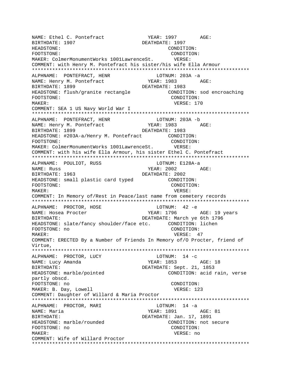NAME: Ethel C. Pontefract The Magnus of PEAR: 1997 AGE:<br>BIRTHDATE: 1907 BEATHDATE: 1997 BIRTHDATE: 1907 HEADSTONE: CONDITION: FOOTSTONE: CONDITION: MAKER: ColmerMonumentWorks 1001LawrenceSt. VERSE: COMMENT: with Henry M. Pontefract his sister/his wife Ella Armour \*\*\*\*\*\*\*\*\*\*\*\*\*\*\*\*\*\*\*\*\*\*\*\*\*\*\*\*\*\*\*\*\*\*\*\*\*\*\*\*\*\*\*\*\*\*\*\*\*\*\*\*\*\*\*\*\*\*\*\*\*\*\*\*\*\*\*\*\*\*\*\*\*\*\* ALPHNAME: PONTEFRACT, HENR LOTNUM: 203A -a<br>
NAME: Henry M. Pontefract Manus (1983 / NAME: Henry M. Pontefract Team YEAR: 1983 AGE: BIRTHDATE: 1899 DEATHDATE: 1983 HEADSTONE: flush/granite rectangle CONDITION: sod encroaching FOOTSTONE: CONDITION: MAKER: VERSE: 170 COMMENT: SEA 1 US Navy World War I \*\*\*\*\*\*\*\*\*\*\*\*\*\*\*\*\*\*\*\*\*\*\*\*\*\*\*\*\*\*\*\*\*\*\*\*\*\*\*\*\*\*\*\*\*\*\*\*\*\*\*\*\*\*\*\*\*\*\*\*\*\*\*\*\*\*\*\*\*\*\*\*\*\*\* ALPHNAME: PONTEFRACT, HENR LOTNUM: 203A -b NAME: Henry M. Pontefract BIRTHDATE: 1899 DEATHDATE: 1983 HEADSTONE: #203A-a/Henry M. Pontefract CONDITION: FOOTSTONE: CONDITION: MAKER: ColmerMonumentWorks 1001LawrenceSt. VERSE: COMMENT: with his wife Ella Armour, his sister Ethel C. Pontefract \*\*\*\*\*\*\*\*\*\*\*\*\*\*\*\*\*\*\*\*\*\*\*\*\*\*\*\*\*\*\*\*\*\*\*\*\*\*\*\*\*\*\*\*\*\*\*\*\*\*\*\*\*\*\*\*\*\*\*\*\*\*\*\*\*\*\*\*\*\*\*\*\*\*\* ALPHNAME: POULIOT, RUSS LOTNUM: E128A-a NAME: Russ YEAR: 2002 AGE: BIRTHDATE: 1963 DEATHDATE: 2002 HEADSTONE: small plastic card typed CONDITION: FOOTSTONE: CONDITION: MAKER: VERSE: COMMENT: In Memory of/Rest in Peace/last name from cemetery records \*\*\*\*\*\*\*\*\*\*\*\*\*\*\*\*\*\*\*\*\*\*\*\*\*\*\*\*\*\*\*\*\*\*\*\*\*\*\*\*\*\*\*\*\*\*\*\*\*\*\*\*\*\*\*\*\*\*\*\*\*\*\*\*\*\*\*\*\*\*\*\*\*\*\* ALPHNAME: PROCTOR, HOSE LOTNUM: 42 -e NAME: Hosea Procter The YEAR: 1796 AGE: 19 years BIRTHDATE: DEATHDATE: March ye 6th 1796 HEADSTONE: slate/fancy shoulder/face etc. CONDITION: lichen FOOTSTONE: no CONDITION: MAKER: 47 COMMENT: ERECTED By a Number of Friends In Memory of/O Procter, friend of Virtue, \*\*\*\*\*\*\*\*\*\*\*\*\*\*\*\*\*\*\*\*\*\*\*\*\*\*\*\*\*\*\*\*\*\*\*\*\*\*\*\*\*\*\*\*\*\*\*\*\*\*\*\*\*\*\*\*\*\*\*\*\*\*\*\*\*\*\*\*\*\*\*\*\*\*\* ALPHNAME: PROCTOR, LUCY LOTNUM: 14 -c NAME: Lucy Amanda 1853 AGE: 18 BIRTHDATE: DEATHDATE: Sept. 21, 1853 HEADSTONE: marble/pointed CONDITION: acid rain, verse partly obscd. FOOTSTONE: no CONDITION: MAKER: B. Day, Lowell **VERSE: 123** COMMENT: Daughter of Willard & Maria Proctor \*\*\*\*\*\*\*\*\*\*\*\*\*\*\*\*\*\*\*\*\*\*\*\*\*\*\*\*\*\*\*\*\*\*\*\*\*\*\*\*\*\*\*\*\*\*\*\*\*\*\*\*\*\*\*\*\*\*\*\*\*\*\*\*\*\*\*\*\*\*\*\*\*\*\* ALPHNAME: PROCTOR, MARI NAME: Maria YEAR: 1891 AGE: 81 BIRTHDATE: SALL DEATHDATE: Jan. 17, 1891 HEADSTONE: marble/rounded CONDITION: not secure FOOTSTONE: no CONDITION: MAKER: VERSE: no COMMENT: Wife of Willard Proctor \*\*\*\*\*\*\*\*\*\*\*\*\*\*\*\*\*\*\*\*\*\*\*\*\*\*\*\*\*\*\*\*\*\*\*\*\*\*\*\*\*\*\*\*\*\*\*\*\*\*\*\*\*\*\*\*\*\*\*\*\*\*\*\*\*\*\*\*\*\*\*\*\*\*\*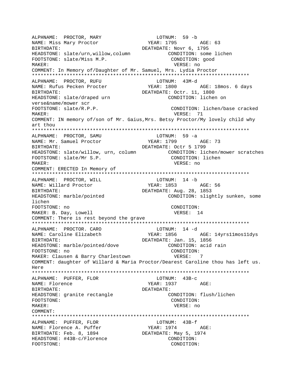ALPHNAME: PROCTOR, MARY<br>NAME: Miss Mary Proctor BIRTHDATE: DEATHDATE: Novr 6, 1795 HEADSTONE: slate/urn, willow, column CONDITION: some lichen FOOTSTONE: slate/Miss M.P. CONDITION: good MAKER: VERSE: no COMMENT: In Memory of/Daughter of Mr. Samuel, Mrs. Lydia Proctor LOTNUM: 43M-d ALPHNAME: PROCTOR, RUFU YEAR: 1800 AGE: 18mos. 6 days NAME: Rufus Pecken Procter BIRTHDATE: DEATHDATE: Octr. 11, 1800 HEADSTONE: slate/draped urn CONDITION: lichen on verse&name/mower scr FOOTSTONE: slate/R.P.P. CONDITION: lichen/base cracked VERSE: 71  $M\Delta KFR$ : COMMENT: IN memory of/son of Mr. Gaius, Mrs. Betsy Proctor/My lovely child why art thou ALPHNAME: PROCTOR, SAMU LOTNUM: 59 -a YEAR: 1799 AGE: 73 NAME: Mr. Samuel Proctor DEATHDATE: Octr 5 1799 RIRTHDATE: HEADSTONE: slate/willow, urn, column CONDITION: lichen/mower scratches CONDITION: lichen FOOTSTONE: slate/Mr S.P. MAKER: VERSE: no COMMENT: ERECTED In Memory of LOTNUM: 14 -b ALPHNAME: PROCTOR, WILL YEAR: 1853 AGE: 56 NAME: Willard Proctor DEATHDATE: Aug. 28, 1853 BIRTHDATE: HEADSTONE: marble/pointed CONDITION: slightly sunken, some lichen FOOTSTONE: no CONDITION: MAKER: B. Day, Lowell VERSE: 14 COMMENT: There is rest beyond the grave ALPHNAME: PROCTOR. CARO LOTNUM: 14 -d YEAR: 1856 NAME: Caroline Elizabeth AGE: 14yrs11mos11dys DEATHDATE: Jan. 15, 1856 BIRTHDATE: HEADSTONE: marble/pointed/dove CONDITION: acid rain CONDITION: FOOTSTONE: no MAKER: Clausen & Barry Charlestown VERSE: 7 COMMENT: daughter of Willard & Maria Proctor/Dearest Caroline thou has left us. Here ALPHNAME: PUFFER, FLOR  $LOTNUM: 43B-c$ NAME: Florence YEAR: 1937 AGE: DEATHDATE: BIRTHDATE: HEADSTONE: granite rectangle CONDITION: flush/lichen FOOTSTONE: CONDITION: MAKER: VERSE: no COMMENT: ALPHNAME: PUFFER, FLOR LOTNUM: 43B-f NAME: Florence A. Puffer YEAR: 1974 AGE: DEATHDATE: May 5, 1974 BIRTHDATE: Feb. 8, 1894 HEADSTONE: #43B-c/Florence CONDITION: FOOTSTONE: CONDITION: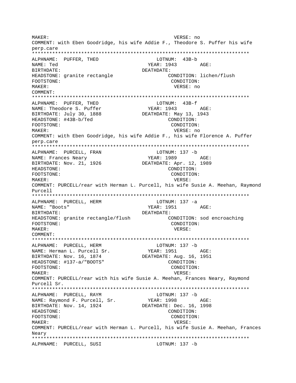MAKER: VERSE: no COMMENT: with Eben Goodridge, his wife Addie F., Theodore S. Puffer his wife perp.care ALPHNAME: PUFFER, THEO LOTNUM: 43B-b NAME: Ted  $YEAR: 1943 AGE:$ BIRTHDATE: DEATHDATE: HEADSTONE: granite rectangle CONDITION: lichen/flush CONDITION: FOOTSTONE: MAKER: VERSE: no  $COMM$  $FNTT$ : ALPHNAME: PUFFER, THEO LOTNUM: 43B-f YEAR: 1943 NAME: Theodore S. Puffer AGE: BIRTHDATE: July 30, 1888 DEATHDATE: May 13, 1943 HEADSTONE: #43B-b/Ted CONDITION: FOOTSTONE: CONDITION: MAKER: VERSE: no COMMENT: with Eben Goodridge, his wife Addie F., his wife Florence A. Puffer perp.care ALPHNAME: PURCELL, FRAN  $LOTNUM: 137 - b$ YEAR: 1989 NAME: Frances Neary  $AGE:$ DEATHDATE: Apr. 12, 1989 BIRTHDATE: Nov. 21, 1926 HEADSTONE: CONDITION: CONDITION: FOOTSTONE: MAKER: VERSE: COMMENT: PURCELL/rear with Herman L. Purcell, his wife Susie A. Meehan, Raymond  $P_{11}$  $P_{21}$ ALPHNAME: PURCELL, HERM LOTNUM:  $137 - a$ NAME: "Boots" YEAR: 1951 AGE: BIRTHDATE: DEATHDATE: HEADSTONE: granite rectangle/flush CONDITION: sod encroaching FOOTSTONE: CONDITION: MAKER: VERSE: COMMENT: ALPHNAME: PURCELL, HERM LOTNUM: 137 -b NAME: Herman L. Purcell Sr. YEAR: 1951 AGE: BIRTHDATE: Nov. 16, 1874 DEATHDATE: Aug. 16, 1951 HEADSTONE: #137-a/"BOOTS" CONDITION: FOOTSTONE: CONDITION: MAKER: VERSE: COMMENT: PURCELL/rear with his wife Susie A. Meehan, Frances Neary, Raymond Purcell Sr. ALPHNAME: PURCELL, RAYM LOTNUM: 137 -b NAME: Raymond F. Purcell, Sr. YEAR: 1998 AGE: DEATHDATE: Dec. 16, 1998 BIRTHDATE: Nov. 14, 1924 HEADSTONE: CONDITION: FOOTSTONE: CONDITION: MAKER: VERSE: COMMENT: PURCELL/rear with Herman L. Purcell, his wife Susie A. Meehan, Frances Neary ALPHNAME: PURCELL, SUSI LOTNUM: 137 -b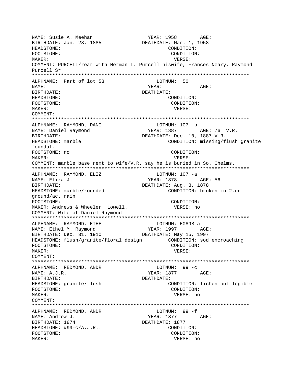NAME: Susie A. Meehan YEAR: 1958 AGE:<br>BIRTHDATE: Jan. 23, 1885 BIRTHDATE: Mar. 1, 1958 BIRTHDATE: Jan. 23, 1885 HEADSTONE: CONDITION: FOOTSTONE: CONDITION: MAKER: VERSE: COMMENT: PURCELL/rear with Herman L. Purcell hiswife, Frances Neary, Raymond Purcell Sr \*\*\*\*\*\*\*\*\*\*\*\*\*\*\*\*\*\*\*\*\*\*\*\*\*\*\*\*\*\*\*\*\*\*\*\*\*\*\*\*\*\*\*\*\*\*\*\*\*\*\*\*\*\*\*\*\*\*\*\*\*\*\*\*\*\*\*\*\*\*\*\*\*\*\* ALPHNAME: Part of lot 53 NAME: AGE: BIRTHDATE: DEATHDATE: HEADSTONE: CONDITION: FOOTSTONE: CONDITION: MAKER: VERSE: COMMENT: \*\*\*\*\*\*\*\*\*\*\*\*\*\*\*\*\*\*\*\*\*\*\*\*\*\*\*\*\*\*\*\*\*\*\*\*\*\*\*\*\*\*\*\*\*\*\*\*\*\*\*\*\*\*\*\*\*\*\*\*\*\*\*\*\*\*\*\*\*\*\*\*\*\*\* ALPHNAME: RAYMOND, DANI NAME: Daniel Raymond YEAR: 1887 AGE: 76 V.R. BIRTHDATE:  $DEATHDATE: Dec. 10, 1887 V.R.$ HEADSTONE: marble CONDITION: missing/flush granite foundat. FOOTSTONE: no CONDITION: MAKER: VERSE: COMMENT: marble base next to wife/V.R. say he is buried in So. Chelms. \*\*\*\*\*\*\*\*\*\*\*\*\*\*\*\*\*\*\*\*\*\*\*\*\*\*\*\*\*\*\*\*\*\*\*\*\*\*\*\*\*\*\*\*\*\*\*\*\*\*\*\*\*\*\*\*\*\*\*\*\*\*\*\*\*\*\*\*\*\*\*\*\*\*\* ALPHNAME: RAYMOND, ELIZ LOTNUM: 107 -a NAME: Eliza J. YEAR: 1878 AGE: 56 BIRTHDATE: DEATHDATE: Aug. 3, 1878 HEADSTONE: marble/rounded CONDITION: broken in 2, on ground/ac. rain FOOTSTONE: CONDITION: MAKER: Andrews & Wheeler Lowell. VERSE: no COMMENT: Wife of Daniel Raymond \*\*\*\*\*\*\*\*\*\*\*\*\*\*\*\*\*\*\*\*\*\*\*\*\*\*\*\*\*\*\*\*\*\*\*\*\*\*\*\*\*\*\*\*\*\*\*\*\*\*\*\*\*\*\*\*\*\*\*\*\*\*\*\*\*\*\*\*\*\*\*\*\*\*\* ALPHNAME: RAYMOND, ETHE LOTNUM: E089B-a NAME: Ethel M. Raymond YEAR: 1997 AGE:<br>BIRTHDATE: Dec. 31, 1910 DEATHDATE: May 15, 1997 BIRTHDATE: Dec. 31, 1910 HEADSTONE: flush/granite/floral design CONDITION: sod encroaching FOOTSTONE: CONDITION: MAKER: VERSE: COMMENT: \*\*\*\*\*\*\*\*\*\*\*\*\*\*\*\*\*\*\*\*\*\*\*\*\*\*\*\*\*\*\*\*\*\*\*\*\*\*\*\*\*\*\*\*\*\*\*\*\*\*\*\*\*\*\*\*\*\*\*\*\*\*\*\*\*\*\*\*\*\*\*\*\*\*\* ALPHNAME: REDMOND, ANDR NAME: A.J.R. 2007 NAME: A.J.R. 2008. BIRTHDATE: DEATHDATE: HEADSTONE: granite/flush CONDITION: lichen but legible FOOTSTONE: CONDITION: MAKER: VERSE: no COMMENT: \*\*\*\*\*\*\*\*\*\*\*\*\*\*\*\*\*\*\*\*\*\*\*\*\*\*\*\*\*\*\*\*\*\*\*\*\*\*\*\*\*\*\*\*\*\*\*\*\*\*\*\*\*\*\*\*\*\*\*\*\*\*\*\*\*\*\*\*\*\*\*\*\*\*\* ALPHNAME: REDMOND, ANDR LOTNUM: 99 -f NAME: Andrew J. YEAR: 1877 AGE: BIRTHDATE: 1874 DEATHDATE: 1877 HEADSTONE: #99-c/A.J.R.. CONDITION: FOOTSTONE: CONDITION: MAKER: VERSE: no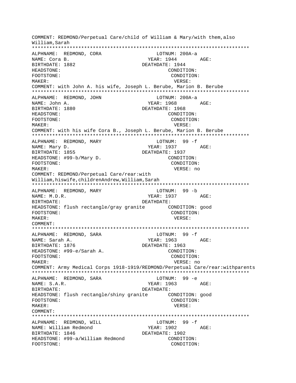COMMENT: REDMOND/Perpetual Care/child of William & Mary/with them,also William,Sarah \*\*\*\*\*\*\*\*\*\*\*\*\*\*\*\*\*\*\*\*\*\*\*\*\*\*\*\*\*\*\*\*\*\*\*\*\*\*\*\*\*\*\*\*\*\*\*\*\*\*\*\*\*\*\*\*\*\*\*\*\*\*\*\*\*\*\*\*\*\*\*\*\*\*\* ALPHNAME: REDMOND, CORA LOTNUM: 200A-a NAME: Cora B. YEAR: 1944 AGE: BIRTHDATE: 1882 DEATHDATE: 1944 HEADSTONE: CONDITION: FOOTSTONE: CONDITION: MAKER: VERSE: COMMENT: with John A. his wife, Joseph L. Berube, Marion B. Berube \*\*\*\*\*\*\*\*\*\*\*\*\*\*\*\*\*\*\*\*\*\*\*\*\*\*\*\*\*\*\*\*\*\*\*\*\*\*\*\*\*\*\*\*\*\*\*\*\*\*\*\*\*\*\*\*\*\*\*\*\*\*\*\*\*\*\*\*\*\*\*\*\*\*\* ALPHNAME: REDMOND, JOHN CONNECTED BOOTH LOTNUM: 200A-a NAME: John A. YEAR: 1968 AGE: BIRTHDATE: 1880 DEATHDATE: 1968 HEADSTONE: CONDITION: FOOTSTONE: CONDITION: MAKER: VERSE: COMMENT: with his wife Cora B., Joseph L. Berube, Marion B. Berube \*\*\*\*\*\*\*\*\*\*\*\*\*\*\*\*\*\*\*\*\*\*\*\*\*\*\*\*\*\*\*\*\*\*\*\*\*\*\*\*\*\*\*\*\*\*\*\*\*\*\*\*\*\*\*\*\*\*\*\*\*\*\*\*\*\*\*\*\*\*\*\*\*\*\* ALPHNAME: REDMOND, MARY **LOTNUM:** 99 -f NAME: Mary D. Same Communications of the MEAR: 1937 AGE: BIRTHDATE: 1855 DEATHDATE: 1937 HEADSTONE: #99-b/Mary D. CONDITION: FOOTSTONE: CONDITION: MAKER: VERSE: no COMMENT: REDMOND/Perpetual Care/rear:with William,hiswife,childrenAndrew,William,Sarah \*\*\*\*\*\*\*\*\*\*\*\*\*\*\*\*\*\*\*\*\*\*\*\*\*\*\*\*\*\*\*\*\*\*\*\*\*\*\*\*\*\*\*\*\*\*\*\*\*\*\*\*\*\*\*\*\*\*\*\*\*\*\*\*\*\*\*\*\*\*\*\*\*\*\* ALPHNAME: REDMOND, MARY LOTNUM: 99 -b NAME: M.D.R. 2008 AGE: YEAR: 1937 AGE: BIRTHDATE: DEATHDATE: HEADSTONE: flush rectangle/gray granite CONDITION: good FOOTSTONE: CONDITION: MAKER: VERSE: COMMENT: \*\*\*\*\*\*\*\*\*\*\*\*\*\*\*\*\*\*\*\*\*\*\*\*\*\*\*\*\*\*\*\*\*\*\*\*\*\*\*\*\*\*\*\*\*\*\*\*\*\*\*\*\*\*\*\*\*\*\*\*\*\*\*\*\*\*\*\*\*\*\*\*\*\*\* ALPHNAME: REDMOND, SARA NAME: Sarah A. YEAR: 1963 AGE: BIRTHDATE: 1876 **DEATHDATE: 1963** HEADSTONE: #99-e/Sarah A. CONDITION: FOOTSTONE: CONDITION: MAKER: VERSE: no COMMENT: Army Medical Corps 1918-1919/REDMOND/Perpetual Care/rear:withparents \*\*\*\*\*\*\*\*\*\*\*\*\*\*\*\*\*\*\*\*\*\*\*\*\*\*\*\*\*\*\*\*\*\*\*\*\*\*\*\*\*\*\*\*\*\*\*\*\*\*\*\*\*\*\*\*\*\*\*\*\*\*\*\*\*\*\*\*\*\*\*\*\*\*\* ALPHNAME: REDMOND, SARA LOTNUM: 99 -e NAME: S.A.R. 2007 AGE: YEAR: 1963 BIRTHDATE: DEATHDATE: HEADSTONE: flush rectangle/shiny granite CONDITION: good FOOTSTONE: CONDITION: MAKER: VERSE: COMMENT: \*\*\*\*\*\*\*\*\*\*\*\*\*\*\*\*\*\*\*\*\*\*\*\*\*\*\*\*\*\*\*\*\*\*\*\*\*\*\*\*\*\*\*\*\*\*\*\*\*\*\*\*\*\*\*\*\*\*\*\*\*\*\*\*\*\*\*\*\*\*\*\*\*\*\* ALPHNAME: REDMOND, WILL CONNECTRITION: 99 -f NAME: William Redmond YEAR: 1902 AGE: BIRTHDATE: 1846 DEATHDATE: 1902 HEADSTONE: #99-a/William Redmond CONDITION: FOOTSTONE: CONDITION: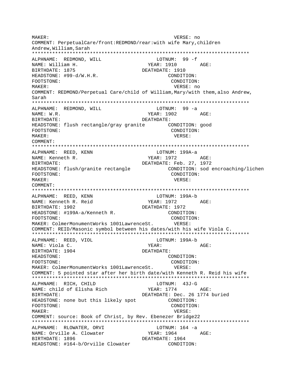MAKER: VERSE: no COMMENT: PerpetualCare/front:REDMOND/rear:with wife Mary, children Andrew, William, Sarah ALPHNAME: REDMOND, WILL LOTNUM:  $99 - f$ NAME: William H. YEAR: 1910 AGE: BIRTHDATE: 1875 DEATHDATE: 1910 HEADSTONE: #99-d/W.H.R. CONDITION: CONDITION: FOOTSTONE: MAKER: VERSE: no COMMENT: REDMOND/Perpetual Care/child of William, Mary/with them, also Andrew, Sarah ALPHNAME: REDMOND, WILL LOTNUM: 99 -a NAME: W.R. YEAR: 1902 AGE: BIRTHDATE: DEATHDATE: HEADSTONE: flush rectangle/gray granite CONDITION: good CONDITION: FOOTSTONE: VERSE: MAKER: COMMENT: ALPHNAME: REED, KENN LOTNUM: 199A-a NAME: Kenneth R. YEAR: 1972 AGE: DEATHDATE: Feb. 27, 1972 BIRTHDATE: CONDITION: sod encroaching/lichen HEADSTONE: flush/granite rectangle FOOTSTONE: CONDITION: MAKER: VERSE: COMMENT: ALPHNAME: REED, KENN LOTNUM: 199A-b YEAR: 1972 AGE: NAME: Kenneth R. Reid BIRTHDATE: 1902 DEATHDATE: 1972 HEADSTONE: #199A-a/Kenneth R. CONDITION: FOOTSTONE: CONDITION: MAKER: ColmerMonumentWorks 1001LawrenceSt. VERSE: COMMENT: REID/Masonic symbol between his dates/with his wife Viola C. ALPHNAME: REED, VIOL LOTNUM: 199A-b NAME: Viola C. YEAR: AGE: BIRTHDATE: 1904 DEATHDATE: HEADSTONE: CONDITION: FOOTSTONE: CONDITION: VERSE: MAKER: ColmerMonumentWorks 1001LawrenceSt. COMMENT: 5 pointed star after her birth date/with Kenneth R. Reid his wife ALPHNAME: RICH, CHILD LOTNUM: 43J-G NAME: child of Elisha Rich YEAR: 1774 AGE: DEATHDATE: Dec. 26 1774 buried RIRTHDATE: HEADSTONE: none but this likely spot CONDITION: FOOTSTONE: CONDITION: MAKER: VERSE: COMMENT: source: Book of Christ, by Rev. Ebenezer Bridge22 ALPHNAME: RLOWATER, ORVI LOTNUM: 164 -a NAME: Orville A. Clowater YEAR: 1964 AGE: BIRTHDATE: 1896 DEATHDATE: 1964 HEADSTONE: #164-b/Orville Clowater CONDITION: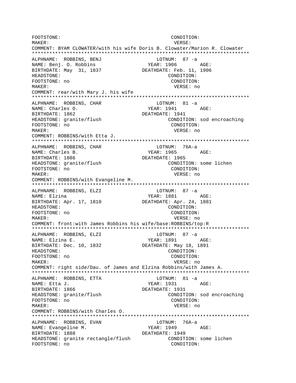FOOTSTONE: CONDITION: MAKER: VERSE: COMMENT: BYAM CLOWATER/with his wife Doris B. Clowater/Marion R. Clowater ALPHNAME: ROBBINS, BENJ LOTNUM: 87 -a YEAR: 1906 AGE: NAME: Benj. O. Robbins BIRTHDATE: May 31, 1837 DEATHDATE: Feb. 11, 1906 CONDITION: HEADSTONE: FOOTSTONE: no CONDITION: MAKER: VERSE: no COMMENT: rear/with Mary J. his wife ALPHNAME: ROBBINS, CHAR LOTNUM: 81 -a YEAR: 1941 NAME: Charles O. AGE: BIRTHDATE: 1862 DEATHDATE: 1941 HEADSTONE: granite/flush CONDITION: sod encroaching FOOTSTONE: no CONDITION: VERSE: no MAKER: COMMENT: ROBBINS/with Etta J. ALPHNAME: ROBBINS, CHAR LOTNUM: 76A-a NAME: Charles B. YEAR: 1965 AGE: DEATHDATE: 1965 BIRTHDATE: 1886 CONDITION: some lichen HEADSTONE: granite/flush CONDITION: FOOTSTONE: no MAKER: VERSE: no COMMENT: ROBBINS/with Evangeline M. ALPHNAME: ROBBINS, ELZI LOTNUM: 87 -a NAME: Elzina BIRTHDATE: Apr. 17, 1810 DEATHDATE: Apr. 24, 1881 CONDITION: HEADSTONE: FOOTSTONE: no CONDITION: MAKER: VERSE: no COMMENT: front: with James Robbins his wife/base: ROBBINS/top: R LOTNUM:  $87 - a$ ALPHNAME: ROBBINS, ELZI **YEAR: 1891** NAME: Elzina E. AGE: BIRTHDATE: Dec. 10, 1832 DEATHDATE: May 18, 1891 CONDITION: HEADSTONE: FOOTSTONE: no CONDITION: VERSE: no MAKER: COMMENT: right side/Dau. of James and Elzina Robbins/with James A. ALPHNAME: ROBBINS, ETTA LOTNUM: 81 -a YEAR: 1931 AGE: NAME: Etta J. DEATHDATE: 1931 BIRTHDATE: 1866 HEADSTONE: granite/flush CONDITION: sod encroaching FOOTSTONE: no CONDITION: MAKER: VERSE: no COMMENT: ROBBINS/with Charles O. LOTNUM: 76A-a ALPHNAME: ROBBINS, EVAN NAME: Evangeline M. YEAR: 1949 AGE: BIRTHDATE: 1888 DEATHDATE: 1949 HEADSTONE: granite rectangle/flush CONDITION: some lichen FOOTSTONE: no CONDITION: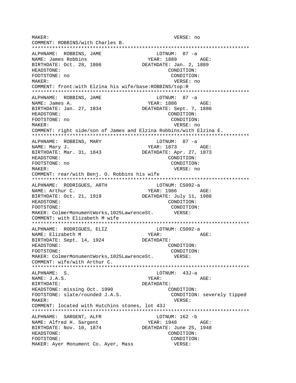MAKER: VERSE: no COMMENT: ROBBINS/with Charles B. \*\*\*\*\*\*\*\*\*\*\*\*\*\*\*\*\*\*\*\*\*\*\*\*\*\*\*\*\*\*\*\*\*\*\*\*\*\*\*\*\*\*\*\*\*\*\*\*\*\*\*\*\*\*\*\*\*\*\*\*\*\*\*\*\*\*\*\*\*\*\*\*\*\*\* ALPHNAME: ROBBINS, JAME LOTNUM: 87 -a NAME: James Robbins YEAR: 1889 AGE: BIRTHDATE: Oct. 28, 1806 DEATHDATE: Jan. 2, 1889 HEADSTONE: CONDITION: FOOTSTONE: no CONDITION: MAKER: VERSE: no COMMENT: front:with Elzina his wife/base:ROBBINS/top:R \*\*\*\*\*\*\*\*\*\*\*\*\*\*\*\*\*\*\*\*\*\*\*\*\*\*\*\*\*\*\*\*\*\*\*\*\*\*\*\*\*\*\*\*\*\*\*\*\*\*\*\*\*\*\*\*\*\*\*\*\*\*\*\*\*\*\*\*\*\*\*\*\*\*\* ALPHNAME: ROBBINS, JAME LOTNUM: 87 -a NAME: James A. (2008) 252 MAME: James A. (2008) 252 MAGE: 2886 BIRTHDATE: Jan. 27, 1834 DEATHDATE: Sept. 7, 1886 HEADSTONE: CONDITION: FOOTSTONE: no CONDITION: MAKER: VERSE: no COMMENT: right side/son of James and Elzina Robbins/with Elzina E. \*\*\*\*\*\*\*\*\*\*\*\*\*\*\*\*\*\*\*\*\*\*\*\*\*\*\*\*\*\*\*\*\*\*\*\*\*\*\*\*\*\*\*\*\*\*\*\*\*\*\*\*\*\*\*\*\*\*\*\*\*\*\*\*\*\*\*\*\*\*\*\*\*\*\* ALPHNAME: ROBBINS, MARY LOTNUM: 87 -a NAME: Mary J. (2008) THE MANUS AGE: THE MANUS AGE: THE MANUS AGE:  $YERR: 1873$  AGE: BIRTHDATE: Mar. 31, 1843 DEATHDATE: Apr. 27, 1873 HEADSTONE: CONDITION: FOOTSTONE: no CONDITION: MAKER: VERSE: no COMMENT: rear/with Benj. O. Robbins his wife \*\*\*\*\*\*\*\*\*\*\*\*\*\*\*\*\*\*\*\*\*\*\*\*\*\*\*\*\*\*\*\*\*\*\*\*\*\*\*\*\*\*\*\*\*\*\*\*\*\*\*\*\*\*\*\*\*\*\*\*\*\*\*\*\*\*\*\*\*\*\*\*\*\*\* ALPHNAME: RODRIGUES, ARTH LOTNUM: CS092-a NAME: Arthur C. THE SERIES RESERT STARE SERIES AND MANUSCRIPT AND MODEL SERIES AND AGES BIRTHDATE: Oct. 21, 1919 DEATHDATE: July 11, 1986 HEADSTONE: CONDITION: FOOTSTONE: CONDITION: MAKER: ColmerMonumentWorks,1025LawrenceSt. VERSE: COMMENT: with Elizabeth M wife \*\*\*\*\*\*\*\*\*\*\*\*\*\*\*\*\*\*\*\*\*\*\*\*\*\*\*\*\*\*\*\*\*\*\*\*\*\*\*\*\*\*\*\*\*\*\*\*\*\*\*\*\*\*\*\*\*\*\*\*\*\*\*\*\*\*\*\*\*\*\*\*\*\*\* ALPHNAME: RODRIGUES, ELIZ LOTNUM: CS092-a NAME: Elizabeth M YEAR: AGE: BIRTHDATE: Sept. 14, 1924 DEATHDATE: HEADSTONE: CONDITION: FOOTSTONE: CONDITION: MAKER: ColmerMonumentWorks,1025LawrenceSt. VERSE: COMMENT: wife/with Arthur C. \*\*\*\*\*\*\*\*\*\*\*\*\*\*\*\*\*\*\*\*\*\*\*\*\*\*\*\*\*\*\*\*\*\*\*\*\*\*\*\*\*\*\*\*\*\*\*\*\*\*\*\*\*\*\*\*\*\*\*\*\*\*\*\*\*\*\*\*\*\*\*\*\*\*\* ALPHNAME: S. LOTNUM: 43J-a NAME: J.A.S. YEAR: AGE: BIRTHDATE: DEATHDATE: HEADSTONE: missing Oct. 1990 CONDITION: FOOTSTONE: slate/rounded J.A.S. CONDITION: severely tipped MAKER: VERSE: COMMENT: located with Hutchins stones, lot 43J \*\*\*\*\*\*\*\*\*\*\*\*\*\*\*\*\*\*\*\*\*\*\*\*\*\*\*\*\*\*\*\*\*\*\*\*\*\*\*\*\*\*\*\*\*\*\*\*\*\*\*\*\*\*\*\*\*\*\*\*\*\*\*\*\*\*\*\*\*\*\*\*\*\*\* ALPHNAME: SARGENT, ALFR LOTNUM: 162 -b NAME: Alfred H. Sargent YEAR: 1948 AGE: BIRTHDATE: Nov. 10, 1874 DEATHDATE: June 25, 1948 HEADSTONE: CONDITION: FOOTSTONE: CONDITION: MAKER: Ayer Monument Co. Ayer, Mass WERSE: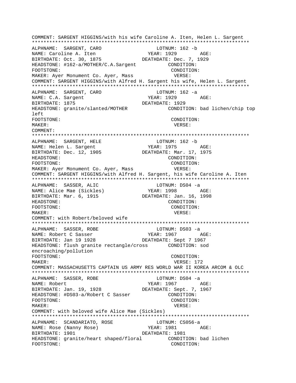COMMENT: SARGENT HIGGINS/with his wife Caroline A. Iten, Helen L. Sargent \*\*\*\*\*\*\*\*\*\*\*\*\*\*\*\*\*\*\*\*\*\*\*\*\*\*\*\*\*\*\*\*\*\*\*\*\*\*\*\*\*\*\*\*\*\*\*\*\*\*\*\*\*\*\*\*\*\*\*\*\*\*\*\*\*\*\*\*\*\*\*\*\*\*\* ALPHNAME: SARGENT, CARO LOTNUM: 162 -b NAME: Caroline A. Iten YEAR: 1929 AGE: BIRTHDATE: Oct. 30, 1875 DEATHDATE: Dec. 7, 1929 HEADSTONE: #162-a/MOTHER/C.A.Sargent CONDITION: FOOTSTONE: CONDITION: MAKER: Ayer Monument Co. Ayer, Mass VERSE: COMMENT: SARGENT HIGGINS/with Alfred H. Sargent his wife, Helen L. Sargent \*\*\*\*\*\*\*\*\*\*\*\*\*\*\*\*\*\*\*\*\*\*\*\*\*\*\*\*\*\*\*\*\*\*\*\*\*\*\*\*\*\*\*\*\*\*\*\*\*\*\*\*\*\*\*\*\*\*\*\*\*\*\*\*\*\*\*\*\*\*\*\*\*\*\* ALPHNAME: SARGENT, CARO LOTNUM: 162 -a NAME: C.A. Sargent YEAR: 1929 AGE: BIRTHDATE: 1875 DEATHDATE: 1929 HEADSTONE: granite/slanted/MOTHER CONDITION: bad lichen/chip top  $l$  $\ominus$ ft FOOTSTONE: CONDITION: MAKER: VERSE: COMMENT: \*\*\*\*\*\*\*\*\*\*\*\*\*\*\*\*\*\*\*\*\*\*\*\*\*\*\*\*\*\*\*\*\*\*\*\*\*\*\*\*\*\*\*\*\*\*\*\*\*\*\*\*\*\*\*\*\*\*\*\*\*\*\*\*\*\*\*\*\*\*\*\*\*\*\* ALPHNAME: SARGENT, HELE LOTNUM: 162 -b NAME: Helen L. Sargent YEAR: 1975 AGE: BIRTHDATE: Dec. 12, 1905 DEATHDATE: Mar. 17, 1975 HEADSTONE: CONDITION: FOOTSTONE: CONDITION: MAKER: Ayer Monument Co. Ayer, Mass VERSE: COMMENT: SARGENT HIGGINS/with Alfred H. Sargent, his wife Caroline A. Iten \*\*\*\*\*\*\*\*\*\*\*\*\*\*\*\*\*\*\*\*\*\*\*\*\*\*\*\*\*\*\*\*\*\*\*\*\*\*\*\*\*\*\*\*\*\*\*\*\*\*\*\*\*\*\*\*\*\*\*\*\*\*\*\*\*\*\*\*\*\*\*\*\*\*\* ALPHNAME: SASSER, ALIC LOTNUM: DS04 -a NAME: Alice Mae (Sickles) YEAR: 1998 AGE: BIRTHDATE: Mar. 6, 1915 DEATHDATE: Jan. 16, 1998 HEADSTONE: CONDITION: FOOTSTONE: CONDITION: MAKER: VERSE: COMMENT: with Robert/beloved wife \*\*\*\*\*\*\*\*\*\*\*\*\*\*\*\*\*\*\*\*\*\*\*\*\*\*\*\*\*\*\*\*\*\*\*\*\*\*\*\*\*\*\*\*\*\*\*\*\*\*\*\*\*\*\*\*\*\*\*\*\*\*\*\*\*\*\*\*\*\*\*\*\*\*\* ALPHNAME: SASSER, ROBE LOTNUM: DS03 -a NAME: Robert C Sasser The YEAR: 1967 AGE: BIRTHDATE: Jan 19 1928 DEATHDATE: Sept 7 1967 HEADSTONE: flush granite rectangle/cross CONDITION: sod encroaching/pollution FOOTSTONE: CONDITION: MAKER: VERSE: 172 COMMENT: MASSACHUSETTS CAPTAIN US ARMY RES WORLD WAR II KOREA ARCOM & OLC \*\*\*\*\*\*\*\*\*\*\*\*\*\*\*\*\*\*\*\*\*\*\*\*\*\*\*\*\*\*\*\*\*\*\*\*\*\*\*\*\*\*\*\*\*\*\*\*\*\*\*\*\*\*\*\*\*\*\*\*\*\*\*\*\*\*\*\*\*\*\*\*\*\*\* ALPHNAME: SASSER, ROBE LOTNUM: DS04 -a NAME: Robert TEAR: 1967 AGE: BIRTHDATE: Jan. 19, 1928 DEATHDATE: Sept. 7, 1967 HEADSTONE: #DS03-a/Robert C Sasser CONDITION: FOOTSTONE: CONDITION: MAKER: VERSE: COMMENT: with beloved wife Alice Mae (Sickles) \*\*\*\*\*\*\*\*\*\*\*\*\*\*\*\*\*\*\*\*\*\*\*\*\*\*\*\*\*\*\*\*\*\*\*\*\*\*\*\*\*\*\*\*\*\*\*\*\*\*\*\*\*\*\*\*\*\*\*\*\*\*\*\*\*\*\*\*\*\*\*\*\*\*\* ALPHNAME: SCANDARIATO, ROSE LOTNUM: CS056-a NAME: Rose (Nanny Rose) 7EAR: 1981 AGE: BIRTHDATE: 1901 DEATHDATE: 1981 HEADSTONE: granite/heart shaped/floral CONDITION: bad lichen FOOTSTONE: CONDITION: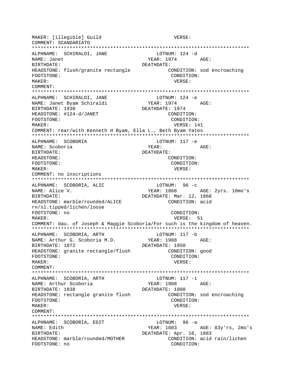MAKER: [illegible] Guild VERSE: COMMENT: SCANDARIATO ALPHNAME: SCHIRALDI, JANE LOTNUM: 124 -d NAME: Janet YEAR: 1974 AGE: BIRTHDATE: DEATHDATE: HEADSTONE: flush/granite rectangle CONDITION: sod encroaching CONDITION: FOOTSTONE: MAKER: VERSE: COMMENT: ALPHNAME: SCHIRALDI, JANE LOTNUM: 124 -e NAME: Janet Byam Schiraldi YEAR: 1974 AGE: BIRTHDATE: 1930 DEATHDATE: 1974 HEADSTONE: #124-d/JANET CONDITION: FOOTSTONE: CONDITION: MAKER: VERSE: 141 COMMENT: rear/with Kenneth H Byam, Ella L., Beth Byam Yates  $LOTNUM: 117 -e$ ALPHNAME: SCOBORIA YEAR: NAME: Scoboria AGE: BIRTHDATE: DEATHDATE: HEADSTONE: CONDITION: FOOTSTONE: CONDITION: VERSE: MAKER: COMMENT: no inscriptions ALPHNAME: SCOBORIA, ALIC LOTNUM: 96 -c YEAR: 1868 AGE: 2yrs. 10mo's NAME: Alice V. DEATHDATE: Mar. 12, 1868 BIRTHDATE: HEADSTONE: marble/rounded/ALICE CONDITION: acid rn/sl.tipped/lichen/loose FOOTSTONE: no CONDITION: MAKER: VERSE: 51 COMMENT: dau. of Joseph & Maggie Scoboria/For such is the kingdom of heaven. ALPHNAME: SCOBORIA, ARTH LOTNUM: 117 -b YEAR: 1908 NAME: Arthur G. Scoboria M.D. AGE: BIRTHDATE: 1872 DEATHDATE: 1950 HEADSTONE: granite rectangle/flush CONDITION: good FOOTSTONE: CONDITION: MAKER: VERSE: COMMENT: LOTNUM: 117 -i ALPHNAME: SCOBORIA, ARTH NAME: Arthur Scoboria YEAR: 1908 AGE: DEATHDATE: 1908 BIRTHDATE: 1838 HEADSTONE: rectangle granite flush CONDITION: sod encroaching FOOTSTONE: CONDITION: MAKER: VERSE: COMMENT: ALPHNAME: SCOBORIA, EDIT  $LOTNUM: 96 -a$ NAME: Edith YEAR: 1883 AGE: 83y'rs, 2mo's BIRTHDATE: DEATHDATE: Apr. 18, 1883 HEADSTONE: marble/rounded/MOTHER CONDITION: acid rain/lichen FOOTSTONE: no CONDITION: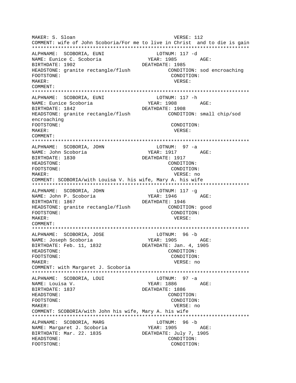MAKER: S. Sloan VERSE: 112 COMMENT: wife of John Scoboria/For me to live in Christ and to die is gain ALPHNAME: SCOBORIA, EUNI LOTNUM: 117 -d NAME: Eunice C. Scoboria YEAR: 1985 AGE: BIRTHDATE: 1902 DEATHDATE: 1985 HEADSTONE: granite rectangle/flush CONDITION: sod encroaching CONDITION: FOOTSTONE: MAKER: VERSE: COMMENT: ALPHNAME: SCOBORIA, EUNI LOTNUM: 117 -h NAME: Eunice Scoboria YEAR: 1908 AGE: BIRTHDATE: 1842 DEATHDATE: 1908 HEADSTONE: granite rectangle/flush CONDITION: small chip/sod encroaching FOOTSTONE: CONDITION: MAKER: VERSE: COMMENT: ALPHNAME: SCOBORIA, JOHN LOTNUM: 97 -a NAME: John Scoboria YEAR: 1917 AGE: DEATHDATE: 1917 BIRTHDATE: 1830 HEADSTONE: CONDITION: FOOTSTONE: CONDITION: MAKER: VERSE: no COMMENT: SCOBORIA/with Louisa V. his wife, Mary A. his wife ALPHNAME: SCOBORIA, JOHN LOTNUM: 117 -q YEAR: 1946 NAME: John P. Scoboria AGE: BIRTHDATE: 1867 DEATHDATE: 1946 HEADSTONE: granite rectangle/flush CONDITION: good CONDITION: FOOTSTONE: MAKER: VERSE: COMMENT: ALPHNAME: SCOBORIA, JOSE LOTNUM: 96 -b YEAR: 1905 NAME: Joseph Scoboria AGE: BIRTHDATE: Feb. 11, 1832 DEATHDATE: Jan. 4, 1905 CONDITION: HEADSTONE: FOOTSTONE: CONDITION: MAKER: VERSE: no COMMENT: with Margaret J. Scoboria ALPHNAME: SCOBORIA, LOUI LOTNUM: 97 -a YEAR: 1886 AGE: NAME: Louisa V. DEATHDATE: 1886 BIRTHDATE: 1837 HEADSTONE: CONDITION: FOOTSTONE: CONDITION: MAKER: VERSE: no COMMENT: SCOBORIA/with John his wife, Mary A. his wife ALPHNAME: SCOBORIA, MARG LOTNUM: 96 -b NAME: Margaret J. Scoboria YEAR: 1905 AGE: BIRTHDATE: Mar. 22. 1835 DEATHDATE: July 7, 1905 HEADSTONE: CONDITION: FOOTSTONE: CONDITION: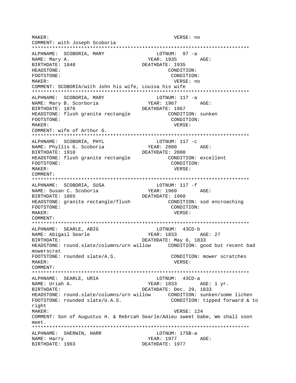MAKER: VERSE: no COMMENT: with Joseph Scoboria LOTNUM: 97 -a ALPHNAME: SCOBORIA, MARY YEAR: 1935 AGE: NAME: Mary A. BIRTHDATE: 1848 DEATHDATE: 1935 HEADSTONE: CONDITION: FOOTSTONE: CONDITION: MAKER: VERSE: no COMMENT: SCOBORIA/with John his wife, Louisa his wife ALPHNAME: SCOBORIA, MARY LOTNUM: 117 -a NAME: Mary B. Scorboria YEAR: 1967 AGE: BIRTHDATE: 1876 DEATHDATE: 1967 HEADSTONE: flush granite rectangle CONDITION: sunken FOOTSTONE: CONDITION: MAKER: VERSE: COMMENT: wife of Arthur G. ALPHNAME: SCOBORIA, PHYL LOTNUM:  $117 -c$ NAME: Phyllis G. Scoboria **YEAR: 2000** AGE: BIRTHDATE: 1910 DEATHDATE: 2000 HEADSTONE: flush granite rectangle CONDITION: excellent FOOTSTONE: CONDITION: MAKER: VERSE: COMMENT: ALPHNAME: SCOBORIA, SUSA<br>NAME: Susan C. Scoboria LOTNUM: 117 -f YEAR: 1960 AGE:<br>DEATHDATE: 1960 BIRTHDATE: 1865 HEADSTONE: granite rectangle/flush CONDITION: sod encroaching CONDITION: FOOTSTONE: MAKER: VERSE: COMMENT: ALPHNAME: SEARLE, ABIG LOTNUM: 43CD-b YEAR: 1833 NAME: Abigail Searle AGE: 27 DEATHDATE: May 6, 1833 BIRTHDATE: HEADSTONE: round.slate/columns/urn willow CONDITION: good but recent bad mowerscrat FOOTSTONE: rounded slate/A.S. CONDITION: mower scratches MAKER: VERSE: COMMENT: LOTNUM: 43CD-a ALPHNAME: SEARLE, URIA NAME: Uriah A. YEAR: 1833 AGE: 1 yr. DEATHDATE: Dec. 29, 1833 BIRTHDATE: FOOTSTONE: rounded slate/U.A.S. CONDITION: tipped forward & to right VERSE: 124 MAKER: COMMENT: Son of Augustus H. & Rebrcah Searle/Adieu sweet babe, We shall soon meet. ALPHNAME: SHERWIN, HARR LOTNUM: 175B-a YEAR: 1977 AGE: NAME: Harry DEATHDATE: 1977 BIRTHDATE: 1903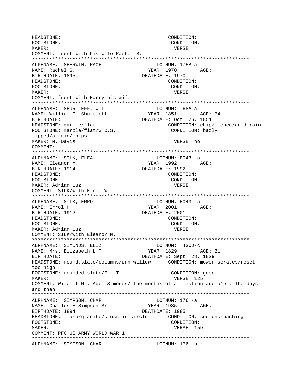HEADSTONE: CONDITION: FOOTSTONE: CONDITION: MAKER: VERSE: COMMENT: front with his wife Rachel S. \*\*\*\*\*\*\*\*\*\*\*\*\*\*\*\*\*\*\*\*\*\*\*\*\*\*\*\*\*\*\*\*\*\*\*\*\*\*\*\*\*\*\*\*\*\*\*\*\*\*\*\*\*\*\*\*\*\*\*\*\*\*\*\*\*\*\*\*\*\*\*\*\*\*\* ALPHNAME: SHERWIN, RACH LOTNUM: 175B-a NAME: Rachel S. YEAR: 1970 AGE: BIRTHDATE: 1895 DEATHDATE: 1970 HEADSTONE: CONDITION: FOOTSTONE: CONDITION: MAKER: VERSE: COMMENT: front with Harry his wife \*\*\*\*\*\*\*\*\*\*\*\*\*\*\*\*\*\*\*\*\*\*\*\*\*\*\*\*\*\*\*\*\*\*\*\*\*\*\*\*\*\*\*\*\*\*\*\*\*\*\*\*\*\*\*\*\*\*\*\*\*\*\*\*\*\*\*\*\*\*\*\*\*\*\* ALPHNAME: SHURTLEFF, WILL LOTNUM: 68A-a NAME: William C. Shurtleff BIRTHDATE: 0ct. 26, 1851 HEADSTONE: marble/flat CONDITION: chip/lichen/acid rain FOOTSTONE: marble/flat/W.C.S. CONDITION: badly tipped/a.rain/chips MAKER: M. Davis **VERSE: 1998** VERSE: no COMMENT: \*\*\*\*\*\*\*\*\*\*\*\*\*\*\*\*\*\*\*\*\*\*\*\*\*\*\*\*\*\*\*\*\*\*\*\*\*\*\*\*\*\*\*\*\*\*\*\*\*\*\*\*\*\*\*\*\*\*\*\*\*\*\*\*\*\*\*\*\*\*\*\*\*\*\* ALPHNAME: SILK, ELEA LOTNUM: E043 -a NAME: Eleanor M. Sand Controller and MEAR: 1992 AGE: BIRTHDATE: 1914 DEATHDATE: 1992 HEADSTONE: CONDITION: FOOTSTONE: CONDITION: MAKER: Adrian Luz VERSE: COMMENT: SILK/with Errol W. \*\*\*\*\*\*\*\*\*\*\*\*\*\*\*\*\*\*\*\*\*\*\*\*\*\*\*\*\*\*\*\*\*\*\*\*\*\*\*\*\*\*\*\*\*\*\*\*\*\*\*\*\*\*\*\*\*\*\*\*\*\*\*\*\*\*\*\*\*\*\*\*\*\*\* ALPHNAME: SILK, ERRO NAME: Errol H. Same Communications of the MEAR: 2001 AGE: BIRTHDATE: 1912 DEATHDATE: 2001 HEADSTONE: CONDITION: FOOTSTONE: CONDITION: MAKER: Adrian Luz **VERSE:** COMMENT: SILK/with Eleanor M. \*\*\*\*\*\*\*\*\*\*\*\*\*\*\*\*\*\*\*\*\*\*\*\*\*\*\*\*\*\*\*\*\*\*\*\*\*\*\*\*\*\*\*\*\*\*\*\*\*\*\*\*\*\*\*\*\*\*\*\*\*\*\*\*\*\*\*\*\*\*\*\*\*\*\* ALPHNAME: SIMONDS, ELIZ NAME: Mrs. Elizabeth L.T. YEAR: 1829 AGE: 21 BIRTHDATE: DEATHDATE: Sept. 28, 1829 HEADSTONE: round.slate/columns/urn willow CONDITION: mower scrates/reset too high FOOTSTONE: rounded slate/E.L.T. CONDITION: good MAKER: VERSE: 125 COMMENT: Wife of Mr. Abel Simonds/ The months of affliction are o'er, The days and then \*\*\*\*\*\*\*\*\*\*\*\*\*\*\*\*\*\*\*\*\*\*\*\*\*\*\*\*\*\*\*\*\*\*\*\*\*\*\*\*\*\*\*\*\*\*\*\*\*\*\*\*\*\*\*\*\*\*\*\*\*\*\*\*\*\*\*\*\*\*\*\*\*\*\* ALPHNAME: SIMPSON, CHAR LOTNUM: 176 -a NAME: Charles H Simpson Sr YEAR: 1985 AGE: BIRTHDATE: 1894 DEATHDATE: 1985 HEADSTONE: flush/granite/cross in circle CONDITION: sod encroaching FOOTSTONE: CONDITION: MAKER: USE SERVICE SERVICES AND MERSE SERVICES AND MERSE SERVICES AND MERSE SERVICES AND MERSE SERVICES AND ME COMMENT: PFC US ARMY WORLD WAR 1 \*\*\*\*\*\*\*\*\*\*\*\*\*\*\*\*\*\*\*\*\*\*\*\*\*\*\*\*\*\*\*\*\*\*\*\*\*\*\*\*\*\*\*\*\*\*\*\*\*\*\*\*\*\*\*\*\*\*\*\*\*\*\*\*\*\*\*\*\*\*\*\*\*\*\* ALPHNAME: SIMPSON, CHAR LOTNUM: 176 -b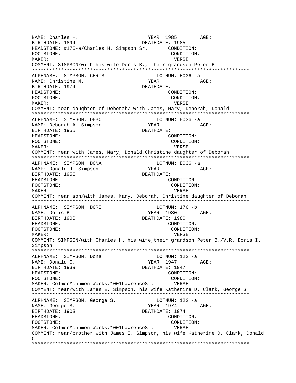NAME: Charles H. (2008) 2008 - YEAR: 1985 AGE:<br>BIRTHDATE: 1894 DEATHDATE: 1985 BIRTHDATE: 1894 DEATHDATE: 1985 HEADSTONE: #176-a/Charles H. Simpson Sr. CONDITION: FOOTSTONE: CONDITION: MAKER: VERSE: COMMENT: SIMPSON/with his wife Doris B., their grandson Peter B. \*\*\*\*\*\*\*\*\*\*\*\*\*\*\*\*\*\*\*\*\*\*\*\*\*\*\*\*\*\*\*\*\*\*\*\*\*\*\*\*\*\*\*\*\*\*\*\*\*\*\*\*\*\*\*\*\*\*\*\*\*\*\*\*\*\*\*\*\*\*\*\*\*\*\* ALPHNAME: SIMPSON, CHRIS LOTNUM: E036 -a NAME: Christine M. NAME: YEAR: AGE: BIRTHDATE: 1974 DEATHDATE: HEADSTONE: CONDITION: FOOTSTONE: CONDITION: MAKER: VERSE: COMMENT: rear:daughter of Deborah/ with James, Mary, Deborah, Donald \*\*\*\*\*\*\*\*\*\*\*\*\*\*\*\*\*\*\*\*\*\*\*\*\*\*\*\*\*\*\*\*\*\*\*\*\*\*\*\*\*\*\*\*\*\*\*\*\*\*\*\*\*\*\*\*\*\*\*\*\*\*\*\*\*\*\*\*\*\*\*\*\*\*\* ALPHNAME: SIMPSON, DEBO LOTNUM: E036 -a NAME: Deborah A. Simpson YEAR: YEAR: AGE: BIRTHDATE: 1955 DEATHDATE: HEADSTONE: CONDITION: FOOTSTONE: CONDITION: MAKER: VERSE: COMMENT: rear:with James, Mary, Donald,Christine daughter of Deborah \*\*\*\*\*\*\*\*\*\*\*\*\*\*\*\*\*\*\*\*\*\*\*\*\*\*\*\*\*\*\*\*\*\*\*\*\*\*\*\*\*\*\*\*\*\*\*\*\*\*\*\*\*\*\*\*\*\*\*\*\*\*\*\*\*\*\*\*\*\*\*\*\*\*\* ALPHNAME: SIMPSON, DONA LOTNUM: E036 -a NAME: Donald J. Simpson  $YEAR:$  AGE: BIRTHDATE: 1956 DEATHDATE: HEADSTONE: CONDITION: FOOTSTONE: CONDITION: MAKER: VERSE: COMMENT: rear:son/with James, Mary, Deborah, Christine daughter of Deborah \*\*\*\*\*\*\*\*\*\*\*\*\*\*\*\*\*\*\*\*\*\*\*\*\*\*\*\*\*\*\*\*\*\*\*\*\*\*\*\*\*\*\*\*\*\*\*\*\*\*\*\*\*\*\*\*\*\*\*\*\*\*\*\*\*\*\*\*\*\*\*\*\*\*\* ALPHNAME: SIMPSON, DORI LOTNUM: 176 -b NAME: Doris B. The Magnus of the MEAR: 1980 AGE: BIRTHDATE: 1900 DEATHDATE: 1980 HEADSTONE: CONDITION: FOOTSTONE: CONDITION: MAKER: VERSE: COMMENT: SIMPSON/with Charles H. his wife,their grandson Peter B./V.R. Doris I. Simpson \*\*\*\*\*\*\*\*\*\*\*\*\*\*\*\*\*\*\*\*\*\*\*\*\*\*\*\*\*\*\*\*\*\*\*\*\*\*\*\*\*\*\*\*\*\*\*\*\*\*\*\*\*\*\*\*\*\*\*\*\*\*\*\*\*\*\*\*\*\*\*\*\*\*\* ALPHNAME: SIMPSON, Dona and LOTNUM: 122 -a NAME: Donald C. YEAR: 1947 AGE: BIRTHDATE: 1939 DEATHDATE: 1947 HEADSTONE: CONDITION: FOOTSTONE: CONDITION: MAKER: ColmerMonumentWorks,1001LawrenceSt. VERSE: COMMENT: rear/with James E. Simpson, his wife Katherine D. Clark, George S. \*\*\*\*\*\*\*\*\*\*\*\*\*\*\*\*\*\*\*\*\*\*\*\*\*\*\*\*\*\*\*\*\*\*\*\*\*\*\*\*\*\*\*\*\*\*\*\*\*\*\*\*\*\*\*\*\*\*\*\*\*\*\*\*\*\*\*\*\*\*\*\*\*\*\* ALPHNAME: SIMPSON, George S. LOTNUM: 122 -a NAME: George S. The Magnus of the Magnus of the Magnus of the Magnus of the Magnus of the Magnus of the Magnus of the Magnus of the Magnus of the Magnus of the Magnus of the Magnus of the Magnus of the Magnus of the Magnus BIRTHDATE: 1903 DEATHDATE: 1974 HEADSTONE: CONDITION: FOOTSTONE: CONDITION: MAKER: ColmerMonumentWorks,1001LawrenceSt. VERSE: COMMENT: rear/brother with James E. Simpson, his wife Katherine D. Clark, Donald  $C_{\perp}$ \*\*\*\*\*\*\*\*\*\*\*\*\*\*\*\*\*\*\*\*\*\*\*\*\*\*\*\*\*\*\*\*\*\*\*\*\*\*\*\*\*\*\*\*\*\*\*\*\*\*\*\*\*\*\*\*\*\*\*\*\*\*\*\*\*\*\*\*\*\*\*\*\*\*\*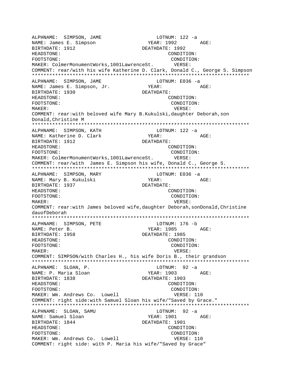ALPHNAME: SIMPSON, JAME LOTNUM: 122 -a NAME: James E. Simpson BIRTHDATE: 1912 DEATHDATE: 1992 HEADSTONE: CONDITION: FOOTSTONE:  $\text{COMDITION:}$ MAKER: ColmerMonumentWorks,1001LawrenceSt. VERSE: COMMENT: rear/with his wife Katherine D. Clark, Donald C., George S. Simpson \*\*\*\*\*\*\*\*\*\*\*\*\*\*\*\*\*\*\*\*\*\*\*\*\*\*\*\*\*\*\*\*\*\*\*\*\*\*\*\*\*\*\*\*\*\*\*\*\*\*\*\*\*\*\*\*\*\*\*\*\*\*\*\*\*\*\*\*\*\*\*\*\*\*\* ALPHNAME: SIMPSON, JAME LOTNUM: E036 -a NAME: James E. Simpson, Jr. YEAR: YEAR: AGE: BIRTHDATE: 1930 DEATHDATE: HEADSTONE: CONDITION: FOOTSTONE: CONDITION: MAKER: VERSE: COMMENT: rear:with beloved wife Mary B.Kukulski,daughter Deborah,son Donald,Christine M \*\*\*\*\*\*\*\*\*\*\*\*\*\*\*\*\*\*\*\*\*\*\*\*\*\*\*\*\*\*\*\*\*\*\*\*\*\*\*\*\*\*\*\*\*\*\*\*\*\*\*\*\*\*\*\*\*\*\*\*\*\*\*\*\*\*\*\*\*\*\*\*\*\*\* ALPHNAME: SIMPSON, KATH LOTNUM: 122 -a NAME: Katherine D. Clark YEAR: YEAR: AGE: BIRTHDATE: 1912 DEATHDATE: HEADSTONE: CONDITION: FOOTSTONE: CONDITION: MAKER: ColmerMonumentWorks,1001LawrenceSt. VERSE: COMMENT: rear/with James E. Simpson his wife, Donald C., George S. \*\*\*\*\*\*\*\*\*\*\*\*\*\*\*\*\*\*\*\*\*\*\*\*\*\*\*\*\*\*\*\*\*\*\*\*\*\*\*\*\*\*\*\*\*\*\*\*\*\*\*\*\*\*\*\*\*\*\*\*\*\*\*\*\*\*\*\*\*\*\*\*\*\*\* ALPHNAME: SIMPSON, MARY LOTNUM: E036 -a NAME: Mary B. Kukulski YEAR: AGE: BIRTHDATE: 1937 DEATHDATE: HEADSTONE: CONDITION: FOOTSTONE: CONDITION: MAKER: VERSE: COMMENT: rear:with James beloved wife,daughter Deborah,sonDonald,Christine dauofDeborah \*\*\*\*\*\*\*\*\*\*\*\*\*\*\*\*\*\*\*\*\*\*\*\*\*\*\*\*\*\*\*\*\*\*\*\*\*\*\*\*\*\*\*\*\*\*\*\*\*\*\*\*\*\*\*\*\*\*\*\*\*\*\*\*\*\*\*\*\*\*\*\*\*\*\* ALPHNAME: SIMPSON, PETE LOTNUM: 176 -b NAME: Peter B. The Magnus of the MEAR: 1985 AGE: BIRTHDATE: 1958 DEATHDATE: 1985 HEADSTONE: CONDITION: FOOTSTONE: CONDITION: MAKER: VERSE: COMMENT: SIMPSON/with Charles H., his wife Doris B., their grandson \*\*\*\*\*\*\*\*\*\*\*\*\*\*\*\*\*\*\*\*\*\*\*\*\*\*\*\*\*\*\*\*\*\*\*\*\*\*\*\*\*\*\*\*\*\*\*\*\*\*\*\*\*\*\*\*\*\*\*\*\*\*\*\*\*\*\*\*\*\*\*\*\*\*\* ALPHNAME: SLOAN, P. LOTNUM: 92 -a NAME: P. Maria Sloan YEAR: 1903 AGE: BIRTHDATE: 1838 DEATHDATE: 1903 HEADSTONE: CONDITION: FOOTSTONE: CONDITION: MAKER: Wm. Andrews Co. Lowell VERSE: 110 COMMENT: right side:with Samuel Sloan his wife/"Saved by Grace." \*\*\*\*\*\*\*\*\*\*\*\*\*\*\*\*\*\*\*\*\*\*\*\*\*\*\*\*\*\*\*\*\*\*\*\*\*\*\*\*\*\*\*\*\*\*\*\*\*\*\*\*\*\*\*\*\*\*\*\*\*\*\*\*\*\*\*\*\*\*\*\*\*\*\* ALPHNAME: SLOAN, SAMU LOTNUM: 92 -a NAME: Samuel Sloan YEAR: 1901 AGE: BIRTHDATE: 1844 DEATHDATE: 1901 HEADSTONE: CONDITION: FOOTSTONE: CONDITION: MAKER: Wm. Andrews Co. Lowell VERSE: 110 COMMENT: right side: with P. Maria his wife/"Saved by Grace"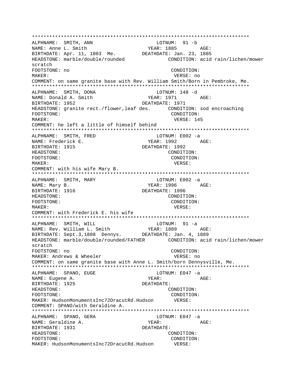ALPHNAME: SMITH, ANN LOTNUM: 91 -b YEAR: 1885 AGE: NAME: Anne L. Smith NAME. ANNE D. SALLIN<br>BIRTHDATE: Apr. 11, 1803 Me. DEATHDATE: Jan. 23, 1885 HEADSTONE: marble/double/rounded CONDITION: acid rain/lichen/mower scratch FOOTSTONE: no CONDITION: MAKER: VERSE: no COMMENT: on same granite base with Rev. William Smith/Born in Pembroke, Me. ALPHNAME: SMITH, DONA LOTNUM: 148 -d NAME: Donald A. Smith YEAR: 1971 AGE: BIRTHDATE: 1952 DEATHDATE: 1971 HEADSTONE: granite rect./flower, leaf des. CONDITION: sod encroaching FOOTSTONE: CONDITION: VERSE: 145 MAKER: COMMENT: he left a little of himself behind ALPHNAME: SMITH, FRED LOTNUM: E002 -a YEAR: 1992 AGE: NAME: Frederick E. DEATHDATE: 1992 BIRTHDATE: 1915 HEADSTONE: CONDITION: FOOTSTONE: CONDITION: MAKER: VERSE: COMMENT: with his wife Mary B. ALPHNAME: SMITH, MARY LOTNUM: E002 -a NAME: Mary B. YEAR: 1996 AGE: BIRTHDATE: 1916 DEATHDATE: 1996 HEADSTONE: CONDITION: FOOTSTONE: CONDITION: MAKER: VERSE: COMMENT: with Frederick E. his wife LOTNUM: 91 -a ALPHNAME: SMITH, WILL NAME: Rev. William L. Smith YEAR: 1889 AGE: BIRTHDATE: Sept.3,1808 Dennys. DEATHDATE: Jan. 4, 1889 HEADSTONE: marble/double/rounded/FATHER CONDITION: acid rain/lichen/mower scratch FOOTSTONE: no CONDITION: MAKER: Andrews & Wheeler VERSE: no COMMENT: on same granite base with Anne L. Smith/born Dennysville, Me. ALPHNAME: SPANO, EUGE LOTNUM:  $E047 -a$ NAME: Eugene A. YEAR: AGE: BIRTHDATE: 1925 DEATHDATE: HEADSTONE: CONDITION: CONDITION: FOOTSTONE: MAKER: HudsonMonumentsInc72DracutRd.Hudson VERSE: COMMENT: SPANO/with Geraldine A. ALPHNAME: SPANO, GERA LOTNUM: E047 -a NAME: Geraldine A. YEAR: AGE: BIRTHDATE: 1931 DEATHDATE: HEADSTONE: CONDITION: FOOTSTONE: CONDITION: MAKER: HudsonMonumentsInc72DracutRd.Hudson VERSE: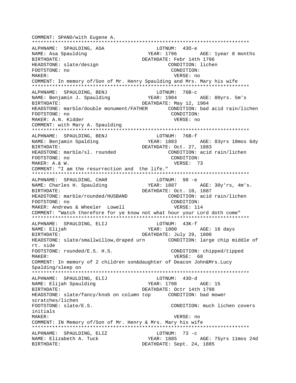COMMENT: SPANO/with Eugene A. ALPHNAME: SPAULDING, ASA LOTNUM: 430-e YEAR: 1796 AGE: 1year 8 months NAME: Asa Spaulding BIRTHDATE: DEATHDATE: Febr 14th 1796 HEADSTONE: slate/design CONDITION: lichen CONDITION: FOOTSTONE: no MAKER: VERSE: no COMMENT: In memory of/Son of Mr. Henry Spaulding and Mrs. Mary his wife ALPHNAME: SPAULDING, BENJ LOTNUM: 76B-c NAME: Benjamin J. Spaulding YEAR: 1904 AGE: 80yrs. 5m's BIRTHDATE: DEATHDATE: May 12, 1904 HEADSTONE: marble/double monument/FATHER CONDITION: bad acid rain/lichen FOOTSTONE: no CONDITION: MAKER: A.N. Kidder VERSE: no COMMENT: with Mary A. Spaulding ALPHNAME: SPAULDING, BENJ LOTNUM: 76B-f YEAR: 1883 AGE: 83yrs 10mos 6dy NAME: Benjamin Spalding DEATHDATE: Oct. 27, 1883 BIRTHDATE: HEADSTONE: marble/sl. rounded CONDITION: acid rain/lichen FOOTSTONE: no CONDITION: VERSE: 73 MAKER: A.& W. COMMENT: "I am the resurrection and the life." ALPHNAME: SPAULDING, CHAR LOTNUM: 98 -e YEAR: 1887 AGE: 30y'rs, 4m's. NAME: Charles H. Spaulding BIRTHDATE: DEATHDATE: Oct. 10, 1887 HEADSTONE: marble/rounded/HUSBAND CONDITION: acid rain/lichen FOOTSTONE: no CONDITION: MAKER: Andrews & Wheeler Lowell VERSE: 114 COMMENT: "Watch therefore for ye know not what hour your Lord doth come" LOTNUM: 43K-f ALPHNAME: SPAULDING, ELIJ **YEAR: 1800** NAME: Elijah AGE: 16 days DEATHDATE: July 29, 1800 BIRTHDATE: HEADSTONE: slate/smallwillow, draped urn CONDITION: large chip middle of abia tr FOOTSTONE: rounded/E.S. H.S. CONDITION: chipped/tipped MAKER: VERSE: 68 COMMENT: In memory of 2 children son&daughter of Deacon John&Mrs.Lucy Spalding/sleep on ALPHNAME: SPAULDING, ELIJ LOTNUM: 430-d NAME: Elijah Spaulding YEAR: 1798 AGE: 15 DEATHDATE: Octr 14th 1798 BIRTHDATE: HEADSTONE: slate/fancy/knob on column top CONDITION: bad mower scratches/lichen FOOTSTONE: slate/E.S. CONDITION: much lichen covers initials MAKER: VERSE: no COMMENT: IN Memory of/Son of Mr. Henry & Mrs. Mary his wife ALPHNAME: SPAULDING, ELIZ LOTNUM: 73 -c YEAR: 1885 AGE: 75yrs 11mos 24d NAME: Elizabeth A. Tuck BIRTHDATE: DEATHDATE: Sept. 24, 1885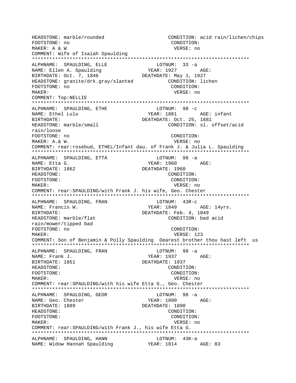HEADSTONE: marble/rounded CONDITION: acid rain/lichen/chips FOOTSTONE: no CONDITION: MAKER: A & W VERSE: no COMMENT: Wife of Isaiah Spaulding ALPHNAME: SPAULDING, ELLE LOTNUM: 33 -a NAME: Ellen A. Spaulding AGE: BIRTHDATE: Oct. 7, 1846 DEATHDATE: May 1, 1927 CONDITION: lichen HEADSTONE: granite/drk.gray/slanted FOOTSTONE: no CONDITION: MAKER: VERSE: no COMMENT: Top:NELLIE ALPHNAME: SPAULDING, ETHE LOTNUM: 98 -c NAME: Ethel Lulu YEAR: 1881 AGE: infant DEATHDATE: Oct. 25, 1881 BIRTHDATE: HEADSTONE: marble/small CONDITION: sl. offset/acid rain/loose FOOTSTONE: no CONDITION: MAKER: A. & W. VERSE: no COMMENT: rear: rosebud, ETHEL/Infant dau. of Frank J. & Julia L. Spaulding LOTNUM: 98 -a ALPHNAME: SPAULDING, ETTA NAME: Etta G.  $YEAR: 1960$   $AGE:$ BIRTHDATE: 1862 DEATHDATE: 1960 HEADSTONE: CONDITION: FOOTSTONE: CONDITION:  $M\Delta KFR$ : VERSE: no COMMENT: rear: SPAULDING/with Frank J. his wife, Geo. Chester  $LOTNUM: 43R-c$ ALPHNAME: SPAULDING, FRAN YEAR: 1849 NAME: Francis W. AGE: 14yrs. DEATHDATE: Feb. 4, 1849 BIRTHDATE: HEADSTONE: marble/flat CONDITION: bad acid rain/mower/tipped bad FOOTSTONE: no CONDITION: MAKER: VERSE: 123 COMMENT: Son of Benjamin & Polly Spaulding Dearest brother thou hast left us ALPHNAME: SPAULDING, FRAN LOTNUM: 98 -a YEAR: 1937 AGE: NAME: Frank J. DEATHDATE: 1937 BIRTHDATE: 1851 HEADSTONE: CONDITION: FOOTSTONE: CONDITION: MAKER: VERSE: no COMMENT: rear: SPAULDING/with his wife Etta G., Geo. Chester ALPHNAME: SPAULDING, GEOR  $LOTNUM: 98 -a$ **YEAR: 1890** NAME: Geo. Chester AGE: DEATHDATE: 1890 BIRTHDATE: 1889 HEADSTONE: CONDITION: FOOTSTONE: CONDITION: MAKER: VERSE: no COMMENT: rear: SPAULDING/with Frank J., his wife Etta G. ALPHNAME: SPAULDING, HANN LOTNUM: 43K-a NAME: Widow Hannah Spaulding (PEAR: 1814 AGE: 83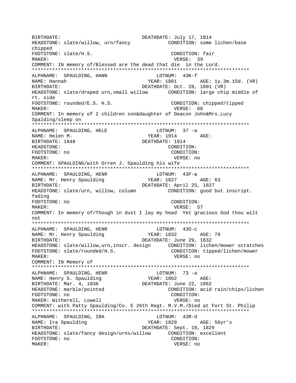DEATHDATE: July 17, 1814 RIRTHDATE: CONDITION: some lichen/base HEADSTONE: slate/willow, urn/fancy chipped FOOTSTONE: slate/H.S. CONDITION: fair MAKER: VERSE: 39 COMMENT: IN memory of/Blessed are the dead that die in the Lord. ALPHNAME: SPAULDING, HANN  $LOTNUM: 43K-f$ NAME: Hannah YEAR: 1801 AGE: 1y.3m.15d. (VR) DEATHDATE: Oct. 28, 1801 (VR) BIRTHDATE: HEADSTONE: slate/draped urn, small willow CONDITION: large chip middle of nt side FOOTSTONE: rounded/E.S. H.S. CONDITION: chipped/tipped MAKER: VERSE: 68 COMMENT: In memory of 2 children son&daughter of Deacon John&Mrs.Lucy Spalding/sleep on ALPHNAME: SPAULDING, HELE  $LOTNUM: 37 -a$ NAME: Helen M. DEATHDATE: 1914 BIRTHDATE: 1848 HEADSTONE: CONDITION: FOOTSTONE: no CONDITION: MAKER: VERSE: no COMMENT: SPAULDING/with Orren J. Spaulding his wife LOTNUM: 43F-a ALPHNAME: SPAULDING, HENR YEAR: 1827 NAME: Mr. Henry Spaulding AGE: 63 DEATHDATE: April 25, 1827 BIRTHDATE: CONDITION: good but inscript. HEADSTONE: slate/urn, willow, column fading CONDITION: FOOTSTONE: no VERSE: 57 MAKER: COMMENT: In memory of/Though in dust I lay my head Yet gracious God thou wilt not ALPHNAME: SPAULDING, HENR  $LOTNUM: 430-c$ NAME: Mr. Henry Spaulding YEAR: 1832 AGE: 79 DEATHDATE: June 29, 1832 BIRTHDATE: HEADSTONE: slate/willow, urn, inscr. design CONDITION: lichen/mower scratches FOOTSTONE: slate/rounded/H.S. CONDITION: tipped/lichen/mower MAKER: VERSE: no COMMENT: IN Memory of LOTNUM:  $73 - a$ ALPHNAME: SPAULDING, HENR NAME: Henry S. Spaulding DEATHDATE: June 22, 1862 BIRTHDATE: Mar. 4, 1836 HEADSTONE: marble/pointed CONDITION: acid rain/chips/lichen FOOTSTONE: no CONDITION: MAKER: Witherell, Lowell VERSE: no COMMENT: with Patty Spaulding/Co. E 26th Regt. M.V.M./Died at Fort St. Philip ALPHNAME: SPAULDING, IRA LOTNUM: 43R-d YEAR: 1829 NAME: Ira Spaulding AGE: 56yr's BIRTHDATE: DEATHDATE: Sept. 18, 1829 HEADSTONE: slate/fancy design/urns/willow CONDITION: excellent FOOTSTONE: no CONDITION: MAKER: VERSE: no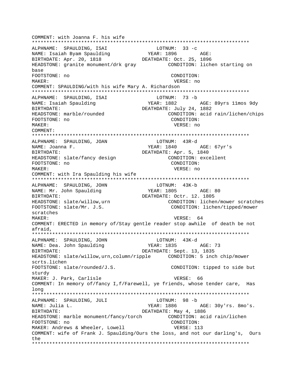COMMENT: with Joanna F. his wife ALPHNAME: SPAULDING, ISAI LOTNUM:  $33 - c$ ALPHNAME. JERUSLE<br>NAME: Isaiah Byam Spaulding YEAR: 1896 AGE: BIRTHDATE: Apr. 20, 1818 DEATHDATE: Oct. 25, 1896 HEADSTONE: granite monument/drk gray CONDITION: lichen starting on base FOOTSTONE: no CONDITION: MAKER: VERSE: no COMMENT: SPAULDING/with his wife Mary A. Richardson ALPHNAME: SPAULDING, ISAI LOTNUM: 73 -b NAME: Isaiah Spaulding YEAR: 1882 AGE: 89yrs 11mos 9dy **BIRTHDATE:** DEATHDATE: July 24, 1882 CONDITION: acid rain/lichen/chips HEADSTONE: marble/rounded CONDITION: FOOTSTONE: no MAKER: VERSE: no COMMENT: LOTNUM: 43R-d ALPHNAME: SPAULDING, JOAN YEAR: 1840 AGE: 67yr's NAME: Joanna F. BIRTHDATE: DEATHDATE: Apr. 5, 1840 HEADSTONE: slate/fancy design CONDITION: excellent FOOTSTONE: no CONDITION: MAKER: VERSE: no COMMENT: with Ira Spaulding his wife ALPHNAME: SPAULDING, JOHN LOTNUM: 43K-b **YEAR: 1805** NAME: Mr. John Spaulding AGE: 80 DEATHDATE: Octr. 12. 1805 BIRTHDATE: HEADSTONE: slate/willow, urn CONDITION: lichen/mower scratches FOOTSTONE: slate/Mr. J.S. CONDITION: lichen/tipped/mower scratches VERSE: 64 MAKER: COMMENT: ERECTED in memory of/Stay gentle reader stop awhile of death be not afraid, ALPHNAME: SPAULDING, JOHN LOTNUM: 43K-d YEAR: 1835 AGE: 73 NAME: Dea. John Spaulding BIRTHDATE: DEATHDATE: Sept. 13, 1835 scrts.lichen  $FOOTSTONE: \; slide/rounded/J.S.$ CONDITION: tipped to side but sturdy MAKER: J. Park, Carlisle VERSE: 66 COMMENT: In memory of/fancy I, f/Farewell, ye friends, whose tender care, Has long LOTNUM: 98 -b ALPHNAME: SPAULDING, JULI YEAR: 1886 NAME: Julia L. AGE: 30y'rs. 8mo's. DEATHDATE: May 4, 1886 BIRTHDATE: HEADSTONE: marble monument/fancy/torch CONDITION: acid rain/lichen CONDITION: FOOTSTONE: no MAKER: Andrews & Wheeler, Lowell VERSE: 113 COMMENT: wife of Frank J. Spaulding/Ours the loss, and not our darling's, Ours the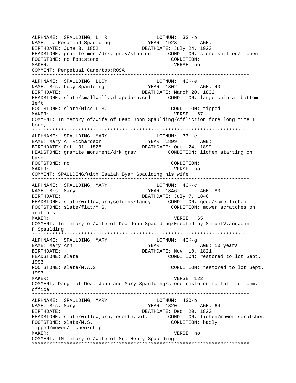ALPHNAME: SPAULDING, L. R LOTNUM: 33 -b NAME: L. Rosamond Spaulding (YEAR: 1923 AGE: BIRTHDATE: June 3, 1852 DEATHDATE: July 24, 1923 HEADSTONE: granite mon./drk. gray/slanted CONDITION: stone shifted/lichen FOOTSTONE: no footstone CONDITION: MAKER: VERSE: no COMMENT: Perpetual Care/top:ROSA \*\*\*\*\*\*\*\*\*\*\*\*\*\*\*\*\*\*\*\*\*\*\*\*\*\*\*\*\*\*\*\*\*\*\*\*\*\*\*\*\*\*\*\*\*\*\*\*\*\*\*\*\*\*\*\*\*\*\*\*\*\*\*\*\*\*\*\*\*\*\*\*\*\*\* ALPHNAME: SPAULDING, LUCY LOTNUM: 43K-e NAME: Mrs. Lucy Spaulding Tear: 1802 AGE: 40 BIRTHDATE: DEATHDATE: March 20, 1802 HEADSTONE: slate/smallwill.,drapedurn,col CONDITION: large chip at bottom left FOOTSTONE: slate/Miss L.S. CONDITION: tipped MAKER: VERSE: 67 COMMENT: In Memory of/wife of Deac John Spaulding/Affliction fore long time I bore, \*\*\*\*\*\*\*\*\*\*\*\*\*\*\*\*\*\*\*\*\*\*\*\*\*\*\*\*\*\*\*\*\*\*\*\*\*\*\*\*\*\*\*\*\*\*\*\*\*\*\*\*\*\*\*\*\*\*\*\*\*\*\*\*\*\*\*\*\*\*\*\*\*\*\* ALPHNAME: SPAULDING, MARY LOTNUM: 33 -C<br>
NAME: Mary A. Richardson (YEAR: 1899) NAME: Mary A. Richardson YEAR: 1899 AGE: BIRTHDATE: Oct. 31, 1825 DEATHDATE: Oct. 24, 1899 HEADSTONE: granite monument/drk gray CONDITION: lichen starting on base FOOTSTONE: no CONDITION: MAKER: VERSE: no COMMENT: SPAULDING/with Isaiah Byam Spaulding his wife \*\*\*\*\*\*\*\*\*\*\*\*\*\*\*\*\*\*\*\*\*\*\*\*\*\*\*\*\*\*\*\*\*\*\*\*\*\*\*\*\*\*\*\*\*\*\*\*\*\*\*\*\*\*\*\*\*\*\*\*\*\*\*\*\*\*\*\*\*\*\*\*\*\*\* ALPHNAME: SPAULDING, MARY LOTNUM: 43K-C NAME: Mrs. Mary Chamber 2018 MEAR: 1846 AGE: 80 BIRTHDATE: DEATHDATE: July 7, 1846 HEADSTONE: slate/willow,urn,columns/fancy CONDITION: good/some lichen FOOTSTONE: slate/flat/M.S. CONDITION: mower scratches on initials MAKER: VERSE: 65 COMMENT: In memory of/Wife of Dea.John Spaulding/Erected by SamuelV.andJohn F.Spaulding \*\*\*\*\*\*\*\*\*\*\*\*\*\*\*\*\*\*\*\*\*\*\*\*\*\*\*\*\*\*\*\*\*\*\*\*\*\*\*\*\*\*\*\*\*\*\*\*\*\*\*\*\*\*\*\*\*\*\*\*\*\*\*\*\*\*\*\*\*\*\*\*\*\*\* ALPHNAME: SPAULDING, MARY LOTNUM: 43K-g NAME: Mary Ann Santa Communications of the Mary Ages of the Mary Ages of the Mary Ages of the Mary Ages of the Mary Ages of the Mary Ages of the Mary Ages of the Mary Ages of the Mary Ages of the Mary Ages of the Mary Ages BIRTHDATE: NOV. 10, 1821 HEADSTONE: slate CONDITION: restored to lot Sept. 1993 FOOTSTONE: slate/M.A.S. CONDITION: restored to lot Sept. 1993 MAKER: VERSE: 122 COMMENT: Daug. of Dea. John and Mary Spaulding/stone restored to lot from cem. office \*\*\*\*\*\*\*\*\*\*\*\*\*\*\*\*\*\*\*\*\*\*\*\*\*\*\*\*\*\*\*\*\*\*\*\*\*\*\*\*\*\*\*\*\*\*\*\*\*\*\*\*\*\*\*\*\*\*\*\*\*\*\*\*\*\*\*\*\*\*\*\*\*\*\* ALPHNAME: SPAULDING, MARY NAME: Mrs. Mary **YEAR: 1820** AGE: 64 BIRTHDATE: Dec. 20, 1820 HEADSTONE: slate/willow,urn,rosette,col. CONDITION: lichen/mower scratches FOOTSTONE: slate/M.S. CONDITION: badly tipped/mower/lichen/chip MAKER: VERSE: no COMMENT: IN memory of/wife of Mr. Henry Spaulding \*\*\*\*\*\*\*\*\*\*\*\*\*\*\*\*\*\*\*\*\*\*\*\*\*\*\*\*\*\*\*\*\*\*\*\*\*\*\*\*\*\*\*\*\*\*\*\*\*\*\*\*\*\*\*\*\*\*\*\*\*\*\*\*\*\*\*\*\*\*\*\*\*\*\*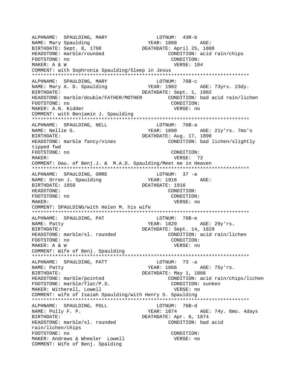ALPHNAME: SPAULDING, MARY LOTNUM: 43R-b NAME: Mary Spaulding BIRTHDATE: Sept. 8, 1798 **DEATHDATE: April 25, 1888** HEADSTONE: marble/rounded CONDITION: acid rain/chips FOOTSTONE: no CONDITION: MAKER: A & W VERSE: 104 COMMENT: with Sophronia Spaulding/Sleep in Jesus \*\*\*\*\*\*\*\*\*\*\*\*\*\*\*\*\*\*\*\*\*\*\*\*\*\*\*\*\*\*\*\*\*\*\*\*\*\*\*\*\*\*\*\*\*\*\*\*\*\*\*\*\*\*\*\*\*\*\*\*\*\*\*\*\*\*\*\*\*\*\*\*\*\*\* ALPHNAME: SPAULDING, MARY NAME: Mary A. D. Spaulding YEAR: 1902 AGE: 73yrs. 23dy. BIRTHDATE: 1, 1902 HEADSTONE: marble/double/FATHER/MOTHER CONDITION: bad acid rain/lichen FOOTSTONE: no CONDITION: MAKER: A.N. Kidder VERSE: no COMMENT: with Benjamin J. Spaulding \*\*\*\*\*\*\*\*\*\*\*\*\*\*\*\*\*\*\*\*\*\*\*\*\*\*\*\*\*\*\*\*\*\*\*\*\*\*\*\*\*\*\*\*\*\*\*\*\*\*\*\*\*\*\*\*\*\*\*\*\*\*\*\*\*\*\*\*\*\*\*\*\*\*\* ALPHNAME: SPAULDING, NELL NAME: Nellie G. YEAR: 1890 AGE: 21y'rs. 7mo's BIRTHDATE: DEATHDATE: Aug. 17, 1890 HEADSTONE: marble fancy/vines CONDITION: bad lichen/slightly tipped fwd FOOTSTONE: no CONDITION: MAKER: 72 COMMENT: Dau. of Benj.J. & M.A.D. Spaulding/Meet me in Heaven \*\*\*\*\*\*\*\*\*\*\*\*\*\*\*\*\*\*\*\*\*\*\*\*\*\*\*\*\*\*\*\*\*\*\*\*\*\*\*\*\*\*\*\*\*\*\*\*\*\*\*\*\*\*\*\*\*\*\*\*\*\*\*\*\*\*\*\*\*\*\*\*\*\*\* ALPHNAME: SPAULDING, ORRE LOTNUM: 37 -a NAME: Orren J. Spaulding Tear: 1916 AGE: BIRTHDATE: 1850 DEATHDATE: 1916 HEADSTONE: CONDITION: FOOTSTONE: no CONDITION: MAKER: VERSE: no COMMENT: SPAULDING/with Helen M. his wife \*\*\*\*\*\*\*\*\*\*\*\*\*\*\*\*\*\*\*\*\*\*\*\*\*\*\*\*\*\*\*\*\*\*\*\*\*\*\*\*\*\*\*\*\*\*\*\*\*\*\*\*\*\*\*\*\*\*\*\*\*\*\*\*\*\*\*\*\*\*\*\*\*\*\* ALPHNAME: SPAULDING, PAT LOTNUM: 76B-e NAME: Patty Charles Agents Agents: 1829 AGE: 29y'rs. BIRTHDATE: DEATHDATE: Sept. 14, 1829 HEADSTONE: marble/sl. rounded  $\begin{array}{ccc} & \text{COMDITION: acid rain/lichen} \\ \text{FOOTSTONE: no} & & \text{COMDITION:} \end{array}$ FOOTSTONE: no MAKER: A & W VERSE: no COMMENT: Wife of Benj. Spaulding \*\*\*\*\*\*\*\*\*\*\*\*\*\*\*\*\*\*\*\*\*\*\*\*\*\*\*\*\*\*\*\*\*\*\*\*\*\*\*\*\*\*\*\*\*\*\*\*\*\*\*\*\*\*\*\*\*\*\*\*\*\*\*\*\*\*\*\*\*\*\*\*\*\*\* ALPHNAME: SPAULDING, PATT LOTNUM: 73 -a NAME: Patty **YEAR: 1866** AGE: 75y'rs. BIRTHDATE: Nay 1, 1866 HEADSTONE: marble/pointed CONDITION: acid rain/chips/lichen FOOTSTONE: marble/flat/P.S. CONDITION: sunken MAKER: Witherell, Lowell **VERSE:** no COMMENT: wife of Isaiah Spaulding/with Henry S. Spaulding \*\*\*\*\*\*\*\*\*\*\*\*\*\*\*\*\*\*\*\*\*\*\*\*\*\*\*\*\*\*\*\*\*\*\*\*\*\*\*\*\*\*\*\*\*\*\*\*\*\*\*\*\*\*\*\*\*\*\*\*\*\*\*\*\*\*\*\*\*\*\*\*\*\*\* ALPHNAME: SPAULDING, POLL LOTNUM: 76B-d NAME: Polly F. P. (2008) STAR: 1874 AGE: 74y. 8mo. 4days BIRTHDATE:  $DEATHDATE:$  DEATHDATE: Apr. 6, 1874 HEADSTONE: marble/sl. rounded CONDITION: bad acid rain/lichen/chips FOOTSTONE: no CONDITION: MAKER: Andrews & Wheeler Lowell VERSE: no COMMENT: Wife of Benj. Spalding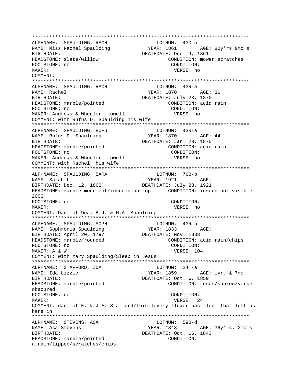ALPHNAME: SPAULDING, RACH  $LOTNUM: 430-a$ YEAR: 1861 AGE: 80y'rs 9mo's NAME: Miss Rachel Spaulding DEATHDATE: Dec. 9, 1861 BIRTHDATE: HEADSTONE: slate/willow CONDITION: mower scratches FOOTSTONE: no CONDITION: MAKER: VERSE: no COMMENT: ALPHNAME: SPAULDING, RACH  $LOTNUM: 43R-a$ NAME: Rachel BIRTHDATE: DEATHDATE: July 23, 1870 HEADSTONE: marble/pointed CONDITION: acid rain FOOTSTONE: no CONDITION: MAKER: Andrews & Wheeler Lowell VERSE: no COMMENT: with Rufus D. Spaulding his wife ALPHNAME: SPAULDING, RUFU LOTNUM: 43R-a YEAR: 1870 AGE: 44 NAME: Rufus D. Spaulding BIRTHDATE: DEATHDATE: Jan. 23, 1870 HEADSTONE: marble/pointed CONDITION: acid rain FOOTSTONE: no CONDITION: MAKER: Andrews & Wheeler Lowell VERSE: no COMMENT: with Rachel, his wife ALPHNAME: SPAULDING, SARA LOTNUM: 76B-b NAME: Sarah L.  $YEAR: 1921$   $AGE:$ BIRTHDATE: Dec. 12, 1862 DEATHDATE: July 23, 1921  $2003$ FOOTSTONE: no CONDITION: MAKER: VERSE: no COMMENT: Dau. of Dea. B.J. & M.A. Spaulding LOTNUM: 43R-b ALPHNAME: SPAULDING, SOPH YEAR: 1833 AGE: NAME: Sophronia Spaulding DEATHDATE: Nov. 1833 BIRTHDATE: April 20, 1797 HEADSTONE: marble/rounded CONDITION: acid rain/chips FOOTSTONE: no CONDITION: VERSE: 104 MAKER: A & W COMMENT: with Mary Spaulding/Sleep in Jesus \*\*\*\*\*\*\*\*\*\*\*\*\*\*\*\*\*\* ALPHNAME: STAFFORD, IDA  $LOTNUM: 24 -a$ YEAR: 1859 AGE: 1yr. & 7mo. NAME: Ida Lizzie BIRTHDATE: DEATHDATE: Oct. 6, 1859 HEADSTONE: marble/pointed CONDITION: reset/sunken/verse obscured FOOTSTONE: no CONDITION: MAKER: VERSE: 24 COMMENT: dau. of E. & J.A. Stafford/This lovely flower has fled that left us here in LOTNUM: 59B-d ALPHNAME: STEVENS, ASA NAME: Asa Stevens YEAR: 1843 AGE: 36y'rs. 2mo's BIRTHDATE: DEATHDATE: Oct. 16, 1843 HEADSTONE: marble/pointed CONDITION: a.rain/tipped/scratches/chips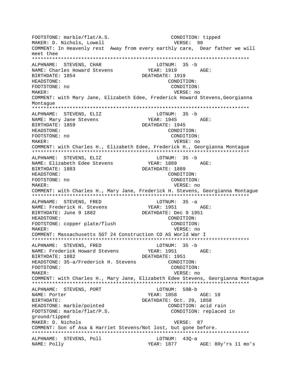FOOTSTONE: marble/flat/A.S. CONDITION: tipped MAKER: D. Nichols, Lowell VERSE: 90 COMMENT: In Heavenly rest Away from every earthly care, Dear father we will meet thee ALPHNAME: STEVENS, CHAR LOTNUM: 35 -b YEAR: 1919 NAME: Charles Howard Stevens AGE: BIRTHDATE: 1854 DEATHDATE: 1919 HEADSTONE: CONDITION: FOOTSTONE: no CONDITION: MAKER: VERSE: no COMMENT: with Mary Jane, Elizabeth Edee, Frederick Howard Stevens, Georgianna Montague ALPHNAME: STEVENS, ELIZ LOTNUM: 35 -b YEAR: 1945 AGE: NAME: Mary Jane Stevens BIRTHDATE: 1859 DEATHDATE: 1945 HEADSTONE: CONDITION: FOOTSTONE: no CONDITION: MAKER: VERSE: no COMMENT: with Charles H., Elizabeth Edee, Frederick H., Georgianna Montague ALPHNAME: STEVENS, ELIZ LOTNUM: 35 -b YEAR: 1889 AGE: NAME: Elizabeth Edee Stevens BIRTHDATE: 1883 DEATHDATE: 1889 CONDITION: HEADSTONE: FOOTSTONE: no CONDITION: MAKER: VERSE: no COMMENT: with Charles H., Mary Jane, Frederick H. Stevens, Georgianna Montague ALPHNAME: STEVENS, FRED  $LOTNUM: 35 -a$ YEAR: 1951 AGE: NAME: Frederick H. Stevens DEATHDATE: Dec 9 1951 BIRTHDATE: June 9 1882 HEADSTONE: CONDITION: FOOTSTONE: copper plate/flush CONDITION: MAKER: VERSE: no COMMENT: Massachusetts SGT 24 Construction CO AS World War I ALPHNAME: STEVENS, FRED LOTNUM: 35 -b YEAR: 1951 NAME: Frederick Howard Stevens AGE: BIRTHDATE: 1882 DEATHDATE: 1951 HEADSTONE: 35-a/Frederick H. Stevens CONDITION: FOOTSTONE: CONDITION: MAKER: VERSE: no COMMENT: with Charles H., Mary Jane, Elizabeth Edee Stevens, Georgianna Montague ALPHNAME: STEVENS, PORT LOTNUM: 59B-b NAME: Porter YEAR: 1858 AGE: 18 **BIRTHDATE:** DEATHDATE: Oct. 29, 1858 HEADSTONE: marble/pointed CONDITION: acid rain FOOTSTONE: marble/flat/P.S. CONDITION: replaced in ground/tipped MAKER: D. Nichols VERSE: 87 COMMENT: Son of Asa & Harriet Stevens/Not lost, but gone before. LOTNUM: 430-a ALPHNAME: STEVENS, Poll YEAR: 1877 AGE: 80y'rs 11 mo's NAME: Polly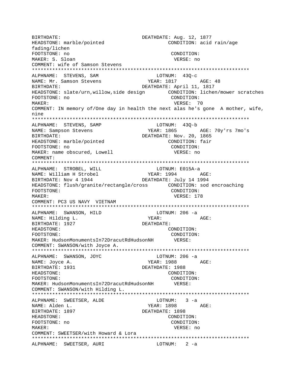BIRTHDATE: DEATHDATE: Aug. 12, 1877 HEADSTONE: marble/pointed CONDITION: acid rain/age fading/lichen FOOTSTONE: no CONDITION: MAKER: S. Sloan VERSE: no COMMENT: wife of Samson Stevens ALPHNAME: STEVENS, SAM LOTNUM: 430-c YEAR: 1817 NAME: Mr. Samson Stevens AGE: 48 BIRTHDATE: DEATHDATE: April 11, 1817 CONDITION: lichen/mower scratches HEADSTONE: slate/urn, willow, side design CONDITION: FOOTSTONE: no VERSE: 70 MAKER: COMMENT: IN memory of/One day in health the next alas he's gone A mother, wife, nine ALPHNAME: STEVENS, SAMP LOTNUM: 43Q-b YEAR: 1865 AGE: 70y'rs 7mo's NAME: Sampson Stevens BIRTHDATE: DEATHDATE: Nov. 20, 1865 HEADSTONE: marble/pointed CONDITION: fair CONDITION: FOOTSTONE: no MAKER: name obscured, Lowell VERSE: no COMMENT: ALPHNAME: STROBEL, WILL LOTNUM: E015A-a YEAR: 1994 AGE: NAME: William H Strobel BIRTHDATE: Nov 4 1944 DEATHDATE: July 14 1994 HEADSTONE: flush/granite/rectangle/cross CONDITION: sod encroaching FOOTSTONE: CONDITION: VERSE: 178 MAKER: COMMENT: PC3 US NAVY VIETNAM LOTNUM:  $206 -a$ ALPHNAME: SWANSON, HILD YEAR: NAME: Hilding L. AGE: BIRTHDATE: 1927 DEATHDATE: HEADSTONE: CONDITION: FOOTSTONE: CONDITION: MAKER: HudsonMonumentsIn72DracutRdHudsonNH VERSE: COMMENT: SWANSON/with Joyce A. ALPHNAME: SWANSON, JOYC LOTNUM: 206 -a YEAR: 1988 AGE:<br>DEATHDATE: 1988 NAME: Joyce A. BIRTHDATE: 1931 HEADSTONE: CONDITION: FOOTSTONE: CONDITION: MAKER: HudsonMonumentsIn72DracutRdHudsonNH VERSE: COMMENT: SWANSON/with Hilding L. ALPHNAME: SWEETSER, ALDE  $LOTNUM: 3 -a$ YEAR: 1898 AGE: NAME: Alden L. BIRTHDATE: 1897 DEATHDATE: 1898 CONDITION: HEADSTONE: FOOTSTONE: no CONDITION: MAKER: VERSE: no COMMENT: SWEETSER/with Howard & Lora ALPHNAME: SWEETSER, AURI  $LOTNUM: 2 -a$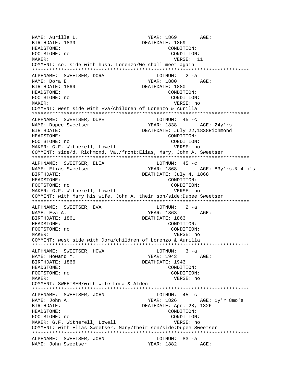YEAR: 1869 AGE: NAME: Aurilla L. BIRTHDATE: 1839 DEATHDATE: 1869 HEADSTONE: CONDITION: FOOTSTONE: no CONDITION: VERSE: 11 MAKER: COMMENT: so. side with husb. Lorenzo/We shall meet again ALPHNAME: SWEETSER, DORA LOTNUM: 2 -a **YEAR: 1880** NAME: Dora E. AGE: BIRTHDATE: 1869 DEATHDATE: 1880 HEADSTONE: CONDITION: FOOTSTONE: no CONDITION: MAKER: VERSE: no COMMENT: west side with Eva/children of Lorenzo & Aurilla ALPHNAME: SWEETSER, DUPE LOTNUM:  $45 -c$ YEAR: 1838 AGE: 24y'rs NAME: Dupee Sweetser BIRTHDATE: DEATHDATE: July 22,1838Richmond HEADSTONE: CONDITION: CONDITION: FOOTSTONE: no MAKER: G.F. Witherell, Lowell VERSE: no COMMENT: side/d. Richmond, Va./front:Elias, Mary, John A. Sweetser LOTNUM:  $45 -c$ ALPHNAME: SWEETSER, ELIA **YEAR: 1868** NAME: Elias Sweetser AGE: 83y'rs.& 4mo's BIRTHDATE: DEATHDATE: July 4, 1868 HEADSTONE: CONDITION: FOOTSTONE: no CONDITION: MAKER: G.F. Witherell, Lowell VERSE: no COMMENT: with Mary his wife, John A. their son/side:Dupee Sweetser ALPHNAME: SWEETSER, EVA LOTNUM:  $2 -a$ YEAR: 1863 AGE: NAME: Eva A. BIRTHDATE: 1861 DEATHDATE: 1863 HEADSTONE: CONDITION: FOOTSTONE: no CONDITION: MAKER: VERSE: no COMMENT: west side with Dora/children of Lorenzo & Aurilla ALPHNAME: SWEETSER, HOWA  $LOTNUM: 3 -a$ NAME: Howard M. YEAR: 1943 AGE: DEATHDATE: 1943 BIRTHDATE: 1866 HEADSTONE: CONDITION: FOOTSTONE: no CONDITION: MAKER: VERSE: no COMMENT: SWEETSER/with wife Lora & Alden LOTNUM:  $45 -c$ ALPHNAME: SWEETSER, JOHN NAME: John A. YEAR: 1826 AGE: 1y'r 8mo's DEATHDATE: Apr. 28, 1826 BIRTHDATE: HEADSTONE: CONDITION: FOOTSTONE: no CONDITION: MAKER: G.F. Witherell, Lowell VERSE: no COMMENT: with Elias Sweetser, Mary/their son/side: Dupee Sweetser ALPHNAME: SWEETSER, JOHN LOTNUM: 83 -a YEAR: 1882 AGE: NAME: John Sweetser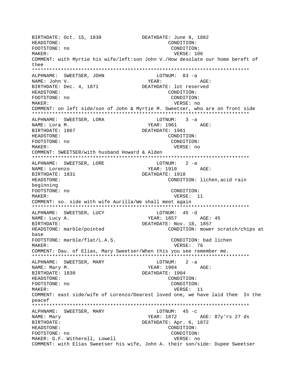BIRTHDATE: Oct. 15, 1830 DEATHDATE: June 8, 1882 HEADSTONE: CONDITION: FOOTSTONE: no CONDITION: VERSE: 106 MAKER: COMMENT: with Myrtie his wife/left:son John V./How desolate our home bereft of thee ALPHNAME: SWEETSER, JOHN LOTNUM: 83 -a YEAR: NAME: John V. AGE: BIRTHDATE: Dec. 4, 1871 DEATHDATE: lot reserved HEADSTONE: CONDITION: FOOTSTONE: no CONDITION: MAKER: VERSE: no COMMENT: on left side/son of John & Myrtie M. Sweetser, who are on front side ALPHNAME: SWEETSER, LORA  $LOTNUM: 3 -a$ YEAR: 1961 AGE: NAME: Lora M. BIRTHDATE: 1867 DEATHDATE: 1961 HEADSTONE: CONDITION: FOOTSTONE: no CONDITION: MAKER: VERSE: no COMMENT: SWEETSER/with husband Howard & Alden LOTNUM: 2 -a ALPHNAME: SWEETSER, LORE YEAR: 1910 AGE: NAME: Lorenzo BIRTHDATE: 1831 DEATHDATE: 1910 HEADSTONE: CONDITION: lichen, acid rain beginning FOOTSTONE: no CONDITION: MAKER: VERSE: 11 COMMENT: so. side with wife Aurilla/We shall meet again ALPHNAME: SWEETSER, LUCY LOTNUM: 45 -d YEAR: 1857 AGE: 45 NAME: Lucy A. BIRTHDATE: DEATHDATE: Nov. 18, 1857 HEADSTONE: marble/pointed CONDITION: mower scratch/chips at base FOOTSTONE: marble/flat/L.A.S. CONDITION: bad lichen MAKER: VERSE: 76 COMMENT: Dau. of Elias, Mary Sweetser/When this you see remember me. ALPHNAME: SWEETSER, MARY LOTNUM: 2 -a YEAR: 1904 NAME: Mary M. AGE: BIRTHDATE: 1830 DEATHDATE: 1904 HEADSTONE: CONDITION: FOOTSTONE: no CONDITION: MAKER: VERSE: 11 COMMENT: east side/wife of Lorenzo/Dearest loved one, we have laid thee In the peacef ALPHNAME: SWEETSER, MARY LOTNUM:  $45 -c$ NAME: Mary YEAR: 1872 AGE: 87y'rs 27 ds BIRTHDATE: DEATHDATE: Apr. 6, 1872 HEADSTONE: CONDITION: FOOTSTONE: no CONDITION: MAKER: G.F. Witherell, Lowell VERSE: no COMMENT: with Elias Sweetser his wife, John A. their son/side: Dupee Sweetser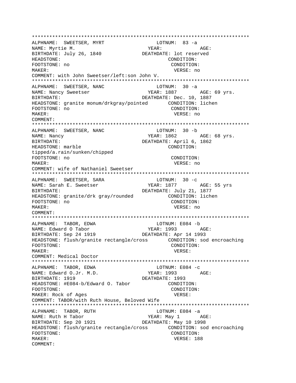\*\*\*\*\*\*\*\*\*\*\*\*\*\*\*\*\*\*\*\*\*\*\*\*\*\*\*\*\*\*\*\*\*\*\*\*\*\*\*\*\*\*\*\*\*\*\*\*\*\*\*\*\*\*\*\*\*\*\*\*\*\*\*\*\*\*\*\*\*\*\*\*\*\*\* ALPHNAME: SWEETSER, MYRT NAME: Myrtie M. YEAR: YEAR: AGE: BIRTHDATE: July 26, 1840 DEATHDATE: lot reserved HEADSTONE: CONDITION: FOOTSTONE: no CONDITION: MAKER: VERSE: no COMMENT: with John Sweetser/left:son John V. \*\*\*\*\*\*\*\*\*\*\*\*\*\*\*\*\*\*\*\*\*\*\*\*\*\*\*\*\*\*\*\*\*\*\*\*\*\*\*\*\*\*\*\*\*\*\*\*\*\*\*\*\*\*\*\*\*\*\*\*\*\*\*\*\*\*\*\*\*\*\*\*\*\*\* ALPHNAME: SWEETSER, NANC NAME: Nancy Sweetser The Mean YEAR: 1887 AGE: 69 yrs. BIRTHDATE: Dec. 10, 1887 HEADSTONE: granite monum/drkgray/pointed CONDITION: lichen FOOTSTONE: no CONDITION: MAKER: VERSE: no COMMENT: \*\*\*\*\*\*\*\*\*\*\*\*\*\*\*\*\*\*\*\*\*\*\*\*\*\*\*\*\*\*\*\*\*\*\*\*\*\*\*\*\*\*\*\*\*\*\*\*\*\*\*\*\*\*\*\*\*\*\*\*\*\*\*\*\*\*\*\*\*\*\*\*\*\*\* ALPHNAME: SWEETSER, NANC NAME: Nancy Same Communication of the MEAR: 1862 AGE: 68 yrs. BIRTHDATE: DEATHDATE: April 6, 1862 HEADSTONE: marble CONDITION: tipped/a.rain/sunken/chipped FOOTSTONE: no CONDITION: MAKER: VERSE: no COMMENT: wife of Nathaniel Sweetser \*\*\*\*\*\*\*\*\*\*\*\*\*\*\*\*\*\*\*\*\*\*\*\*\*\*\*\*\*\*\*\*\*\*\*\*\*\*\*\*\*\*\*\*\*\*\*\*\*\*\*\*\*\*\*\*\*\*\*\*\*\*\*\*\*\*\*\*\*\*\*\*\*\*\* ALPHNAME: SWEETSER, SARA LOTNUM: 30 -c NAME: Sarah E. Sweetser The South Start 1877 AGE: 55 yrs BIRTHDATE: **DEATHDATE:** July 21, 1877 HEADSTONE: granite/drk gray/rounded CONDITION: lichen FOOTSTONE: no CONDITION: MAKER: VERSE: no COMMENT: \*\*\*\*\*\*\*\*\*\*\*\*\*\*\*\*\*\*\*\*\*\*\*\*\*\*\*\*\*\*\*\*\*\*\*\*\*\*\*\*\*\*\*\*\*\*\*\*\*\*\*\*\*\*\*\*\*\*\*\*\*\*\*\*\*\*\*\*\*\*\*\*\*\*\* ALPHNAME: TABOR, EDWA LOTNUM: E084 -b NAME: Edward O Tabor (Tabor ) YEAR: 1993 (The Same Constant) AGE:<br>BIRTHDATE: Sep 24 1919 (The DEATHDATE: Apr 14 1993 DEATHDATE: Apr 14 1993 HEADSTONE: flush/granite rectangle/cross CONDITION: sod encroaching FOOTSTONE: CONDITION: MAKER: VERSE: COMMENT: Medical Doctor \*\*\*\*\*\*\*\*\*\*\*\*\*\*\*\*\*\*\*\*\*\*\*\*\*\*\*\*\*\*\*\*\*\*\*\*\*\*\*\*\*\*\*\*\*\*\*\*\*\*\*\*\*\*\*\*\*\*\*\*\*\*\*\*\*\*\*\*\*\*\*\*\*\*\* ALPHNAME: TABOR, EDWA LOTNUM: E084 -C<br>
NAME: Edward O.Jr. M.D. YEAR: 1993 AGE: NAME: Edward O.Jr. M.D. BIRTHDATE: 1919 DEATHDATE: 1993 HEADSTONE: #E084-b/Edward O. Tabor FOOTSTONE: CONDITION: MAKER: Rock of Ages vERSE: COMMENT: TABOR/with Ruth House, Beloved Wife \*\*\*\*\*\*\*\*\*\*\*\*\*\*\*\*\*\*\*\*\*\*\*\*\*\*\*\*\*\*\*\*\*\*\*\*\*\*\*\*\*\*\*\*\*\*\*\*\*\*\*\*\*\*\*\*\*\*\*\*\*\*\*\*\*\*\*\*\*\*\*\*\*\*\* ALPHNAME: TABOR, RUTH LOTNUM: E084 -a NAME: Ruth H Tabor NAME: Ruth H Tabor NE ROSE: BIRTHDATE: Sep 20 1921 DEATHDATE: May 10 1998 HEADSTONE: flush/granite rectangle/cross CONDITION: sod encroaching FOOTSTONE: CONDITION: MAKER: VERSE: 188 COMMENT: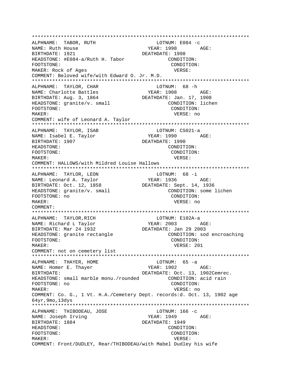\*\*\*\*\*\*\*\*\*\*\*\*\*\*\*\*\*\*\*\*\*\*\*\*\*\*\*\*\*\*\*\*\*\*\*\*\*\*\*\*\*\*\*\*\*\*\*\*\*\*\*\*\*\*\*\*\*\*\*\*\*\*\*\*\*\*\*\*\*\*\*\*\*\*\* ALPHNAME: TABOR, RUTH NAME: Ruth House YEAR: 1998 AGE: BIRTHDATE: 1921 DEATHDATE: 1998 HEADSTONE: #E084-a/Ruth H. Tabor CONDITION: FOOTSTONE: CONDITION: MAKER: Rock of Ages VERSE: COMMENT: Beloved wife/with Edward O. Jr. M.D. \*\*\*\*\*\*\*\*\*\*\*\*\*\*\*\*\*\*\*\*\*\*\*\*\*\*\*\*\*\*\*\*\*\*\*\*\*\*\*\*\*\*\*\*\*\*\*\*\*\*\*\*\*\*\*\*\*\*\*\*\*\*\*\*\*\*\*\*\*\*\*\*\*\*\* ALPHNAME: TAYLOR, CHAR LOTNUM: 68 -h NAME: Charlotte Battles YEAR: 1908 AGE: BIRTHDATE: Aug. 3, 1864 DEATHDATE: Jan. 17, 1908 HEADSTONE: granite/v. small CONDITION: lichen FOOTSTONE: CONDITION: MAKER: VERSE: no COMMENT: wife of Leonard A. Taylor \*\*\*\*\*\*\*\*\*\*\*\*\*\*\*\*\*\*\*\*\*\*\*\*\*\*\*\*\*\*\*\*\*\*\*\*\*\*\*\*\*\*\*\*\*\*\*\*\*\*\*\*\*\*\*\*\*\*\*\*\*\*\*\*\*\*\*\*\*\*\*\*\*\*\* ALPHNAME: TAYLOR, ISAB LOTNUM: CS021-a NAME: Isabel E. Taylor BIRTHDATE: 1907 **DEATHDATE: 1990** HEADSTONE: CONDITION: FOOTSTONE: CONDITION: MAKER: VERSE: COMMENT: HALLOWS/with Mildred Louise Hallows \*\*\*\*\*\*\*\*\*\*\*\*\*\*\*\*\*\*\*\*\*\*\*\*\*\*\*\*\*\*\*\*\*\*\*\*\*\*\*\*\*\*\*\*\*\*\*\*\*\*\*\*\*\*\*\*\*\*\*\*\*\*\*\*\*\*\*\*\*\*\*\*\*\*\* ALPHNAME: TAYLOR, LEON LOTNUM: 68 -i NAME: Leonard A. Taylor BIRTHDATE: Oct. 12, 1858 DEATHDATE: Sept. 14, 1936 HEADSTONE: granite/v. small CONDITION: some lichen FOOTSTONE: no CONDITION: MAKER: VERSE: no COMMENT: \*\*\*\*\*\*\*\*\*\*\*\*\*\*\*\*\*\*\*\*\*\*\*\*\*\*\*\*\*\*\*\*\*\*\*\*\*\*\*\*\*\*\*\*\*\*\*\*\*\*\*\*\*\*\*\*\*\*\*\*\*\*\*\*\*\*\*\*\*\*\*\*\*\*\* ALPHNAME: TAYLOR, RICH CHANNE LOTNUM: E102A-a NAME: Richard L Taylor<br>BIRTHDATE: Mar 24 1932 DEATHDATE: Jan 29 2003 BIRTHDATE: Mar 24 1932 HEADSTONE: granite rectangle CONDITION: sod encroaching FOOTSTONE: CONDITION: MAKER: VERSE: 201 COMMENT: not on cemetery list \*\*\*\*\*\*\*\*\*\*\*\*\*\*\*\*\*\*\*\*\*\*\*\*\*\*\*\*\*\*\*\*\*\*\*\*\*\*\*\*\*\*\*\*\*\*\*\*\*\*\*\*\*\*\*\*\*\*\*\*\*\*\*\*\*\*\*\*\*\*\*\*\*\*\* ALPHNAME: THAYER, HOME CONNECTED MOTH MOTH MOST CONSUMERED AS A LOTNUM: 65 - a NAME: Homer E. Thayer YEAR: 1902 AGE: BIRTHDATE: DEATHDATE: Oct. 13, 1902Cemrec. HEADSTONE: small marble monu./rounded CONDITION: acid rain FOOTSTONE: no CONDITION: MAKER: VERSE: no COMMENT: Co. G., 1 Vt. H.A./Cemetery Dept. records:d. Oct. 13, 1902 age 64yr,9mo,13dys \*\*\*\*\*\*\*\*\*\*\*\*\*\*\*\*\*\*\*\*\*\*\*\*\*\*\*\*\*\*\*\*\*\*\*\*\*\*\*\*\*\*\*\*\*\*\*\*\*\*\*\*\*\*\*\*\*\*\*\*\*\*\*\*\*\*\*\*\*\*\*\*\*\*\* ALPHNAME: THIBODEAU, JOSE LOTNUM: 166 -c NAME: Joseph Irving The Magnus YEAR: 1949 AGE: BIRTHDATE: 1884 DEATHDATE: 1949 HEADSTONE: CONDITION: FOOTSTONE: CONDITION: MAKER: VERSE: COMMENT: Front/DUDLEY, Rear/THIBODEAU/with Mabel Dudley his wife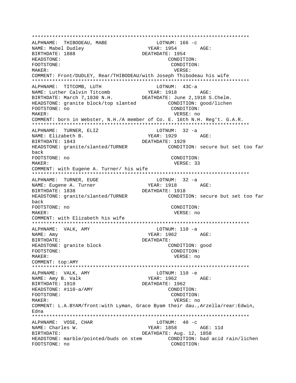\*\*\*\*\*\*\*\*\*\*\*\*\*\*\*\*\*\*\*\*\*\*\*\*\*\*\*\*\*\*\*\*\*\*\*\*\*\*\*\*\*\*\*\*\*\*\*\*\*\*\*\*\*\*\*\*\*\*\*\*\*\*\*\*\*\*\*\*\*\*\*\*\*\*\* ALPHNAME: THIBODEAU, MABE ----<br>NAME: Mabel Dudley NAME: 1954 AGE: BIRTHDATE: 1888 DEATHDATE: 1954 HEADSTONE: CONDITION: FOOTSTONE: CONDITION: MAKER: VERSE: COMMENT: Front/DUDLEY, Rear/THIBODEAU/with Joseph Thibodeau his wife \*\*\*\*\*\*\*\*\*\*\*\*\*\*\*\*\*\*\*\*\*\*\*\*\*\*\*\*\*\*\*\*\*\*\*\*\*\*\*\*\*\*\*\*\*\*\*\*\*\*\*\*\*\*\*\*\*\*\*\*\*\*\*\*\*\*\*\*\*\*\*\*\*\*\* ALPHNAME: TITCOMB, LUTH LOTNUM: 43C-<br>
NAME: Luther Calvin Titcomb YEAR: 1918 NAME: Luther Calvin Titcomb YEAR: 1918 AGE: BIRTHDATE: March 7,1830 N.H. DEATHDATE: June 2,1918 S.Chelm. HEADSTONE: granite block/top slanted CONDITION: good/lichen FOOTSTONE: no CONDITION: MAKER: VERSE: no COMMENT: born in Webster, N.H./A member of Co. E. 16th N.H. Reg't. G.A.R. \*\*\*\*\*\*\*\*\*\*\*\*\*\*\*\*\*\*\*\*\*\*\*\*\*\*\*\*\*\*\*\*\*\*\*\*\*\*\*\*\*\*\*\*\*\*\*\*\*\*\*\*\*\*\*\*\*\*\*\*\*\*\*\*\*\*\*\*\*\*\*\*\*\*\* ALPHNAME: TURNER, ELIZ LOTNUM: 32 -a NAME: Elizabeth B. THE YEAR: 1929 AGE: BIRTHDATE: 1843 DEATHDATE: 1929 HEADSTONE: granite/slanted/TURNER CONDITION: secure but set too far back FOOTSTONE: no CONDITION: MAKER: VERSE: 33 COMMENT: with Eugene A. Turner/ his wife \*\*\*\*\*\*\*\*\*\*\*\*\*\*\*\*\*\*\*\*\*\*\*\*\*\*\*\*\*\*\*\*\*\*\*\*\*\*\*\*\*\*\*\*\*\*\*\*\*\*\*\*\*\*\*\*\*\*\*\*\*\*\*\*\*\*\*\*\*\*\*\*\*\*\* ALPHNAME: TURNER, EUGE LOTNUM: 32 -a NAME: Eugene A. Turner YEAR: 1918 AGE: BIRTHDATE: 1838 DEATHDATE: 1918 HEADSTONE: granite/slanted/TURNER CONDITION: secure but set too far back FOOTSTONE: no CONDITION: MAKER: VERSE: no COMMENT: with Elizabeth his wife \*\*\*\*\*\*\*\*\*\*\*\*\*\*\*\*\*\*\*\*\*\*\*\*\*\*\*\*\*\*\*\*\*\*\*\*\*\*\*\*\*\*\*\*\*\*\*\*\*\*\*\*\*\*\*\*\*\*\*\*\*\*\*\*\*\*\*\*\*\*\*\*\*\*\* ALPHNAME: VALK, AMY NAME: Amy  $YEAR: 1962$  AGE: BIRTHDATE: DEATHDATE: HEADSTONE: granite block CONDITION: good FOOTSTONE: CONDITION: MAKER: VERSE: no COMMENT: top:AMY \*\*\*\*\*\*\*\*\*\*\*\*\*\*\*\*\*\*\*\*\*\*\*\*\*\*\*\*\*\*\*\*\*\*\*\*\*\*\*\*\*\*\*\*\*\*\*\*\*\*\*\*\*\*\*\*\*\*\*\*\*\*\*\*\*\*\*\*\*\*\*\*\*\*\* ALPHNAME: VALK, AMY LOTNUM: 110 -e NAME: Amy B. Valk YEAR: 1962 AGE: BIRTHDATE: 1910 DEATHDATE: 1962 HEADSTONE:  $\sharp$ 110-a/AMY CONDITION: FOOTSTONE: CONDITION: MAKER: VERSE: no COMMENT: L.A.BYAM/front:with Lyman, Grace Byam their dau.,Arzella/rear:Edwin, Edna \*\*\*\*\*\*\*\*\*\*\*\*\*\*\*\*\*\*\*\*\*\*\*\*\*\*\*\*\*\*\*\*\*\*\*\*\*\*\*\*\*\*\*\*\*\*\*\*\*\*\*\*\*\*\*\*\*\*\*\*\*\*\*\*\*\*\*\*\*\*\*\*\*\*\* ALPHNAME: VOSE, CHAR LOTNUM: 40 -c NAME: Charles W. The Mass of the Mass of the YEAR: 1858 AGE: 11d BIRTHDATE: DEATHDATE: Aug. 12, 1858 HEADSTONE: marble/pointed/buds on stem CONDITION: bad acid rain/lichen FOOTSTONE: no CONDITION: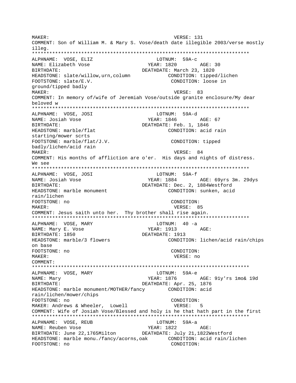MAKER: VERSE: 131 COMMENT: Son of William M. & Mary S. Vose/death date illegible 2003/verse mostly illeg. ALPHNAME: VOSE, ELIZ LOTNUM: 59A-c NAME: Elizabeth Vose BIRTHDATE: DEATHDATE: March 23, 1820 HEADSTONE: slate/willow, urn, column CONDITION: tipped/lichen FOOTSTONE: slate/E.V. CONDITION: loose in ground/tipped badly MAKER: VERSE: 83 COMMENT: In memory of/wife of Jeremiah Vose/outside granite enclosure/My dear beloved w ALPHNAME: VOSE, JOSI LOTNUM: 59A-d YEAR: 1846 NAME: Josiah Vose AGE: 67 BIRTHDATE: DEATHDATE: Feb. 1, 1846 HEADSTONE: marble/flat CONDITION: acid rain starting/mower scrts FOOTSTONE: marble/flat/J.V. CONDITION: tipped badly/lichen/acid rain VERSE: 84 MAKER: COMMENT: His months of affliction are o'er. His days and nights of distress. We see LOTNUM: 59A-f ALPHNAME: VOSE, JOSI NAME: Josiah Vose YEAR: 1884 AGE: 69yrs 3m. 29dys DEATHDATE: Dec. 2, 1884Westford BIRTHDATE: HEADSTONE: marble monument CONDITION: sunken, acid rain/lichen FOOTSTONE: no CONDITION: MAKER: VERSE: 85 COMMENT: Jesus saith unto her. Thy brother shall rise again. ALPHNAME: VOSE, MARY  $LOTNUM: 40 -a$ NAME: Mary E. Vose YEAR: 1913 AGE: DEATHDATE: 1913 BIRTHDATE: 1850 HEADSTONE: marble/3 flowers CONDITION: lichen/acid rain/chips on base FOOTSTONE: no CONDITION: MAKER: VERSE: no COMMENT: ALPHNAME: VOSE, MARY LOTNUM: 59A-e NAME: Mary BIRTHDATE: DEATHDATE: Apr. 25, 1876 HEADSTONE: marble monument/MOTHER/fancy CONDITION: acid rain/lichen/mower/chips FOOTSTONE: no CONDITION: MAKER: Andrews & Wheeler, Lowell VERSE: 5 COMMENT: Wife of Josiah Vose/Blessed and holy is he that hath part in the first ALPHNAME: VOSE, REUB<br>""""" Pouban Vose LOTNUM: 59A-a NAME: Reuben Vose  $YEAR: 1822$   $AGE:$ BIRTHDATE: June 22.1765Milton DEATHDATE: July 21.1822Westford HEADSTONE: marble monu./fancy/acorns,oak CONDITION: acid rain/lichen FOOTSTONE: no CONDITION: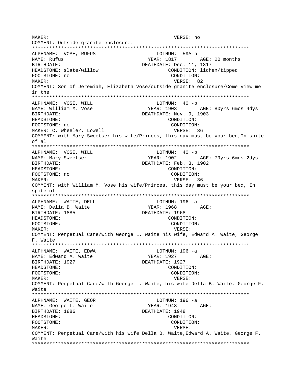MAKER: VERSE: no COMMENT: Outside granite enclosure. ALPHNAME: VOSE, RUFUS LOTNUM: 59A-b NAME: Rufus BIRTHDATE: DEATHDATE: Dec. 11, 1817 HEADSTONE: slate/willow CONDITION: lichen/tipped FOOTSTONE: no CONDITION: VERSE: 82 MAKER: COMMENT: Son of Jeremiah, Elizabeth Vose/outside granite enclosure/Come view me in the ALPHNAME: VOSE, WILL LOTNUM: 40 -b NAME: William M. Vose **YEAR: 1903** AGE: 80yrs 6mos 4dys BIRTHDATE: DEATHDATE: Nov. 9, 1903 HEADSTONE: CONDITION: FOOTSTONE: no CONDITION: MAKER: C. Wheeler, Lowell VERSE: 36 COMMENT: with Mary Sweetser his wife/Princes, this day must be your bed, In spite of al ALPHNAME: VOSE, WILL LOTNUM: 40 -b YEAR: 1902 NAME: Mary Sweetser AGE: 79yrs 6mos 2dys DEATHDATE: Feb. 3, 1902 BIRTHDATE: HEADSTONE: CONDITION: CONDITION: FOOTSTONE: no MAKER: VERSE: 36 COMMENT: with William M. Vose his wife/Princes, this day must be your bed, In spite of ALPHNAME: WAITE, DELL LOTNUM:  $196 -a$ YEAR: 1968 AGE: NAME: Delia B. Waite DEATHDATE: 1968 BIRTHDATE: 1885 HEADSTONE: CONDITION: FOOTSTONE: CONDITION: MAKER: VERSE: COMMENT: Perpetual Care/with George L. Waite his wife, Edward A. Waite, George F. Waite ALPHNAME: WAITE, EDWA LOTNUM:  $196 -a$ YEAR: 1927 NAME: Edward A. Waite AGE: DEATHDATE: 1927 BIRTHDATE: 1927 HEADSTONE: CONDITION: FOOTSTONE: CONDITION: MAKER: VERSE: COMMENT: Perpetual Care/with George L. Waite, his wife Della B. Waite, George F. Waite ALPHNAME: WAITE, GEOR LOTNUM:  $196 - a$ NAME: George L. Waite YEAR: 1948 AGE: BIRTHDATE: 1886 DEATHDATE: 1948 HEADSTONE: CONDITION: FOOTSTONE: CONDITION: MAKER: VERSE: COMMENT: Perpetual Care/with his wife Della B. Waite, Edward A. Waite, George F. Waite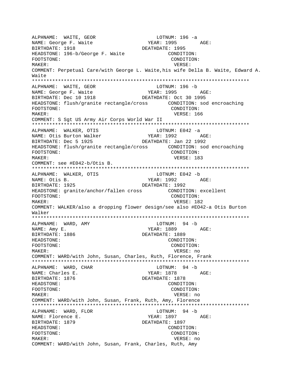ALPHNAME: WAITE, GEOR LOTNUM: 196 -a NAME: George F. Waite BIRTHDATE: 1918 DEATHDATE: 1995 HEADSTONE: 196-b/George F. Waite CONDITION: FOOTSTONE: CONDITION: MAKER: VERSE: COMMENT: Perpetual Care/with George L. Waite,his wife Della B. Waite, Edward A. Waite \*\*\*\*\*\*\*\*\*\*\*\*\*\*\*\*\*\*\*\*\*\*\*\*\*\*\*\*\*\*\*\*\*\*\*\*\*\*\*\*\*\*\*\*\*\*\*\*\*\*\*\*\*\*\*\*\*\*\*\*\*\*\*\*\*\*\*\*\*\*\*\*\*\*\* ALPHNAME: WAITE, GEOR LOTNUM: 196 -b NAME: George F. Waite YEAR: 1995 AGE: BIRTHDATE: Dec 10 1918 DEATHDATE: Oct 30 1995 HEADSTONE: flush/granite rectangle/cross CONDITION: sod encroaching FOOTSTONE: CONDITION: MAKER: VERSE: 166 COMMENT: S Sgt US Army Air Corps World War II \*\*\*\*\*\*\*\*\*\*\*\*\*\*\*\*\*\*\*\*\*\*\*\*\*\*\*\*\*\*\*\*\*\*\*\*\*\*\*\*\*\*\*\*\*\*\*\*\*\*\*\*\*\*\*\*\*\*\*\*\*\*\*\*\*\*\*\*\*\*\*\*\*\*\* ALPHNAME: WALKER, OTIS LOTNUM: E042 -a NAME: Otis Burton Walker  $YEAR: 1992$  AGE: BIRTHDATE: Dec 5 1925 DEATHDATE: Jan 22 1992 HEADSTONE: flush/granite rectangle/cross CONDITION: sod encroaching FOOTSTONE: CONDITION: MAKER: 183 COMMENT: see #E042-b/Otis B. \*\*\*\*\*\*\*\*\*\*\*\*\*\*\*\*\*\*\*\*\*\*\*\*\*\*\*\*\*\*\*\*\*\*\*\*\*\*\*\*\*\*\*\*\*\*\*\*\*\*\*\*\*\*\*\*\*\*\*\*\*\*\*\*\*\*\*\*\*\*\*\*\*\*\* ALPHNAME: WALKER, OTIS LOTNUM: E042 -b NAME: Otis B. YEAR: 1992 AGE: BIRTHDATE: 1925 DEATHDATE: 1992 HEADSTONE: granite/anchor/fallen cross CONDITION: excellent FOOTSTONE: CONDITION: MAKER: USA CHECK WERSE: 182 COMMENT: WALKER/also a dropping flower design/see also #EO42-a Otis Burton Walker \*\*\*\*\*\*\*\*\*\*\*\*\*\*\*\*\*\*\*\*\*\*\*\*\*\*\*\*\*\*\*\*\*\*\*\*\*\*\*\*\*\*\*\*\*\*\*\*\*\*\*\*\*\*\*\*\*\*\*\*\*\*\*\*\*\*\*\*\*\*\*\*\*\*\* ALPHNAME: WARD, AMY LOTNUM: 94 -b NAME: Amy E. The South of the Second Media of the YEAR: 1889 AGE: BIRTHDATE: 1886 DEATHDATE: 1889 HEADSTONE: CONDITION: FOOTSTONE: CONDITION: MAKER: VERSE: no COMMENT: WARD/with John, Susan, Charles, Ruth, Florence, Frank \*\*\*\*\*\*\*\*\*\*\*\*\*\*\*\*\*\*\*\*\*\*\*\*\*\*\*\*\*\*\*\*\*\*\*\*\*\*\*\*\*\*\*\*\*\*\*\*\*\*\*\*\*\*\*\*\*\*\*\*\*\*\*\*\*\*\*\*\*\*\*\*\*\*\* ALPHNAME: WARD, CHAR LOTNUM: 94 -b NAME: Charles E. YEAR: 1878 AGE: BIRTHDATE: 1876 DEATHDATE: 1878 HEADSTONE: CONDITION: FOOTSTONE: CONDITION: MAKER: VERSE: no COMMENT: WARD/with John, Susan, Frank, Ruth, Amy, Florence \*\*\*\*\*\*\*\*\*\*\*\*\*\*\*\*\*\*\*\*\*\*\*\*\*\*\*\*\*\*\*\*\*\*\*\*\*\*\*\*\*\*\*\*\*\*\*\*\*\*\*\*\*\*\*\*\*\*\*\*\*\*\*\*\*\*\*\*\*\*\*\*\*\*\* ALPHNAME: WARD, FLOR LOTNUM: 94 -b NAME: Florence E. The South of the YEAR: 1897 AGE: BIRTHDATE: 1879 DEATHDATE: 1897 HEADSTONE: CONDITION: FOOTSTONE: CONDITION: MAKER: VERSE: no COMMENT: WARD/with John, Susan, Frank, Charles, Ruth, Amy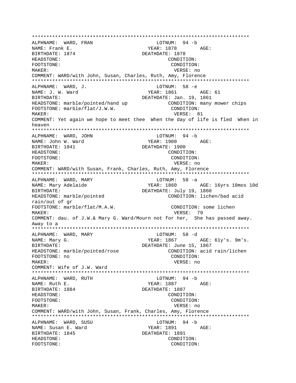\*\*\*\*\*\*\*\*\*\*\*\*\*\*\*\*\*\*\*\*\*\*\*\*\*\*\*\*\*\*\*\*\*\*\*\*\*\*\*\*\*\*\*\*\*\*\*\*\*\*\*\*\*\*\*\*\*\*\*\*\*\*\*\*\*\*\*\*\*\*\*\*\*\*\* ALPHNAME: WARD, FRAN NAME: Frank E.<br>NAME: Frank E. YEAR: 1878 AGE: BIRTHDATE: 1874 DEATHDATE: 1878 HEADSTONE: CONDITION: FOOTSTONE: CONDITION: MAKER: VERSE: no COMMENT: WARD/with John, Susan, Charles, Ruth, Amy, Florence \*\*\*\*\*\*\*\*\*\*\*\*\*\*\*\*\*\*\*\*\*\*\*\*\*\*\*\*\*\*\*\*\*\*\*\*\*\*\*\*\*\*\*\*\*\*\*\*\*\*\*\*\*\*\*\*\*\*\*\*\*\*\*\*\*\*\*\*\*\*\*\*\*\*\* ALPHNAME: WARD, J.<br>
NAME: J. W. Ward<br>
NAME: J. W. Ward NAME: J. W. Ward YEAR: 1861 BIRTHDATE:  $DEATHDATE: Jan. 19, 1861$ HEADSTONE: marble/pointed/hand up CONDITION: many mower chips FOOTSTONE: marble/flat/J.W.W. CONDITION: MAKER: 81 CONTROLLER SERVICE SERVICES AND MERSE: 81 COMMENT: Yet again we hope to meet thee When the day of life is fled When in heaven \*\*\*\*\*\*\*\*\*\*\*\*\*\*\*\*\*\*\*\*\*\*\*\*\*\*\*\*\*\*\*\*\*\*\*\*\*\*\*\*\*\*\*\*\*\*\*\*\*\*\*\*\*\*\*\*\*\*\*\*\*\*\*\*\*\*\*\*\*\*\*\*\*\*\* ALPHNAME: WARD, JOHN NAME: John W. Ward YEAR: 1900 AGE: BIRTHDATE: 1841 DEATHDATE: 1900 HEADSTONE: CONDITION: FOOTSTONE: CONDITION: MAKER: VERSE: no COMMENT: WARD/with Susan, Frank, Charles, Ruth, Amy, Florence \*\*\*\*\*\*\*\*\*\*\*\*\*\*\*\*\*\*\*\*\*\*\*\*\*\*\*\*\*\*\*\*\*\*\*\*\*\*\*\*\*\*\*\*\*\*\*\*\*\*\*\*\*\*\*\*\*\*\*\*\*\*\*\*\*\*\*\*\*\*\*\*\*\*\* ALPHNAME: WARD, MARY LOTNUM: 58 -a NAME: Mary Adelaide YEAR: 1860 AGE: 16yrs 10mos 10d BIRTHDATE:<br>HEADSTONE: marble/pointed between DEATHDATE: July 19, 1860<br>CONDITION: lichen/bad acid HEADSTONE: marble/pointed rain/out of gr FOOTSTONE: marble/flat/M.A.W. <br> CONDITION: some lichen MAKER: 79 COMMENT: dau. of J.W.& Mary G. Ward/Mourn not for her, She has passed away. Away to a \*\*\*\*\*\*\*\*\*\*\*\*\*\*\*\*\*\*\*\*\*\*\*\*\*\*\*\*\*\*\*\*\*\*\*\*\*\*\*\*\*\*\*\*\*\*\*\*\*\*\*\*\*\*\*\*\*\*\*\*\*\*\*\*\*\*\*\*\*\*\*\*\*\*\* ALPHNAME: WARD, MARY NAME: Mary G. The Mathematic State of the YEAR: 1867 AGE: 61y's. 9m's. BIRTHDATE: DEATHDATE: June 15, 1867 HEADSTONE: marble/pointed/rose CONDITION: acid rain/lichen FOOTSTONE: no CONDITION: MAKER: VERSE: no COMMENT: Wife of J.W. Ward \*\*\*\*\*\*\*\*\*\*\*\*\*\*\*\*\*\*\*\*\*\*\*\*\*\*\*\*\*\*\*\*\*\*\*\*\*\*\*\*\*\*\*\*\*\*\*\*\*\*\*\*\*\*\*\*\*\*\*\*\*\*\*\*\*\*\*\*\*\*\*\*\*\*\* ALPHNAME: WARD, RUTH LOTNUM: 94 -b NAME: Ruth E. The South E. The South of the South Search States and MEAR: 1887 BIRTHDATE: 1884 DEATHDATE: 1887 HEADSTONE: CONDITION: FOOTSTONE: CONDITION: MAKER: VERSE: no COMMENT: WARD/with John, Susan, Frank, Charles, Amy, Florence \*\*\*\*\*\*\*\*\*\*\*\*\*\*\*\*\*\*\*\*\*\*\*\*\*\*\*\*\*\*\*\*\*\*\*\*\*\*\*\*\*\*\*\*\*\*\*\*\*\*\*\*\*\*\*\*\*\*\*\*\*\*\*\*\*\*\*\*\*\*\*\*\*\*\* ALPHNAME: WARD, SUSU LOTNUM: 94 -b NAME: Susan E. Ward YEAR: 1891 AGE: BIRTHDATE: 1845 DEATHDATE: 1891 HEADSTONE: CONDITION: FOOTSTONE: CONDITION: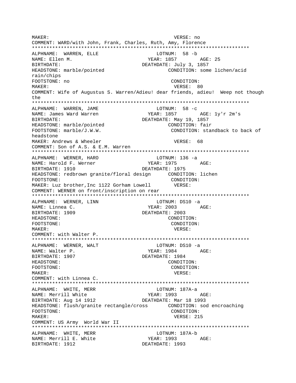MAKER: VERSE: no COMMENT: WARD/with John, Frank, Charles, Ruth, Amy, Florence ALPHNAME: WARREN, ELLE LOTNUM: 58 -b NAME: Ellen M. BIRTHDATE: DEATHDATE: July 3, 1857 HEADSTONE: marble/pointed CONDITION: some lichen/acid rain/chips FOOTSTONE: no CONDITION: MAKER: VERSE: 80 COMMENT: Wife of Augustus S. Warren/Adieu! dear friends, adieu! Weep not though the ALPHNAME: WARREN, JAME LOTNUM: 58 -c NAME: James Ward Warren YEAR: 1857 AGE: 1y'r 2m's DEATHDATE: May 19, 1857 BIRTHDATE: HEADSTONE: marble/pointed CONDITION: fair FOOTSTONE: marble/J.W.W. CONDITION: standback to back of headstone MAKER: Andrews & Wheeler VERSE: 68 COMMENT: Son of A.S. & E.M. Warren ALPHNAME: WERNER, HARO LOTNUM: 136 -a NAME: Harold F. Werner YEAR: 1975 AGE: DEATHDATE: 1975 BIRTHDATE: 1910 FOOTSTONE: CONDITION: MAKER: Luz brother, Inc 1122 Gorham Lowell VERSE: COMMENT: WERNER on front/inscription on rear ALPHNAME: WERNER, LINN LOTNUM: DS10 -a YEAR: 2003 AGE: NAME: Linnea C. DEATHDATE: 2003 BIRTHDATE: 1909 HEADSTONE: CONDITION: FOOTSTONE: CONDITION: MAKER: VERSE: COMMENT: with Walter P. LOTNUM: DS10 -a ALPHNAME: WERNER, WALT YEAR: 1984 AGE: NAME: Walter P. BIRTHDATE: 1907 DEATHDATE: 1984 HEADSTONE: CONDITION: FOOTSTONE: CONDITION: MAKER: VERSE: COMMENT: with Linnea C. ALPHNAME: WHITE, MERR LOTNUM: 187A-a NAME: Merrill White YEAR: 1993 AGE: BIRTHDATE: Aug 14 1912 DEATHDATE: Mar 18 1993 HEADSTONE: flush/granite rectangle/cross CONDITION: sod encroaching FOOTSTONE: CONDITION: MAKER: VERSE: 215 COMMENT: US Army World War II ALPHNAME: WHITE, MERR LOTNUM: 187A-b YEAR: 1993 AGE: NAME: Merrill E. White BIRTHDATE: 1912 DEATHDATE: 1993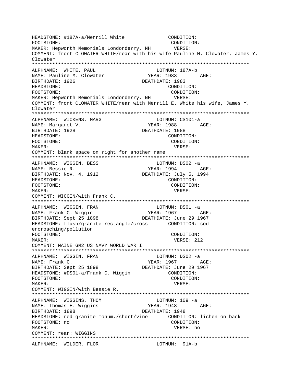HEADSTONE: #187A-a/Merrill White CONDITION: FOOTSTONE: CONDITION: MAKER: Hepworth Memorials Londonderry, NH VERSE: COMMENT: front CLOWATER WHITE/rear with his wife Pauline M. Clowater, James Y. Clowater ALPHNAME: WHITE, PAUL LOTNUM: 187A-b NAME: Pauline M. Clowater YEAR: 1983 AGE: BIRTHDATE: 1926 DEATHDATE: 1983 HEADSTONE: CONDITION: FOOTSTONE: CONDITION: MAKER: Hepworth Memorials Londonderry, NH VERSE: COMMENT: front CLOWATER WHITE/rear with Merrill E. White his wife, James Y. Clowater ALPHNAME: WICKENS, MARG LOTNUM: CS101-a YEAR: 1988 AGE: NAME: Margaret V. BIRTHDATE: 1928 DEATHDATE: 1988 HEADSTONE: CONDITION: FOOTSTONE: CONDITION: MAKER: VERSE: COMMENT: blank space on right for another name LOTNUM: DS02 -a ALPHNAME: WIGGIN, BESS YEAR: 1994 NAME: Bessie R. AGE: BIRTHDATE: Nov. 4, 1912 DEATHDATE: July 5, 1994 HEADSTONE: CONDITION: FOOTSTONE: CONDITION: MAKER: VERSE: COMMENT: WIGGIN/with Frank C. ALPHNAME: WIGGIN, FRAN LOTNUM: DS01 -a EQUINOR 200 1967 NAME: Frank C. Wiggin  $\begin{array}{cccc}\n&\dots &\circ &\dots\circ \\
\text{BIRTHDATE: Sept 25 1898}\n\end{array}$ DEATHDATE: June 29 1967 HEADSTONE: flush/granite rectangle/cross CONDITION: sod encroaching/pollution FOOTSTONE: CONDITION: MAKER: VERSE: 212 COMMENT: MAINE GM2 US NAVY WORLD WAR I ALPHNAME: WIGGIN, FRAN LOTNUM: DS02 -a YEAR: 1967 NAME: Frank C. AGE: BIRTHDATE: Sept 25 1898 DEATHDATE: June 29 1967 HEADSTONE: #DS01-a/Frank C. Wiggin CONDITION: FOOTSTONE: CONDITION: MAKER: VERSE: COMMENT: WIGGIN/with Bessie R. ALPHNAME: WIGGINS, THOM LOTNUM: 109 -a NAME: Thomas E. Wiggins YEAR: 1948  $AGE:$ BIRTHDATE: 1898 DEATHDATE: 1948 HEADSTONE: red granite monum./short/vine CONDITION: lichen on back CONDITION: FOOTSTONE: no MAKER: VERSE: no COMMENT: rear: WIGGINS ALPHNAME: WILDER, FLOR LOTNUM: 91A-b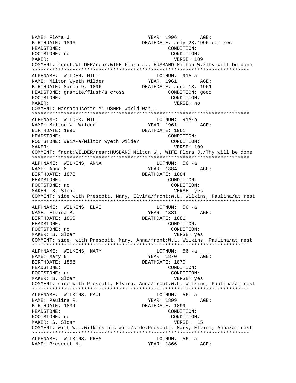NAME: Flora J. YEAR: 1996 AGE: BIRTHDATE: 1896 DEATHDATE: July 23,1996 cem rec HEADSTONE: CONDITION: FOOTSTONE: no CONDITION: MAKER: VERSE: 109 COMMENT: front:WILDER/rear:WIFE Flora J., HUSBAND Milton W./Thy will be done \*\*\*\*\*\*\*\*\*\*\*\*\*\*\*\*\*\*\*\*\*\*\*\*\*\*\*\*\*\*\*\*\*\*\*\*\*\*\*\*\*\*\*\*\*\*\*\*\*\*\*\*\*\*\*\*\*\*\*\*\*\*\*\*\*\*\*\*\*\*\*\*\*\*\* ALPHNAME: WILDER, MILT LOTNUM: 91A-a NAME: Milton Wyeth Wilder YEAR: 1961 AGE: BIRTHDATE: March 9, 1896 DEATHDATE: June 13, 1961 HEADSTONE: granite/flush/a cross CONDITION: good FOOTSTONE: CONDITION: MAKER: VERSE: no COMMENT: Massachusetts Y1 USNRF World War I \*\*\*\*\*\*\*\*\*\*\*\*\*\*\*\*\*\*\*\*\*\*\*\*\*\*\*\*\*\*\*\*\*\*\*\*\*\*\*\*\*\*\*\*\*\*\*\*\*\*\*\*\*\*\*\*\*\*\*\*\*\*\*\*\*\*\*\*\*\*\*\*\*\*\* ALPHNAME: WILDER, MILT LOTNUM: 91A-b NAME: Milton W. Wilder BIRTHDATE: 1896 DEATHDATE: 1961 HEADSTONE: CONDITION: FOOTSTONE: #91A-a/Milton Wyeth Wilder CONDITION: MAKER: VERSE: 109 COMMENT: front:WILDER/rear:HUSBAND Milton W., WIFE Flora J./Thy will be done \*\*\*\*\*\*\*\*\*\*\*\*\*\*\*\*\*\*\*\*\*\*\*\*\*\*\*\*\*\*\*\*\*\*\*\*\*\*\*\*\*\*\*\*\*\*\*\*\*\*\*\*\*\*\*\*\*\*\*\*\*\*\*\*\*\*\*\*\*\*\*\*\*\*\* ALPHNAME: WILKINS, ANNA lornary LOTNUM: 56 -a NAME: Anna M. Santa Communication of the MEAR: 1884 AGE: BIRTHDATE: 1878 DEATHDATE: 1884 HEADSTONE: CONDITION: FOOTSTONE: no CONDITION: MAKER: S. Sloan VERSE: yes COMMENT: side:with Prescott, Mary, Elvira/front:W.L. Wilkins, Paulina/at rest \*\*\*\*\*\*\*\*\*\*\*\*\*\*\*\*\*\*\*\*\*\*\*\*\*\*\*\*\*\*\*\*\*\*\*\*\*\*\*\*\*\*\*\*\*\*\*\*\*\*\*\*\*\*\*\*\*\*\*\*\*\*\*\*\*\*\*\*\*\*\*\*\*\*\* ALPHNAME: WILKINS, ELVI LOTNUM: 56 -a NAME: Elvira B. NAME:  $YEAR: 1881$  AGE: BIRTHDATE: 1860 DEATHDATE: 1881 HEADSTONE: CONDITION: FOOTSTONE: no CONDITION: MAKER: S. Sloan VERSE: yes COMMENT: side: with Prescott, Mary, Anna/front:W.L. Wilkins, Paulina/at rest \*\*\*\*\*\*\*\*\*\*\*\*\*\*\*\*\*\*\*\*\*\*\*\*\*\*\*\*\*\*\*\*\*\*\*\*\*\*\*\*\*\*\*\*\*\*\*\*\*\*\*\*\*\*\*\*\*\*\*\*\*\*\*\*\*\*\*\*\*\*\*\*\*\*\* ALPHNAME: WILKINS, MARY LOTNUM: 56 -a NAME: Mary E. YEAR: 1870 AGE: BIRTHDATE: 1858 DEATHDATE: 1870 HEADSTONE: CONDITION: FOOTSTONE: no CONDITION: MAKER: S. Sloan VERSE: yes COMMENT: side:with Prescott, Elvira, Anna/front:W.L. Wilkins, Paulina/at rest \*\*\*\*\*\*\*\*\*\*\*\*\*\*\*\*\*\*\*\*\*\*\*\*\*\*\*\*\*\*\*\*\*\*\*\*\*\*\*\*\*\*\*\*\*\*\*\*\*\*\*\*\*\*\*\*\*\*\*\*\*\*\*\*\*\*\*\*\*\*\*\*\*\*\* ALPHNAME: WILKINS, PAUL **Example 10** LOTNUM: 56 -a NAME: Paulina R. YEAR: 1899 AGE: BIRTHDATE: 1834 DEATHDATE: 1899 HEADSTONE: CONDITION: FOOTSTONE: no CONDITION: MAKER: S. Sloan VERSE: 15 COMMENT: with W.L.Wilkins his wife/side:Prescott, Mary, Elvira, Anna/at rest \*\*\*\*\*\*\*\*\*\*\*\*\*\*\*\*\*\*\*\*\*\*\*\*\*\*\*\*\*\*\*\*\*\*\*\*\*\*\*\*\*\*\*\*\*\*\*\*\*\*\*\*\*\*\*\*\*\*\*\*\*\*\*\*\*\*\*\*\*\*\*\*\*\*\* ALPHNAME: WILKINS, PRES LOTNUM: 56 -a NAME: Prescott N. YEAR: 1866 AGE: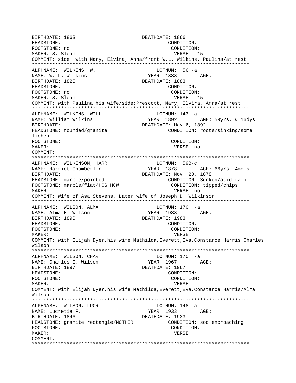BIRTHDATE: 1863 DEATHDATE: 1866 HEADSTONE: CONDITION: FOOTSTONE: no CONDITION: MAKER: S. Sloan VERSE: 15 COMMENT: side: with Mary, Elvira, Anna/front: W.L. Wilkins, Paulina/at rest ALPHNAME: WILKINS, W. LOTNUM: 56 -a NAME: W. L. Wilkins YEAR: 1883 AGE: BIRTHDATE: 1825 DEATHDATE: 1883 HEADSTONE: CONDITION: FOOTSTONE: no CONDITION: MAKER: S. Sloan VERSE: 15 COMMENT: with Paulina his wife/side: Prescott, Mary, Elvira, Anna/at rest ALPHNAME: WILKINS, WILL LOTNUM:  $143 - a$ NAME: William Wilkins YEAR: 1892 AGE: 59yrs. & 16dys BIRTHDATE: DEATHDATE: May 6, 1892 HEADSTONE: rounded/granite CONDITION: roots/sinking/some lichen FOOTSTONE: CONDITION: MAKER: VERSE: no COMMENT: ALPHNAME: WILKINSON, HARR LOTNUM: 59B-c YEAR: 1878 AGE: 66yrs. 4mo's NAME: Harriet Chamberlin BIRTHDATE: DEATHDATE: Nov. 20, 1878 HEADSTONE: marble/pointed CONDITION: Sunken/acid rain FOOTSTONE: marble/flat/HCS HCW CONDITION: tipped/chips MAKER: VERSE: no COMMENT: Wife of Asa Stevens, Later wife of Joseph D. Wilkinson ALPHNAME: WILSON, ALMA LOTNUM: 170 -a NAME: Alma H. Wilson YEAR: 1983 AGE: BIRTHDATE: 1890 DEATHDATE: 1983 HEADSTONE: CONDITION: FOOTSTONE: CONDITION: MAKER: VERSE: COMMENT: with Elijah Dyer, his wife Mathilda, Everett, Eva, Constance Harris. Charles Wilson ALPHNAME: WILSON, CHAR LOTNUM: 170 -a YEAR: 1967 NAME: Charles G. Wilson AGE: DEATHDATE: 1967 BIRTHDATE: 1897 **HEADSTONE:** CONDITION: FOOTSTONE: CONDITION: MAKER: VERSE: COMMENT: with Elijah Dyer, his wife Mathilda, Everett, Eva, Constance Harris/Alma Wilson ALPHNAME: WILSON, LUCR LOTNUM:  $148 - a$ NAME: Lucretia F. YEAR: 1933 AGE: BIRTHDATE: 1846 DEATHDATE: 1933 HEADSTONE: granite rectangle/MOTHER CONDITION: sod encroaching FOOTSTONE: CONDITION: MAKER: VERSE: COMMENT: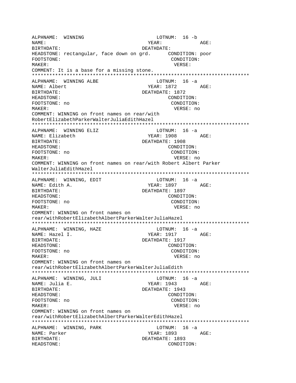ALPHNAME: WINNING LOTNUM: 16 -b NAME: YEAR:  $\Delta$  $\subset$ F: BIRTHDATE: DEATHDATE: HEADSTONE: rectangular, face down on grd. CONDITION: poor CONDITION: FOOTSTONE: MAKER: VERSE: COMMENT: It is a base for a missing stone. LOTNUM:  $16 - a$ ALPHNAME: WINNING ALBE NAME: Albert YEAR: 1872 AGE: **BIRTHDATE:** DEATHDATE: 1872 CONDITION: HEADSTONE: FOOTSTONE: no CONDITION: MAKER: VERSE: no COMMENT: WINNING on front names on rear/with RobertElizabethParkerWalterJuliaEdithHazel ALPHNAME: WINNING ELIZ LOTNUM:  $16 -a$ YEAR: 1908 AGE: NAME: Elizabeth DEATHDATE: 1908 BIRTHDATE: HEADSTONE: CONDITION: FOOTSTONE: no CONDITION: MAKER: VERSE: no COMMENT: WINNING on front names on rear/with Robert Albert Parker WalterJuliaEdithHazel ALPHNAME: WINNING, EDIT LOTNUM: 16 -a YEAR: 1897 NAME: Edith A. AGE: BIRTHDATE: DEATHDATE: 1897 HEADSTONE: CONDITION: FOOTSTONE: no CONDITION: VERSE: no MAKER: COMMENT: WINNING on front names on rear/withRobertElizabethAlbertParkerWalterJuliaHazel ALPHNAME: WINNING, HAZE  $LOTNUM: 16 -a$ **YEAR: 1917** AGE: NAME: Hazel I. BIRTHDATE: DEATHDATE: 1917 CONDITION: HEADSTONE: FOOTSTONE: no CONDITION: MAKER: VERSE: no COMMENT: WINNING on front names on rear/withRobertElizabethAlbertParkerWalterJuliaEdith ALPHNAME: WINNING, JULI  $LOTNUM: 16 -a$ YEAR: 1943 AGE: NAME: Julia E. DEATHDATE: 1943 BIRTHDATE: HEADSTONE: CONDITION: FOOTSTONE: no CONDITION: MAKER: VERSE: no COMMENT: WINNING on front names on rear/withRobertElizabethAlbertParkerWalterEdithHazel ALPHNAME: WINNING, PARK LOTNUM: 16 -a NAME: Parker YEAR: 1893 AGE: BIRTHDATE: DEATHDATE: 1893 HEADSTONE: CONDITION: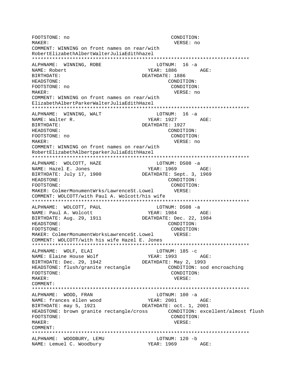FOOTSTONE: no CONDITION:  $M\Delta K$ <sub>F</sub>P: VERSE: no COMMENT: WINNING on front names on rear/with RobertElizabethAlbertWalterJuliaEdithhazel ALPHNAME: WINNING, ROBE LOTNUM: 16 -a NAME: Robert YEAR: 1886 AGE: **RIRTHDATE:** DEATHDATE: 1886 HEADSTONE: CONDITION: FOOTSTONE: no CONDITION:  $M\Delta KFR$ : VERSE: no COMMENT: WINNING on front names on rear/with ElizabethAlbertParkerWalterJuliaEdithHazel ALPHNAME: WINNING, WALT LOTNUM: 16 -a YEAR: 1927 AGE: NAME: Walter R. BIRTHDATE: DEATHDATE: 1927 HEADSTONE: CONDITION: FOOTSTONE: no CONDITION: MAKER: VERSE: no COMMENT: WINNING on front names on rear/with RobertElizabethAlbertparkerJuliaEdithHazel ALPHNAME: WOLCOTT, HAZE LOTNUM: DS08 -a YEAR: 1969 AGE: NAME: Hazel E. Jones BIRTHDATE: July 17, 1900 DEATHDATE: Sept. 3, 1969 HEADSTONE: CONDITION: FOOTSTONE: CONDITION: MAKER: ColmerMonumentWrks/LawrenceSt.Lowel VERSE: COMMENT: WOLCOTT/with Paul A. Wolcott/his wife ALPHNAME: WOLCOTT, PAUL LOTNUM: DS08 -a YEAR: 1984 AGE: NAME: Paul A. Wolcott BIRTHDATE: Aug. 29, 1911 DEATHDATE: Dec. 22, 1984 HEADSTONE: CONDITION: FOOTSTONE: CONDITION: MAKER: ColmerMonumentWorksLawrenceSt.Lowel VERSE: COMMENT: WOLCOTT/with his wife Hazel E. Jones ALPHNAME: WOLF, ELAI LOTNUM:  $185 - c$ YEAR: 1993 AGE: NAME: Elaine House Wolf BIRTHDATE: Dec. 29, 1942 DEATHDATE: May 2, 1993 HEADSTONE: flush/granite rectangle CONDITION: sod encroaching FOOTSTONE: CONDITION: MAKER: VERSE:  $COMM$  $R$  $N$  $T$ : ALPHNAME: WOOD, FRAN LOTNUM:  $100 -a$ NAME: frances ellen wood<br>BIRTHDATE: may 5, 1921 YEAR: 2001 AGE: DEATHDATE: oct. 1, 2001 HEADSTONE: brown granite rectangle/cross CONDITION: excellent/almost flush FOOTSTONE: CONDITION: MAKER: VERSE: COMMENT: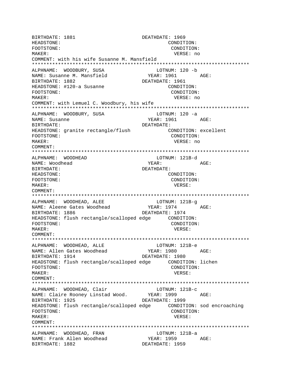BIRTHDATE: 1881 DEATHDATE: 1969 HEADSTONE: CONDITION: FOOTSTONE: CONDITION: MAKER: VERSE: no COMMENT: with his wife Susanne M. Mansfield ALPHNAME: WOODBURY, SUSA LOTNUM: 120 -b NAME: Susanne M. Mansfield YEAR: 1961 AGE: BIRTHDATE: 1882 DEATHDATE: 1961 HEADSTONE: #120-a Susanne CONDITION: FOOTSTONE: CONDITION:  $M\Delta K$ <sub>FP</sub>: VERSE: no COMMENT: with Lemuel C. Woodbury, his wife ALPHNAME: WOODBURY, SUSA LOTNUM: 120 -a YEAR: 1961 AGE: NAME: Susanne BIRTHDATE: DEATHDATE: HEADSTONE: granite rectangle/flush CONDITION: excellent CONDITION: FOOTSTONE: MAKER: VERSE: no COMMENT: ALPHNAME: WOODHEAD LOTNUM: 121B-d AGE: NAME: Woodhead YEAR: DEATHDATE: RIRTHDATE: CONDITION: HEADSTONE: FOOTSTONE: CONDITION: MAKER: VERSE:  $COMMFINT$ : ALPHNAME: WOODHEAD, ALEE LOTNUM: 121B-q YEAR: 1974 AGE: NAME: Aleene Gates Woodhead DEATHDATE: 1974 BIRTHDATE: 1886 HEADSTONE: flush rectangle/scalloped edge CONDITION: FOOTSTONE: CONDITION: MAKER: VERSE: COMMENT: ALPHNAME: WOODHEAD, ALLE LOTNUM: 121B-e NAME: Allen Gates Woodhead YEAR: 1980 AGE: BIRTHDATE: 1914 DEATHDATE: 1980 FOOTSTONE: CONDITION: MAKER: VERSE: COMMENT: ALPHNAME: WOODHEAD, Clair LOTNUM: 121B-c YEAR: 1999 NAME: Claire Rooney Linstad Wood. AGE: BIRTHDATE: 1925 DEATHDATE: 1999 FOOTSTONE: CONDITION: MAKER: VERSE: COMMENT: ALPHNAME: WOODHEAD, FRAN LOTNUM: 121B-a YEAR: 1959 AGE: NAME: Frank Allen Woodhead DEATHDATE: 1959 BIRTHDATE: 1882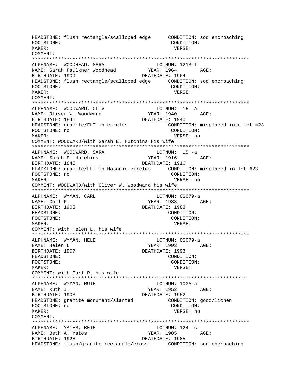CONDITION: FOOTSTONE: MAKER: VERSE: COMMENT: LOTNON<br>YEAR: 1964<br>2007: 1964 NAME: Sarah Faulkner Woodhead<br>BIRTHDATE: 1909 ALPHNAME: WOODHEAD, SARA LOTNUM: 121B-f AGE: DEATHDATE: 1964 FOOTSTONE: CONDITION: MAKER: VERSE: COMMENT: ALPHNAME: WOODWARD, OLIV LOTNUM: 15 -a NAME: Oliver W. Woodward YEAR: 1940 AGE: BIRTHDATE: 1846 DEATHDATE: 1940 HEADSTONE: granite/FLT in circles CONDITION: misplaced into lot #23 FOOTSTONE: no CONDITION: VERSE: no MAKER: COMMENT: WOODWARD/with Sarah E. Hutchins His wife ALPHNAME: WOODWARD, SARA  $LOTNUM: 15 -a$ NAME: Sarah E. Hutchins YEAR: 1916 AGE: BIRTHDATE: 1845 DEATHDATE: 1916 HEADSTONE: granite/FLT in Masonic circles CONDITION: misplaced in lot #23 FOOTSTONE: no CONDITION: MAKER: VERSE: no COMMENT: WOODWARD/with Oliver W. Woodward his wife \*\*\*\*\*\*\*\*\*\*\*\*\*\*\*\*\*\*\*\*\*\*\*\*\*\*\*\*\*\*\*\*\* \*\*\*\*\*\*\*\*\*\*\*\*\*\*\*\*\*\*\*\*\*\* ALPHNAME: WYMAN, CARL LOTNUM: CS079-a YEAR: 1983 AGE: NAME: Carl P. DEATHDATE: 1983 BIRTHDATE: 1903 HEADSTONE: CONDITION: FOOTSTONE: CONDITION: VERSE: MAKER: COMMENT: with Helen L. his wife ALPHNAME: WYMAN, HELE LOTNUM: CS079-a NAME: Helen L. YEAR: 1993 AGE: BIRTHDATE: 1907 DEATHDATE: 1993 HEADSTONE: CONDITION: FOOTSTONE: CONDITION:  $M\Delta KFR$ : VERSE: COMMENT: with Carl P. his wife ALPHNAME: WYMAN, RUTH LOTNUM: 103A-a NAME: Ruth I. DEATHDATE: 1952 BIRTHDATE: 1903 HEADSTONE: granite monument/slanted CONDITION: good/lichen FOOTSTONE: no CONDITION: MAKER: VERSE: no COMMENT: ALPHNAME: YATES, BETH LOTNUM:  $124 -c$ NAME: Beth A. Yates YEAR: 1985 AGE: BIRTHDATE: 1928 DEATHDATE: 1985 HEADSTONE: flush/granite rectangle/cross CONDITION: sod encroaching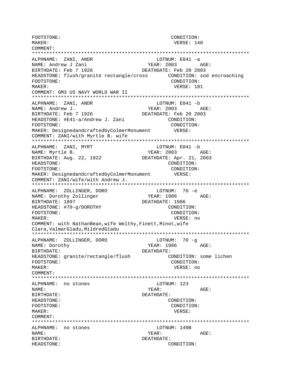FOOTSTONE:<br>
MAKER: CONDITION:<br>
VERSE: 14 VERSE: 140 COMMENT: \*\*\*\*\*\*\*\*\*\*\*\*\*\*\*\*\*\*\*\*\*\*\*\*\*\*\*\*\*\*\*\*\*\*\*\*\*\*\*\*\*\*\*\*\*\*\*\*\*\*\*\*\*\*\*\*\*\*\*\*\*\*\*\*\*\*\*\*\*\*\*\*\*\*\* ALPHNAME: ZANI, ANDR LOTNUM: E041 -a NAME: Andrew J Zani 1988 (1998) 2003 AGE: BIRTHDATE: Feb 7 1926 DEATHDATE: Feb 20 2003 HEADSTONE: flush/granite rectangle/cross CONDITION: sod encroaching FOOTSTONE: CONDITION: MAKER: USING THE SERVICE OF THE SERVICE OF THE SERVICE OF THE SERVICE OF THE SERVICE OF THE SERVICE OF THE SERVICE OF THE SERVICE OF THE SERVICE OF THE SERVICE OF THE SERVICE OF THE SERVICE OF THE SERVICE OF THE SERVICE OF COMMENT: GM3 US NAVY WORLD WAR II \*\*\*\*\*\*\*\*\*\*\*\*\*\*\*\*\*\*\*\*\*\*\*\*\*\*\*\*\*\*\*\*\*\*\*\*\*\*\*\*\*\*\*\*\*\*\*\*\*\*\*\*\*\*\*\*\*\*\*\*\*\*\*\*\*\*\*\*\*\*\*\*\*\*\* ALPHNAME: ZANI, ANDR LOTNUM: E041 -b NAME: Andrew J. The Communication of the SEC MEAR: 2003 AGE: BIRTHDATE: Feb 7 1926 DEATHDATE: Feb 20 2003 HEADSTONE: #E41-a/Andrew J. Zani CONDITION: FOOTSTONE:  $\overline{COMDITION:}$ <br>MAKER: DesignedandcraftedbyColmerMonument  $VERSE:$ MAKER: DesignedandcraftedbyColmerMonument COMMENT: ZANI/with Myrtle B. wife \*\*\*\*\*\*\*\*\*\*\*\*\*\*\*\*\*\*\*\*\*\*\*\*\*\*\*\*\*\*\*\*\*\*\*\*\*\*\*\*\*\*\*\*\*\*\*\*\*\*\*\*\*\*\*\*\*\*\*\*\*\*\*\*\*\*\*\*\*\*\*\*\*\*\* ALPHNAME: ZANI, MYRT LOTNUM: E041 -b NAME: Myrtle B. YEAR: 2003 AGE: BIRTHDATE: Aug. 22, 1922 DEATHDATE: Apr. 21, 2003 HEADSTONE: CONDITION: FOOTSTONE:  $\text{COMDITION:}$ MAKER: DesignedandcraftedbyColmerMonument VERSE: COMMENT: ZANI/wife/with Andrew J. \*\*\*\*\*\*\*\*\*\*\*\*\*\*\*\*\*\*\*\*\*\*\*\*\*\*\*\*\*\*\*\*\*\*\*\*\*\*\*\*\*\*\*\*\*\*\*\*\*\*\*\*\*\*\*\*\*\*\*\*\*\*\*\*\*\*\*\*\*\*\*\*\*\*\* ALPHNAME: ZOLLINGER, DORO LOTNUM: 70 -e NAME: Dorothy Zollinger YEAR: 1986 BIRTHDATE: 1897 DEATHDATE: 1986 HEADSTONE: #70-g/DOROTHY CONDITION: FOOTSTONE: CONDITION: MAKER: VERSE: no COMMENT: with NathanBean,wife Welthy,Finett,Minot,wife Clara, ValmarGladu, MildredGladu \*\*\*\*\*\*\*\*\*\*\*\*\*\*\*\*\*\*\*\*\*\*\*\*\*\*\*\*\*\*\*\*\*\*\*\*\*\*\*\*\*\*\*\*\*\*\*\*\*\*\*\*\*\*\*\*\*\*\*\*\*\*\*\*\*\*\*\*\*\*\*\*\*\*\* ALPHNAME: ZOLLINGER, DORO LOTNUM: 70 -g NAME: Dorothy **YEAR: 1986** AGE: BIRTHDATE: DEATHDATE: HEADSTONE: granite/rectangle/flush CONDITION: some lichen FOOTSTONE: CONDITION: MAKER: VERSE: no COMMENT: \*\*\*\*\*\*\*\*\*\*\*\*\*\*\*\*\*\*\*\*\*\*\*\*\*\*\*\*\*\*\*\*\*\*\*\*\*\*\*\*\*\*\*\*\*\*\*\*\*\*\*\*\*\*\*\*\*\*\*\*\*\*\*\*\*\*\*\*\*\*\*\*\*\*\* ALPHNAME: no stones LOTNUM: 123 NAME: YEAR: AGE: BIRTHDATE: DEATHDATE: HEADSTONE: CONDITION: FOOTSTONE: CONDITION: MAKER: VERSE: COMMENT: \*\*\*\*\*\*\*\*\*\*\*\*\*\*\*\*\*\*\*\*\*\*\*\*\*\*\*\*\*\*\*\*\*\*\*\*\*\*\*\*\*\*\*\*\*\*\*\*\*\*\*\*\*\*\*\*\*\*\*\*\*\*\*\*\*\*\*\*\*\*\*\*\*\*\* ALPHNAME: no stones LOTNUM: 149B NAME: YEAR: AGE: BIRTHDATE: DEATHDATE: HEADSTONE: CONDITION: